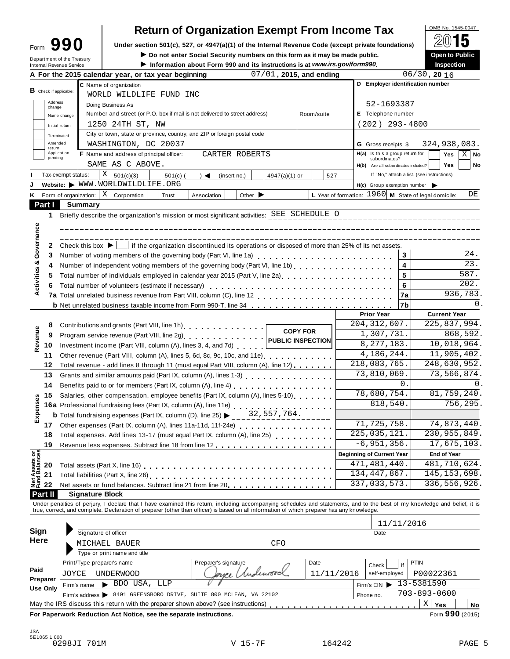| Form                       | 990 |  |
|----------------------------|-----|--|
| Department of the Treasury |     |  |

# **Return of Organization Exempt From Income Tax**  $\frac{\text{OMB No. 1545-0047}}{20}$

Form  $\mathbf{990}$  Under section 501(c), 527, or 4947(a)(1) of the Internal Revenue Code (except private foundations)  $\Box$   $\Box$  **Dependent of Public** 

**a b b not enter Social Security** numbers on this form as it may be made public. **Open to Public Conduction Conduction Conduction Conduction Conduction Conduction Conduction Conduction Conduct** 

| Information about Form 990 and its instructions is at www.irs.gov/forms |  |
|-------------------------------------------------------------------------|--|
|-------------------------------------------------------------------------|--|

|                                                     | Department of the Treasury<br>Internal Revenue Service | $\blacktriangleright$ Do not enter Social Security numbers on this form as it may be made public.<br>Information about Form 990 and its instructions is at www.irs.gov/form990.                                                |                                                             | <b>Open to Public</b><br>Inspection        |
|-----------------------------------------------------|--------------------------------------------------------|--------------------------------------------------------------------------------------------------------------------------------------------------------------------------------------------------------------------------------|-------------------------------------------------------------|--------------------------------------------|
|                                                     |                                                        | 07/01, 2015, and ending<br>A For the 2015 calendar year, or tax year beginning                                                                                                                                                 |                                                             | $06/30$ , 20 16                            |
|                                                     |                                                        | C Name of organization                                                                                                                                                                                                         |                                                             | D Employer identification number           |
| <b>B</b> Check if applicable:                       |                                                        | WORLD WILDLIFE FUND INC                                                                                                                                                                                                        |                                                             |                                            |
| change                                              | Address                                                | Doing Business As                                                                                                                                                                                                              | 52-1693387                                                  |                                            |
|                                                     | Name change                                            | Number and street (or P.O. box if mail is not delivered to street address)<br>Room/suite                                                                                                                                       | E Telephone number                                          |                                            |
|                                                     | Initial return                                         | 1250 24TH ST, NW                                                                                                                                                                                                               | $(202)$ 293-4800                                            |                                            |
|                                                     | Terminated                                             | City or town, state or province, country, and ZIP or foreign postal code                                                                                                                                                       |                                                             |                                            |
|                                                     | Amended                                                | WASHINGTON, DC 20037                                                                                                                                                                                                           | <b>G</b> Gross receipts \$                                  | 324,938,083.                               |
| return                                              | Application                                            | F Name and address of principal officer:<br>CARTER ROBERTS                                                                                                                                                                     | H(a) Is this a group return for                             | Yes<br>$X \mid$ No                         |
| pending                                             |                                                        | SAME AS C ABOVE.                                                                                                                                                                                                               | subordinates?                                               | <b>Yes</b><br>No                           |
|                                                     |                                                        | X                                                                                                                                                                                                                              | H(b) Are all subordinates included?                         | If "No," attach a list. (see instructions) |
|                                                     | Tax-exempt status:                                     | 501(c)(3)<br>$501(c)$ (<br>(insert no.)<br>4947(a)(1) or<br>$\rightarrow$ $\blacktriangleleft$<br>Website: WWW.WORLDWILDLIFE.ORG                                                                                               | 527                                                         |                                            |
|                                                     |                                                        |                                                                                                                                                                                                                                | $H(c)$ Group exemption number                               |                                            |
| Κ                                                   |                                                        | Form of organization: $\mid X \mid$ Corporation<br>Other $\blacktriangleright$<br>Trust<br>Association                                                                                                                         | L Year of formation: $1960 \mid M$ State of legal domicile: | DE                                         |
| Part I                                              |                                                        | <b>Summary</b>                                                                                                                                                                                                                 |                                                             |                                            |
| 1                                                   |                                                        | Briefly describe the organization's mission or most significant activities: SEE SCHEDULE O                                                                                                                                     |                                                             |                                            |
| Activities & Governance                             |                                                        |                                                                                                                                                                                                                                |                                                             |                                            |
|                                                     |                                                        | ________________________________                                                                                                                                                                                               |                                                             |                                            |
| 2                                                   |                                                        | Check this box $\blacktriangleright$   if the organization discontinued its operations or disposed of more than 25% of its net assets.                                                                                         |                                                             |                                            |
| 3                                                   |                                                        |                                                                                                                                                                                                                                |                                                             | 24.<br>3                                   |
| 4                                                   |                                                        |                                                                                                                                                                                                                                |                                                             | $\overline{23}$ .<br>4                     |
| 5                                                   |                                                        | Total number of individuals employed in calendar year 2015 (Part V, line 2a)<br>The 2a)                                                                                                                                        |                                                             | 587.<br>5                                  |
| 6                                                   |                                                        | Total number of volunteers (estimate if necessary)                                                                                                                                                                             |                                                             | 202.<br>6                                  |
|                                                     |                                                        |                                                                                                                                                                                                                                |                                                             | 936,783.<br>7a                             |
|                                                     |                                                        | <b>b</b> Net unrelated business taxable income from Form 990-T, line 34                                                                                                                                                        |                                                             | 0.<br>7b                                   |
|                                                     |                                                        |                                                                                                                                                                                                                                | <b>Prior Year</b>                                           | <b>Current Year</b>                        |
| 8                                                   |                                                        | Contributions and grants (Part VIII, line 1h).                                                                                                                                                                                 | 204, 312, 607.                                              | 225,837,994.                               |
| 9                                                   |                                                        | <b>COPY FOR</b>                                                                                                                                                                                                                | 1,307,731.                                                  | 868,592.                                   |
| Revenue<br>10                                       |                                                        | Investment income (Part VIII, column (A), lines 3, 4, and 7d)                                                                                                                                                                  | 8,277,183.                                                  | 10,018,964.                                |
|                                                     |                                                        |                                                                                                                                                                                                                                | 4,186,244.                                                  | 11,905,402.                                |
| 11                                                  |                                                        | Other revenue (Part VIII, column (A), lines 5, 6d, 8c, 9c, 10c, and 11e) [100]                                                                                                                                                 | 218,083,765.                                                | 248,630,952.                               |
| 12                                                  |                                                        | Total revenue - add lines 8 through 11 (must equal Part VIII, column (A), line 12)                                                                                                                                             | 73,810,069.                                                 | 73,566,874.                                |
| 13                                                  |                                                        | Grants and similar amounts paid (Part IX, column (A), lines 1-3) [10] Canada and similar amounts and similar and $(2)$                                                                                                         |                                                             | $\overline{0}$ .<br>0.                     |
| 14                                                  |                                                        | Benefits paid to or for members (Part IX, column (A), line 4)                                                                                                                                                                  | 78,680,754.                                                 | 81,759,240.                                |
| 15                                                  |                                                        | Salaries, other compensation, employee benefits (Part IX, column (A), lines 5-10)                                                                                                                                              |                                                             |                                            |
|                                                     |                                                        |                                                                                                                                                                                                                                | 818,540.                                                    | 756,295.                                   |
| Expenses                                            |                                                        | <b>b</b> Total fundraising expenses (Part IX, column (D), line 25) $\triangleright$ 32, 557, 764.                                                                                                                              |                                                             |                                            |
| 17 <sup>7</sup>                                     |                                                        | Other expenses (Part IX, column (A), lines 11a-11d, 11f-24e)                                                                                                                                                                   | 71,725,758.                                                 | 74,873,440.                                |
| 18                                                  |                                                        | Total expenses. Add lines 13-17 (must equal Part IX, column (A), line 25)                                                                                                                                                      | 225,035,121.                                                | 230, 955, 849.                             |
| 19                                                  |                                                        |                                                                                                                                                                                                                                | $-6,951,356.$                                               | 17,675,103.                                |
|                                                     |                                                        |                                                                                                                                                                                                                                | <b>Beginning of Current Year</b>                            | <b>End of Year</b>                         |
| 20                                                  |                                                        | Total assets (Part X, line 16) <b>Container and Street and Total</b>                                                                                                                                                           | 471,481,440.                                                | 481,710,624.                               |
| Net Assets or<br>Fund Balances<br>21                |                                                        |                                                                                                                                                                                                                                | 134, 447, 867.                                              | 145, 153, 698.                             |
| 22                                                  |                                                        | Net assets or fund balances. Subtract line 21 from line 20                                                                                                                                                                     | 337,033,573.                                                | 336, 556, 926.                             |
| Part II                                             |                                                        | <b>Signature Block</b>                                                                                                                                                                                                         |                                                             |                                            |
|                                                     |                                                        | Under penalties of perjury, I declare that I have examined this return, including accompanying schedules and statements, and to the best of my knowledge and belief, it is true, correct, and complete. Declaration of prepare |                                                             |                                            |
|                                                     |                                                        |                                                                                                                                                                                                                                |                                                             |                                            |
|                                                     |                                                        |                                                                                                                                                                                                                                |                                                             | 11/11/2016                                 |
|                                                     |                                                        | Signature of officer                                                                                                                                                                                                           | Date                                                        |                                            |
|                                                     |                                                        | <b>CFO</b><br>MICHAEL BAUER                                                                                                                                                                                                    |                                                             |                                            |
|                                                     |                                                        |                                                                                                                                                                                                                                |                                                             |                                            |
|                                                     |                                                        | Type or print name and title                                                                                                                                                                                                   |                                                             |                                            |
|                                                     |                                                        | Date                                                                                                                                                                                                                           |                                                             | <b>PTIN</b>                                |
|                                                     |                                                        | Print/Type preparer's name<br>Preparer's signature                                                                                                                                                                             | Check                                                       | if                                         |
|                                                     | JOYCE                                                  | loyce Underwood<br><b>UNDERWOOD</b>                                                                                                                                                                                            | 11/11/2016<br>self-employed                                 | P00022361                                  |
| <b>Sign</b><br>Here<br>Paid<br>Preparer<br>Use Only | Firm's name                                            | $\blacktriangleright$ BDO USA, LLP                                                                                                                                                                                             | Firm's $EIN$                                                | 13-5381590                                 |
|                                                     |                                                        | Firm's address > 8401 GREENSBORO DRIVE, SUITE 800 MCLEAN, VA 22102<br>May the IRS discuss this return with the preparer shown above? (see instructions)                                                                        | Phone no.                                                   | 703-893-0600<br>Χ<br>Yes<br>No             |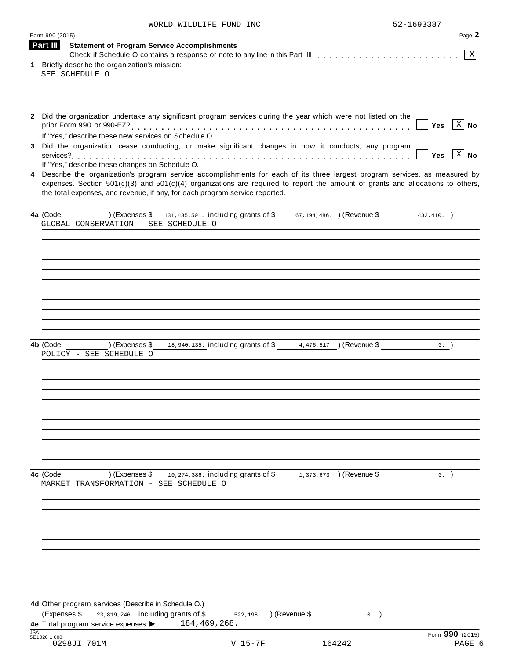| WORLD WILDLIFE FUND | INC | 52-1693387 |  |
|---------------------|-----|------------|--|
|                     |     |            |  |

|            | Form 990 (2015)                                                                                                                    | Page 2          |
|------------|------------------------------------------------------------------------------------------------------------------------------------|-----------------|
|            | Part III<br><b>Statement of Program Service Accomplishments</b>                                                                    |                 |
| 1          | Briefly describe the organization's mission:                                                                                       | $\vert X \vert$ |
|            | SEE SCHEDULE O                                                                                                                     |                 |
|            |                                                                                                                                    |                 |
|            |                                                                                                                                    |                 |
|            |                                                                                                                                    |                 |
|            | 2 Did the organization undertake any significant program services during the year which were not listed on the                     |                 |
|            | Yes                                                                                                                                | $X \mid No$     |
|            | If "Yes," describe these new services on Schedule O.                                                                               |                 |
| 3          | Did the organization cease conducting, or make significant changes in how it conducts, any program                                 | $x \mid N$ o    |
|            | <b>Yes</b><br>If "Yes," describe these changes on Schedule O.                                                                      |                 |
|            | 4 Describe the organization's program service accomplishments for each of its three largest program services, as measured by       |                 |
|            | expenses. Section $501(c)(3)$ and $501(c)(4)$ organizations are required to report the amount of grants and allocations to others, |                 |
|            | the total expenses, and revenue, if any, for each program service reported.                                                        |                 |
|            |                                                                                                                                    |                 |
|            | (Expenses \$ 131,435,501. including grants of \$ $67,194,486$ . ) (Revenue \$ 432,410. )<br>4a (Code:                              |                 |
|            | GLOBAL CONSERVATION - SEE SCHEDULE O                                                                                               |                 |
|            |                                                                                                                                    |                 |
|            |                                                                                                                                    |                 |
|            |                                                                                                                                    |                 |
|            |                                                                                                                                    |                 |
|            |                                                                                                                                    |                 |
|            |                                                                                                                                    |                 |
|            |                                                                                                                                    |                 |
|            |                                                                                                                                    |                 |
|            |                                                                                                                                    |                 |
|            | 18,940,135. including grants of \$4,476,517. ) (Revenue \$<br>4b (Code:<br>) (Expenses \$<br>0.                                    |                 |
|            | POLICY - SEE SCHEDULE O                                                                                                            |                 |
|            |                                                                                                                                    |                 |
|            |                                                                                                                                    |                 |
|            |                                                                                                                                    |                 |
|            |                                                                                                                                    |                 |
|            |                                                                                                                                    |                 |
|            |                                                                                                                                    |                 |
|            |                                                                                                                                    |                 |
|            |                                                                                                                                    |                 |
|            |                                                                                                                                    |                 |
|            |                                                                                                                                    |                 |
|            | ) (Expenses $$$ 10, 274, 386. including grants of $$$ 1, 373, 673. ) (Revenue $$$<br>4c (Code:<br>0.                               |                 |
|            | MARKET TRANSFORMATION - SEE SCHEDULE O                                                                                             |                 |
|            |                                                                                                                                    |                 |
|            |                                                                                                                                    |                 |
|            |                                                                                                                                    |                 |
|            |                                                                                                                                    |                 |
|            |                                                                                                                                    |                 |
|            |                                                                                                                                    |                 |
|            |                                                                                                                                    |                 |
|            |                                                                                                                                    |                 |
|            |                                                                                                                                    |                 |
|            |                                                                                                                                    |                 |
|            | 4d Other program services (Describe in Schedule O.)                                                                                |                 |
|            | (Expenses \$<br>23,819,246. including grants of \$<br>522,198. ) (Revenue \$<br>0.                                                 |                 |
| <b>JSA</b> | 4e Total program service expenses $\triangleright$ 184,469,268.                                                                    | Form 990 (2015) |
|            | 5E1020 1.000<br>0298JI 701M<br>$V$ 15-7F<br>164242                                                                                 | PAGE 6          |
|            |                                                                                                                                    |                 |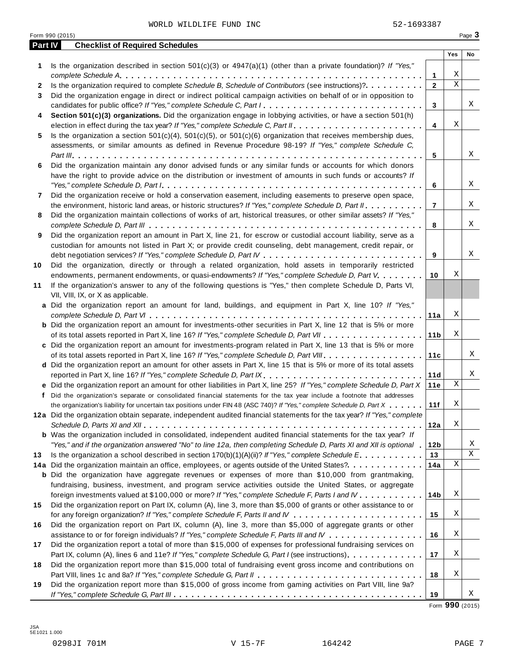WORLD WILDLIFE FUND INC 62-1693387

|         | Form 990 (2015)                                                                                                                                                                                                                                                                                                                                                                               |                 |                  | Page 3 |
|---------|-----------------------------------------------------------------------------------------------------------------------------------------------------------------------------------------------------------------------------------------------------------------------------------------------------------------------------------------------------------------------------------------------|-----------------|------------------|--------|
| Part IV | <b>Checklist of Required Schedules</b>                                                                                                                                                                                                                                                                                                                                                        |                 |                  |        |
|         |                                                                                                                                                                                                                                                                                                                                                                                               |                 | Yes              | No     |
| 1.      | Is the organization described in section $501(c)(3)$ or $4947(a)(1)$ (other than a private foundation)? If "Yes,"                                                                                                                                                                                                                                                                             |                 |                  |        |
|         |                                                                                                                                                                                                                                                                                                                                                                                               | 1               | Χ<br>$\mathbf X$ |        |
| 2       | Is the organization required to complete Schedule B, Schedule of Contributors (see instructions)?.                                                                                                                                                                                                                                                                                            | $\mathbf{2}$    |                  |        |
| 3       | Did the organization engage in direct or indirect political campaign activities on behalf of or in opposition to                                                                                                                                                                                                                                                                              |                 |                  | Χ      |
|         | candidates for public office? If "Yes," complete Schedule C, Part I.                                                                                                                                                                                                                                                                                                                          | 3               |                  |        |
| 4       | Section 501(c)(3) organizations. Did the organization engage in lobbying activities, or have a section 501(h)                                                                                                                                                                                                                                                                                 |                 | Χ                |        |
|         |                                                                                                                                                                                                                                                                                                                                                                                               | $\overline{4}$  |                  |        |
| 5       | Is the organization a section $501(c)(4)$ , $501(c)(5)$ , or $501(c)(6)$ organization that receives membership dues,                                                                                                                                                                                                                                                                          |                 |                  |        |
|         | assessments, or similar amounts as defined in Revenue Procedure 98-19? If "Yes," complete Schedule C,                                                                                                                                                                                                                                                                                         |                 |                  | Χ      |
|         |                                                                                                                                                                                                                                                                                                                                                                                               | 5               |                  |        |
| 6       | Did the organization maintain any donor advised funds or any similar funds or accounts for which donors                                                                                                                                                                                                                                                                                       |                 |                  |        |
|         | have the right to provide advice on the distribution or investment of amounts in such funds or accounts? If                                                                                                                                                                                                                                                                                   |                 |                  |        |
|         | "Yes," complete Schedule D, Part $l_1, \ldots, l_k, \ldots, l_k, \ldots, l_k, \ldots, l_k, \ldots, l_k, \ldots, l_k, \ldots, l_k, \ldots, l_k, \ldots, l_k, \ldots, l_k, \ldots, l_k, \ldots, l_k, \ldots, l_k, \ldots, l_k, \ldots, l_k, \ldots, l_k, \ldots, l_k, \ldots, l_k, \ldots, l_k, \ldots, l_k, \ldots, l_k, \ldots, l_k, \ldots, l_k, \ldots, l_k, \ldots, l_k, \ldots, l_k, \ld$ | 6               |                  | Χ      |
| 7       | Did the organization receive or hold a conservation easement, including easements to preserve open space,                                                                                                                                                                                                                                                                                     |                 |                  |        |
|         | the environment, historic land areas, or historic structures? If "Yes," complete Schedule D, Part II.                                                                                                                                                                                                                                                                                         | $\overline{7}$  |                  | Χ      |
| 8       | Did the organization maintain collections of works of art, historical treasures, or other similar assets? If "Yes,"                                                                                                                                                                                                                                                                           |                 |                  |        |
|         |                                                                                                                                                                                                                                                                                                                                                                                               | 8               |                  | Χ      |
| 9       | Did the organization report an amount in Part X, line 21, for escrow or custodial account liability, serve as a                                                                                                                                                                                                                                                                               |                 |                  |        |
|         | custodian for amounts not listed in Part X; or provide credit counseling, debt management, credit repair, or                                                                                                                                                                                                                                                                                  |                 |                  |        |
|         |                                                                                                                                                                                                                                                                                                                                                                                               | 9               |                  | Χ      |
| 10      | Did the organization, directly or through a related organization, hold assets in temporarily restricted                                                                                                                                                                                                                                                                                       |                 |                  |        |
|         | endowments, permanent endowments, or quasi-endowments? If "Yes," complete Schedule D, Part V.                                                                                                                                                                                                                                                                                                 | 10              | Χ                |        |
| 11      | If the organization's answer to any of the following questions is "Yes," then complete Schedule D, Parts VI,                                                                                                                                                                                                                                                                                  |                 |                  |        |
|         | VII, VIII, IX, or X as applicable.                                                                                                                                                                                                                                                                                                                                                            |                 |                  |        |
|         | a Did the organization report an amount for land, buildings, and equipment in Part X, line 10? If "Yes,"                                                                                                                                                                                                                                                                                      |                 |                  |        |
|         |                                                                                                                                                                                                                                                                                                                                                                                               | 11a             | Χ                |        |
|         | <b>b</b> Did the organization report an amount for investments-other securities in Part X, line 12 that is 5% or more                                                                                                                                                                                                                                                                         |                 |                  |        |
|         |                                                                                                                                                                                                                                                                                                                                                                                               | 11 <sub>b</sub> | Χ                |        |
|         | c Did the organization report an amount for investments-program related in Part X, line 13 that is 5% or more                                                                                                                                                                                                                                                                                 |                 |                  |        |
|         |                                                                                                                                                                                                                                                                                                                                                                                               | 11c             |                  | Χ      |
|         | d Did the organization report an amount for other assets in Part X, line 15 that is 5% or more of its total assets                                                                                                                                                                                                                                                                            |                 |                  |        |
|         | reported in Part X, line 16? If "Yes," complete Schedule D, Part IX.                                                                                                                                                                                                                                                                                                                          | 11d             |                  | Χ      |
|         | e Did the organization report an amount for other liabilities in Part X, line 25? If "Yes," complete Schedule D, Part X                                                                                                                                                                                                                                                                       | 11e             | Χ                |        |
|         | f Did the organization's separate or consolidated financial statements for the tax year include a footnote that addresses                                                                                                                                                                                                                                                                     |                 |                  |        |
|         | the organization's liability for uncertain tax positions under FIN 48 (ASC 740)? If "Yes," complete Schedule D, Part X                                                                                                                                                                                                                                                                        | 11f             | Χ                |        |
|         | 12a Did the organization obtain separate, independent audited financial statements for the tax year? If "Yes," complete                                                                                                                                                                                                                                                                       |                 |                  |        |
|         |                                                                                                                                                                                                                                                                                                                                                                                               | 12a             | Χ                |        |
|         | <b>b</b> Was the organization included in consolidated, independent audited financial statements for the tax year? If                                                                                                                                                                                                                                                                         |                 |                  |        |
|         | "Yes," and if the organization answered "No" to line 12a, then completing Schedule D, Parts XI and XII is optional 1                                                                                                                                                                                                                                                                          | 12b             |                  | Χ      |
| 13      | Is the organization a school described in section $170(b)(1)(A)(ii)?$ If "Yes," complete Schedule E.                                                                                                                                                                                                                                                                                          | 13              |                  | Χ      |
|         | 14a Did the organization maintain an office, employees, or agents outside of the United States?.                                                                                                                                                                                                                                                                                              | 14a             | Χ                |        |
|         | <b>b</b> Did the organization have aggregate revenues or expenses of more than \$10,000 from grantmaking,                                                                                                                                                                                                                                                                                     |                 |                  |        |
|         | fundraising, business, investment, and program service activities outside the United States, or aggregate                                                                                                                                                                                                                                                                                     |                 |                  |        |
|         | foreign investments valued at \$100,000 or more? If "Yes," complete Schedule F, Parts I and IV                                                                                                                                                                                                                                                                                                | 14b             | Χ                |        |
| 15      | Did the organization report on Part IX, column (A), line 3, more than \$5,000 of grants or other assistance to or                                                                                                                                                                                                                                                                             |                 |                  |        |
|         |                                                                                                                                                                                                                                                                                                                                                                                               | 15              | Χ                |        |
| 16      | Did the organization report on Part IX, column (A), line 3, more than \$5,000 of aggregate grants or other                                                                                                                                                                                                                                                                                    |                 |                  |        |
|         | assistance to or for foreign individuals? If "Yes," complete Schedule F, Parts III and IV                                                                                                                                                                                                                                                                                                     | 16              | Χ                |        |
| 17      | Did the organization report a total of more than \$15,000 of expenses for professional fundraising services on                                                                                                                                                                                                                                                                                |                 |                  |        |
|         | Part IX, column (A), lines 6 and 11e? If "Yes," complete Schedule G, Part I (see instructions)                                                                                                                                                                                                                                                                                                | 17              | Χ                |        |
| 18      | Did the organization report more than \$15,000 total of fundraising event gross income and contributions on                                                                                                                                                                                                                                                                                   |                 |                  |        |
|         |                                                                                                                                                                                                                                                                                                                                                                                               | 18              | Χ                |        |
| 19      | Did the organization report more than \$15,000 of gross income from gaming activities on Part VIII, line 9a?                                                                                                                                                                                                                                                                                  |                 |                  |        |
|         |                                                                                                                                                                                                                                                                                                                                                                                               | 19              |                  | Χ      |

Form **990** (2015)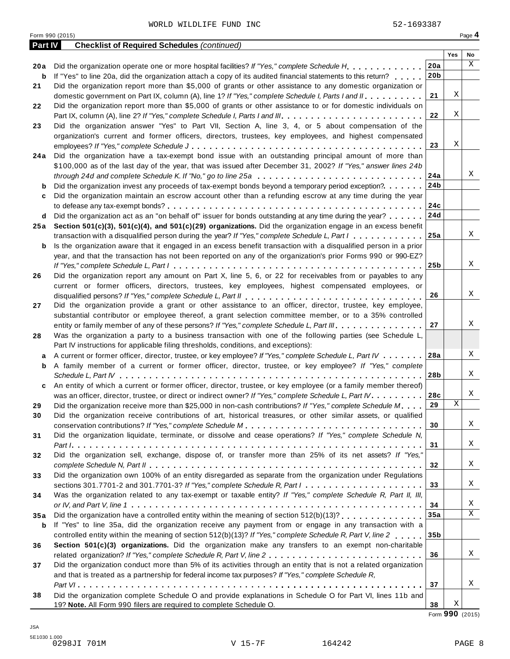| <b>Part IV</b> | <b>Checklist of Required Schedules (continued)</b>                                                                          |                 |     |    |
|----------------|-----------------------------------------------------------------------------------------------------------------------------|-----------------|-----|----|
|                |                                                                                                                             |                 | Yes | No |
| 20 a           | Did the organization operate one or more hospital facilities? If "Yes," complete Schedule H                                 | 20a             |     | X  |
| b              | If "Yes" to line 20a, did the organization attach a copy of its audited financial statements to this return?                | 20 <sub>b</sub> |     |    |
| 21             | Did the organization report more than \$5,000 of grants or other assistance to any domestic organization or                 |                 |     |    |
|                | domestic government on Part IX, column (A), line 1? If "Yes," complete Schedule I, Parts I and II.                          | 21              | Χ   |    |
| 22             | Did the organization report more than \$5,000 of grants or other assistance to or for domestic individuals on               |                 |     |    |
|                | Part IX, column (A), line 2? If "Yes," complete Schedule I, Parts I and III.                                                | 22              | Χ   |    |
| 23             | Did the organization answer "Yes" to Part VII, Section A, line 3, 4, or 5 about compensation of the                         |                 |     |    |
|                | organization's current and former officers, directors, trustees, key employees, and highest compensated                     |                 |     |    |
|                |                                                                                                                             | 23              | Χ   |    |
| 24 a           | Did the organization have a tax-exempt bond issue with an outstanding principal amount of more than                         |                 |     |    |
|                | \$100,000 as of the last day of the year, that was issued after December 31, 2002? If "Yes," answer lines 24b               |                 |     |    |
|                | through 24d and complete Schedule K. If "No," go to line 25a                                                                | 24a             |     | Χ  |
| b              | Did the organization invest any proceeds of tax-exempt bonds beyond a temporary period exception?                           | 24b             |     |    |
| c              | Did the organization maintain an escrow account other than a refunding escrow at any time during the year                   |                 |     |    |
|                |                                                                                                                             | 24c             |     |    |
| d              | Did the organization act as an "on behalf of" issuer for bonds outstanding at any time during the year?                     | 24d             |     |    |
| 25 a           | Section 501(c)(3), 501(c)(4), and 501(c)(29) organizations. Did the organization engage in an excess benefit                |                 |     |    |
|                | transaction with a disqualified person during the year? If "Yes," complete Schedule L, Part I                               | 25a             |     | Χ  |
| b              | Is the organization aware that it engaged in an excess benefit transaction with a disqualified person in a prior            |                 |     |    |
|                | year, and that the transaction has not been reported on any of the organization's prior Forms 990 or 990-EZ?                |                 |     |    |
|                |                                                                                                                             | 25 <sub>b</sub> |     | Χ  |
| 26             | Did the organization report any amount on Part X, line 5, 6, or 22 for receivables from or payables to any                  |                 |     |    |
|                | current or former officers, directors, trustees, key employees, highest compensated employees, or                           |                 |     |    |
|                |                                                                                                                             | 26              |     | X  |
| 27             | Did the organization provide a grant or other assistance to an officer, director, trustee, key employee,                    |                 |     |    |
|                | substantial contributor or employee thereof, a grant selection committee member, or to a 35% controlled                     |                 |     |    |
|                | entity or family member of any of these persons? If "Yes," complete Schedule L, Part III.                                   | 27              |     | Χ  |
| 28             | Was the organization a party to a business transaction with one of the following parties (see Schedule L,                   |                 |     |    |
|                | Part IV instructions for applicable filing thresholds, conditions, and exceptions):                                         |                 |     |    |
| а              | A current or former officer, director, trustee, or key employee? If "Yes," complete Schedule L, Part IV                     | 28a             |     | X  |
| b              | A family member of a current or former officer, director, trustee, or key employee? If "Yes," complete                      |                 |     |    |
|                |                                                                                                                             | 28 <sub>b</sub> |     | Χ  |
| c              | An entity of which a current or former officer, director, trustee, or key employee (or a family member thereof)             |                 |     |    |
|                | was an officer, director, trustee, or direct or indirect owner? If "Yes," complete Schedule L, Part IV.                     | 28c             |     | Χ  |
| 29             | Did the organization receive more than \$25,000 in non-cash contributions? If "Yes," complete Schedule M                    | 29              | Χ   |    |
| 30             | Did the organization receive contributions of art, historical treasures, or other similar assets, or qualified              |                 |     |    |
|                |                                                                                                                             | 30              |     | Χ  |
| 31             | Did the organization liquidate, terminate, or dissolve and cease operations? If "Yes," complete Schedule N,                 |                 |     |    |
|                |                                                                                                                             | 31              |     | Χ  |
| 32             | Did the organization sell, exchange, dispose of, or transfer more than 25% of its net assets? If "Yes,"                     |                 |     |    |
|                |                                                                                                                             | 32              |     | Χ  |
| 33             | Did the organization own 100% of an entity disregarded as separate from the organization under Regulations                  |                 |     |    |
|                | sections 301.7701-2 and 301.7701-3? If "Yes," complete Schedule R, Part $1, \ldots, \ldots, \ldots, \ldots, \ldots, \ldots$ | 33              |     | Χ  |
| 34             | Was the organization related to any tax-exempt or taxable entity? If "Yes," complete Schedule R, Part II, III,              |                 |     |    |
|                |                                                                                                                             | 34              |     | Χ  |
| 35a            | Did the organization have a controlled entity within the meaning of section 512(b)(13)?                                     | 35a             |     | X  |
| b              | If "Yes" to line 35a, did the organization receive any payment from or engage in any transaction with a                     |                 |     |    |
|                | controlled entity within the meaning of section 512(b)(13)? If "Yes," complete Schedule R, Part V, line 2                   | 35 <sub>b</sub> |     |    |
| 36             | Section 501(c)(3) organizations. Did the organization make any transfers to an exempt non-charitable                        |                 |     |    |
|                |                                                                                                                             | 36              |     | Χ  |
| 37             | Did the organization conduct more than 5% of its activities through an entity that is not a related organization            |                 |     |    |
|                | and that is treated as a partnership for federal income tax purposes? If "Yes," complete Schedule R,                        |                 |     |    |
|                |                                                                                                                             | 37              |     | Χ  |
| 38             | Did the organization complete Schedule O and provide explanations in Schedule O for Part VI, lines 11b and                  |                 |     |    |
|                | 19? Note. All Form 990 filers are required to complete Schedule O.                                                          | 38              | Χ   |    |

Form **990** (2015)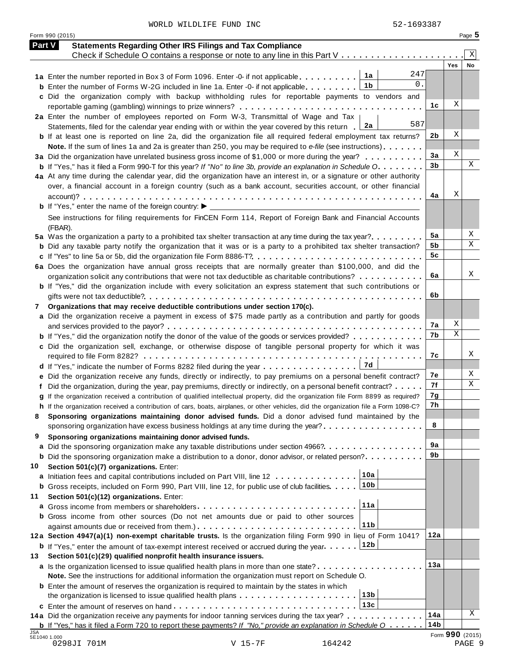WORLD WILDLIFE FUND INC 62-1693387

Form <sup>990</sup> (2015) Page **5**

| <b>Part V</b> | <b>Statements Regarding Other IRS Filings and Tax Compliance</b>                                                                     |                 |                 | Χ      |
|---------------|--------------------------------------------------------------------------------------------------------------------------------------|-----------------|-----------------|--------|
|               | Check if Schedule O contains a response or note to any line in this Part V                                                           |                 | Yes             | No     |
|               | 247<br>1a<br>1a Enter the number reported in Box 3 of Form 1096. Enter -0- if not applicable                                         |                 |                 |        |
|               | 0.<br>1b<br><b>b</b> Enter the number of Forms W-2G included in line 1a. Enter -0- if not applicable                                 |                 |                 |        |
|               | c Did the organization comply with backup withholding rules for reportable payments to vendors and                                   |                 |                 |        |
|               |                                                                                                                                      | 1c              | Χ               |        |
|               | 2a Enter the number of employees reported on Form W-3, Transmittal of Wage and Tax                                                   |                 |                 |        |
|               | 587<br>2a<br>Statements, filed for the calendar year ending with or within the year covered by this return                           |                 |                 |        |
|               | <b>b</b> If at least one is reported on line 2a, did the organization file all required federal employment tax returns?              | 2b              | Χ               |        |
|               |                                                                                                                                      |                 |                 |        |
|               | Note. If the sum of lines 1a and 2a is greater than 250, you may be required to e-file (see instructions)                            | 3a              | Χ               |        |
|               | 3a Did the organization have unrelated business gross income of \$1,000 or more during the year?                                     | 3 <sub>b</sub>  |                 | Χ      |
|               | <b>b</b> If "Yes," has it filed a Form 990-T for this year? If "No" to line 3b, provide an explanation in Schedule O.                |                 |                 |        |
|               | 4a At any time during the calendar year, did the organization have an interest in, or a signature or other authority                 |                 |                 |        |
|               | over, a financial account in a foreign country (such as a bank account, securities account, or other financial                       |                 |                 |        |
|               |                                                                                                                                      | 4a              | Χ               |        |
|               | <b>b</b> If "Yes," enter the name of the foreign country: $\blacktriangleright$                                                      |                 |                 |        |
|               | See instructions for filing requirements for FinCEN Form 114, Report of Foreign Bank and Financial Accounts                          |                 |                 |        |
|               | (FBAR).                                                                                                                              |                 |                 |        |
|               | 5a Was the organization a party to a prohibited tax shelter transaction at any time during the tax year?                             | 5a              |                 | Χ      |
|               | <b>b</b> Did any taxable party notify the organization that it was or is a party to a prohibited tax shelter transaction?            | 5b              |                 | X      |
|               |                                                                                                                                      | 5c              |                 |        |
|               | 6a Does the organization have annual gross receipts that are normally greater than \$100,000, and did the                            |                 |                 |        |
|               | organization solicit any contributions that were not tax deductible as charitable contributions?                                     | 6a              |                 | Χ      |
|               | <b>b</b> If "Yes," did the organization include with every solicitation an express statement that such contributions or              |                 |                 |        |
|               |                                                                                                                                      | 6b              |                 |        |
| 7             | Organizations that may receive deductible contributions under section 170(c).                                                        |                 |                 |        |
|               | a Did the organization receive a payment in excess of \$75 made partly as a contribution and partly for goods                        |                 |                 |        |
|               |                                                                                                                                      | 7а              | Χ               |        |
|               |                                                                                                                                      | 7b              | X               |        |
|               | <b>b</b> If "Yes," did the organization notify the donor of the value of the goods or services provided?                             |                 |                 |        |
|               | c Did the organization sell, exchange, or otherwise dispose of tangible personal property for which it was                           |                 |                 | Χ      |
|               |                                                                                                                                      | 7с              |                 |        |
|               | 7d<br>d If "Yes," indicate the number of Forms 8282 filed during the year                                                            |                 |                 |        |
|               | e Did the organization receive any funds, directly or indirectly, to pay premiums on a personal benefit contract?                    | 7е              |                 | Χ      |
|               | f Did the organization, during the year, pay premiums, directly or indirectly, on a personal benefit contract?                       | 7f              |                 | X      |
|               | g If the organization received a contribution of qualified intellectual property, did the organization file Form 8899 as required?   | 7g              |                 |        |
|               | h If the organization received a contribution of cars, boats, airplanes, or other vehicles, did the organization file a Form 1098-C? | 7h              |                 |        |
|               | Sponsoring organizations maintaining donor advised funds. Did a donor advised fund maintained by the                                 |                 |                 |        |
|               | sponsoring organization have excess business holdings at any time during the year?                                                   | 8               |                 |        |
| 9             | Sponsoring organizations maintaining donor advised funds.                                                                            |                 |                 |        |
|               | a Did the sponsoring organization make any taxable distributions under section 4966?                                                 | 9a              |                 |        |
|               | <b>b</b> Did the sponsoring organization make a distribution to a donor, donor advisor, or related person?                           | 9b              |                 |        |
| 10            | Section 501(c)(7) organizations. Enter:                                                                                              |                 |                 |        |
|               | 10a<br>a Initiation fees and capital contributions included on Part VIII, line 12                                                    |                 |                 |        |
|               | 10 <sub>b</sub><br><b>b</b> Gross receipts, included on Form 990, Part VIII, line 12, for public use of club facilities.             |                 |                 |        |
|               |                                                                                                                                      |                 |                 |        |
| 11            | Section 501(c)(12) organizations. Enter:<br>11a                                                                                      |                 |                 |        |
|               | a Gross income from members or shareholders                                                                                          |                 |                 |        |
|               | b Gross income from other sources (Do not net amounts due or paid to other sources                                                   |                 |                 |        |
|               | 11b<br>against amounts due or received from them.) $\ldots \ldots \ldots \ldots \ldots \ldots \ldots \ldots \ldots$                  |                 |                 |        |
|               | 12a Section 4947(a)(1) non-exempt charitable trusts. Is the organization filing Form 990 in lieu of Form 1041?                       | 12a             |                 |        |
|               | 12b<br><b>b</b> If "Yes," enter the amount of tax-exempt interest received or accrued during the year                                |                 |                 |        |
| 13            | Section 501(c)(29) qualified nonprofit health insurance issuers.                                                                     |                 |                 |        |
|               | a Is the organization licensed to issue qualified health plans in more than one state?                                               | 13a             |                 |        |
|               | Note. See the instructions for additional information the organization must report on Schedule O.                                    |                 |                 |        |
|               | <b>b</b> Enter the amount of reserves the organization is required to maintain by the states in which                                |                 |                 |        |
|               | 13 <sub>b</sub><br>the organization is licensed to issue qualified health plans $\ldots \ldots \ldots \ldots \ldots \ldots \ldots$   |                 |                 |        |
|               | 13c                                                                                                                                  |                 |                 |        |
|               | 14a Did the organization receive any payments for indoor tanning services during the tax year?                                       | 14a             |                 | Χ      |
|               | <b>b</b> If "Yes," has it filed a Form 720 to report these payments? If "No," provide an explanation in Schedule $0 \ldots \ldots$   | 14 <sub>b</sub> |                 |        |
| <b>JSA</b>    | 5E1040 1.000                                                                                                                         |                 | Form 990 (2015) |        |
|               | 0298JI 701M<br>$V$ 15-7 $F$<br>164242                                                                                                |                 |                 | PAGE 9 |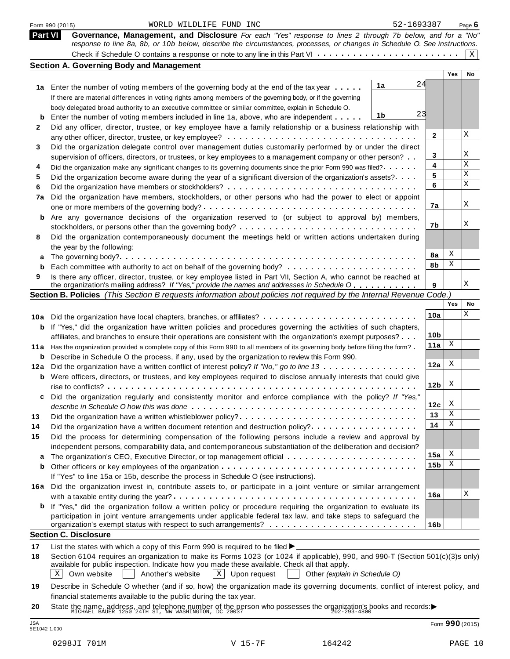|                | 52-1693387<br>WORLD WILDLIFE FUND INC<br>Form 990 (2015)                                                                                                                                                                                |                 |            | Page $6$ |
|----------------|-----------------------------------------------------------------------------------------------------------------------------------------------------------------------------------------------------------------------------------------|-----------------|------------|----------|
| <b>Part VI</b> | Governance, Management, and Disclosure For each "Yes" response to lines 2 through 7b below, and for a "No"<br>response to line 8a, 8b, or 10b below, describe the circumstances, processes, or changes in Schedule O. See instructions. |                 |            |          |
|                |                                                                                                                                                                                                                                         |                 |            | X        |
|                | <b>Section A. Governing Body and Management</b>                                                                                                                                                                                         |                 |            |          |
|                |                                                                                                                                                                                                                                         |                 | <b>Yes</b> | No       |
|                | 1a<br>1a Enter the number of voting members of the governing body at the end of the tax year                                                                                                                                            | 24              |            |          |
|                | If there are material differences in voting rights among members of the governing body, or if the governing                                                                                                                             |                 |            |          |
|                | body delegated broad authority to an executive committee or similar committee, explain in Schedule O.                                                                                                                                   |                 |            |          |
| b              | 1b<br>Enter the number of voting members included in line 1a, above, who are independent                                                                                                                                                | 23              |            |          |
| 2              | Did any officer, director, trustee, or key employee have a family relationship or a business relationship with                                                                                                                          |                 |            |          |
|                |                                                                                                                                                                                                                                         | 2               |            | Χ        |
| 3              | Did the organization delegate control over management duties customarily performed by or under the direct                                                                                                                               |                 |            |          |
|                | supervision of officers, directors, or trustees, or key employees to a management company or other person?                                                                                                                              | 3               |            | Χ<br>Χ   |
| 4              | Did the organization make any significant changes to its governing documents since the prior Form 990 was filed?.                                                                                                                       | 4               |            | Χ        |
| 5              | Did the organization become aware during the year of a significant diversion of the organization's assets?                                                                                                                              | 5               |            | X        |
| 6              |                                                                                                                                                                                                                                         | 6               |            |          |
| 7a             | Did the organization have members, stockholders, or other persons who had the power to elect or appoint                                                                                                                                 |                 |            | Χ        |
|                |                                                                                                                                                                                                                                         | 7a              |            |          |
| b              | Are any governance decisions of the organization reserved to (or subject to approval by) members,                                                                                                                                       |                 |            | Χ        |
|                |                                                                                                                                                                                                                                         | 7b              |            |          |
| 8              | Did the organization contemporaneously document the meetings held or written actions undertaken during                                                                                                                                  |                 |            |          |
|                | the year by the following:                                                                                                                                                                                                              | 8a              | Χ          |          |
|                |                                                                                                                                                                                                                                         | 8b              | Χ          |          |
| b              |                                                                                                                                                                                                                                         |                 |            |          |
| 9              | Is there any officer, director, trustee, or key employee listed in Part VII, Section A, who cannot be reached at<br>the organization's mailing address? If "Yes," provide the names and addresses in Schedule O                         | 9               |            | Χ        |
|                | Section B. Policies (This Section B requests information about policies not required by the Internal Revenue Code.)                                                                                                                     |                 |            |          |
|                |                                                                                                                                                                                                                                         |                 | Yes        | No       |
|                | 10a Did the organization have local chapters, branches, or affiliates?                                                                                                                                                                  | 10a             |            | Χ        |
| b              | If "Yes," did the organization have written policies and procedures governing the activities of such chapters,                                                                                                                          |                 |            |          |
|                | affiliates, and branches to ensure their operations are consistent with the organization's exempt purposes?                                                                                                                             | 10 <sub>b</sub> |            |          |
| 11 a           | Has the organization provided a complete copy of this Form 990 to all members of its governing body before filing the form?                                                                                                             | 11a             | X          |          |
| b              | Describe in Schedule O the process, if any, used by the organization to review this Form 990.                                                                                                                                           |                 |            |          |
| 12a            | Did the organization have a written conflict of interest policy? If "No," go to line 13                                                                                                                                                 | 12a             | Χ          |          |
|                | <b>b</b> Were officers, directors, or trustees, and key employees required to disclose annually interests that could give                                                                                                               |                 |            |          |
|                |                                                                                                                                                                                                                                         | 12 <sub>b</sub> | X          |          |
|                | Did the organization regularly and consistently monitor and enforce compliance with the policy? If "Yes,"                                                                                                                               |                 |            |          |
|                |                                                                                                                                                                                                                                         | 12c             | X          |          |
| 13             | Did the organization have a written whistleblower policy?                                                                                                                                                                               | 13              | Χ          |          |
| 14             | Did the organization have a written document retention and destruction policy?                                                                                                                                                          | 14              | Χ          |          |
| 15             | Did the process for determining compensation of the following persons include a review and approval by                                                                                                                                  |                 |            |          |
|                | independent persons, comparability data, and contemporaneous substantiation of the deliberation and decision?                                                                                                                           |                 |            |          |
|                |                                                                                                                                                                                                                                         | 15a             | Χ          |          |
| b              |                                                                                                                                                                                                                                         | 15b             | Χ          |          |
|                | If "Yes" to line 15a or 15b, describe the process in Schedule O (see instructions).                                                                                                                                                     |                 |            |          |
| 16a            | Did the organization invest in, contribute assets to, or participate in a joint venture or similar arrangement                                                                                                                          |                 |            |          |
|                |                                                                                                                                                                                                                                         | 16a             |            | Χ        |
|                | <b>b</b> If "Yes," did the organization follow a written policy or procedure requiring the organization to evaluate its                                                                                                                 |                 |            |          |
|                | participation in joint venture arrangements under applicable federal tax law, and take steps to safeguard the                                                                                                                           |                 |            |          |
|                |                                                                                                                                                                                                                                         | 16 <sub>b</sub> |            |          |
|                | <b>Section C. Disclosure</b>                                                                                                                                                                                                            |                 |            |          |
| 17             | List the states with which a copy of this Form 990 is required to be filed $\blacktriangleright$                                                                                                                                        |                 |            |          |
| 18             | Section 6104 requires an organization to make its Forms 1023 (or 1024 if applicable), 990, and 990-T (Section 501(c)(3)s only)                                                                                                          |                 |            |          |
|                | available for public inspection. Indicate how you made these available. Check all that apply.<br>$X$ Upon request<br>Χ<br>Another's website<br>Own website<br>Other (explain in Schedule O)                                             |                 |            |          |
|                |                                                                                                                                                                                                                                         |                 |            |          |
| 19             | Describe in Schedule O whether (and if so, how) the organization made its governing documents, conflict of interest policy, and                                                                                                         |                 |            |          |
|                | financial statements available to the public during the tax year.                                                                                                                                                                       |                 |            |          |
| 20             | State the name, address, and telephone number of the person who possesses the organization's books and records: $\blacktriangleright$ MICHAEL BAUER 1250 24TH ST, NW WASHINGTON, DC 20037                                               |                 |            |          |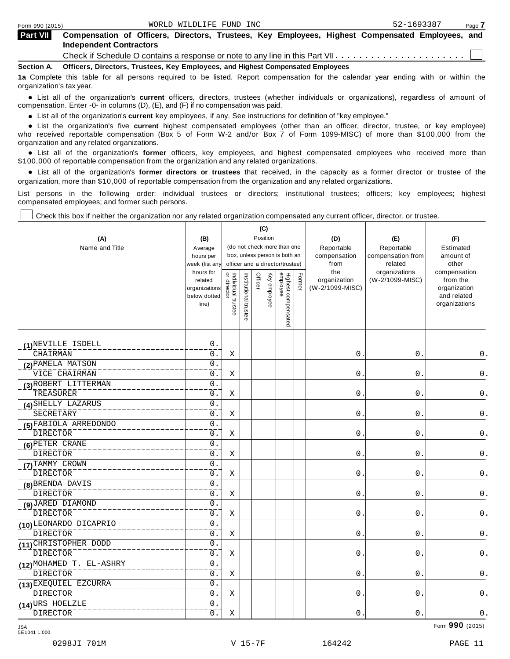| <b>Part VII</b>   | Compensation of Officers, Directors, Trustees, Key Employees, Highest Compensated Employees, and<br><b>Independent Contractors</b> |
|-------------------|------------------------------------------------------------------------------------------------------------------------------------|
|                   |                                                                                                                                    |
| <b>Section A.</b> | Officers, Directors, Trustees, Key Employees, and Highest Compensated Employees                                                    |

**1a** Complete this table for all persons required to be listed. Report compensation for the calendar year ending with or within the organization's tax year.

anization's lax year.<br>● List all of the organization's **current** officers, directors, trustees (whether individuals or organizations), regardless of amount of<br>nnensation Enter -0- in columns (D) (E) and (E) if no compensa compensation. Enter -0- in columns (D), (E), and (F) if no compensation was paid.

• List all of the organization's **current** key employees, if any. See instructions for definition of "key employee."<br>● List the experientials five expect highest expressed explores (other than an efficer director of

**Example in the organization's current** key employees, if any. See instructions for definition of key employee.<br>• List the organization's five **current** highest compensated employees (other than an officer, director, trust who received reportable compensation (Box 5 of Form W-2 and/or Box 7 of Form 1099-MISC) of more than \$100,000 from the

organization and any related organizations.<br>• List all of the organization's **former** officers, key employees, and highest compensated employees who received more than<br>\$1.00.000 of reportable componention from the erganiza \$100,000 of reportable compensation from the organization and any related organizations.

% List all of the organization's **former directors or trustees** that received, in the capacity as a former director or trustee of the organization, more than \$10,000 of reportable compensation from the organization and any related organizations.

List persons in the following order: individual trustees or directors; institutional trustees; officers; key employees; highest compensated employees; and former such persons.

Check this box if neither the organization nor any related organization compensated any current officer, director, or trustee.

| (A)<br>Name and Title    | (B)<br>Average<br>hours per<br>week (list any<br>hours for<br>related |                                   |                       | (C)<br>Officer | Position     | (do not check more than one<br>box, unless person is both an<br>officer and a director/trustee) | Former | (D)<br>Reportable<br>compensation<br>from<br>the<br>organization | (E)<br>Reportable<br>compensation from<br>related<br>organizations<br>(W-2/1099-MISC) | (F)<br>Estimated<br>amount of<br>other<br>compensation<br>from the |
|--------------------------|-----------------------------------------------------------------------|-----------------------------------|-----------------------|----------------|--------------|-------------------------------------------------------------------------------------------------|--------|------------------------------------------------------------------|---------------------------------------------------------------------------------------|--------------------------------------------------------------------|
|                          | organizations<br>below dotted<br>line)                                | or director<br>Individual trustee | Institutional trustee |                | Key employee | Highest compensated<br>employee                                                                 |        | (W-2/1099-MISC)                                                  |                                                                                       | organization<br>and related<br>organizations                       |
| (1) NEVILLE ISDELL       | $0$ .                                                                 |                                   |                       |                |              |                                                                                                 |        |                                                                  |                                                                                       |                                                                    |
| CHAIRMAN                 | 0.                                                                    | Χ                                 |                       |                |              |                                                                                                 |        | 0.                                                               | 0.                                                                                    | 0.                                                                 |
| (2) PAMELA MATSON        | $0$ .                                                                 |                                   |                       |                |              |                                                                                                 |        |                                                                  |                                                                                       |                                                                    |
| VICE CHAIRMAN            | $0$ .                                                                 | Χ                                 |                       |                |              |                                                                                                 |        | 0.                                                               | $\boldsymbol{0}$ .                                                                    | 0.                                                                 |
| (3) ROBERT LITTERMAN     | $\overline{0}$ .                                                      |                                   |                       |                |              |                                                                                                 |        |                                                                  |                                                                                       |                                                                    |
| TREASURER                | $0$ .                                                                 | Χ                                 |                       |                |              |                                                                                                 |        | $0$ .                                                            | $0$ .                                                                                 | $\mathsf 0$ .                                                      |
| (4) SHELLY LAZARUS       | $\overline{0}$ .                                                      |                                   |                       |                |              |                                                                                                 |        |                                                                  |                                                                                       |                                                                    |
| SECRETARY                | 0.                                                                    | Χ                                 |                       |                |              |                                                                                                 |        | 0.                                                               | 0.                                                                                    | 0.                                                                 |
| (5) FABIOLA ARREDONDO    | $\overline{0}$ .                                                      |                                   |                       |                |              |                                                                                                 |        |                                                                  |                                                                                       |                                                                    |
| <b>DIRECTOR</b>          | $0$ .                                                                 | Χ                                 |                       |                |              |                                                                                                 |        | 0.                                                               | 0.                                                                                    | 0.                                                                 |
| (6) PETER CRANE          | $0$ .                                                                 |                                   |                       |                |              |                                                                                                 |        |                                                                  |                                                                                       |                                                                    |
| DIRECTOR                 | 0.                                                                    | Χ                                 |                       |                |              |                                                                                                 |        | $\mathsf{O}$ .                                                   | 0.                                                                                    | 0.                                                                 |
| (7) TAMMY CROWN          | $0$ .                                                                 |                                   |                       |                |              |                                                                                                 |        |                                                                  |                                                                                       |                                                                    |
| DIRECTOR                 | $0$ .                                                                 | Χ                                 |                       |                |              |                                                                                                 |        | $\mathsf{O}$ .                                                   | 0.                                                                                    | 0.                                                                 |
| (8) BRENDA DAVIS         | $\overline{0}$ .                                                      |                                   |                       |                |              |                                                                                                 |        |                                                                  |                                                                                       |                                                                    |
| DIRECTOR                 | $\overline{0}$ .                                                      | Χ                                 |                       |                |              |                                                                                                 |        | $\mathbf 0$ .                                                    | 0.                                                                                    | 0.                                                                 |
| (9) JARED DIAMOND        | $0$ .                                                                 |                                   |                       |                |              |                                                                                                 |        |                                                                  |                                                                                       |                                                                    |
| <b>DIRECTOR</b>          | 0.                                                                    | X                                 |                       |                |              |                                                                                                 |        | $\mathbf 0$ .                                                    | 0.                                                                                    | 0.                                                                 |
| (10) LEONARDO DICAPRIO   | $0$ .                                                                 |                                   |                       |                |              |                                                                                                 |        |                                                                  |                                                                                       |                                                                    |
| <b>DIRECTOR</b>          | 0.                                                                    | Χ                                 |                       |                |              |                                                                                                 |        | 0.                                                               | 0.                                                                                    | $0$ .                                                              |
| (11) CHRISTOPHER DODD    | $0$ .                                                                 |                                   |                       |                |              |                                                                                                 |        |                                                                  |                                                                                       |                                                                    |
| DIRECTOR                 | $0$ .                                                                 | Χ                                 |                       |                |              |                                                                                                 |        | 0.                                                               | 0.                                                                                    | 0.                                                                 |
| (12) MOHAMED T. EL-ASHRY | $\mathsf 0$ .                                                         |                                   |                       |                |              |                                                                                                 |        |                                                                  |                                                                                       |                                                                    |
| DIRECTOR                 | 0.                                                                    | Χ                                 |                       |                |              |                                                                                                 |        | 0.                                                               | 0.                                                                                    | 0.                                                                 |
| (13) EXEQUIEL EZCURRA    | $0$ .                                                                 |                                   |                       |                |              |                                                                                                 |        |                                                                  |                                                                                       |                                                                    |
| <b>DIRECTOR</b>          | $0$ .                                                                 | X                                 |                       |                |              |                                                                                                 |        | $0$ .                                                            | $0$ .                                                                                 | $0$ .                                                              |
| (14) URS HOELZLE         | 0.                                                                    |                                   |                       |                |              |                                                                                                 |        |                                                                  |                                                                                       |                                                                    |
| <b>DIRECTOR</b>          | $0$ .                                                                 | Χ                                 |                       |                |              |                                                                                                 |        | 0.                                                               | $0$ .                                                                                 | $0$ .                                                              |

Form **990** (2015) JSA 5E1041 1.000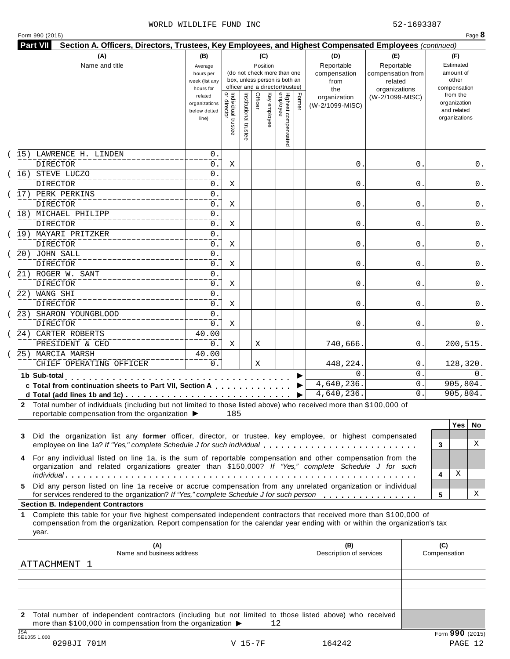### WORLD WILDLIFE FUND INC 62-1693387

|                                                                                                                                                                                                                                                                                                        | (B)<br>Average<br>hours per<br>week (list any<br>hours for |                                     |                    | (C)<br>Position |              | (do not check more than one<br>box, unless person is both an<br>officer and a director/trustee) |        | (D)<br>Reportable<br>compensation<br>from<br>the | (E)<br>Reportable<br>compensation from<br>related<br>organizations | (F)<br>Estimated<br>amount of<br>other<br>compensation   |
|--------------------------------------------------------------------------------------------------------------------------------------------------------------------------------------------------------------------------------------------------------------------------------------------------------|------------------------------------------------------------|-------------------------------------|--------------------|-----------------|--------------|-------------------------------------------------------------------------------------------------|--------|--------------------------------------------------|--------------------------------------------------------------------|----------------------------------------------------------|
|                                                                                                                                                                                                                                                                                                        | related<br>organizations<br>below dotted<br>line)          | õ<br>Individual trustee<br>director | Institutional trus | Officer         | Key employee | Highest compensated<br>employee                                                                 | Former | organization<br>(W-2/1099-MISC)                  | (W-2/1099-MISC)                                                    | from the<br>organization<br>and related<br>organizations |
| 15) LAWRENCE H. LINDEN                                                                                                                                                                                                                                                                                 | 0.                                                         |                                     |                    |                 |              |                                                                                                 |        |                                                  |                                                                    |                                                          |
| <b>DIRECTOR</b><br>16) STEVE LUCZO                                                                                                                                                                                                                                                                     | 0.<br>0.                                                   | X                                   |                    |                 |              |                                                                                                 |        | $\mathsf{0}$ .                                   | 0                                                                  | 0.                                                       |
| DIRECTOR                                                                                                                                                                                                                                                                                               | 0.                                                         | Χ                                   |                    |                 |              |                                                                                                 |        | $\mathsf{0}$ .                                   | 0                                                                  | 0.                                                       |
| 17) PERK PERKINS                                                                                                                                                                                                                                                                                       | 0.                                                         |                                     |                    |                 |              |                                                                                                 |        |                                                  |                                                                    |                                                          |
| DIRECTOR                                                                                                                                                                                                                                                                                               | 0.                                                         | Χ                                   |                    |                 |              |                                                                                                 |        | $\mathsf{0}$ .                                   | 0                                                                  | 0.                                                       |
| (18) MICHAEL PHILIPP<br><b>DIRECTOR</b>                                                                                                                                                                                                                                                                | 0.<br>0.                                                   | Χ                                   |                    |                 |              |                                                                                                 |        | $\mathsf{0}$ .                                   | 0                                                                  | 0.                                                       |
| 19) MAYARI PRITZKER                                                                                                                                                                                                                                                                                    | 0.                                                         |                                     |                    |                 |              |                                                                                                 |        |                                                  |                                                                    |                                                          |
| <b>DIRECTOR</b>                                                                                                                                                                                                                                                                                        | 0.                                                         | Χ                                   |                    |                 |              |                                                                                                 |        | $\mathsf{0}$ .                                   | 0                                                                  | 0.                                                       |
| 20) JOHN SALL                                                                                                                                                                                                                                                                                          | 0.                                                         |                                     |                    |                 |              |                                                                                                 |        |                                                  |                                                                    |                                                          |
| DIRECTOR                                                                                                                                                                                                                                                                                               | 0.                                                         | Χ                                   |                    |                 |              |                                                                                                 |        | $\mathsf{0}$ .                                   | 0                                                                  | 0.                                                       |
| 21) ROGER W. SANT                                                                                                                                                                                                                                                                                      | 0.                                                         |                                     |                    |                 |              |                                                                                                 |        |                                                  |                                                                    |                                                          |
| <b>DIRECTOR</b><br>22) WANG SHI                                                                                                                                                                                                                                                                        | 0.<br>0.                                                   | Χ                                   |                    |                 |              |                                                                                                 |        | $\mathsf{0}$ .                                   | 0                                                                  | 0.                                                       |
| <b>DIRECTOR</b>                                                                                                                                                                                                                                                                                        | 0.                                                         | Χ                                   |                    |                 |              |                                                                                                 |        | $\mathsf{0}$ .                                   | 0                                                                  | 0.                                                       |
| 23) SHARON YOUNGBLOOD                                                                                                                                                                                                                                                                                  | 0.                                                         |                                     |                    |                 |              |                                                                                                 |        |                                                  |                                                                    |                                                          |
| <b>DIRECTOR</b>                                                                                                                                                                                                                                                                                        | 0.                                                         | Χ                                   |                    |                 |              |                                                                                                 |        | 0.                                               | 0                                                                  | 0.                                                       |
| 24) CARTER ROBERTS                                                                                                                                                                                                                                                                                     | 40.00                                                      |                                     |                    |                 |              |                                                                                                 |        |                                                  |                                                                    |                                                          |
| PRESIDENT & CEO                                                                                                                                                                                                                                                                                        | 0.                                                         | Χ                                   |                    | Χ               |              |                                                                                                 |        | 740,666.                                         | 0                                                                  | 200,515.                                                 |
| 25) MARCIA MARSH                                                                                                                                                                                                                                                                                       | 40.00                                                      |                                     |                    |                 |              |                                                                                                 |        |                                                  |                                                                    |                                                          |
| CHIEF OPERATING OFFICER                                                                                                                                                                                                                                                                                | 0.                                                         |                                     |                    | Χ               |              |                                                                                                 |        | 448,224.                                         | 0                                                                  | 128,320.                                                 |
| 1b Sub-total                                                                                                                                                                                                                                                                                           |                                                            |                                     |                    |                 |              |                                                                                                 |        | $\Omega$                                         | $\overline{0}$ .                                                   | $0$ .                                                    |
| c Total from continuation sheets to Part VII, Section A                                                                                                                                                                                                                                                |                                                            |                                     |                    |                 |              |                                                                                                 |        | 4,640,236.                                       | 0.                                                                 | 905, 804.                                                |
| d Total (add lines 1b and 1c) $\cdots$ $\cdots$ $\cdots$ $\cdots$ $\cdots$ $\cdots$ $\cdots$ $\cdots$ $\cdots$ $\cdots$ $\cdots$<br>2 Total number of individuals (including but not limited to those listed above) who received more than \$100,000 of                                                |                                                            |                                     |                    |                 |              |                                                                                                 |        | 4,640,236.                                       | $\Omega$ .                                                         | 905, 804.                                                |
| reportable compensation from the organization ▶                                                                                                                                                                                                                                                        |                                                            | 185                                 |                    |                 |              |                                                                                                 |        |                                                  |                                                                    | <b>Yes</b><br>No.<br>Χ<br>3                              |
| Did the organization list any former officer, director, or trustee, key employee, or highest compensated<br>employee on line 1a? If "Yes," complete Schedule J for such individual                                                                                                                     |                                                            |                                     |                    |                 |              |                                                                                                 |        |                                                  |                                                                    |                                                          |
| 3<br>For any individual listed on line 1a, is the sum of reportable compensation and other compensation from the<br>organization and related organizations greater than \$150,000? If "Yes," complete Schedule J for such                                                                              |                                                            |                                     |                    |                 |              |                                                                                                 |        |                                                  |                                                                    | Χ<br>4                                                   |
| Did any person listed on line 1a receive or accrue compensation from any unrelated organization or individual<br>5.<br>for services rendered to the organization? If "Yes," complete Schedule J for such person                                                                                        |                                                            |                                     |                    |                 |              |                                                                                                 |        |                                                  |                                                                    | Χ<br>5                                                   |
| <b>Section B. Independent Contractors</b><br>Complete this table for your five highest compensated independent contractors that received more than \$100,000 of<br>compensation from the organization. Report compensation for the calendar year ending with or within the organization's tax<br>year. |                                                            |                                     |                    |                 |              |                                                                                                 |        |                                                  |                                                                    |                                                          |
| (A)<br>Name and business address                                                                                                                                                                                                                                                                       |                                                            |                                     |                    |                 |              |                                                                                                 |        | (B)<br>Description of services                   |                                                                    | (C)<br>Compensation                                      |
|                                                                                                                                                                                                                                                                                                        |                                                            |                                     |                    |                 |              |                                                                                                 |        |                                                  |                                                                    |                                                          |
| ATTACHMENT 1                                                                                                                                                                                                                                                                                           |                                                            |                                     |                    |                 |              |                                                                                                 |        |                                                  |                                                                    |                                                          |
|                                                                                                                                                                                                                                                                                                        |                                                            |                                     |                    |                 |              |                                                                                                 |        |                                                  |                                                                    |                                                          |

JSA Form **990** (2015) 5E1055 1.000 0298JI 701M V 15-7F 164242 PAGE 12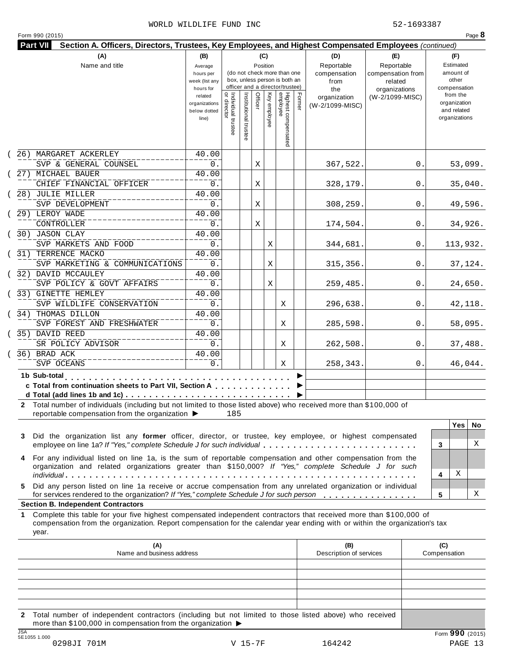### WORLD WILDLIFE FUND INC 62-1693387

| Form 990 (2015)                                                                                                                                                                                                                                                 |                                                            |                                   |                       |                 |              |                                                                                                 |        |                                           |                                                   |    |                                                          | Page 8  |
|-----------------------------------------------------------------------------------------------------------------------------------------------------------------------------------------------------------------------------------------------------------------|------------------------------------------------------------|-----------------------------------|-----------------------|-----------------|--------------|-------------------------------------------------------------------------------------------------|--------|-------------------------------------------|---------------------------------------------------|----|----------------------------------------------------------|---------|
| Section A. Officers, Directors, Trustees, Key Employees, and Highest Compensated Employees (continued)<br><b>Part VII</b>                                                                                                                                       |                                                            |                                   |                       |                 |              |                                                                                                 |        |                                           |                                                   |    |                                                          |         |
| (A)<br>Name and title                                                                                                                                                                                                                                           | (B)<br>Average<br>hours per<br>week (list any<br>hours for |                                   |                       | (C)<br>Position |              | (do not check more than one<br>box, unless person is both an<br>officer and a director/trustee) |        | (D)<br>Reportable<br>compensation<br>from | (E)<br>Reportable<br>compensation from<br>related |    | (F)<br>Estimated<br>amount of<br>other<br>compensation   |         |
|                                                                                                                                                                                                                                                                 | related<br>organizations<br>below dotted<br>line)          | Individual trustee<br>or director | Institutional trustee | Officer         | Key employee | Highest compensated<br>employee                                                                 | Former | the<br>organization<br>(W-2/1099-MISC)    | organizations<br>(W-2/1099-MISC)                  |    | from the<br>organization<br>and related<br>organizations |         |
| (26) MARGARET ACKERLEY                                                                                                                                                                                                                                          | 40.00                                                      |                                   |                       |                 |              |                                                                                                 |        |                                           |                                                   |    |                                                          |         |
| SVP & GENERAL COUNSEL                                                                                                                                                                                                                                           | 0.                                                         |                                   |                       | Χ               |              |                                                                                                 |        | 367,522.                                  |                                                   | 0. |                                                          | 53,099. |
| 27) MICHAEL BAUER                                                                                                                                                                                                                                               | 40.00                                                      |                                   |                       |                 |              |                                                                                                 |        |                                           |                                                   |    |                                                          |         |
| CHIEF FINANCIAL OFFICER                                                                                                                                                                                                                                         | $0$ .                                                      |                                   |                       | Χ               |              |                                                                                                 |        | 328,179.                                  |                                                   | 0  | 35,040.                                                  |         |
| 28) JULIE MILLER                                                                                                                                                                                                                                                | 40.00                                                      |                                   |                       |                 |              |                                                                                                 |        |                                           |                                                   |    |                                                          |         |
| SVP DEVELOPMENT                                                                                                                                                                                                                                                 | $0$ .                                                      |                                   |                       | Χ               |              |                                                                                                 |        | 308,259.                                  |                                                   | 0  | 49,596.                                                  |         |
| 29) LEROY WADE<br>CONTROLLER                                                                                                                                                                                                                                    | 40.00<br>$0$ .                                             |                                   |                       | Χ               |              |                                                                                                 |        | 174,504.                                  |                                                   | 0  | 34,926.                                                  |         |
| 30) JASON CLAY                                                                                                                                                                                                                                                  | 40.00                                                      |                                   |                       |                 |              |                                                                                                 |        |                                           |                                                   |    |                                                          |         |
| SVP MARKETS AND FOOD                                                                                                                                                                                                                                            | $0$ .                                                      |                                   |                       |                 | Χ            |                                                                                                 |        | 344,681.                                  |                                                   | 0  | 113,932.                                                 |         |
| 31) TERRENCE MACKO                                                                                                                                                                                                                                              | 40.00                                                      |                                   |                       |                 |              |                                                                                                 |        |                                           |                                                   |    |                                                          |         |
| SVP MARKETING & COMMUNICATIONS                                                                                                                                                                                                                                  | $0$ .                                                      |                                   |                       |                 | X            |                                                                                                 |        | 315,356.                                  |                                                   | 0. | 37,124.                                                  |         |
| 32) DAVID MCCAULEY                                                                                                                                                                                                                                              | 40.00                                                      |                                   |                       |                 |              |                                                                                                 |        |                                           |                                                   |    |                                                          |         |
| SVP POLICY & GOVT AFFAIRS                                                                                                                                                                                                                                       | $0$ .                                                      |                                   |                       |                 | Χ            |                                                                                                 |        | 259,485.                                  |                                                   | 0. | 24,650.                                                  |         |
| 33) GINETTE HEMLEY                                                                                                                                                                                                                                              | 40.00                                                      |                                   |                       |                 |              |                                                                                                 |        |                                           |                                                   |    |                                                          |         |
| SVP WILDLIFE CONSERVATION                                                                                                                                                                                                                                       | $0$ .                                                      |                                   |                       |                 |              | Χ                                                                                               |        | 296,638.                                  | 0.                                                |    | 42,118.                                                  |         |
| 34) THOMAS DILLON                                                                                                                                                                                                                                               | 40.00                                                      |                                   |                       |                 |              |                                                                                                 |        |                                           |                                                   |    |                                                          |         |
| SVP FOREST AND FRESHWATER                                                                                                                                                                                                                                       | 0.                                                         |                                   |                       |                 |              | Χ                                                                                               |        | 285,598.                                  | 0.                                                |    | 58,095.                                                  |         |
| 35) DAVID REED                                                                                                                                                                                                                                                  | 40.00                                                      |                                   |                       |                 |              |                                                                                                 |        |                                           |                                                   |    |                                                          |         |
| SR POLICY ADVISOR                                                                                                                                                                                                                                               | $0$ .                                                      |                                   |                       |                 |              | Χ                                                                                               |        | 262,508.                                  |                                                   | 0. | 37,488.                                                  |         |
| 36) BRAD ACK                                                                                                                                                                                                                                                    | 40.00                                                      |                                   |                       |                 |              |                                                                                                 |        |                                           |                                                   |    |                                                          |         |
| SVP OCEANS                                                                                                                                                                                                                                                      | 0.                                                         |                                   |                       |                 |              | Χ                                                                                               |        | 258,343.                                  |                                                   | 0. | 46,044.                                                  |         |
| 1b Sub-total<br>c Total from continuation sheets to Part VII, Section A<br>Total number of individuals (including but not limited to those listed above) who received more than \$100,000 of<br>reportable compensation from the organization ▶                 |                                                            | 185                               |                       |                 |              |                                                                                                 |        |                                           |                                                   |    |                                                          |         |
|                                                                                                                                                                                                                                                                 |                                                            |                                   |                       |                 |              |                                                                                                 |        |                                           |                                                   |    | <b>Yes</b>                                               | No      |
| Did the organization list any former officer, director, or trustee, key employee, or highest compensated<br>3<br>employee on line 1a? If "Yes," complete Schedule J for such individual                                                                         |                                                            |                                   |                       |                 |              |                                                                                                 |        |                                           |                                                   |    | 3                                                        | Χ       |
| For any individual listed on line 1a, is the sum of reportable compensation and other compensation from the<br>organization and related organizations greater than \$150,000? If "Yes," complete Schedule J for such                                            |                                                            |                                   |                       |                 |              |                                                                                                 |        |                                           |                                                   |    | Χ<br>4                                                   |         |
| Did any person listed on line 1a receive or accrue compensation from any unrelated organization or individual<br>5.<br>for services rendered to the organization? If "Yes," complete Schedule J for such person                                                 |                                                            |                                   |                       |                 |              |                                                                                                 |        |                                           |                                                   |    | 5                                                        | Χ       |
| <b>Section B. Independent Contractors</b>                                                                                                                                                                                                                       |                                                            |                                   |                       |                 |              |                                                                                                 |        |                                           |                                                   |    |                                                          |         |
| Complete this table for your five highest compensated independent contractors that received more than \$100,000 of<br>1.<br>compensation from the organization. Report compensation for the calendar year ending with or within the organization's tax<br>year. |                                                            |                                   |                       |                 |              |                                                                                                 |        |                                           |                                                   |    |                                                          |         |
| (A)<br>Name and business address                                                                                                                                                                                                                                |                                                            |                                   |                       |                 |              |                                                                                                 |        | (B)<br>Description of services            |                                                   |    | (C)<br>Compensation                                      |         |
|                                                                                                                                                                                                                                                                 |                                                            |                                   |                       |                 |              |                                                                                                 |        |                                           |                                                   |    |                                                          |         |
|                                                                                                                                                                                                                                                                 |                                                            |                                   |                       |                 |              |                                                                                                 |        |                                           |                                                   |    |                                                          |         |
|                                                                                                                                                                                                                                                                 |                                                            |                                   |                       |                 |              |                                                                                                 |        |                                           |                                                   |    |                                                          |         |
|                                                                                                                                                                                                                                                                 |                                                            |                                   |                       |                 |              |                                                                                                 |        |                                           |                                                   |    |                                                          |         |

**2** Total number of independent contractors (including but not limited to those listed above) who received more than \$100,000 in compensation from the organization  $\blacktriangleright$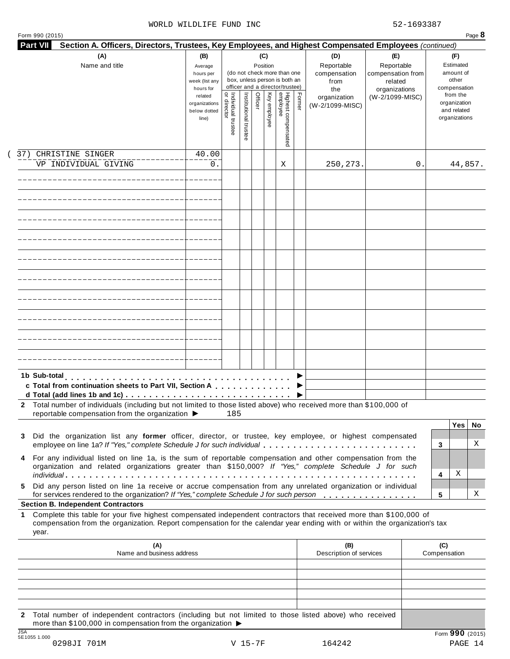### WORLD WILDLIFE FUND INC 52-1693387

|     | (A)<br>Name and title                                                                                                                                                                                                                                     | (B)<br>Average<br>hours per<br>week (list any<br>hours for | (C)<br>(D)<br>(E)<br>Reportable<br>Reportable<br>Position<br>(do not check more than one<br>compensation<br>compensation from<br>box, unless person is both an<br>from<br>related<br>officer and a director/trustee)<br>organizations<br>the |                       |         |              |                                 | (F)<br>Estimated<br>amount of<br>other<br>compensation |                                 |                 |    |                                                          |          |
|-----|-----------------------------------------------------------------------------------------------------------------------------------------------------------------------------------------------------------------------------------------------------------|------------------------------------------------------------|----------------------------------------------------------------------------------------------------------------------------------------------------------------------------------------------------------------------------------------------|-----------------------|---------|--------------|---------------------------------|--------------------------------------------------------|---------------------------------|-----------------|----|----------------------------------------------------------|----------|
|     |                                                                                                                                                                                                                                                           | related<br>organizations<br>below dotted<br>line)          | <br>  Individual trustee<br>  or director                                                                                                                                                                                                    | Institutional trustee | Officer | Key employee | Highest compensated<br>employee | Former                                                 | organization<br>(W-2/1099-MISC) | (W-2/1099-MISC) |    | from the<br>organization<br>and related<br>organizations |          |
| 37) | CHRISTINE SINGER                                                                                                                                                                                                                                          | 40.00                                                      |                                                                                                                                                                                                                                              |                       |         |              |                                 |                                                        |                                 |                 |    |                                                          |          |
|     | VP INDIVIDUAL GIVING                                                                                                                                                                                                                                      | 0.                                                         |                                                                                                                                                                                                                                              |                       |         |              | Χ                               |                                                        | 250, 273.                       |                 | 0. | 44,857.                                                  |          |
|     |                                                                                                                                                                                                                                                           |                                                            |                                                                                                                                                                                                                                              |                       |         |              |                                 |                                                        |                                 |                 |    |                                                          |          |
|     |                                                                                                                                                                                                                                                           |                                                            |                                                                                                                                                                                                                                              |                       |         |              |                                 |                                                        |                                 |                 |    |                                                          |          |
|     |                                                                                                                                                                                                                                                           |                                                            |                                                                                                                                                                                                                                              |                       |         |              |                                 |                                                        |                                 |                 |    |                                                          |          |
|     |                                                                                                                                                                                                                                                           |                                                            |                                                                                                                                                                                                                                              |                       |         |              |                                 |                                                        |                                 |                 |    |                                                          |          |
|     |                                                                                                                                                                                                                                                           |                                                            |                                                                                                                                                                                                                                              |                       |         |              |                                 |                                                        |                                 |                 |    |                                                          |          |
|     |                                                                                                                                                                                                                                                           |                                                            |                                                                                                                                                                                                                                              |                       |         |              |                                 |                                                        |                                 |                 |    |                                                          |          |
|     |                                                                                                                                                                                                                                                           |                                                            |                                                                                                                                                                                                                                              |                       |         |              |                                 |                                                        |                                 |                 |    |                                                          |          |
|     |                                                                                                                                                                                                                                                           |                                                            |                                                                                                                                                                                                                                              |                       |         |              |                                 |                                                        |                                 |                 |    |                                                          |          |
|     | 1b Sub-total<br>c Total from continuation sheets to Part VII, Section A                                                                                                                                                                                   |                                                            |                                                                                                                                                                                                                                              |                       |         |              |                                 |                                                        |                                 |                 |    |                                                          |          |
|     | 2 Total number of individuals (including but not limited to those listed above) who received more than \$100,000 of<br>reportable compensation from the organization ▶                                                                                    |                                                            | 185                                                                                                                                                                                                                                          |                       |         |              |                                 |                                                        |                                 |                 |    |                                                          |          |
| 3   | Did the organization list any former officer, director, or trustee, key employee, or highest compensated<br>employee on line 1a? If "Yes," complete Schedule J for such individual                                                                        |                                                            |                                                                                                                                                                                                                                              |                       |         |              |                                 |                                                        |                                 |                 | 3  | <b>Yes</b>                                               | No.<br>X |
| 4   | For any individual listed on line 1a, is the sum of reportable compensation and other compensation from the<br>organization and related organizations greater than \$150,000? If "Yes," complete Schedule J for such                                      |                                                            |                                                                                                                                                                                                                                              |                       |         |              |                                 |                                                        |                                 |                 | 4  | Χ                                                        |          |
| 5.  | Did any person listed on line 1a receive or accrue compensation from any unrelated organization or individual<br>for services rendered to the organization? If "Yes," complete Schedule J for such person                                                 |                                                            |                                                                                                                                                                                                                                              |                       |         |              |                                 |                                                        |                                 |                 | 5  |                                                          | X        |
|     | <b>Section B. Independent Contractors</b>                                                                                                                                                                                                                 |                                                            |                                                                                                                                                                                                                                              |                       |         |              |                                 |                                                        |                                 |                 |    |                                                          |          |
| 1   | Complete this table for your five highest compensated independent contractors that received more than \$100,000 of<br>compensation from the organization. Report compensation for the calendar year ending with or within the organization's tax<br>year. |                                                            |                                                                                                                                                                                                                                              |                       |         |              |                                 |                                                        |                                 |                 |    |                                                          |          |
|     | (A)<br>Name and business address                                                                                                                                                                                                                          |                                                            |                                                                                                                                                                                                                                              |                       |         |              |                                 |                                                        | (B)<br>Description of services  |                 |    | (C)<br>Compensation                                      |          |
|     |                                                                                                                                                                                                                                                           |                                                            |                                                                                                                                                                                                                                              |                       |         |              |                                 |                                                        |                                 |                 |    |                                                          |          |

**2** Total number of independent contractors (including but not limited to those listed above) who received more than \$100,000 in compensation from the organization  $\blacktriangleright$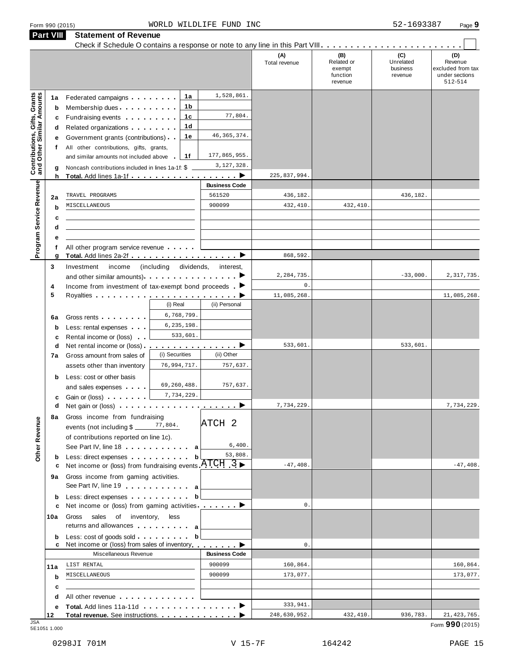|                                                                  | <b>Part VIII</b>  | <b>Statement of Revenue</b>                                                                                                                                                                                                                                                                                                   |                              |                                               |                      |                                                    |                                         |                                                                  |
|------------------------------------------------------------------|-------------------|-------------------------------------------------------------------------------------------------------------------------------------------------------------------------------------------------------------------------------------------------------------------------------------------------------------------------------|------------------------------|-----------------------------------------------|----------------------|----------------------------------------------------|-----------------------------------------|------------------------------------------------------------------|
|                                                                  |                   |                                                                                                                                                                                                                                                                                                                               |                              |                                               | (A)<br>Total revenue | (B)<br>Related or<br>exempt<br>function<br>revenue | (C)<br>Unrelated<br>business<br>revenue | (D)<br>Revenue<br>excluded from tax<br>under sections<br>512-514 |
|                                                                  | 1a<br>b<br>c      | Federated campaigns <b>Federated</b><br>Membership dues<br>Fundraising events <b>Fundraising</b>                                                                                                                                                                                                                              | 1a<br>1 b<br>1c              | 1,528,861.<br>77,804.                         |                      |                                                    |                                         |                                                                  |
| <b>Contributions, Gifts, Grants</b><br>and Other Similar Amounts | d<br>е<br>f       | Related organizations <b>contains</b> and <b>Related</b> organizations <b>and</b> a set of the set of the set of the set of the set of the set of the set of the set of the set of the set of the set of the set of the set of the set of the<br>Government grants (contributions)<br>All other contributions, gifts, grants, | 1d<br>1е                     | 46, 365, 374.                                 |                      |                                                    |                                         |                                                                  |
|                                                                  | g                 | and similar amounts not included above<br>Noncash contributions included in lines 1a-1f: \$                                                                                                                                                                                                                                   | 1f                           | 177,865,955.<br>3,127,328.<br>▸               | 225,837,994.         |                                                    |                                         |                                                                  |
|                                                                  | h                 | <b>Total.</b> Add lines 1a-1f                                                                                                                                                                                                                                                                                                 |                              | <b>Business Code</b>                          |                      |                                                    |                                         |                                                                  |
|                                                                  | 2a                | TRAVEL PROGRAMS                                                                                                                                                                                                                                                                                                               |                              | 561520                                        | 436,182.             |                                                    | 436,182.                                |                                                                  |
| Program Service Revenue                                          | b<br>c            | MISCELLANEOUS                                                                                                                                                                                                                                                                                                                 |                              | 900099                                        | 432, 410.            | 432,410.                                           |                                         |                                                                  |
|                                                                  | d<br>f            | All other program service revenue                                                                                                                                                                                                                                                                                             |                              |                                               |                      |                                                    |                                         |                                                                  |
|                                                                  | g                 | Total. Add lines 2a-2f                                                                                                                                                                                                                                                                                                        |                              | ▶                                             | 868,592.             |                                                    |                                         |                                                                  |
|                                                                  | 3                 | Investment<br>income<br>and other similar amounts). 1                                                                                                                                                                                                                                                                         | (including<br>dividends,     | interest,                                     | 2,284,735            |                                                    | $-33,000.$                              | 2,317,735.                                                       |
|                                                                  | 4                 | Income from investment of tax-exempt bond proceeds .                                                                                                                                                                                                                                                                          |                              |                                               | $\mathbf 0$ .        |                                                    |                                         |                                                                  |
|                                                                  | 5                 |                                                                                                                                                                                                                                                                                                                               |                              |                                               | 11,085,268           |                                                    |                                         | 11,085,268.                                                      |
|                                                                  |                   |                                                                                                                                                                                                                                                                                                                               | (i) Real                     | (ii) Personal                                 |                      |                                                    |                                         |                                                                  |
|                                                                  | 6a<br>$\mathbf b$ | Gross rents <b>Container and Container</b><br>Less: rental expenses                                                                                                                                                                                                                                                           | 6,768,799.<br>6, 235, 198.   |                                               |                      |                                                    |                                         |                                                                  |
|                                                                  | c                 | Rental income or (loss)                                                                                                                                                                                                                                                                                                       | 533,601.                     |                                               |                      |                                                    |                                         |                                                                  |
|                                                                  | d                 | Net rental income or (loss).                                                                                                                                                                                                                                                                                                  | . <i>.</i><br>(i) Securities | $\cdot$ . $\blacktriangleright$<br>(ii) Other | 533,601.             |                                                    | 533,601.                                |                                                                  |
|                                                                  | 7a                | Gross amount from sales of<br>assets other than inventory                                                                                                                                                                                                                                                                     | 76,994,717.                  | 757,637.                                      |                      |                                                    |                                         |                                                                  |
|                                                                  | b<br>с            | Less: cost or other basis<br>and sales expenses<br>Gain or (loss)                                                                                                                                                                                                                                                             | 69,260,488.<br>7,734,229.    | 757,637.                                      |                      |                                                    |                                         |                                                                  |
|                                                                  | d                 |                                                                                                                                                                                                                                                                                                                               |                              |                                               | 7,734,229.           |                                                    |                                         | 7,734,229.                                                       |
| Other Revenue                                                    | 8а                | Gross income from fundraising<br>events (not including \$                                                                                                                                                                                                                                                                     | 77,804.                      | ATCH <sub>2</sub>                             |                      |                                                    |                                         |                                                                  |
|                                                                  |                   | of contributions reported on line 1c).<br>See Part IV, line 18 and the same state of the same state of the same state of the same state of the same state of the same state of the same state of the same state of the same state of the same state of the same state of                                                      |                              | 6,400.                                        |                      |                                                    |                                         |                                                                  |
|                                                                  | b<br>с            | Less: direct expenses<br>Net income or (loss) from fundraising events $ATCH$ 3                                                                                                                                                                                                                                                | b                            | 53,808.                                       | $-47,408.$           |                                                    |                                         | $-47,408.$                                                       |
|                                                                  | 9а                | Gross income from gaming activities.<br>See Part IV, line 19 a                                                                                                                                                                                                                                                                |                              |                                               |                      |                                                    |                                         |                                                                  |
|                                                                  | b                 | Less: direct expenses<br>Net income or (loss) from gaming activities. $\ldots$ .                                                                                                                                                                                                                                              | b                            |                                               | $\mathbb O$ .        |                                                    |                                         |                                                                  |
|                                                                  | c<br>10a          | Gross sales of inventory, less<br>returns and allowances and allowances                                                                                                                                                                                                                                                       |                              |                                               |                      |                                                    |                                         |                                                                  |
|                                                                  | b<br>c            | Less: cost of goods sold<br>Net income or (loss) from sales of inventory                                                                                                                                                                                                                                                      | b                            |                                               | $\mathbb O$ .        |                                                    |                                         |                                                                  |
|                                                                  |                   | Miscellaneous Revenue                                                                                                                                                                                                                                                                                                         |                              | <b>Business Code</b>                          |                      |                                                    |                                         |                                                                  |
|                                                                  | 11a               | LIST RENTAL                                                                                                                                                                                                                                                                                                                   |                              | 900099                                        | 160,864.             |                                                    |                                         | 160,864.                                                         |
|                                                                  | b                 | MISCELLANEOUS                                                                                                                                                                                                                                                                                                                 |                              | 900099                                        | 173,077.             |                                                    |                                         | 173,077.                                                         |
|                                                                  | c                 |                                                                                                                                                                                                                                                                                                                               |                              |                                               |                      |                                                    |                                         |                                                                  |
|                                                                  | d                 | All other revenue experience and the set of the set of the set of the set of the set of the set of the set of                                                                                                                                                                                                                 |                              |                                               |                      |                                                    |                                         |                                                                  |
|                                                                  | е                 |                                                                                                                                                                                                                                                                                                                               |                              |                                               | 333,941.             |                                                    |                                         |                                                                  |
| .ISA                                                             | 12                | Total revenue. See instructions.                                                                                                                                                                                                                                                                                              |                              |                                               | 248,630,952.         | 432,410.                                           | 936,783.                                | 21, 423, 765.                                                    |

JSA Form **990** (2015) 5E1051 1.000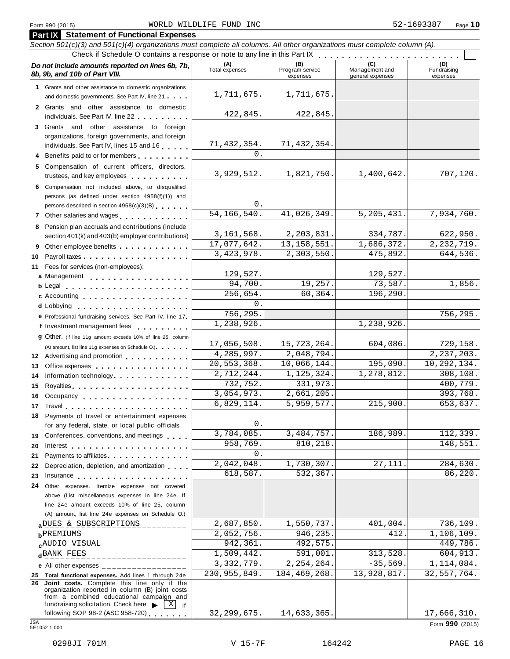### Form <sup>990</sup> (2015) Page **10** WORLD WILDLIFE FUND INC 52-1693387

| <b>Part IX</b> Statement of Functional Expenses                                                                                                                                                                                      |                                        |                                           |                                    |                                |
|--------------------------------------------------------------------------------------------------------------------------------------------------------------------------------------------------------------------------------------|----------------------------------------|-------------------------------------------|------------------------------------|--------------------------------|
| Section 501(c)(3) and 501(c)(4) organizations must complete all columns. All other organizations must complete column (A).                                                                                                           |                                        |                                           |                                    |                                |
| Check if Schedule O contains a response or note to any line in this Part IX                                                                                                                                                          |                                        |                                           |                                    |                                |
| Do not include amounts reported on lines 6b, 7b,<br>8b, 9b, and 10b of Part VIII.                                                                                                                                                    | (A)<br>Total expenses                  | (B)<br>Program service<br>expenses        | Management and<br>general expenses | (D)<br>Fundraising<br>expenses |
| 1 Grants and other assistance to domestic organizations<br>and domestic governments. See Part IV, line 21                                                                                                                            | 1,711,675.                             | 1,711,675.                                |                                    |                                |
| 2 Grants and other assistance to domestic                                                                                                                                                                                            |                                        |                                           |                                    |                                |
| individuals. See Part IV, line 22                                                                                                                                                                                                    | 422,845.                               | 422,845.                                  |                                    |                                |
| 3 Grants and other assistance to foreign                                                                                                                                                                                             |                                        |                                           |                                    |                                |
| organizations, foreign governments, and foreign                                                                                                                                                                                      |                                        |                                           |                                    |                                |
| individuals. See Part IV, lines 15 and 16                                                                                                                                                                                            | 71, 432, 354.                          | 71, 432, 354.                             |                                    |                                |
| 4 Benefits paid to or for members                                                                                                                                                                                                    | $\Omega$ .                             |                                           |                                    |                                |
| 5 Compensation of current officers, directors,                                                                                                                                                                                       |                                        |                                           |                                    |                                |
| trustees, and key employees                                                                                                                                                                                                          | 3,929,512.                             | 1,821,750.                                | 1,400,642.                         | 707,120.                       |
| 6 Compensation not included above, to disqualified                                                                                                                                                                                   |                                        |                                           |                                    |                                |
| persons (as defined under section 4958(f)(1)) and                                                                                                                                                                                    | $\mathsf{O}$ .                         |                                           |                                    |                                |
| persons described in section 4958(c)(3)(B)                                                                                                                                                                                           | 54, 166, 540.                          | $\overline{41,026}$ , 349.                | 5, 205, 431.                       | 7,934,760.                     |
| 7 Other salaries and wages<br>1.1.1.1.1.1                                                                                                                                                                                            |                                        |                                           |                                    |                                |
| 8 Pension plan accruals and contributions (include<br>section 401(k) and 403(b) employer contributions)                                                                                                                              | 3, 161, 568.                           | 2,203,831.                                | 334,787.                           | 622,950.                       |
| 9 Other employee benefits                                                                                                                                                                                                            | 17,077,642.                            | 13, 158, 551.                             | 1,686,372.                         | 2, 232, 719.                   |
| Payroll taxes<br>10                                                                                                                                                                                                                  | 3,423,978.                             | 2,303,550.                                | 475,892.                           | 644,536.                       |
| 11 Fees for services (non-employees):                                                                                                                                                                                                |                                        |                                           |                                    |                                |
| a Management                                                                                                                                                                                                                         | 129,527.                               |                                           | 129,527.                           |                                |
|                                                                                                                                                                                                                                      | 94,700.                                | 19,257.                                   | 73,587.                            | 1,856.                         |
| c Accounting                                                                                                                                                                                                                         | 256,654.                               | 60,364.                                   | 196,290.                           |                                |
| <b>d</b> Lobbying<br>.                                                                                                                                                                                                               | $0$ .                                  |                                           |                                    |                                |
| e Professional fundraising services. See Part IV, line 17                                                                                                                                                                            | 756,295.                               |                                           |                                    | 756,295.                       |
| f Investment management fees<br>.                                                                                                                                                                                                    | 1,238,926.                             |                                           | 1,238,926.                         |                                |
| <b>g</b> Other. (If line 11g amount exceeds 10% of line 25, column                                                                                                                                                                   |                                        |                                           |                                    |                                |
| (A) amount, list line 11g expenses on Schedule O.)                                                                                                                                                                                   | 17,056,508.                            | 15,723,264.                               | 604,086.                           | 729,158.                       |
| 12 Advertising and promotion                                                                                                                                                                                                         | 4,285,997.                             | 2,048,794.                                | 195,090.                           | 2, 237, 203.<br>10,292,134.    |
| Office expenses<br>13                                                                                                                                                                                                                | 20,553,368.<br>2,712,244.              | 10,066,144.<br>$\overline{1}$ , 125, 324. | 1,278,812.                         | 308, 108.                      |
| Information technology.<br>14                                                                                                                                                                                                        | 732,752.                               | 331,973.                                  |                                    | 400,779.                       |
| 15                                                                                                                                                                                                                                   | 3,054,973.                             | 2,661,205.                                |                                    | 393,768.                       |
| 16 Occupancy                                                                                                                                                                                                                         | 6,829,114.                             | $\overline{5,959,577.}$                   | 215,900                            | 653,637.                       |
| 17 Travel <b>17 Travel</b><br>18 Payments of travel or entertainment expenses                                                                                                                                                        |                                        |                                           |                                    |                                |
| for any federal, state, or local public officials                                                                                                                                                                                    | $\mathsf{O}$ .                         |                                           |                                    |                                |
| 19 Conferences, conventions, and meetings                                                                                                                                                                                            | 3,784,085.                             | 3,484,757.                                | 186,989.                           | 112,339.                       |
| 20                                                                                                                                                                                                                                   | 958,769.                               | 810,218.                                  |                                    | 148,551.                       |
| Payments to affiliates experience and the set of the set of the set of the set of the set of the set of the set of the set of the set of the set of the set of the set of the set of the set of the set of the set of the set<br>21. | $0$ .                                  |                                           |                                    |                                |
| Depreciation, depletion, and amortization<br>22                                                                                                                                                                                      | 2,042,048.                             | $\overline{1,730,307}.$                   | 27, 111.                           | 284,630.                       |
| 23<br>Insurance experience and the set of the set of the set of the set of the set of the set of the set of the set of the set of the set of the set of the set of the set of the set of the set of the set of the set of the set of | 618,587.                               | 532,367.                                  |                                    | 86,220.                        |
| 24<br>Other expenses. Itemize expenses not covered                                                                                                                                                                                   |                                        |                                           |                                    |                                |
| above (List miscellaneous expenses in line 24e. If                                                                                                                                                                                   |                                        |                                           |                                    |                                |
| line 24e amount exceeds 10% of line 25, column                                                                                                                                                                                       |                                        |                                           |                                    |                                |
| (A) amount, list line 24e expenses on Schedule O.)                                                                                                                                                                                   |                                        |                                           |                                    |                                |
| a DUES & SUBSCRIPTIONS                                                                                                                                                                                                               | 2,687,850.                             | 1,550,737.                                | 401,004.                           | 736,109.                       |
| <b>b</b> PREMIUMS<br>______________                                                                                                                                                                                                  | 2,052,756.                             | 946, 235.                                 | 412                                | 1,106,109.                     |
| $c^{\text{AUDIO}}$ VISUAL__________________                                                                                                                                                                                          | 942,361.<br>$\overline{1}$ , 509, 442. | 492,575.                                  | 313,528.                           | 449,786.                       |
| $d$ BANK FEES<br><u>U U U U U U U U U U U U U</u>                                                                                                                                                                                    | 3, 332, 779.                           | 591,001.<br>2, 254, 264.                  | $-35,569.$                         | 604,913.<br>1,114,084.         |
| e All other expenses $\frac{1}{1}$                                                                                                                                                                                                   | 230,955,849.                           | 184,469,268.                              | 13,928,817.                        | 32,557,764.                    |
| 25 Total functional expenses. Add lines 1 through 24e<br>26 Joint costs. Complete this line only if the                                                                                                                              |                                        |                                           |                                    |                                |
| organization reported in column (B) joint costs                                                                                                                                                                                      |                                        |                                           |                                    |                                |
| from a combined educational campaign and<br>fundraising solicitation. Check here<br>  X  <br>if                                                                                                                                      |                                        |                                           |                                    |                                |
| following SOP 98-2 (ASC 958-720)                                                                                                                                                                                                     | 32, 299, 675.                          | 14,633,365.                               |                                    | 17,666,310.                    |
| <b>JSA</b><br>5E1052 1.000                                                                                                                                                                                                           |                                        |                                           |                                    | Form 990 (2015)                |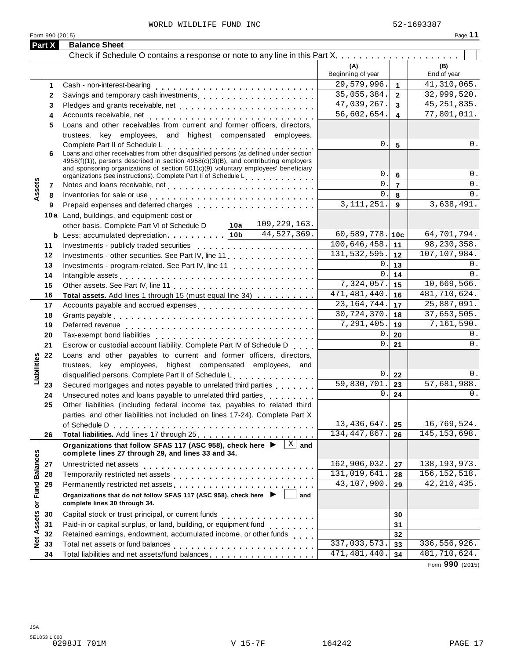### WORLD WILDLIFE FUND INC 62-1693387

| Form 990 (2015)      |              |                                                                                                                                                                                                                                  |                              |                     | Page 11            |
|----------------------|--------------|----------------------------------------------------------------------------------------------------------------------------------------------------------------------------------------------------------------------------------|------------------------------|---------------------|--------------------|
| Part X               |              | <b>Balance Sheet</b>                                                                                                                                                                                                             |                              |                     |                    |
|                      |              |                                                                                                                                                                                                                                  | (A)<br>Beginning of year     |                     | (B)<br>End of year |
|                      |              |                                                                                                                                                                                                                                  | 29,579,996.                  |                     | 41,310,065.        |
|                      | 1            |                                                                                                                                                                                                                                  | 35,055,384.                  | $\mathbf{1}$        | 32,999,520.        |
|                      | $\mathbf{2}$ |                                                                                                                                                                                                                                  | 47,039,267.                  | $\overline{2}$      | 45, 251, 835.      |
|                      | 3            |                                                                                                                                                                                                                                  | 56,602,654.                  | $\overline{3}$<br>4 | 77,801,011.        |
|                      | 4            | Loans and other receivables from current and former officers, directors,                                                                                                                                                         |                              |                     |                    |
|                      | 5            | trustees, key employees, and highest compensated employees.                                                                                                                                                                      |                              |                     |                    |
|                      |              |                                                                                                                                                                                                                                  | 0.                           | $5\phantom{1}$      | 0.                 |
|                      | 6            | Complete Part II of Schedule L<br>Loans and other receivables from other disqualified persons (as defined under section                                                                                                          |                              |                     |                    |
|                      |              | 4958(f)(1)), persons described in section 4958(c)(3)(B), and contributing employers                                                                                                                                              |                              |                     |                    |
|                      |              | and sponsoring organizations of section 501(c)(9) voluntary employees' beneficiary                                                                                                                                               | 0.                           | 6                   | 0.                 |
|                      | 7            | organizations (see instructions). Complete Part II of Schedule L <sub>. .</sub>                                                                                                                                                  | 0.                           | $\overline{7}$      | 0.                 |
| Assets               | 8            |                                                                                                                                                                                                                                  | 0.                           | 8                   | $0$ .              |
|                      | 9            | Inventories for sale or use enterpreteration of the contract of the contract of the contract of the contract of                                                                                                                  | $\overline{3,111,251}$ .     | 9                   | 3,638,491.         |
|                      |              | 10a Land, buildings, and equipment: cost or                                                                                                                                                                                      |                              |                     |                    |
|                      |              | 109,229,163.<br> 10a <br>other basis. Complete Part VI of Schedule D                                                                                                                                                             |                              |                     |                    |
|                      |              | <b>b</b> Less: accumulated depreciation $ 10b $ 44,527, $\overline{369}$ .                                                                                                                                                       | 60,589,778. 10c              |                     | 64,701,794.        |
|                      | 11           |                                                                                                                                                                                                                                  | 100,646,458.                 | 11                  | 98,230,358.        |
|                      | 12           | Investments - other securities. See Part IV, line 11                                                                                                                                                                             | 131, 532, 595.               | 12                  | 107,107,984.       |
|                      | 13           | Investments - program-related. See Part IV, line 11                                                                                                                                                                              | 0.1                          | 13                  | 0.                 |
|                      | 14           | Intangible assets enterpreteration of the contract of the contract of the contract of the contract of the contract of the contract of the contract of the contract of the contract of the contract of the contract of the cont   | 0.                           | 14                  | 0.                 |
|                      | 15           |                                                                                                                                                                                                                                  | 7,324,057.                   | 15                  | 10,669,566.        |
|                      | 16           | Total assets. Add lines 1 through 15 (must equal line 34)                                                                                                                                                                        | $\overline{471, 481}$ , 440. | 16                  | 481,710,624.       |
|                      | 17           | Accounts payable and accrued expenses                                                                                                                                                                                            | 23, 164, 744.                | 17                  | 25,887,091.        |
|                      | 18           |                                                                                                                                                                                                                                  | 30,724,370.                  | 18                  | 37,653,505.        |
|                      | 19           |                                                                                                                                                                                                                                  | 7,291,405.                   | 19                  | 7,161,590.         |
|                      | 20           |                                                                                                                                                                                                                                  | 0.                           | 20                  | 0.                 |
|                      | 21           | Escrow or custodial account liability. Complete Part IV of Schedule D                                                                                                                                                            | 0.1                          | 21                  | 0.                 |
|                      | 22           | Loans and other payables to current and former officers, directors,                                                                                                                                                              |                              |                     |                    |
| Liabilities          |              | trustees, key employees, highest compensated employees, and                                                                                                                                                                      |                              |                     |                    |
|                      |              | disqualified persons. Complete Part II of Schedule L                                                                                                                                                                             |                              | $0$ $\vert$ 22      | 0.                 |
|                      | 23           | Secured mortgages and notes payable to unrelated third parties                                                                                                                                                                   | 59,830,701.                  | 23                  | 57,681,988.        |
|                      | 24           | Unsecured notes and loans payable to unrelated third parties                                                                                                                                                                     | 0.1                          | 24                  | 0.                 |
|                      | 25           | Other liabilities (including federal income tax, payables to related third                                                                                                                                                       |                              |                     |                    |
|                      |              | parties, and other liabilities not included on lines 17-24). Complete Part X                                                                                                                                                     |                              |                     |                    |
|                      |              |                                                                                                                                                                                                                                  | 13, 436, 647.                | 25                  | 16,769,524.        |
|                      | 26           |                                                                                                                                                                                                                                  | 134, 447, 867.               | 26                  | 145, 153, 698.     |
|                      |              | $\overline{X}$ and<br>Organizations that follow SFAS 117 (ASC 958), check here ▶<br>complete lines 27 through 29, and lines 33 and 34.                                                                                           |                              |                     |                    |
|                      | 27           | Unrestricted net assets                                                                                                                                                                                                          | 162,906,032.                 | 27                  | 138, 193, 973.     |
| <b>Fund Balances</b> | 28           |                                                                                                                                                                                                                                  | 131,019,641.                 | 28                  | 156, 152, 518.     |
|                      | 29           | Permanently restricted net assets<br>interior  interior  interior  interior  interior  interior  interior  interior  interior  interior  interior  interior  interior  interior  interior  interior  interior  interior  interio | 43,107,900.                  | 29                  | 42, 210, 435.      |
| ŏ                    |              | Organizations that do not follow SFAS 117 (ASC 958), check here ▶<br>and<br>complete lines 30 through 34.                                                                                                                        |                              |                     |                    |
|                      | 30           |                                                                                                                                                                                                                                  |                              | 30                  |                    |
| Assets               | 31           | Paid-in or capital surplus, or land, building, or equipment fund<br>                                                                                                                                                             |                              | 31                  |                    |
|                      | 32           | Retained earnings, endowment, accumulated income, or other funds                                                                                                                                                                 |                              | 32                  |                    |
| <b>p</b><br>2        | 33           |                                                                                                                                                                                                                                  | 337,033,573.                 | 33                  | 336,556,926.       |
|                      | 34           | Total liabilities and net assets/fund balances                                                                                                                                                                                   | 471, 481, 440.               | 34                  | 481,710,624.       |

Form **990** (2015)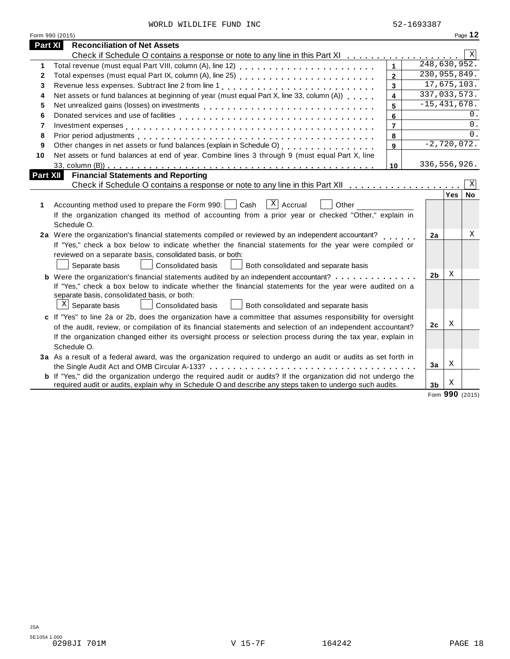|  |  | WORLD WILDLIFE FUND INC |  |  |
|--|--|-------------------------|--|--|
|--|--|-------------------------|--|--|

|                 | Form 990 (2015)                                                                                                       |                |                |                  | Page 12         |
|-----------------|-----------------------------------------------------------------------------------------------------------------------|----------------|----------------|------------------|-----------------|
| Part XI         | <b>Reconciliation of Net Assets</b>                                                                                   |                |                |                  |                 |
|                 |                                                                                                                       |                |                |                  | X               |
| 1               |                                                                                                                       |                |                | 248,630,952.     |                 |
| $\mathbf{2}$    | Total expenses (must equal Part IX, column (A), line 25)                                                              | $\overline{2}$ |                | 230, 955, 849.   |                 |
| 3               |                                                                                                                       | 3              |                | 17,675,103.      |                 |
| 4               | Net assets or fund balances at beginning of year (must equal Part X, line 33, column (A))                             | 4              |                | 337,033,573.     |                 |
| 5               |                                                                                                                       | 5              |                | $-15, 431, 678.$ |                 |
| 6               |                                                                                                                       | 6              |                |                  | 0.              |
| 7               |                                                                                                                       | $\overline{7}$ |                |                  | 0.              |
| 8               |                                                                                                                       | 8              |                |                  | $\Omega$ .      |
| 9               |                                                                                                                       | 9              |                | $-2,720,072.$    |                 |
| 10              | Net assets or fund balances at end of year. Combine lines 3 through 9 (must equal Part X, line                        |                |                |                  |                 |
|                 |                                                                                                                       | 10             |                | 336, 556, 926.   |                 |
| <b>Part XII</b> | <b>Financial Statements and Reporting</b>                                                                             |                |                |                  |                 |
|                 |                                                                                                                       |                |                |                  | Χ               |
|                 |                                                                                                                       |                |                | $Yes \mid$       | No              |
| 1               | $ X $ Accrual<br>Accounting method used to prepare the Form 990:     Cash<br>Other                                    |                |                |                  |                 |
|                 | If the organization changed its method of accounting from a prior year or checked "Other," explain in                 |                |                |                  |                 |
|                 | Schedule O.                                                                                                           |                |                |                  |                 |
|                 | 2a Were the organization's financial statements compiled or reviewed by an independent accountant?                    |                | 2a             |                  | X               |
|                 | If "Yes," check a box below to indicate whether the financial statements for the year were compiled or                |                |                |                  |                 |
|                 | reviewed on a separate basis, consolidated basis, or both:                                                            |                |                |                  |                 |
|                 | Consolidated basis<br>Separate basis<br>Both consolidated and separate basis                                          |                |                |                  |                 |
|                 |                                                                                                                       |                | 2 <sub>b</sub> | X                |                 |
|                 | If "Yes," check a box below to indicate whether the financial statements for the year were audited on a               |                |                |                  |                 |
|                 | separate basis, consolidated basis, or both:                                                                          |                |                |                  |                 |
|                 | $X$ Separate basis<br>Consolidated basis<br>Both consolidated and separate basis                                      |                |                |                  |                 |
|                 | c If "Yes" to line 2a or 2b, does the organization have a committee that assumes responsibility for oversight         |                |                |                  |                 |
|                 | of the audit, review, or compilation of its financial statements and selection of an independent accountant?          |                | 2c             | Χ                |                 |
|                 | If the organization changed either its oversight process or selection process during the tax year, explain in         |                |                |                  |                 |
|                 | Schedule O.                                                                                                           |                |                |                  |                 |
|                 | 3a As a result of a federal award, was the organization required to undergo an audit or audits as set forth in        |                |                |                  |                 |
|                 |                                                                                                                       |                | 3a             | Χ                |                 |
|                 | <b>b</b> If "Yes," did the organization undergo the required audit or audits? If the organization did not undergo the |                |                |                  |                 |
|                 | required audit or audits, explain why in Schedule O and describe any steps taken to undergo such audits.              |                | 3 <sub>b</sub> | Χ                |                 |
|                 |                                                                                                                       |                |                |                  | Form 990 (2015) |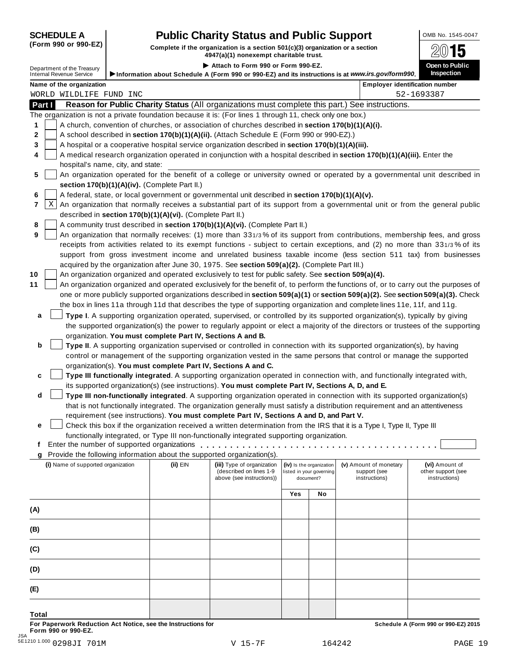# **SCHEDULE A Pub** OMB No. 1545-0047 **lic Charity Status and Public Support**

(Form 990 or 990-EZ) Complete if the organization is a section 501(c)(3) organization or a section  $4947(a)(1)$  nonexempt charitable trust.

| Attach to Form 990 or Form 990-EZ.<br>Open to Public<br>Department of the Treasury                                                                                                                                                                                    |  |
|-----------------------------------------------------------------------------------------------------------------------------------------------------------------------------------------------------------------------------------------------------------------------|--|
| <b>Inspection</b><br><b>Internal Revenue Service</b>                                                                                                                                                                                                                  |  |
| Information about Schedule A (Form 990 or 990-EZ) and its instructions is at www.irs.gov/form990.<br>Name of the organization<br><b>Employer identification number</b>                                                                                                |  |
| 52-1693387<br>WORLD WILDLIFE FUND INC                                                                                                                                                                                                                                 |  |
| Reason for Public Charity Status (All organizations must complete this part.) See instructions.<br>Part I                                                                                                                                                             |  |
| The organization is not a private foundation because it is: (For lines 1 through 11, check only one box.)                                                                                                                                                             |  |
| A church, convention of churches, or association of churches described in section 170(b)(1)(A)(i).<br>1                                                                                                                                                               |  |
| A school described in section 170(b)(1)(A)(ii). (Attach Schedule E (Form 990 or 990-EZ).)                                                                                                                                                                             |  |
| A hospital or a cooperative hospital service organization described in section 170(b)(1)(A)(iii).                                                                                                                                                                     |  |
| A medical research organization operated in conjunction with a hospital described in section 170(b)(1)(A)(iii). Enter the                                                                                                                                             |  |
| hospital's name, city, and state:                                                                                                                                                                                                                                     |  |
| An organization operated for the benefit of a college or university owned or operated by a governmental unit described in<br>5                                                                                                                                        |  |
| section 170(b)(1)(A)(iv). (Complete Part II.)                                                                                                                                                                                                                         |  |
| A federal, state, or local government or governmental unit described in section 170(b)(1)(A)(v).                                                                                                                                                                      |  |
| Χ<br>An organization that normally receives a substantial part of its support from a governmental unit or from the general public                                                                                                                                     |  |
| described in section 170(b)(1)(A)(vi). (Complete Part II.)                                                                                                                                                                                                            |  |
| A community trust described in section 170(b)(1)(A)(vi). (Complete Part II.)                                                                                                                                                                                          |  |
| An organization that normally receives: (1) more than 331/3% of its support from contributions, membership fees, and gross<br>9                                                                                                                                       |  |
| receipts from activities related to its exempt functions - subject to certain exceptions, and (2) no more than 331/3% of its                                                                                                                                          |  |
| support from gross investment income and unrelated business taxable income (less section 511 tax) from businesses                                                                                                                                                     |  |
| acquired by the organization after June 30, 1975. See section 509(a)(2). (Complete Part III.)                                                                                                                                                                         |  |
| An organization organized and operated exclusively to test for public safety. See section 509(a)(4).                                                                                                                                                                  |  |
| An organization organized and operated exclusively for the benefit of, to perform the functions of, or to carry out the purposes of<br>one or more publicly supported organizations described in section 509(a)(1) or section 509(a)(2). See section 509(a)(3). Check |  |
| the box in lines 11a through 11d that describes the type of supporting organization and complete lines 11e, 11f, and 11g.                                                                                                                                             |  |
| Type I. A supporting organization operated, supervised, or controlled by its supported organization(s), typically by giving                                                                                                                                           |  |
| a<br>the supported organization(s) the power to regularly appoint or elect a majority of the directors or trustees of the supporting                                                                                                                                  |  |
| organization. You must complete Part IV, Sections A and B.                                                                                                                                                                                                            |  |
| b<br>Type II. A supporting organization supervised or controlled in connection with its supported organization(s), by having                                                                                                                                          |  |
| control or management of the supporting organization vested in the same persons that control or manage the supported                                                                                                                                                  |  |
| organization(s). You must complete Part IV, Sections A and C.                                                                                                                                                                                                         |  |
| Type III functionally integrated. A supporting organization operated in connection with, and functionally integrated with,<br>c                                                                                                                                       |  |
| its supported organization(s) (see instructions). You must complete Part IV, Sections A, D, and E.                                                                                                                                                                    |  |
| d<br>Type III non-functionally integrated. A supporting organization operated in connection with its supported organization(s)                                                                                                                                        |  |
| that is not functionally integrated. The organization generally must satisfy a distribution requirement and an attentiveness                                                                                                                                          |  |
| requirement (see instructions). You must complete Part IV, Sections A and D, and Part V.                                                                                                                                                                              |  |
| Check this box if the organization received a written determination from the IRS that it is a Type I, Type II, Type III<br>е                                                                                                                                          |  |
| functionally integrated, or Type III non-functionally integrated supporting organization.                                                                                                                                                                             |  |
| t.                                                                                                                                                                                                                                                                    |  |
| Provide the following information about the supported organization(s).<br>q                                                                                                                                                                                           |  |
| (i) Name of supported organization<br>$(ii)$ EIN<br>(iii) Type of organization<br>(iv) Is the organization<br>(v) Amount of monetary<br>(vi) Amount of<br>(described on lines 1-9<br>other support (see<br>listed in your governing<br>support (see                   |  |
| above (see instructions))<br>instructions)<br>instructions)<br>document?                                                                                                                                                                                              |  |
|                                                                                                                                                                                                                                                                       |  |
| Yes<br>No                                                                                                                                                                                                                                                             |  |
| (A)                                                                                                                                                                                                                                                                   |  |
|                                                                                                                                                                                                                                                                       |  |
| (B)                                                                                                                                                                                                                                                                   |  |
|                                                                                                                                                                                                                                                                       |  |
| (C)                                                                                                                                                                                                                                                                   |  |
|                                                                                                                                                                                                                                                                       |  |
| (D)                                                                                                                                                                                                                                                                   |  |
|                                                                                                                                                                                                                                                                       |  |
|                                                                                                                                                                                                                                                                       |  |
| (E)                                                                                                                                                                                                                                                                   |  |

**Total**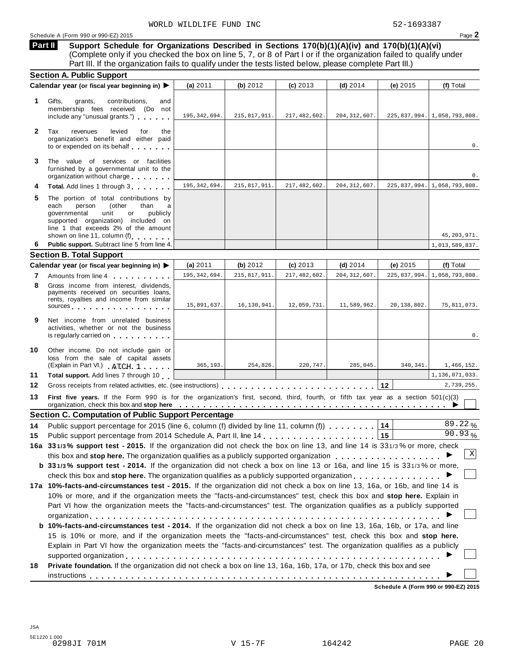**Support Schedule for Organizations Described in Sections 170(b)(1)(A)(iv) and 170(b)(1)(A)(vi)** (Complete only if you checked the box on line 5, 7, or 8 of Part I or if the organization failed to qualify under Part III. If the organization fails to qualify under the tests listed below, please complete Part III.) **Part II**

|              | <b>Section A. Public Support</b>                                                                                                                                                                                                                                                                                                                                                     |                |                |                |                |              |                                  |
|--------------|--------------------------------------------------------------------------------------------------------------------------------------------------------------------------------------------------------------------------------------------------------------------------------------------------------------------------------------------------------------------------------------|----------------|----------------|----------------|----------------|--------------|----------------------------------|
|              | Calendar year (or fiscal year beginning in)                                                                                                                                                                                                                                                                                                                                          | (a) $2011$     | (b) 2012       | $(c)$ 2013     | (d) $2014$     | (e) 2015     | (f) Total                        |
| 1.           | contributions,<br>Gifts,<br>grants,<br>and<br>membership fees received. (Do not<br>include any "unusual grants.")                                                                                                                                                                                                                                                                    | 195, 342, 694. | 215,817,911.   | 217, 482, 602. | 204, 312, 607. |              | 225,837,994. 1,058,793,808.      |
| $\mathbf{2}$ | Tax<br>revenues<br>levied<br>for<br>the<br>organization's benefit and either paid<br>to or expended on its behalf                                                                                                                                                                                                                                                                    |                |                |                |                |              | 0.                               |
| 3            | The value of services or facilities<br>furnished by a governmental unit to the<br>organization without charge                                                                                                                                                                                                                                                                        |                |                |                |                |              | 0.                               |
| 4            | Total. Add lines 1 through 3                                                                                                                                                                                                                                                                                                                                                         | 195, 342, 694. | 215,817,911.   | 217, 482, 602. | 204, 312, 607. |              | 225, 837, 994. 1, 058, 793, 808. |
| 5            | The portion of total contributions by<br>each<br>person<br>(other<br>than<br>a<br>governmental<br>unit<br>publicly<br>or<br>supported organization) included on<br>line 1 that exceeds 2% of the amount<br>shown on line 11, column (f)                                                                                                                                              |                |                |                |                |              | 45, 203, 971.                    |
| 6            | Public support. Subtract line 5 from line 4.                                                                                                                                                                                                                                                                                                                                         |                |                |                |                |              | 1,013,589,837.                   |
|              | <b>Section B. Total Support</b>                                                                                                                                                                                                                                                                                                                                                      |                |                |                |                |              |                                  |
|              | Calendar year (or fiscal year beginning in)                                                                                                                                                                                                                                                                                                                                          | (a) 2011       | (b) $2012$     | $(c)$ 2013     | $(d)$ 2014     | (e) $2015$   | (f) Total                        |
| 7            | Amounts from line 4                                                                                                                                                                                                                                                                                                                                                                  | 195, 342, 694. | 215, 817, 911. | 217, 482, 602. | 204, 312, 607. | 225,837,994. | 1,058,793,808.                   |
| 8            | Gross income from interest, dividends,<br>payments received on securities loans,<br>rents, royalties and income from similar<br>sources experiences and the set of the set of the set of the set of the set of the set of the set of the set of the set of the set of the set of the set of the set of the set of the set of the set of the set of the set of                        | 15,891,637.    | 16,130,941.    | 12,059,731.    | 11,589,962.    | 20,138,802.  | 75,811,073.                      |
| 9            | Net income from unrelated business<br>activities, whether or not the business<br>is regularly carried on the control of the state of the state of the state of the state of the state of the state of the state of the state of the state of the state of the state of the state of the state of the state of t                                                                      |                |                |                |                |              | 0.                               |
| 10           | Other income. Do not include gain or<br>loss from the sale of capital assets<br>(Explain in Part VI.) ATCH 1                                                                                                                                                                                                                                                                         | 365,193.       | 254,826.       | 220,747.       | 285,045.       | 340,341.     | 1,466,152.                       |
| 11           | Total support. Add lines 7 through 10                                                                                                                                                                                                                                                                                                                                                |                |                |                |                |              | 1,136,071,033.                   |
| 12           |                                                                                                                                                                                                                                                                                                                                                                                      |                |                |                |                | 12           | 2,739,255.                       |
| 13           | First five years. If the Form 990 is for the organization's first, second, third, fourth, or fifth tax year as a section 501(c)(3)                                                                                                                                                                                                                                                   |                |                |                |                |              |                                  |
|              | <b>Section C. Computation of Public Support Percentage</b>                                                                                                                                                                                                                                                                                                                           |                |                |                |                |              |                                  |
| 14           | Public support percentage for 2015 (line 6, column (f) divided by line 11, column (f)                                                                                                                                                                                                                                                                                                |                |                |                |                | 14           | 89.22%                           |
| 15           |                                                                                                                                                                                                                                                                                                                                                                                      |                |                |                |                | $ 15\rangle$ | 90.93%                           |
|              | 16a 331/3% support test - 2015. If the organization did not check the box on line 13, and line 14 is 331/3% or more, check<br>this box and stop here. The organization qualifies as a publicly supported organization                                                                                                                                                                |                |                |                |                |              | X                                |
|              | b 331/3% support test - 2014. If the organization did not check a box on line 13 or 16a, and line 15 is 331/3% or more,<br>check this box and stop here. The organization qualifies as a publicly supported organization $\dots \dots \dots \dots \dots$                                                                                                                             |                |                |                |                |              |                                  |
|              | 17a 10%-facts-and-circumstances test - 2015. If the organization did not check a box on line 13, 16a, or 16b, and line 14 is<br>10% or more, and if the organization meets the "facts-and-circumstances" test, check this box and stop here. Explain in<br>Part VI how the organization meets the "facts-and-circumstances" test. The organization qualifies as a publicly supported |                |                |                |                |              |                                  |
|              | b 10%-facts-and-circumstances test - 2014. If the organization did not check a box on line 13, 16a, 16b, or 17a, and line<br>15 is 10% or more, and if the organization meets the "facts-and-circumstances" test, check this box and stop here.<br>Explain in Part VI how the organization meets the "facts-and-circumstances" test. The organization qualifies as a publicly        |                |                |                |                |              |                                  |
| 18           | Private foundation. If the organization did not check a box on line 13, 16a, 16b, 17a, or 17b, check this box and see                                                                                                                                                                                                                                                                |                |                |                |                |              |                                  |
|              |                                                                                                                                                                                                                                                                                                                                                                                      |                |                |                |                |              |                                  |

**Schedule A (Form 990 or 990-EZ) 2015**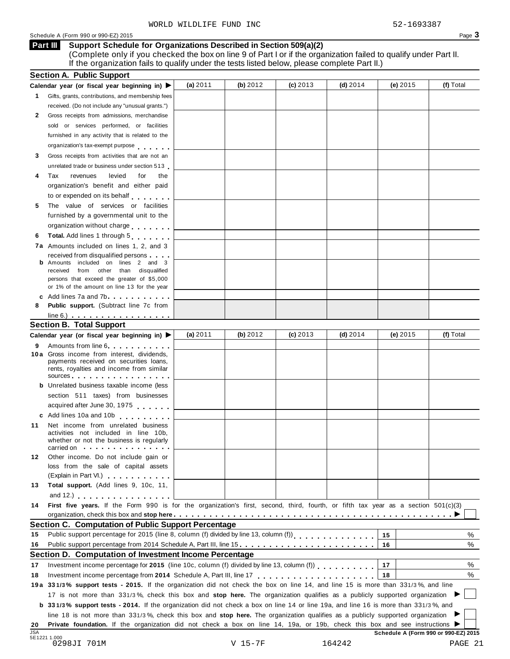### Schedule A (Form 990 or 990-EZ) 2015 Page 3

#### **Support Schedule for Organizations Described in Section 509(a)(2) Part III**

(Complete only if you checked the box on line 9 of Part I or if the organization failed to qualify under Part II. If the organization fails to qualify under the tests listed below, please complete Part II.)

|            | <b>Section A. Public Support</b>                                                                                                                                                                                                                                   |            |           |            |            |                                      |           |
|------------|--------------------------------------------------------------------------------------------------------------------------------------------------------------------------------------------------------------------------------------------------------------------|------------|-----------|------------|------------|--------------------------------------|-----------|
|            | Calendar year (or fiscal year beginning in) $\blacktriangleright$                                                                                                                                                                                                  | (a) 2011   | (b) 2012  | $(c)$ 2013 | (d) $2014$ | (e) $2015$                           | (f) Total |
| 1.         | Gifts, grants, contributions, and membership fees                                                                                                                                                                                                                  |            |           |            |            |                                      |           |
|            | received. (Do not include any "unusual grants.")                                                                                                                                                                                                                   |            |           |            |            |                                      |           |
| 2          | Gross receipts from admissions, merchandise                                                                                                                                                                                                                        |            |           |            |            |                                      |           |
|            | sold or services performed, or facilities                                                                                                                                                                                                                          |            |           |            |            |                                      |           |
|            | furnished in any activity that is related to the                                                                                                                                                                                                                   |            |           |            |            |                                      |           |
|            | organization's tax-exempt purpose                                                                                                                                                                                                                                  |            |           |            |            |                                      |           |
| 3          | Gross receipts from activities that are not an                                                                                                                                                                                                                     |            |           |            |            |                                      |           |
|            | unrelated trade or business under section 513                                                                                                                                                                                                                      |            |           |            |            |                                      |           |
| 4          | Tax<br>revenues<br>levied<br>for<br>the                                                                                                                                                                                                                            |            |           |            |            |                                      |           |
|            | organization's benefit and either paid                                                                                                                                                                                                                             |            |           |            |            |                                      |           |
|            | to or expended on its behalf                                                                                                                                                                                                                                       |            |           |            |            |                                      |           |
| 5          | The value of services or facilities                                                                                                                                                                                                                                |            |           |            |            |                                      |           |
|            | furnished by a governmental unit to the                                                                                                                                                                                                                            |            |           |            |            |                                      |           |
|            | organization without charge                                                                                                                                                                                                                                        |            |           |            |            |                                      |           |
|            | Total. Add lines 1 through 5                                                                                                                                                                                                                                       |            |           |            |            |                                      |           |
| 6          |                                                                                                                                                                                                                                                                    |            |           |            |            |                                      |           |
|            | <b>7a</b> Amounts included on lines 1, 2, and 3                                                                                                                                                                                                                    |            |           |            |            |                                      |           |
|            | received from disqualified persons<br><b>b</b> Amounts included on lines 2 and 3                                                                                                                                                                                   |            |           |            |            |                                      |           |
|            | received from other than disqualified                                                                                                                                                                                                                              |            |           |            |            |                                      |           |
|            | persons that exceed the greater of \$5,000                                                                                                                                                                                                                         |            |           |            |            |                                      |           |
|            | or 1% of the amount on line 13 for the year                                                                                                                                                                                                                        |            |           |            |            |                                      |           |
|            | c Add lines 7a and 7b                                                                                                                                                                                                                                              |            |           |            |            |                                      |           |
| 8          | <b>Public support.</b> (Subtract line 7c from                                                                                                                                                                                                                      |            |           |            |            |                                      |           |
|            | $line 6.)$                                                                                                                                                                                                                                                         |            |           |            |            |                                      |           |
|            | <b>Section B. Total Support</b>                                                                                                                                                                                                                                    |            |           |            |            |                                      |           |
|            | Calendar year (or fiscal year beginning in) ▶                                                                                                                                                                                                                      | (a) $2011$ | (b) 2012  | $(c)$ 2013 | (d) $2014$ | (e) $2015$                           | (f) Total |
| 9          | Amounts from line 6                                                                                                                                                                                                                                                |            |           |            |            |                                      |           |
|            | 10 a Gross income from interest, dividends,                                                                                                                                                                                                                        |            |           |            |            |                                      |           |
|            | payments received on securities loans,<br>rents, royalties and income from similar                                                                                                                                                                                 |            |           |            |            |                                      |           |
|            | sources and the set of the set of the set of the set of the set of the set of the set of the set of the set of                                                                                                                                                     |            |           |            |            |                                      |           |
|            | <b>b</b> Unrelated business taxable income (less                                                                                                                                                                                                                   |            |           |            |            |                                      |           |
|            | section 511 taxes) from businesses                                                                                                                                                                                                                                 |            |           |            |            |                                      |           |
|            | acquired after June 30, 1975                                                                                                                                                                                                                                       |            |           |            |            |                                      |           |
|            | c Add lines 10a and 10b                                                                                                                                                                                                                                            |            |           |            |            |                                      |           |
| 11         | Net income from unrelated business                                                                                                                                                                                                                                 |            |           |            |            |                                      |           |
|            | activities not included in line 10b,                                                                                                                                                                                                                               |            |           |            |            |                                      |           |
|            | whether or not the business is regularly                                                                                                                                                                                                                           |            |           |            |            |                                      |           |
|            | carried on with the carried on                                                                                                                                                                                                                                     |            |           |            |            |                                      |           |
| 12.        | Other income. Do not include gain or<br>loss from the sale of capital assets                                                                                                                                                                                       |            |           |            |            |                                      |           |
|            | (Explain in Part VI.) <b>All and Strategies</b>                                                                                                                                                                                                                    |            |           |            |            |                                      |           |
| 13         | Total support. (Add lines 9, 10c, 11,                                                                                                                                                                                                                              |            |           |            |            |                                      |           |
|            |                                                                                                                                                                                                                                                                    |            |           |            |            |                                      |           |
|            | and 12.) $\cdots$ $\cdots$ $\cdots$ $\cdots$                                                                                                                                                                                                                       |            |           |            |            |                                      |           |
| 14         | First five years. If the Form 990 is for the organization's first, second, third, fourth, or fifth tax year as a section 501(c)(3)                                                                                                                                 |            |           |            |            |                                      |           |
|            |                                                                                                                                                                                                                                                                    |            |           |            |            |                                      |           |
|            | <b>Section C. Computation of Public Support Percentage</b>                                                                                                                                                                                                         |            |           |            |            |                                      |           |
| 15         | Public support percentage for 2015 (line 8, column (f) divided by line 13, column (f))<br>[11] reading (f) $\frac{1}{2}$ , column (f) divided by line 13, column (f) $\frac{1}{2}$ , $\frac{1}{2}$ , $\frac{1}{2}$ , $\frac{1}{2}$ , $\frac{1}{2}$ , $\frac{1}{2}$ |            |           |            |            | 15                                   | %         |
| 16         | Public support percentage from 2014 Schedule A, Part III, line 15.                                                                                                                                                                                                 |            |           |            |            | 16                                   | %         |
|            | Section D. Computation of Investment Income Percentage                                                                                                                                                                                                             |            |           |            |            |                                      |           |
| 17         | Investment income percentage for 2015 (line 10c, column (f) divided by line 13, column (f)                                                                                                                                                                         |            |           |            |            | 17                                   | %         |
| 18         |                                                                                                                                                                                                                                                                    |            |           |            |            | 18                                   | %         |
|            | 19a 331/3% support tests - 2015. If the organization did not check the box on line 14, and line 15 is more than 331/3%, and line                                                                                                                                   |            |           |            |            |                                      |           |
|            | 17 is not more than 331/3%, check this box and stop here. The organization qualifies as a publicly supported organization                                                                                                                                          |            |           |            |            |                                      |           |
|            | <b>b</b> 331/3% support tests - 2014. If the organization did not check a box on line 14 or line 19a, and line 16 is more than 331/3%, and                                                                                                                         |            |           |            |            |                                      |           |
|            | line 18 is not more than 331/3%, check this box and stop here. The organization qualifies as a publicly supported organization                                                                                                                                     |            |           |            |            |                                      |           |
| 20         | Private foundation. If the organization did not check a box on line 14, 19a, or 19b, check this box and see instructions ▶                                                                                                                                         |            |           |            |            |                                      |           |
| <b>JSA</b> |                                                                                                                                                                                                                                                                    |            |           |            |            | Schedule A (Form 990 or 990-EZ) 2015 |           |
|            | 5E1221 1.000<br>0298JI 701M                                                                                                                                                                                                                                        |            | $V 15-7F$ |            | 164242     |                                      | PAGE 21   |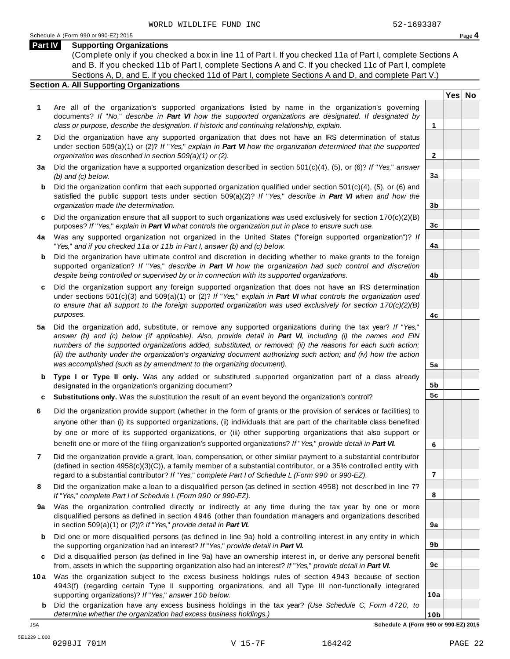**Yes No**

**2**

**3a**

**3b**

**3c**

**4a**

**4b**

**4c**

**5a**

**5b 5c**

**6**

**7**

**8**

**9a**

**9b**

**9c**

**10a**

### **Part IV Supporting Organizations**

(Complete only if you checked a box in line 11 of Part I. If you checked 11a of Part I, complete Sections A and B. If you checked 11b of Part I, complete Sections A and C. If you checked 11c of Part I, complete Sections A, D, and E. If you checked 11d of Part I, complete Sections A and D, and complete Part V.)

### **Section A. All Supporting Organizations**

- **1** Are all of the organization's supported organizations listed by name in the organization's governing documents? *If* "*No,*" *describe in Part VI how the supported organizations are designated. If designated by class or purpose, describe the designation. If historic and continuing relationship, explain.* **1**
- **2** Did the organization have any supported organization that does not have an IRS determination of status under section 509(a)(1) or (2)? *If*"*Yes,*" *explain in Part VI how the organization determined that the supported organization was described in section 509(a)(1) or (2).*
- **3 a** Did the organization have a supported organization described in section 501(c)(4), (5), or (6)? *If* "*Yes,*" *answer (b) and (c) below.*
- **b** Did the organization confirm that each supported organization qualified under section 501(c)(4), (5), or (6) and | satisfied the public support tests under section 509(a)(2)? *If* "*Yes,*" *describe in Part VI when and how the organization made the determination.*
- **c** Did the organization ensure that all support to such organizations was used exclusively for section 170(c)(2)(B) purposes? *If*"*Yes,*" *explain in Part VI what controls the organization put in place to ensure such use.*
- **4 a** Was any supported organization not organized in the United States ("foreign supported organization")? *If* "*Yes,*" *and if you checked 11a or 11b in Part I, answer (b) and (c) below.*
- **b** Did the organization have ultimate control and discretion in deciding whether to make grants to the foreign | supported organization? *If* "*Yes,*" *describe in Part VI how the organization had such control and discretion despite being controlled or supervised by or in connection with its supported organizations.*
- **c** Did the organization support any foreign supported organization that does not have an IRS determination | under sections 501(c)(3) and 509(a)(1) or (2)? *If* "*Yes,*" *explain in Part VI what controls the organization used to ensure that all support to the foreign supported organization was used exclusively for section 170(c)(2)(B) purposes.*
- **5 a** Did the organization add, substitute, or remove any supported organizations during the tax year? *If* "*Yes,*" answer (b) and (c) below (if applicable). Also, provide detail in Part VI, including (i) the names and EIN *numbers of the supported organizations added, substituted, or removed; (ii) the reasons for each such action;* (iii) the authority under the organization's organizing document authorizing such action; and (iv) how the action *was accomplished (such as by amendment to the organizing document).*
- **b** Type I or Type II only. Was any added or substituted supported organization part of a class already | designated in the organization's organizing document?
- **c Substitutions only.** Was the substitution the result of an event beyond the organization's control?
- **6** Did the organization provide support (whether in the form of grants or the provision of services or facilities) to anyone other than (i) its supported organizations, (ii) individuals that are part of the charitable class benefited by one or more of its supported organizations, or (iii) other supporting organizations that also support or benefit one or more of the filing organization's supported organizations? *If*"*Yes,*" *provide detail in Part VI.*
- **7** Did the organization provide a grant, loan, compensation, or other similar payment to a substantial contributor (defined in section 4958(c)(3)(C)), a family member of a substantial contributor, or a 35% controlled entity with regard to a substantial contributor? *If*"*Yes,*" *complete Part I of Schedule L (Form 990 or 990-EZ).*
- **8** Did the organization make a loan to a disqualified person (as defined in section 4958) not described in line 7? *If* "*Yes,*" *complete Part I of Schedule L (Form 990 or 990-EZ).*
- **a** Was the organization controlled directly or indirectly at any time during the tax year by one or more | **9** disqualified persons as defined in section 4946 (other than foundation managers and organizations described in section 509(a)(1) or (2))? *If*"*Yes,*" *provide detail in Part VI.*
- **b** Did one or more disqualified persons (as defined in line 9a) hold a controlling interest in any entity in which | the supporting organization had an interest? *If*"*Yes,*" *provide detail in Part VI.*
- **c** Did a disqualified person (as defined in line 9a) have an ownership interest in, or derive any personal benefit from, assets in which the supporting organization also had an interest? *If*"*Yes,*" *provide detail in Part VI.*
- **10a** Was the organization subject to the excess business holdings rules of section 4943 because of section | 4943(f) (regarding certain Type II supporting organizations, and all Type III non-functionally integrated supporting organizations)? *If*"*Yes,*" *answer 10b below.*
	- **b** Did the organization have any excess business holdings in the tax year? *(Use Schedule C, Form 4720, to determine whether the organization had excess business holdings.)*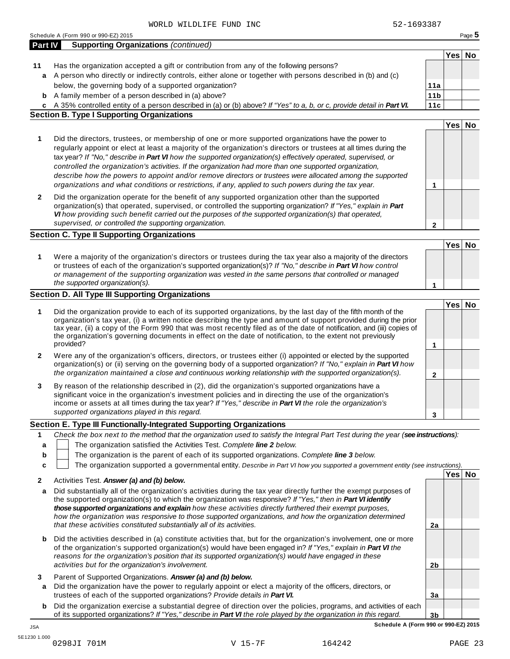|         | 52-1693387<br>WORLD WILDLIFE FUND INC                                                                                             |                 |        |        |
|---------|-----------------------------------------------------------------------------------------------------------------------------------|-----------------|--------|--------|
|         | Schedule A (Form 990 or 990-EZ) 2015                                                                                              |                 |        | Page 5 |
| Part IV | <b>Supporting Organizations (continued)</b>                                                                                       |                 |        |        |
|         |                                                                                                                                   |                 | Yes No |        |
| 11      | Has the organization accepted a gift or contribution from any of the following persons?                                           |                 |        |        |
|         | a A person who directly or indirectly controls, either alone or together with persons described in (b) and (c)                    |                 |        |        |
|         | below, the governing body of a supported organization?                                                                            | 11a             |        |        |
|         | <b>b</b> A family member of a person described in (a) above?                                                                      | 11 <sub>b</sub> |        |        |
|         | c A 35% controlled entity of a person described in (a) or (b) above? If "Yes" to a, b, or c, provide detail in Part VI.           | 11c             |        |        |
|         | <b>Section B. Type I Supporting Organizations</b>                                                                                 |                 |        |        |
|         |                                                                                                                                   |                 | Yes No |        |
|         |                                                                                                                                   |                 |        |        |
| 1       | Did the directors, trustees, or membership of one or more supported organizations have the power to                               |                 |        |        |
|         | regularly appoint or elect at least a majority of the organization's directors or trustees at all times during the                |                 |        |        |
|         | tax year? If "No," describe in Part VI how the supported organization(s) effectively operated, supervised, or                     |                 |        |        |
|         | controlled the organization's activities. If the organization had more than one supported organization,                           |                 |        |        |
|         | describe how the powers to appoint and/or remove directors or trustees were allocated among the supported                         |                 |        |        |
|         | organizations and what conditions or restrictions, if any, applied to such powers during the tax year.                            | 1               |        |        |
| 2       | Did the organization operate for the benefit of any supported organization other than the supported                               |                 |        |        |
|         | organization(s) that operated, supervised, or controlled the supporting organization? If "Yes," explain in Part                   |                 |        |        |
|         | VI how providing such benefit carried out the purposes of the supported organization(s) that operated,                            |                 |        |        |
|         | supervised, or controlled the supporting organization.                                                                            | 2               |        |        |
|         | <b>Section C. Type II Supporting Organizations</b>                                                                                |                 |        |        |
|         |                                                                                                                                   |                 | Yes No |        |
| 1       | Were a majority of the organization's directors or trustees during the tax year also a majority of the directors                  |                 |        |        |
|         | or trustees of each of the organization's supported organization(s)? If "No," describe in Part VI how control                     |                 |        |        |
|         | or management of the supporting organization was vested in the same persons that controlled or managed                            |                 |        |        |
|         | the supported organization(s).                                                                                                    | 1               |        |        |
|         | <b>Section D. All Type III Supporting Organizations</b>                                                                           |                 |        |        |
|         |                                                                                                                                   |                 | Yes No |        |
| 1       | Did the organization provide to each of its supported organizations, by the last day of the fifth month of the                    |                 |        |        |
|         | organization's tax year, (i) a written notice describing the type and amount of support provided during the prior                 |                 |        |        |
|         | tax year, (ii) a copy of the Form 990 that was most recently filed as of the date of notification, and (iii) copies of            |                 |        |        |
|         | the organization's governing documents in effect on the date of notification, to the extent not previously                        |                 |        |        |
|         | provided?                                                                                                                         | 1               |        |        |
| 2       | Were any of the organization's officers, directors, or trustees either (i) appointed or elected by the supported                  |                 |        |        |
|         | organization(s) or (ii) serving on the governing body of a supported organization? If "No," explain in Part VI how                |                 |        |        |
|         | the organization maintained a close and continuous working relationship with the supported organization(s).                       | 2               |        |        |
| 3       | By reason of the relationship described in (2), did the organization's supported organizations have a                             |                 |        |        |
|         | significant voice in the organization's investment policies and in directing the use of the organization's                        |                 |        |        |
|         | income or assets at all times during the tax year? If "Yes," describe in Part VI the role the organization's                      |                 |        |        |
|         | supported organizations played in this regard.                                                                                    | 3               |        |        |
|         | Section E. Type III Functionally-Integrated Supporting Organizations                                                              |                 |        |        |
| 1       | Check the box next to the method that the organization used to satisfy the Integral Part Test during the year (see instructions): |                 |        |        |
| a       | The organization satisfied the Activities Test. Complete line 2 below.                                                            |                 |        |        |
| b       | The organization is the parent of each of its supported organizations. Complete line 3 below.                                     |                 |        |        |
| C       | The organization supported a governmental entity. Describe in Part VI how you supported a government entity (see instructions).   |                 |        |        |
|         |                                                                                                                                   |                 | Yes No |        |
| 2       | Activities Test. Answer (a) and (b) below.                                                                                        |                 |        |        |
| a       | Did substantially all of the organization's activities during the tax year directly further the exempt purposes of                |                 |        |        |
|         | the supported organization(s) to which the organization was responsive? If "Yes," then in Part VI identify                        |                 |        |        |
|         | those supported organizations and explain how these activities directly furthered their exempt purposes,                          |                 |        |        |
|         | how the organization was responsive to those supported organizations, and how the organization determined                         |                 |        |        |
|         | that these activities constituted substantially all of its activities.                                                            | 2a              |        |        |

- **b** Did the activities described in (a) constitute activities that, but for the organization's involvement, one or more of the organization's supported organization(s) would have been engaged in? *If "Yes," explain in Part VI the reasons for the organization's position that its supported organization(s) would have engaged in these activities but for the organization's involvement.*
- **3** Parent of Supported Organizations. *Answer (a) and (b) below.*
- **a** Did the organization have the power to regularly appoint or elect a majority of the officers, directors, or trustees of each of the supported organizations? *Provide details in Part VI.*
- **b** Did the organization exercise a substantial degree of direction over the policies, programs, and activities of each of its supported organizations? *If"Yes," describe in Part VI the role played by the organization in this regard.*

**3b Schedule A (Form 990 or 990-EZ) 2015**

**2b**

**3a**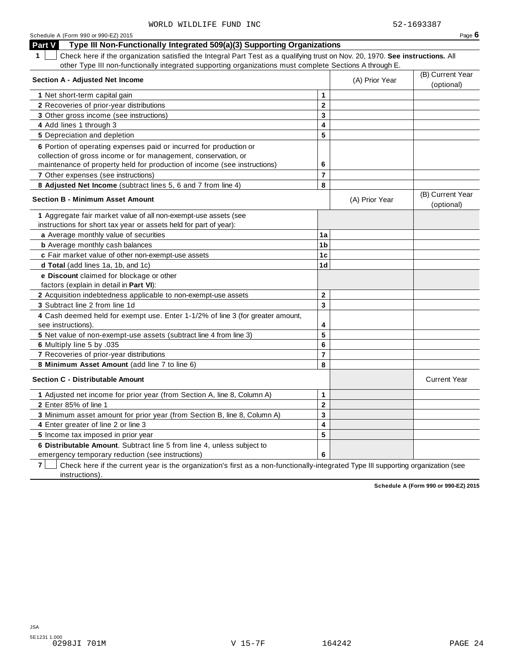| Schedule A (Form 990 or 990-EZ) 2015                                                                                                         |                |                | Page $6$                       |
|----------------------------------------------------------------------------------------------------------------------------------------------|----------------|----------------|--------------------------------|
| Type III Non-Functionally Integrated 509(a)(3) Supporting Organizations<br>Part V                                                            |                |                |                                |
| $\mathbf 1$<br>Check here if the organization satisfied the Integral Part Test as a qualifying trust on Nov. 20, 1970. See instructions. All |                |                |                                |
| other Type III non-functionally integrated supporting organizations must complete Sections A through E.                                      |                |                |                                |
| <b>Section A - Adjusted Net Income</b>                                                                                                       |                |                | (B) Current Year               |
|                                                                                                                                              |                | (A) Prior Year | (optional)                     |
| 1 Net short-term capital gain                                                                                                                | 1              |                |                                |
| 2 Recoveries of prior-year distributions                                                                                                     | $\mathbf{2}$   |                |                                |
| 3 Other gross income (see instructions)                                                                                                      | 3              |                |                                |
| 4 Add lines 1 through 3                                                                                                                      | 4              |                |                                |
| 5 Depreciation and depletion                                                                                                                 | 5              |                |                                |
| 6 Portion of operating expenses paid or incurred for production or                                                                           |                |                |                                |
| collection of gross income or for management, conservation, or                                                                               |                |                |                                |
| maintenance of property held for production of income (see instructions)                                                                     | 6              |                |                                |
| 7 Other expenses (see instructions)                                                                                                          | $\overline{7}$ |                |                                |
| 8 Adjusted Net Income (subtract lines 5, 6 and 7 from line 4)                                                                                | 8              |                |                                |
| <b>Section B - Minimum Asset Amount</b>                                                                                                      |                | (A) Prior Year | (B) Current Year<br>(optional) |
| 1 Aggregate fair market value of all non-exempt-use assets (see                                                                              |                |                |                                |
| instructions for short tax year or assets held for part of year):                                                                            |                |                |                                |
| a Average monthly value of securities                                                                                                        | 1a             |                |                                |
| <b>b</b> Average monthly cash balances                                                                                                       | 1 <sub>b</sub> |                |                                |
| c Fair market value of other non-exempt-use assets                                                                                           | 1 <sub>c</sub> |                |                                |
| d Total (add lines 1a, 1b, and 1c)                                                                                                           | 1d             |                |                                |
| e Discount claimed for blockage or other<br>factors (explain in detail in Part VI):                                                          |                |                |                                |
| 2 Acquisition indebtedness applicable to non-exempt-use assets                                                                               | $\mathbf 2$    |                |                                |
| 3 Subtract line 2 from line 1d                                                                                                               | 3              |                |                                |
| 4 Cash deemed held for exempt use. Enter 1-1/2% of line 3 (for greater amount,<br>see instructions).                                         | 4              |                |                                |
| 5 Net value of non-exempt-use assets (subtract line 4 from line 3)                                                                           | 5              |                |                                |
| 6 Multiply line 5 by .035                                                                                                                    | 6              |                |                                |
| 7 Recoveries of prior-year distributions                                                                                                     | $\overline{7}$ |                |                                |
| 8 Minimum Asset Amount (add line 7 to line 6)                                                                                                | 8              |                |                                |
| <b>Section C - Distributable Amount</b>                                                                                                      |                |                | <b>Current Year</b>            |
| 1 Adjusted net income for prior year (from Section A, line 8, Column A)                                                                      | 1              |                |                                |
| 2 Enter 85% of line 1                                                                                                                        | $\mathbf 2$    |                |                                |
| 3 Minimum asset amount for prior year (from Section B, line 8, Column A)                                                                     | 3              |                |                                |
| 4 Enter greater of line 2 or line 3                                                                                                          | 4              |                |                                |
| 5 Income tax imposed in prior year                                                                                                           | 5              |                |                                |
| 6 Distributable Amount. Subtract line 5 from line 4, unless subject to                                                                       |                |                |                                |
| emergency temporary reduction (see instructions)                                                                                             | 6              |                |                                |

**7** | Check here if the current year is the organization's first as a non-functionally-integrated Type III supporting organization (see instructions).

**Schedule A (Form 990 or 990-EZ) 2015**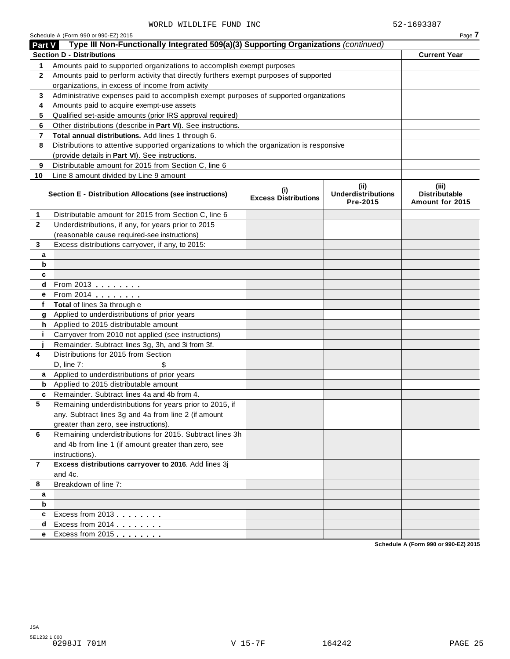| <b>Part V</b>  | Schedule A (Form 990 or 990-EZ) 2015<br>Type III Non-Functionally Integrated 509(a)(3) Supporting Organizations (continued) |                                    |                                               | Page 7                                           |
|----------------|-----------------------------------------------------------------------------------------------------------------------------|------------------------------------|-----------------------------------------------|--------------------------------------------------|
|                | <b>Section D - Distributions</b>                                                                                            |                                    |                                               | <b>Current Year</b>                              |
| 1              | Amounts paid to supported organizations to accomplish exempt purposes                                                       |                                    |                                               |                                                  |
| $\mathbf{2}$   | Amounts paid to perform activity that directly furthers exempt purposes of supported                                        |                                    |                                               |                                                  |
|                | organizations, in excess of income from activity                                                                            |                                    |                                               |                                                  |
| 3              | Administrative expenses paid to accomplish exempt purposes of supported organizations                                       |                                    |                                               |                                                  |
| 4              | Amounts paid to acquire exempt-use assets                                                                                   |                                    |                                               |                                                  |
| 5              | Qualified set-aside amounts (prior IRS approval required)                                                                   |                                    |                                               |                                                  |
| 6              | Other distributions (describe in Part VI). See instructions.                                                                |                                    |                                               |                                                  |
| 7              | Total annual distributions. Add lines 1 through 6.                                                                          |                                    |                                               |                                                  |
| 8              | Distributions to attentive supported organizations to which the organization is responsive                                  |                                    |                                               |                                                  |
|                | (provide details in Part VI). See instructions.                                                                             |                                    |                                               |                                                  |
| 9              | Distributable amount for 2015 from Section C, line 6                                                                        |                                    |                                               |                                                  |
| 10             | Line 8 amount divided by Line 9 amount                                                                                      |                                    |                                               |                                                  |
|                | Section E - Distribution Allocations (see instructions)                                                                     | (i)<br><b>Excess Distributions</b> | (ii)<br><b>Underdistributions</b><br>Pre-2015 | (iii)<br><b>Distributable</b><br>Amount for 2015 |
| 1              | Distributable amount for 2015 from Section C, line 6                                                                        |                                    |                                               |                                                  |
| $\mathbf{2}$   | Underdistributions, if any, for years prior to 2015                                                                         |                                    |                                               |                                                  |
|                | (reasonable cause required-see instructions)                                                                                |                                    |                                               |                                                  |
| 3              | Excess distributions carryover, if any, to 2015:                                                                            |                                    |                                               |                                                  |
| а              |                                                                                                                             |                                    |                                               |                                                  |
| b              |                                                                                                                             |                                    |                                               |                                                  |
| c              |                                                                                                                             |                                    |                                               |                                                  |
| d              | From 2013 $\frac{1}{2}$                                                                                                     |                                    |                                               |                                                  |
| e              | From 2014 <b></b>                                                                                                           |                                    |                                               |                                                  |
| f              | Total of lines 3a through e                                                                                                 |                                    |                                               |                                                  |
| g              | Applied to underdistributions of prior years                                                                                |                                    |                                               |                                                  |
| h.             | Applied to 2015 distributable amount                                                                                        |                                    |                                               |                                                  |
| j.             | Carryover from 2010 not applied (see instructions)                                                                          |                                    |                                               |                                                  |
|                | Remainder. Subtract lines 3g, 3h, and 3i from 3f.                                                                           |                                    |                                               |                                                  |
| 4              | Distributions for 2015 from Section                                                                                         |                                    |                                               |                                                  |
|                | D, line 7:                                                                                                                  |                                    |                                               |                                                  |
| a              | Applied to underdistributions of prior years                                                                                |                                    |                                               |                                                  |
| b              | Applied to 2015 distributable amount                                                                                        |                                    |                                               |                                                  |
| c              | Remainder. Subtract lines 4a and 4b from 4.                                                                                 |                                    |                                               |                                                  |
| 5              | Remaining underdistributions for years prior to 2015, if                                                                    |                                    |                                               |                                                  |
|                | any. Subtract lines 3g and 4a from line 2 (if amount                                                                        |                                    |                                               |                                                  |
|                | greater than zero, see instructions).                                                                                       |                                    |                                               |                                                  |
| 6              | Remaining underdistributions for 2015. Subtract lines 3h                                                                    |                                    |                                               |                                                  |
|                | and 4b from line 1 (if amount greater than zero, see                                                                        |                                    |                                               |                                                  |
|                | instructions).                                                                                                              |                                    |                                               |                                                  |
| $\overline{7}$ | Excess distributions carryover to 2016. Add lines 3j                                                                        |                                    |                                               |                                                  |
|                | and 4c.                                                                                                                     |                                    |                                               |                                                  |
| 8              | Breakdown of line 7:                                                                                                        |                                    |                                               |                                                  |
| a              |                                                                                                                             |                                    |                                               |                                                  |
| b              |                                                                                                                             |                                    |                                               |                                                  |
| c              | Excess from 2013                                                                                                            |                                    |                                               |                                                  |
| d              | Excess from 2014                                                                                                            |                                    |                                               |                                                  |
| e              | Excess from 2015                                                                                                            |                                    |                                               |                                                  |
|                |                                                                                                                             |                                    |                                               |                                                  |

**Schedule A (Form 990 or 990-EZ) 2015**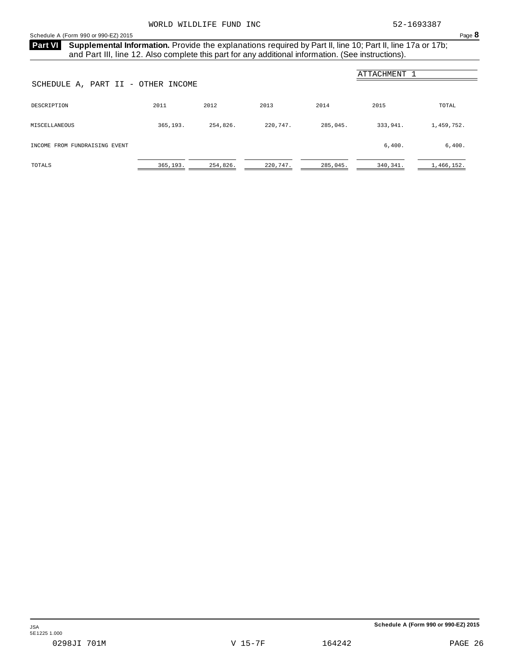**Part VI** Supplemental Information. Provide the explanations required by Part II, line 10; Part II, line 17a or 17b; and Part III, line 12. Also complete this part for any additional information. (See instructions).

| ATTACHMENT<br>SCHEDULE A, PART II - OTHER INCOME |          |          |          |          |          |            |  |  |  |
|--------------------------------------------------|----------|----------|----------|----------|----------|------------|--|--|--|
| DESCRIPTION                                      | 2011     | 2012     | 2013     | 2014     | 2015     | TOTAL      |  |  |  |
| MISCELLANEOUS                                    | 365,193. | 254,826. | 220,747. | 285,045. | 333,941. | 1,459,752. |  |  |  |
| INCOME FROM FUNDRAISING EVENT                    |          |          |          |          | 6,400.   | 6,400.     |  |  |  |
| TOTALS                                           | 365,193. | 254,826. | 220,747. | 285,045. | 340,341. | 1,466,152. |  |  |  |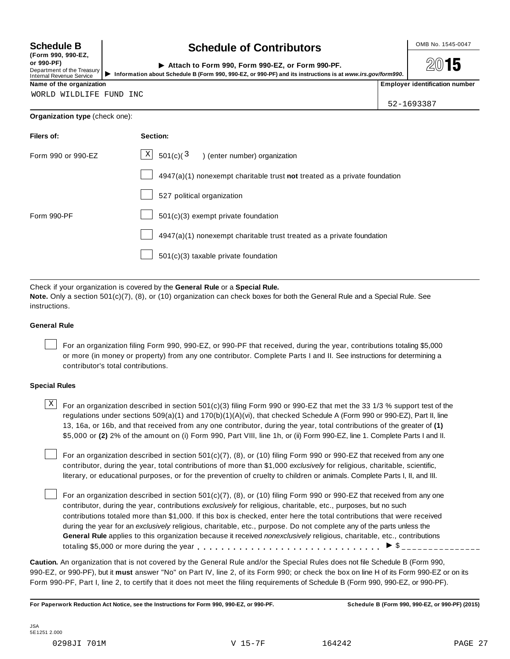**(Form 990, 990-EZ, or 990-PF)** Department of the Treasury<br>Internal Revenue Service<br>Information a

### **Schedule B chedule of Contributors**

| ( FUI III  990, 990 EL,<br>or 990-PF).<br>Department of the Treasury  <br>Internal Revenue Service | Attach to Form 990, Form 990-EZ, or Form 990-PF.<br>Information about Schedule B (Form 990, 990-EZ, or 990-PF) and its instructions is at www.irs.gov/form990. |  | 2015                             |
|----------------------------------------------------------------------------------------------------|----------------------------------------------------------------------------------------------------------------------------------------------------------------|--|----------------------------------|
| Name of the organization                                                                           |                                                                                                                                                                |  | l Emplover identification number |

WORLD WILDLIFE FUND INC

52-1693387

### **Organization type** (check one):

| Filers of:         | Section:                                                                    |
|--------------------|-----------------------------------------------------------------------------|
| Form 990 or 990-EZ | $\boxed{\text{X}}$ 501(c)( $^3$ ) (enter number) organization               |
|                    | $4947(a)(1)$ nonexempt charitable trust not treated as a private foundation |
|                    | 527 political organization                                                  |
| Form 990-PF        | 501(c)(3) exempt private foundation                                         |
|                    | 4947(a)(1) nonexempt charitable trust treated as a private foundation       |
|                    | 501(c)(3) taxable private foundation                                        |
|                    |                                                                             |

Check if your organization is covered by the **General Rule** or a **Special Rule.**

**Note.** Only a section 501(c)(7), (8), or (10) organization can check boxes for both the General Rule and a Special Rule. See instructions.

### **General Rule**

For an organization filing Form 990, 990-EZ, or 990-PF that received, during the year, contributions totaling \$5,000 or more (in money or property) from any one contributor. Complete Parts I and II. See instructions for determining a contributor's total contributions.

### **Special Rules**

 $\text{X}$  For an organization described in section 501(c)(3) filing Form 990 or 990-EZ that met the 33 1/3 % support test of the regulations under sections 509(a)(1) and 170(b)(1)(A)(vi), that checked Schedule A (Form 990 or 990-EZ), Part II, line 13, 16a, or 16b, and that received from any one contributor, during the year, total contributions of the greater of **(1)** \$5,000 or **(2)** 2% of the amount on (i) Form 990, Part VIII, line 1h, or (ii) Form 990-EZ, line 1. Complete Parts I and II.

For an organization described in section 501(c)(7), (8), or (10) filing Form 990 or 990-EZ that received from any one contributor, during the year, total contributions of more than \$1,000 *exclusively* for religious, charitable, scientific, literary, or educational purposes, or for the prevention of cruelty to children or animals. Complete Parts I, II, and III.

For an organization described in section 501(c)(7), (8), or (10) filing Form 990 or 990-EZ that received from any one contributor, during the year, contributions *exclusively* for religious, charitable, etc., purposes, but no such contributions totaled more than \$1,000. If this box is checked, enter here the total contributions that were received during the year for an *exclusively* religious, charitable, etc., purpose. Do not complete any of the parts unless the **General Rule** applies to this organization because it received *nonexclusively* religious, charitable, etc., contributions totaling \$5,000 or more during the year m m m m m m m m m m m m m m m m m m m m m m m m m m m m m m m I \$

**Caution.** An organization that is not covered by the General Rule and/or the Special Rules does not file Schedule B (Form 990, 990-EZ, or 990-PF), but it **must** answer "No" on Part IV, line 2, of its Form 990; or check the box on line H of its Form 990-EZ or on its Form 990-PF, Part I, line 2, to certify that it does not meet the filing requirements of Schedule B (Form 990, 990-EZ, or 990-PF).

For Paperwork Reduction Act Notice, see the Instructions for Form 990, 990-EZ, or 990-PF. Schedule B (Form 990, 990-EZ, or 990-PF) (2015)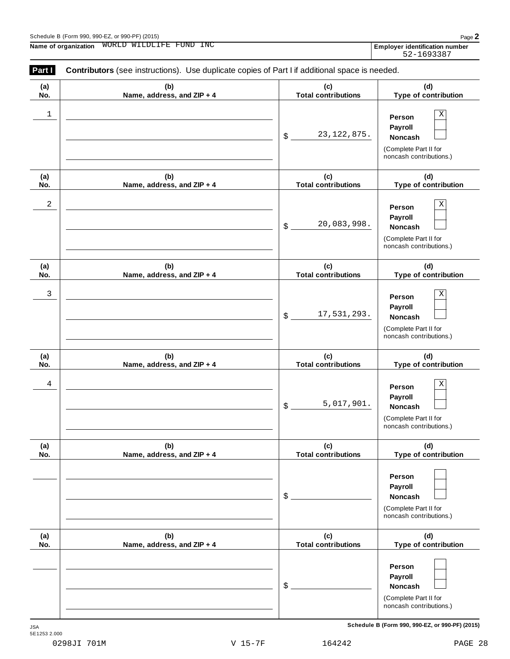**(a) No.**

**(a) No.**

**(a) No.**

**(a) No.**

**(a) No.**

**(a) No.**

|                     |              |        | (Complete Part II for<br>noncash contributions.) |
|---------------------|--------------|--------|--------------------------------------------------|
| JSA<br>5E1253 2.000 |              |        | Schedule B (Form 990, 990-EZ, or 990-PF) (2015)  |
| 0298JI 701M         | $V$ 15-7 $F$ | 164242 | PAGE 28                                          |
|                     |              |        |                                                  |

### Schedule <sup>B</sup> (Form 990, 990-EZ, or 990-PF) (2015) Page **2 Name of organization** WORLD WILDLIFE FUND INC<br> **Employer identification** number **Part <b>I Contributors** (see instructions). Use duplicate copies of Part I if additional space is needed. **(b) Name, address, and ZIP + 4 (c) Total contributions** \$ **Noncash** 23,122,875. **(b) Name, address, and ZIP + 4 (c) Total contributions** \$ **Noncash** 20,083,998. **(b) Name, address, and ZIP + 4 (c) Total contributions (b) Name, address, and ZIP + 4 (c) Total contributions**  $$$   $$$   $$$   $$$ , 017, 901. Noncash **(b) Name, address, and ZIP + 4 (c) Total contributions** \$ **Noncash (b) Name, address, and ZIP + 4 (c) Total contributions** \$ **Noncash**  $1$  **person**  $X$ 2  $\vert$  **person**  $\vert$  **X** 3 X 17,531,293. 4 X 5,017,901.

**Person Payroll**

**Person Payroll**

**Person Payroll**

**Person Payroll**

(Complete Part II for noncash contributions.)

(Complete Part II for noncash contributions.)

(Complete Part II for noncash contributions.)

**(d) Type of contribution**

**(d) Type of contribution**

**(d) Type of contribution**

 $\frac{17}{531}$ ,  $\frac{293}{1000}$  Noncash

noncash contributions.) **(d)**

**Type of contribution**

(Complete Part II for

**(d) Type of contribution**

**Person Payroll**

(Complete Part II for noncash contributions.)

**(d) Type of contribution**

**Person Payroll**

(Complete Part II for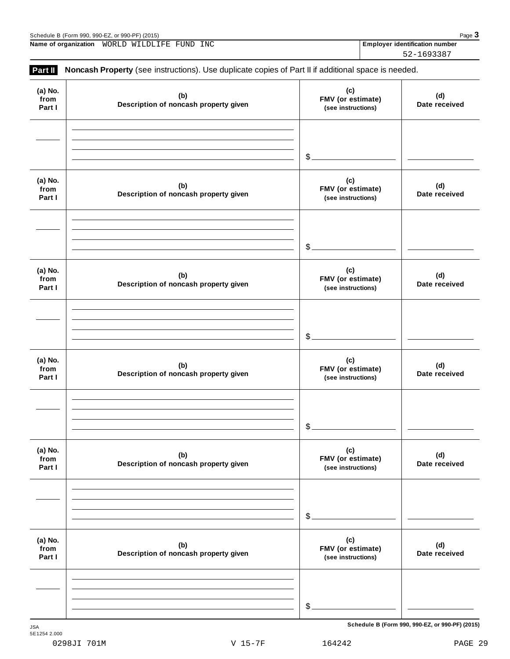|                             |                                              | \$                                             |                                                 |
|-----------------------------|----------------------------------------------|------------------------------------------------|-------------------------------------------------|
| (a) No.<br>from<br>Part I   | (b)<br>Description of noncash property given | (c)<br>FMV (or estimate)<br>(see instructions) | (d)<br>Date received                            |
|                             |                                              | \$                                             |                                                 |
| (a) No.<br>from<br>Part I   | (b)<br>Description of noncash property given | (c)<br>FMV (or estimate)<br>(see instructions) | (d)<br>Date received                            |
|                             |                                              |                                                |                                                 |
|                             |                                              | $\mathcal{L}$                                  |                                                 |
| <b>JSA</b>                  |                                              |                                                | Schedule B (Form 990, 990-EZ, or 990-PF) (2015) |
| 5E1254 2.000<br>0298JI 701M | $V$ 15-7 $F$                                 | 164242                                         | PAGE 29                                         |

Schedule B (Form 990, 990-EZ, or 990-PF) (2015)<br> **Name of organization** WORLD WILDLIFE FUND INC **Properties and Construction Construction Construction Number Name of organization Employer identification number** WORLD WILDLIFE FUND INC

**Part II** Noncash Property (see instructions). Use duplicate copies of Part II if additional space is needed.

| (a) No.<br>from<br>Part I | (b)<br>Description of noncash property given | (c)<br>FMV (or estimate)<br>(see instructions)        | (d)<br>Date received |
|---------------------------|----------------------------------------------|-------------------------------------------------------|----------------------|
|                           |                                              | \$.                                                   |                      |
| (a) No.<br>from<br>Part I | (b)<br>Description of noncash property given | (c)<br>FMV (or estimate)<br>(see instructions)        | (d)<br>Date received |
|                           |                                              | $\$\$ .                                               |                      |
| (a) No.<br>from<br>Part I | (b)<br>Description of noncash property given | (c)<br>FMV (or estimate)<br>(see instructions)        | (d)<br>Date received |
|                           |                                              | \$                                                    |                      |
| (a) No.<br>from<br>Part I | (b)<br>Description of noncash property given | (c)<br>FMV (or estimate)<br>(see instructions)        | (d)<br>Date received |
|                           |                                              | \$.                                                   |                      |
| (a) No.<br>from<br>Part I | (b)<br>Description of noncash property given | (c)<br><b>FMV</b> (or estimate)<br>(see instructions) | (d)<br>Date received |
|                           |                                              | $\mathcal{L}_{-}$                                     |                      |
| (a) No.<br>from<br>Part I | (b)<br>Description of noncash property given | (c)<br>FMV (or estimate)<br>(see instructions)        | (d)<br>Date received |
|                           |                                              | $\mathcal{L}_{-}$                                     |                      |

52-1693387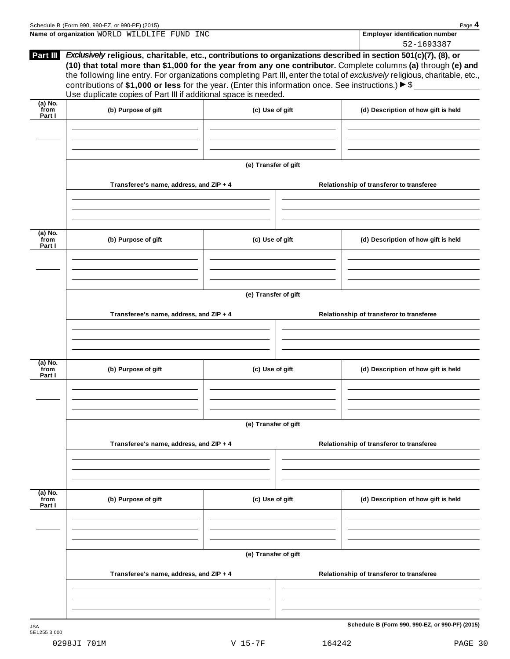| Schedule B (Form 990, 990-EZ, or 990-PF) (2015) |                                  |  |
|-------------------------------------------------|----------------------------------|--|
| Name of organization WORLD WILDLIFE FUND INC    | ' Employer identification number |  |
|                                                 | 52-1693387                       |  |

|                             |                                                                                                                                                                                                                                                                                                                                                                                                                                                                          |                      |                                          | 77-109338                                       |  |
|-----------------------------|--------------------------------------------------------------------------------------------------------------------------------------------------------------------------------------------------------------------------------------------------------------------------------------------------------------------------------------------------------------------------------------------------------------------------------------------------------------------------|----------------------|------------------------------------------|-------------------------------------------------|--|
| Part III                    | Exclusively religious, charitable, etc., contributions to organizations described in section 501(c)(7), (8), or<br>(10) that total more than \$1,000 for the year from any one contributor. Complete columns (a) through (e) and<br>the following line entry. For organizations completing Part III, enter the total of exclusively religious, charitable, etc.,<br>contributions of \$1,000 or less for the year. (Enter this information once. See instructions.) > \$ |                      |                                          |                                                 |  |
|                             | Use duplicate copies of Part III if additional space is needed.                                                                                                                                                                                                                                                                                                                                                                                                          |                      |                                          |                                                 |  |
| (a) No.<br>from<br>Part I   | (b) Purpose of gift                                                                                                                                                                                                                                                                                                                                                                                                                                                      | (c) Use of gift      |                                          | (d) Description of how gift is held             |  |
|                             |                                                                                                                                                                                                                                                                                                                                                                                                                                                                          |                      |                                          |                                                 |  |
|                             |                                                                                                                                                                                                                                                                                                                                                                                                                                                                          |                      |                                          |                                                 |  |
|                             |                                                                                                                                                                                                                                                                                                                                                                                                                                                                          | (e) Transfer of gift |                                          |                                                 |  |
|                             | Transferee's name, address, and ZIP + 4                                                                                                                                                                                                                                                                                                                                                                                                                                  |                      |                                          | Relationship of transferor to transferee        |  |
|                             |                                                                                                                                                                                                                                                                                                                                                                                                                                                                          |                      |                                          |                                                 |  |
| $(a)$ No.<br>from<br>Part I | (b) Purpose of gift                                                                                                                                                                                                                                                                                                                                                                                                                                                      | (c) Use of gift      |                                          | (d) Description of how gift is held             |  |
|                             |                                                                                                                                                                                                                                                                                                                                                                                                                                                                          |                      |                                          |                                                 |  |
|                             |                                                                                                                                                                                                                                                                                                                                                                                                                                                                          | (e) Transfer of gift |                                          |                                                 |  |
|                             | Transferee's name, address, and ZIP + 4                                                                                                                                                                                                                                                                                                                                                                                                                                  |                      | Relationship of transferor to transferee |                                                 |  |
|                             |                                                                                                                                                                                                                                                                                                                                                                                                                                                                          |                      |                                          |                                                 |  |
| (a) No.                     |                                                                                                                                                                                                                                                                                                                                                                                                                                                                          |                      |                                          |                                                 |  |
| from<br>Part I              | (b) Purpose of gift                                                                                                                                                                                                                                                                                                                                                                                                                                                      | (c) Use of gift      |                                          | (d) Description of how gift is held             |  |
|                             |                                                                                                                                                                                                                                                                                                                                                                                                                                                                          |                      |                                          |                                                 |  |
|                             |                                                                                                                                                                                                                                                                                                                                                                                                                                                                          | (e) Transfer of gift |                                          |                                                 |  |
|                             | Transferee's name, address, and ZIP + 4                                                                                                                                                                                                                                                                                                                                                                                                                                  |                      |                                          | Relationship of transferor to transferee        |  |
|                             |                                                                                                                                                                                                                                                                                                                                                                                                                                                                          |                      |                                          |                                                 |  |
| (a) No.<br>from<br>Part I   | (b) Purpose of gift                                                                                                                                                                                                                                                                                                                                                                                                                                                      | (c) Use of gift      |                                          | (d) Description of how gift is held             |  |
|                             |                                                                                                                                                                                                                                                                                                                                                                                                                                                                          |                      |                                          |                                                 |  |
|                             |                                                                                                                                                                                                                                                                                                                                                                                                                                                                          | (e) Transfer of gift |                                          |                                                 |  |
|                             | Transferee's name, address, and ZIP + 4                                                                                                                                                                                                                                                                                                                                                                                                                                  |                      |                                          | Relationship of transferor to transferee        |  |
|                             |                                                                                                                                                                                                                                                                                                                                                                                                                                                                          |                      |                                          |                                                 |  |
|                             |                                                                                                                                                                                                                                                                                                                                                                                                                                                                          |                      |                                          |                                                 |  |
|                             |                                                                                                                                                                                                                                                                                                                                                                                                                                                                          |                      |                                          | Schedule B (Form 990, 990-EZ, or 990-PF) (2015) |  |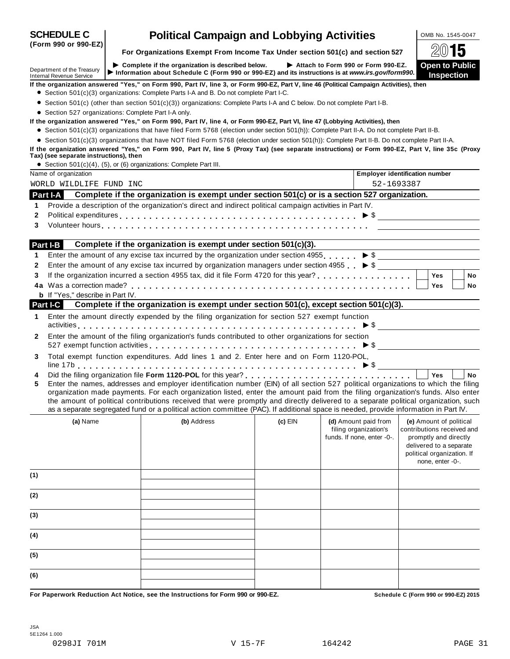|              | <b>SCHEDULE C</b><br>(Form 990 or 990-EZ)                     |                                                                               | <b>Political Campaign and Lobbying Activities</b>                                                                                                                                                                                                                                                                                                                                                                                                                                                                                                    |           |  |                                                     | OMB No. 1545-0047                                                                                                                                           |           |
|--------------|---------------------------------------------------------------|-------------------------------------------------------------------------------|------------------------------------------------------------------------------------------------------------------------------------------------------------------------------------------------------------------------------------------------------------------------------------------------------------------------------------------------------------------------------------------------------------------------------------------------------------------------------------------------------------------------------------------------------|-----------|--|-----------------------------------------------------|-------------------------------------------------------------------------------------------------------------------------------------------------------------|-----------|
|              |                                                               | For Organizations Exempt From Income Tax Under section 501(c) and section 527 |                                                                                                                                                                                                                                                                                                                                                                                                                                                                                                                                                      |           |  | $20$ 15                                             |                                                                                                                                                             |           |
|              | Department of the Treasury<br><b>Internal Revenue Service</b> |                                                                               | Complete if the organization is described below.<br>Information about Schedule C (Form 990 or 990-EZ) and its instructions is at www.irs.gov/form990.                                                                                                                                                                                                                                                                                                                                                                                                |           |  | Attach to Form 990 or Form 990-EZ.                  | <b>Open to Public</b><br>Inspection                                                                                                                         |           |
|              |                                                               |                                                                               | If the organization answered "Yes," on Form 990, Part IV, line 3, or Form 990-EZ, Part V, line 46 (Political Campaign Activities), then<br>• Section 501(c)(3) organizations: Complete Parts I-A and B. Do not complete Part I-C.                                                                                                                                                                                                                                                                                                                    |           |  |                                                     |                                                                                                                                                             |           |
|              |                                                               |                                                                               | • Section 501(c) (other than section 501(c)(3)) organizations: Complete Parts I-A and C below. Do not complete Part I-B.                                                                                                                                                                                                                                                                                                                                                                                                                             |           |  |                                                     |                                                                                                                                                             |           |
|              | • Section 527 organizations: Complete Part I-A only.          |                                                                               |                                                                                                                                                                                                                                                                                                                                                                                                                                                                                                                                                      |           |  |                                                     |                                                                                                                                                             |           |
|              |                                                               |                                                                               | If the organization answered "Yes," on Form 990, Part IV, line 4, or Form 990-EZ, Part VI, line 47 (Lobbying Activities), then                                                                                                                                                                                                                                                                                                                                                                                                                       |           |  |                                                     |                                                                                                                                                             |           |
|              |                                                               |                                                                               | • Section 501(c)(3) organizations that have filed Form 5768 (election under section 501(h)): Complete Part II-A. Do not complete Part II-B.<br>• Section 501(c)(3) organizations that have NOT filed Form 5768 (election under section 501(h)): Complete Part II-B. Do not complete Part II-A.                                                                                                                                                                                                                                                       |           |  |                                                     |                                                                                                                                                             |           |
|              |                                                               |                                                                               | If the organization answered "Yes," on Form 990, Part IV, line 5 (Proxy Tax) (see separate instructions) or Form 990-EZ, Part V, line 35c (Proxy                                                                                                                                                                                                                                                                                                                                                                                                     |           |  |                                                     |                                                                                                                                                             |           |
|              | Tax) (see separate instructions), then                        |                                                                               |                                                                                                                                                                                                                                                                                                                                                                                                                                                                                                                                                      |           |  |                                                     |                                                                                                                                                             |           |
|              |                                                               |                                                                               | • Section $501(c)(4)$ , $(5)$ , or $(6)$ organizations: Complete Part III.                                                                                                                                                                                                                                                                                                                                                                                                                                                                           |           |  |                                                     |                                                                                                                                                             |           |
|              | Name of organization                                          |                                                                               |                                                                                                                                                                                                                                                                                                                                                                                                                                                                                                                                                      |           |  | <b>Employer identification number</b>               |                                                                                                                                                             |           |
|              | WORLD WILDLIFE FUND INC                                       |                                                                               |                                                                                                                                                                                                                                                                                                                                                                                                                                                                                                                                                      |           |  | 52-1693387                                          |                                                                                                                                                             |           |
|              | Part I-A                                                      |                                                                               | Complete if the organization is exempt under section 501(c) or is a section 527 organization.                                                                                                                                                                                                                                                                                                                                                                                                                                                        |           |  |                                                     |                                                                                                                                                             |           |
| 1            |                                                               |                                                                               | Provide a description of the organization's direct and indirect political campaign activities in Part IV.                                                                                                                                                                                                                                                                                                                                                                                                                                            |           |  |                                                     |                                                                                                                                                             |           |
| $\mathbf{2}$ |                                                               |                                                                               | Political expenditures $\ldots \ldots \ldots \ldots \ldots \ldots \ldots \ldots \ldots \ldots \ldots \ldots \ldots \vdots \succ \$                                                                                                                                                                                                                                                                                                                                                                                                                   |           |  |                                                     |                                                                                                                                                             |           |
| 3            |                                                               |                                                                               |                                                                                                                                                                                                                                                                                                                                                                                                                                                                                                                                                      |           |  |                                                     |                                                                                                                                                             |           |
|              | Part I-B                                                      |                                                                               | Complete if the organization is exempt under section 501(c)(3).                                                                                                                                                                                                                                                                                                                                                                                                                                                                                      |           |  |                                                     |                                                                                                                                                             |           |
| 1            |                                                               |                                                                               | Enter the amount of any excise tax incurred by the organization under section 4955 $\ldots \rightarrow$ $\frac{1}{2}$                                                                                                                                                                                                                                                                                                                                                                                                                                |           |  |                                                     |                                                                                                                                                             |           |
| 2            |                                                               |                                                                               | Enter the amount of any excise tax incurred by organization managers under section 4955 $\triangleright$ \$                                                                                                                                                                                                                                                                                                                                                                                                                                          |           |  |                                                     |                                                                                                                                                             |           |
| 3            |                                                               |                                                                               |                                                                                                                                                                                                                                                                                                                                                                                                                                                                                                                                                      |           |  |                                                     | <b>Yes</b>                                                                                                                                                  | <b>No</b> |
|              |                                                               |                                                                               |                                                                                                                                                                                                                                                                                                                                                                                                                                                                                                                                                      |           |  |                                                     | <b>Yes</b>                                                                                                                                                  | No        |
|              | <b>b</b> If "Yes," describe in Part IV.                       |                                                                               |                                                                                                                                                                                                                                                                                                                                                                                                                                                                                                                                                      |           |  |                                                     |                                                                                                                                                             |           |
|              | Part I-C                                                      |                                                                               | Complete if the organization is exempt under section 501(c), except section 501(c)(3).                                                                                                                                                                                                                                                                                                                                                                                                                                                               |           |  |                                                     |                                                                                                                                                             |           |
| 1            |                                                               |                                                                               | Enter the amount directly expended by the filing organization for section 527 exempt function                                                                                                                                                                                                                                                                                                                                                                                                                                                        |           |  |                                                     |                                                                                                                                                             |           |
| $\mathbf{2}$ |                                                               |                                                                               | Enter the amount of the filing organization's funds contributed to other organizations for section<br>527 exempt function activities $\ldots \ldots \ldots \ldots \ldots \ldots \ldots \ldots \ldots \ldots \ldots \blacktriangleright \$                                                                                                                                                                                                                                                                                                            |           |  |                                                     |                                                                                                                                                             |           |
| 3            |                                                               |                                                                               | Total exempt function expenditures. Add lines 1 and 2. Enter here and on Form 1120-POL,                                                                                                                                                                                                                                                                                                                                                                                                                                                              |           |  |                                                     |                                                                                                                                                             |           |
| 4<br>5       |                                                               |                                                                               | Enter the names, addresses and employer identification number (EIN) of all section 527 political organizations to which the filing<br>organization made payments. For each organization listed, enter the amount paid from the filing organization's funds. Also enter<br>the amount of political contributions received that were promptly and directly delivered to a separate political organization, such<br>as a separate segregated fund or a political action committee (PAC). If additional space is needed, provide information in Part IV. |           |  |                                                     | Yes                                                                                                                                                         | <b>No</b> |
|              |                                                               |                                                                               | (b) Address                                                                                                                                                                                                                                                                                                                                                                                                                                                                                                                                          |           |  | (d) Amount paid from                                |                                                                                                                                                             |           |
|              | (a) Name                                                      |                                                                               |                                                                                                                                                                                                                                                                                                                                                                                                                                                                                                                                                      | $(c)$ EIN |  | filing organization's<br>funds. If none, enter -0-. | (e) Amount of political<br>contributions received and<br>promptly and directly<br>delivered to a separate<br>political organization. If<br>none, enter -0-. |           |
| (1)          |                                                               |                                                                               |                                                                                                                                                                                                                                                                                                                                                                                                                                                                                                                                                      |           |  |                                                     |                                                                                                                                                             |           |
| (2)          |                                                               |                                                                               |                                                                                                                                                                                                                                                                                                                                                                                                                                                                                                                                                      |           |  |                                                     |                                                                                                                                                             |           |
| (3)          |                                                               |                                                                               |                                                                                                                                                                                                                                                                                                                                                                                                                                                                                                                                                      |           |  |                                                     |                                                                                                                                                             |           |
| (4)          |                                                               |                                                                               |                                                                                                                                                                                                                                                                                                                                                                                                                                                                                                                                                      |           |  |                                                     |                                                                                                                                                             |           |
| (5)          |                                                               |                                                                               |                                                                                                                                                                                                                                                                                                                                                                                                                                                                                                                                                      |           |  |                                                     |                                                                                                                                                             |           |
| (6)          |                                                               |                                                                               |                                                                                                                                                                                                                                                                                                                                                                                                                                                                                                                                                      |           |  |                                                     |                                                                                                                                                             |           |
|              |                                                               |                                                                               |                                                                                                                                                                                                                                                                                                                                                                                                                                                                                                                                                      |           |  |                                                     |                                                                                                                                                             |           |

For Paperwork Reduction Act Notice, see the Instructions for Form 990 or 990-EZ. Schedule C (Form 990 or 990-EZ) 2015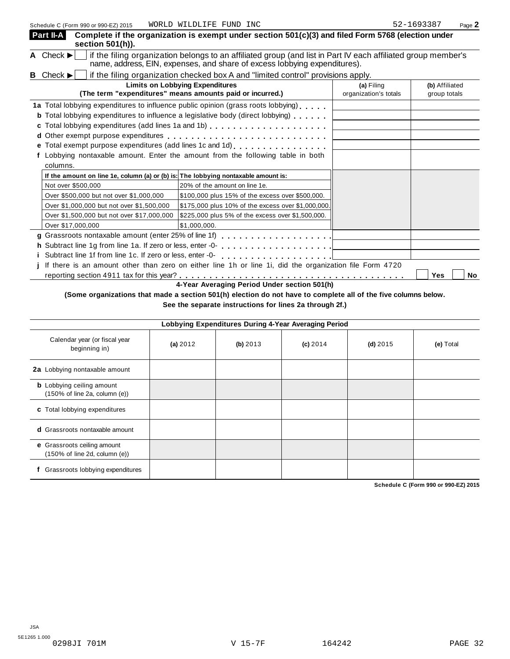| Part II-A<br>section 501(h)).                                                      | Complete if the organization is exempt under section 501(c)(3) and filed Form 5768 (election under                                                                                                                                                                                                                        |                                     |                                |
|------------------------------------------------------------------------------------|---------------------------------------------------------------------------------------------------------------------------------------------------------------------------------------------------------------------------------------------------------------------------------------------------------------------------|-------------------------------------|--------------------------------|
| A Check $\blacktriangleright$                                                      | if the filing organization belongs to an affiliated group (and list in Part IV each affiliated group member's<br>name, address, EIN, expenses, and share of excess lobbying expenditures).                                                                                                                                |                                     |                                |
| Check $\blacktriangleright$<br>В                                                   | if the filing organization checked box A and "limited control" provisions apply.                                                                                                                                                                                                                                          |                                     |                                |
|                                                                                    | <b>Limits on Lobbying Expenditures</b><br>(The term "expenditures" means amounts paid or incurred.)                                                                                                                                                                                                                       | (a) Filing<br>organization's totals | (b) Affiliated<br>group totals |
| c<br>columns.                                                                      | 1a Total lobbying expenditures to influence public opinion (grass roots lobbying)<br><b>b</b> Total lobbying expenditures to influence a legislative body (direct lobbying)<br>e Total exempt purpose expenditures (add lines 1c and 1d)<br>Lobbying nontaxable amount. Enter the amount from the following table in both |                                     |                                |
| If the amount on line 1e, column (a) or (b) is: The lobbying nontaxable amount is: |                                                                                                                                                                                                                                                                                                                           |                                     |                                |
| Not over \$500,000                                                                 | 20% of the amount on line 1e.                                                                                                                                                                                                                                                                                             |                                     |                                |
| Over \$500,000 but not over \$1,000,000                                            | \$100,000 plus 15% of the excess over \$500,000.                                                                                                                                                                                                                                                                          |                                     |                                |
| Over \$1,000,000 but not over \$1,500,000                                          | \$175,000 plus 10% of the excess over \$1,000,000.                                                                                                                                                                                                                                                                        |                                     |                                |
| Over \$1,500,000 but not over \$17,000,000                                         | \$225,000 plus 5% of the excess over \$1,500,000.                                                                                                                                                                                                                                                                         |                                     |                                |
| Over \$17,000,000                                                                  | \$1,000,000.                                                                                                                                                                                                                                                                                                              |                                     |                                |
| g Grassroots nontaxable amount (enter 25% of line 1f)                              | .                                                                                                                                                                                                                                                                                                                         |                                     |                                |
| h Subtract line 1g from line 1a. If zero or less, enter -0-                        |                                                                                                                                                                                                                                                                                                                           |                                     |                                |
| i Subtract line 1f from line 1c. If zero or less, enter -0-                        |                                                                                                                                                                                                                                                                                                                           |                                     |                                |
|                                                                                    | If there is an amount other than zero on either line 1h or line 1i, did the organization file Form 4720                                                                                                                                                                                                                   |                                     | Yes<br>No                      |

**4-Year Averaging Period Under section 501(h)**

(Some organizations that made a section 501(h) election do not have to complete all of the five columns below.

**See the separate instructions for lines 2a through 2f.)**

| Lobbying Expenditures During 4-Year Averaging Period              |          |          |            |            |           |  |  |
|-------------------------------------------------------------------|----------|----------|------------|------------|-----------|--|--|
| Calendar year (or fiscal year<br>beginning in)                    | (a) 2012 | (b) 2013 | $(c)$ 2014 | (d) $2015$ | (e) Total |  |  |
| 2a Lobbying nontaxable amount                                     |          |          |            |            |           |  |  |
| <b>b</b> Lobbying ceiling amount<br>(150% of line 2a, column (e)) |          |          |            |            |           |  |  |
| c Total lobbying expenditures                                     |          |          |            |            |           |  |  |
| <b>d</b> Grassroots nontaxable amount                             |          |          |            |            |           |  |  |
| e Grassroots ceiling amount<br>(150% of line 2d, column (e))      |          |          |            |            |           |  |  |
| Grassroots lobbying expenditures                                  |          |          |            |            |           |  |  |

**Schedule C (Form 990 or 990-EZ) 2015**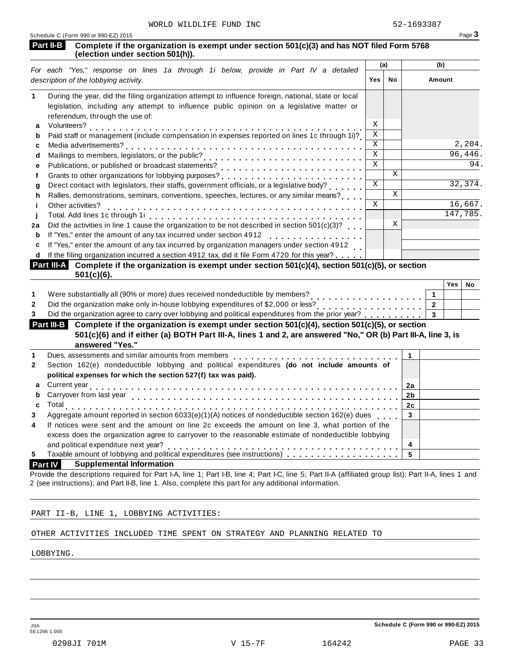|                | Schedule C (Form 990 or 990-EZ) 2015                                                                                                                                                                                                                                           |                         |    |                |            | Page 3            |
|----------------|--------------------------------------------------------------------------------------------------------------------------------------------------------------------------------------------------------------------------------------------------------------------------------|-------------------------|----|----------------|------------|-------------------|
|                | Part II-B<br>Complete if the organization is exempt under section 501(c)(3) and has NOT filed Form 5768<br>(election under section 501(h)).                                                                                                                                    |                         |    |                |            |                   |
|                | For each "Yes," response on lines 1a through 1i below, provide in Part IV a detailed                                                                                                                                                                                           | (a)                     |    | (b)            |            |                   |
|                | description of the lobbying activity.                                                                                                                                                                                                                                          | Yes                     | No | Amount         |            |                   |
| 1              | During the year, did the filing organization attempt to influence foreign, national, state or local<br>legislation, including any attempt to influence public opinion on a legislative matter or<br>referendum, through the use of:                                            |                         |    |                |            |                   |
| а              |                                                                                                                                                                                                                                                                                | X                       |    |                |            |                   |
| b              | Volunteers?<br>Paid staff or management (include compensation in expenses reported on lines 1c through 1i)?                                                                                                                                                                    | X                       |    |                |            |                   |
| C              |                                                                                                                                                                                                                                                                                | $\mathbf X$             |    |                |            | 2,204.            |
| d              | Mailings to members, legislators, or the public?<br>Mailings to members, legislators, or the public?                                                                                                                                                                           | $\mathbf X$             |    |                |            | 96,446.           |
| е              |                                                                                                                                                                                                                                                                                | $\overline{\mathbf{x}}$ |    |                |            | $\overline{94}$ . |
| f              |                                                                                                                                                                                                                                                                                |                         | X  |                |            |                   |
| g              | Direct contact with legislators, their staffs, government officials, or a legislative body?<br>                                                                                                                                                                                | Χ                       |    |                |            | 32,374.           |
| h              | Rallies, demonstrations, seminars, conventions, speeches, lectures, or any similar means?                                                                                                                                                                                      |                         | X  |                |            |                   |
| j.             | Other activities?                                                                                                                                                                                                                                                              | X                       |    |                |            | 16,667.           |
| j              |                                                                                                                                                                                                                                                                                |                         |    |                |            | 147,785.          |
| 2a             | Did the activities in line 1 cause the organization to be not described in section $501(c)(3)$ ?                                                                                                                                                                               |                         | X  |                |            |                   |
| b              | If "Yes," enter the amount of any tax incurred under section 4912<br>If "Yes," enter the amount of any tax incurred under section 4912                                                                                                                                         |                         |    |                |            |                   |
| C              | If "Yes," enter the amount of any tax incurred by organization managers under section 4912                                                                                                                                                                                     |                         |    |                |            |                   |
| d              | If the filing organization incurred a section 4912 tax, did it file Form 4720 for this year?                                                                                                                                                                                   |                         |    |                |            |                   |
|                | Part III-A Complete if the organization is exempt under section 501(c)(4), section 501(c)(5), or section<br>$501(c)(6)$ .                                                                                                                                                      |                         |    |                |            |                   |
|                |                                                                                                                                                                                                                                                                                |                         |    |                | <b>Yes</b> | No                |
| 1              | Were substantially all (90% or more) dues received nondeductible by members?                                                                                                                                                                                                   |                         |    | $\mathbf{1}$   |            |                   |
| $\overline{2}$ | Did the organization make only in-house lobbying expenditures of \$2,000 or less?<br>.                                                                                                                                                                                         |                         |    | $\overline{2}$ |            |                   |
| 3              | Did the organization agree to carry over lobbying and political expenditures from the prior year?                                                                                                                                                                              |                         |    | 3              |            |                   |
|                | Complete if the organization is exempt under section 501(c)(4), section 501(c)(5), or section<br>Part III-B                                                                                                                                                                    |                         |    |                |            |                   |
|                | 501(c)(6) and if either (a) BOTH Part III-A, lines 1 and 2, are answered "No," OR (b) Part III-A, line 3, is                                                                                                                                                                   |                         |    |                |            |                   |
|                | answered "Yes."                                                                                                                                                                                                                                                                |                         |    |                |            |                   |
| 1              | Dues, assessments and similar amounts from members [1] [1] [1] $\ldots$ [1] [1] $\ldots$ [1] $\ldots$ [1] $\ldots$ [1] $\ldots$ [1] $\ldots$ [1] $\ldots$ [1] $\ldots$ [1] $\ldots$ [1] $\ldots$ [1] $\ldots$ [1] $\ldots$ [1] $\ldots$ [1] $\ldots$ [1] $\ldots$ [1] $\ldots$ |                         |    | $\mathbf{1}$   |            |                   |
| $\mathbf{2}$   | Section 162(e) nondeductible lobbying and political expenditures (do not include amounts of                                                                                                                                                                                    |                         |    |                |            |                   |
|                | political expenses for which the section 527(f) tax was paid).                                                                                                                                                                                                                 |                         |    |                |            |                   |
| a              |                                                                                                                                                                                                                                                                                |                         |    | 2a             |            |                   |
| b              |                                                                                                                                                                                                                                                                                |                         |    | 2 <sub>b</sub> |            |                   |
| c              |                                                                                                                                                                                                                                                                                |                         |    | 2c             |            |                   |
| 3              | Aggregate amount reported in section 6033(e)(1)(A) notices of nondeductible section 162(e) dues                                                                                                                                                                                |                         |    | 3              |            |                   |
| 4              | If notices were sent and the amount on line 2c exceeds the amount on line 3, what portion of the                                                                                                                                                                               |                         |    |                |            |                   |
|                | excess does the organization agree to carryover to the reasonable estimate of nondeductible lobbying                                                                                                                                                                           |                         |    |                |            |                   |
|                | and political expenditure next year?                                                                                                                                                                                                                                           |                         |    | 4              |            |                   |
| 5              |                                                                                                                                                                                                                                                                                |                         |    | 5              |            |                   |

**Part IV Supplemental Information**

Provide the descriptions required for Part I-A, line 1; Part I-B, line 4; Part I-C, line 5; Part II-A (affiliated group list); Part II-A, lines 1 and 2 (see instructions); and Part II-B, line 1. Also, complete this part for any additional information.

### PART II-B, LINE 1, LOBBYING ACTIVITIES:

### OTHER ACTIVITIES INCLUDED TIME SPENT ON STRATEGY AND PLANNING RELATED TO

LOBBYING.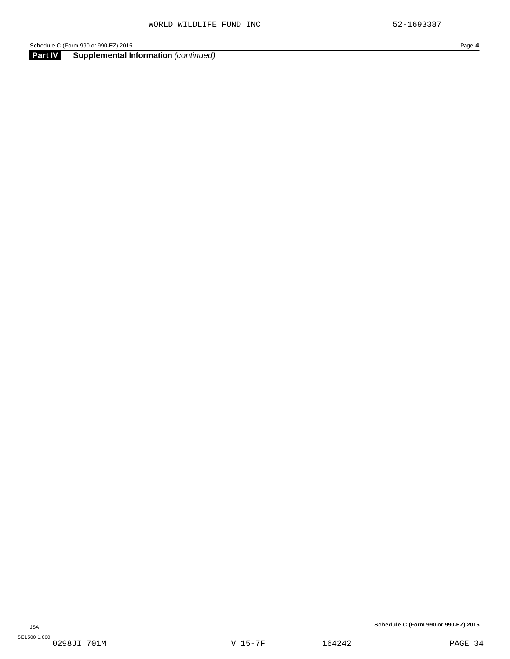Schedule C (Form 990 or 990-EZ) 2015<br> **Part IV Supplemental Information** (continued)<br> **Part IV Supplemental Information** (continued) **Supplemental Information** *(continued)*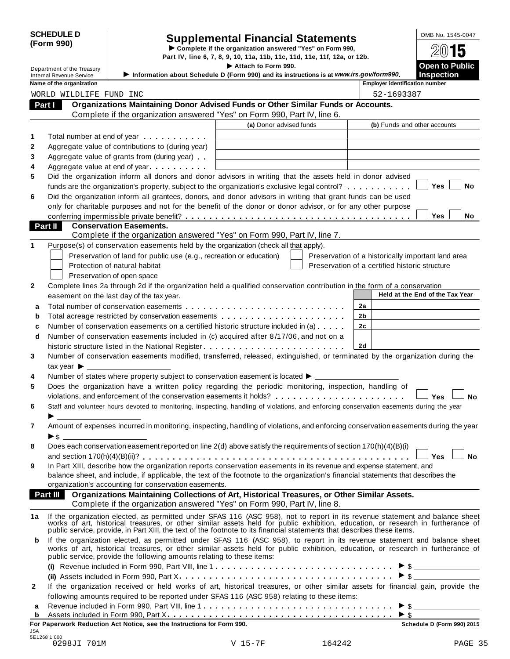|            | <b>SCHEDULE D</b> |
|------------|-------------------|
| (Form 990) |                   |

# SCHEDULE D<br>
Supplemental Financial Statements<br>
Form 990) Part IV, line 6, 7, 8, 9, 10, 11a, 11b, 11c, 11d, 11e, 11f, 12a, or 12b.

|                                                               |                                                                                                                                                                                                                                | Part IV, line 6, 7, 8, 9, 10, 11a, 11b, 11c, 11d, 11e, 11f, 12a, or 12b. |                                                    |                                            |           |
|---------------------------------------------------------------|--------------------------------------------------------------------------------------------------------------------------------------------------------------------------------------------------------------------------------|--------------------------------------------------------------------------|----------------------------------------------------|--------------------------------------------|-----------|
| Department of the Treasury<br><b>Internal Revenue Service</b> | Information about Schedule D (Form 990) and its instructions is at www.irs.gov/form990.                                                                                                                                        | Attach to Form 990.                                                      |                                                    | <b>Open to Public</b><br><b>Inspection</b> |           |
| Name of the organization                                      |                                                                                                                                                                                                                                |                                                                          | <b>Employer identification number</b>              |                                            |           |
| WORLD WILDLIFE FUND INC                                       |                                                                                                                                                                                                                                |                                                                          | 52-1693387                                         |                                            |           |
| Part I                                                        | Organizations Maintaining Donor Advised Funds or Other Similar Funds or Accounts.                                                                                                                                              |                                                                          |                                                    |                                            |           |
|                                                               | Complete if the organization answered "Yes" on Form 990, Part IV, line 6.                                                                                                                                                      |                                                                          |                                                    |                                            |           |
|                                                               |                                                                                                                                                                                                                                | (a) Donor advised funds                                                  | (b) Funds and other accounts                       |                                            |           |
|                                                               | Total number at end of year manufacturers.                                                                                                                                                                                     |                                                                          |                                                    |                                            |           |
|                                                               | Aggregate value of contributions to (during year)                                                                                                                                                                              |                                                                          |                                                    |                                            |           |
|                                                               | Aggregate value of grants from (during year)                                                                                                                                                                                   |                                                                          |                                                    |                                            |           |
|                                                               | Aggregate value at end of year                                                                                                                                                                                                 |                                                                          |                                                    |                                            |           |
|                                                               | Did the organization inform all donors and donor advisors in writing that the assets held in donor advised                                                                                                                     |                                                                          |                                                    |                                            |           |
|                                                               | funds are the organization's property, subject to the organization's exclusive legal control?                                                                                                                                  |                                                                          |                                                    | Yes                                        | No        |
|                                                               | Did the organization inform all grantees, donors, and donor advisors in writing that grant funds can be used                                                                                                                   |                                                                          |                                                    |                                            |           |
|                                                               | only for charitable purposes and not for the benefit of the donor or donor advisor, or for any other purpose                                                                                                                   |                                                                          |                                                    |                                            |           |
|                                                               |                                                                                                                                                                                                                                |                                                                          |                                                    | Yes                                        | No        |
| Part II                                                       | <b>Conservation Easements.</b>                                                                                                                                                                                                 |                                                                          |                                                    |                                            |           |
|                                                               | Complete if the organization answered "Yes" on Form 990, Part IV, line 7.                                                                                                                                                      |                                                                          |                                                    |                                            |           |
|                                                               | Purpose(s) of conservation easements held by the organization (check all that apply).                                                                                                                                          |                                                                          |                                                    |                                            |           |
|                                                               | Preservation of land for public use (e.g., recreation or education)                                                                                                                                                            |                                                                          | Preservation of a historically important land area |                                            |           |
|                                                               | Protection of natural habitat                                                                                                                                                                                                  |                                                                          | Preservation of a certified historic structure     |                                            |           |
|                                                               | Preservation of open space                                                                                                                                                                                                     |                                                                          |                                                    |                                            |           |
|                                                               | Complete lines 2a through 2d if the organization held a qualified conservation contribution in the form of a conservation                                                                                                      |                                                                          |                                                    |                                            |           |
|                                                               | easement on the last day of the tax year.                                                                                                                                                                                      |                                                                          |                                                    | Held at the End of the Tax Year            |           |
|                                                               |                                                                                                                                                                                                                                |                                                                          | 2a                                                 |                                            |           |
|                                                               | Total acreage restricted by conservation easements                                                                                                                                                                             |                                                                          | 2b                                                 |                                            |           |
|                                                               | Number of conservation easements on a certified historic structure included in (a)                                                                                                                                             |                                                                          | 2c                                                 |                                            |           |
|                                                               | Number of conservation easements included in (c) acquired after 8/17/06, and not on a                                                                                                                                          |                                                                          |                                                    |                                            |           |
|                                                               | historic structure listed in the National Register                                                                                                                                                                             |                                                                          | 2d                                                 |                                            |           |
|                                                               | Number of conservation easements modified, transferred, released, extinguished, or terminated by the organization during the                                                                                                   |                                                                          |                                                    |                                            |           |
| tax year $\blacktriangleright$                                |                                                                                                                                                                                                                                |                                                                          |                                                    |                                            |           |
|                                                               | Number of states where property subject to conservation easement is located ▶ _________                                                                                                                                        |                                                                          |                                                    |                                            |           |
|                                                               | Does the organization have a written policy regarding the periodic monitoring, inspection, handling of                                                                                                                         |                                                                          |                                                    |                                            |           |
|                                                               | violations, and enforcement of the conservation easements it holds?                                                                                                                                                            |                                                                          |                                                    | Yes                                        | <b>No</b> |
|                                                               | Staff and volunteer hours devoted to monitoring, inspecting, handling of violations, and enforcing conservation easements during the year                                                                                      |                                                                          |                                                    |                                            |           |
|                                                               |                                                                                                                                                                                                                                |                                                                          |                                                    |                                            |           |
|                                                               | Amount of expenses incurred in monitoring, inspecting, handling of violations, and enforcing conservation easements during the year                                                                                            |                                                                          |                                                    |                                            |           |
|                                                               |                                                                                                                                                                                                                                |                                                                          |                                                    |                                            |           |
|                                                               | Does each conservation easement reported on line 2(d) above satisfy the requirements of section 170(h)(4)(B)(i)                                                                                                                |                                                                          |                                                    |                                            |           |
|                                                               |                                                                                                                                                                                                                                |                                                                          |                                                    | Yes                                        | <b>No</b> |
|                                                               | In Part XIII, describe how the organization reports conservation easements in its revenue and expense statement, and                                                                                                           |                                                                          |                                                    |                                            |           |
|                                                               | balance sheet, and include, if applicable, the text of the footnote to the organization's financial statements that describes the                                                                                              |                                                                          |                                                    |                                            |           |
|                                                               | organization's accounting for conservation easements.                                                                                                                                                                          |                                                                          |                                                    |                                            |           |
|                                                               | Part III  Organizations Maintaining Collections of Art, Historical Treasures, or Other Similar Assets.                                                                                                                         |                                                                          |                                                    |                                            |           |
|                                                               | Complete if the organization answered "Yes" on Form 990, Part IV, line 8.                                                                                                                                                      |                                                                          |                                                    |                                            |           |
|                                                               |                                                                                                                                                                                                                                |                                                                          |                                                    |                                            |           |
|                                                               | If the organization elected, as permitted under SFAS 116 (ASC 958), not to report in its revenue statement and balance sheet works of art, historical treasures, or other similar assets held for public exhibition, education |                                                                          |                                                    |                                            |           |
|                                                               |                                                                                                                                                                                                                                |                                                                          |                                                    |                                            |           |
|                                                               | If the organization elected, as permitted under SFAS 116 (ASC 958), to report in its revenue statement and balance sheet                                                                                                       |                                                                          |                                                    |                                            |           |
|                                                               | works of art, historical treasures, or other similar assets held for public exhibition, education, or research in furtherance of<br>public service, provide the following amounts relating to these items:                     |                                                                          |                                                    |                                            |           |
|                                                               | (i) Revenue included in Form 990, Part VIII, line 1 $\dots \dots \dots \dots \dots \dots \dots \dots \dots \dots \dots \bullet \$                                                                                              |                                                                          |                                                    |                                            |           |
|                                                               |                                                                                                                                                                                                                                |                                                                          |                                                    |                                            |           |
|                                                               |                                                                                                                                                                                                                                |                                                                          |                                                    |                                            |           |
|                                                               | If the organization received or held works of art, historical treasures, or other similar assets for financial gain, provide the                                                                                               |                                                                          |                                                    |                                            |           |
|                                                               | following amounts required to be reported under SFAS 116 (ASC 958) relating to these items:                                                                                                                                    |                                                                          |                                                    |                                            |           |
| b                                                             |                                                                                                                                                                                                                                |                                                                          | $\blacktriangleright$ \$                           | $\triangleright$ \$                        |           |
|                                                               | For Paperwork Reduction Act Notice, see the Instructions for Form 990.                                                                                                                                                         |                                                                          |                                                    | Schedule D (Form 990) 2015                 |           |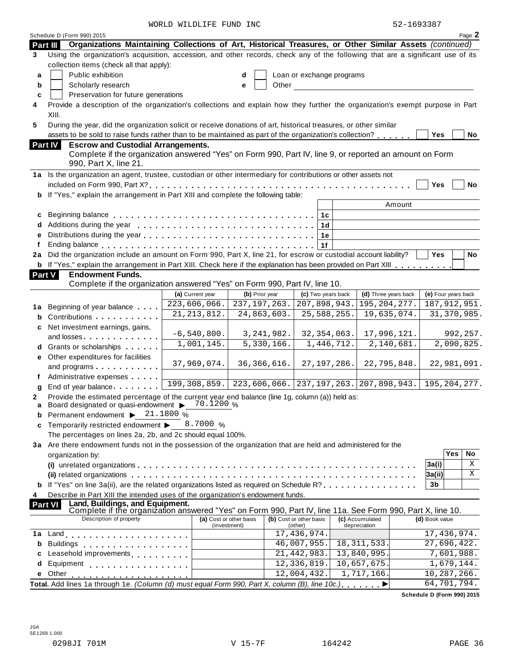WORLD WILDLIFE FUND INC 62-1693387

|                     | Schedule D (Form 990) 2015                                                                                                       |                  |                         |                           |            |                               |                     |               | Page 2      |
|---------------------|----------------------------------------------------------------------------------------------------------------------------------|------------------|-------------------------|---------------------------|------------|-------------------------------|---------------------|---------------|-------------|
| Part III            | Organizations Maintaining Collections of Art, Historical Treasures, or Other Similar Assets (continued)                          |                  |                         |                           |            |                               |                     |               |             |
| 3                   | Using the organization's acquisition, accession, and other records, check any of the following that are a significant use of its |                  |                         |                           |            |                               |                     |               |             |
|                     | collection items (check all that apply):                                                                                         |                  |                         |                           |            |                               |                     |               |             |
| a                   | Public exhibition                                                                                                                |                  | d                       | Loan or exchange programs |            |                               |                     |               |             |
| b                   | Scholarly research                                                                                                               |                  | Other<br>е              |                           |            |                               |                     |               |             |
| c                   | Preservation for future generations                                                                                              |                  |                         |                           |            |                               |                     |               |             |
|                     | Provide a description of the organization's collections and explain how they further the organization's exempt purpose in Part   |                  |                         |                           |            |                               |                     |               |             |
|                     | XIII.                                                                                                                            |                  |                         |                           |            |                               |                     |               |             |
| 5                   | During the year, did the organization solicit or receive donations of art, historical treasures, or other similar                |                  |                         |                           |            |                               |                     |               |             |
|                     | assets to be sold to raise funds rather than to be maintained as part of the organization's collection?                          |                  |                         |                           |            |                               | <b>Yes</b>          |               | No          |
| <b>Part IV</b>      | <b>Escrow and Custodial Arrangements.</b>                                                                                        |                  |                         |                           |            |                               |                     |               |             |
|                     | Complete if the organization answered "Yes" on Form 990, Part IV, line 9, or reported an amount on Form                          |                  |                         |                           |            |                               |                     |               |             |
|                     | 990, Part X, line 21.                                                                                                            |                  |                         |                           |            |                               |                     |               |             |
|                     | 1a Is the organization an agent, trustee, custodian or other intermediary for contributions or other assets not                  |                  |                         |                           |            |                               |                     |               |             |
|                     |                                                                                                                                  |                  |                         |                           |            |                               | Yes                 |               | No          |
| b                   | If "Yes," explain the arrangement in Part XIII and complete the following table:                                                 |                  |                         |                           |            |                               |                     |               |             |
|                     |                                                                                                                                  |                  |                         |                           |            | Amount                        |                     |               |             |
| c                   |                                                                                                                                  |                  |                         | 1 <sup>c</sup>            |            |                               |                     |               |             |
|                     |                                                                                                                                  |                  |                         | 1d                        |            |                               |                     |               |             |
| е                   |                                                                                                                                  |                  |                         | 1e                        |            |                               |                     |               |             |
|                     | Ending balance enterprise and and all the series are series and all the series are series and all the series of                  |                  |                         | 1f                        |            |                               |                     |               |             |
| 2a                  | Did the organization include an amount on Form 990, Part X, line 21, for escrow or custodial account liability?                  |                  |                         |                           |            |                               | <b>Yes</b>          |               | No          |
|                     | <b>b</b> If "Yes," explain the arrangement in Part XIII. Check here if the explanation has been provided on Part XIII            |                  |                         |                           |            |                               |                     |               |             |
| <b>Part V</b>       | <b>Endowment Funds.</b>                                                                                                          |                  |                         |                           |            |                               |                     |               |             |
|                     | Complete if the organization answered "Yes" on Form 990, Part IV, line 10.                                                       |                  |                         |                           |            |                               |                     |               |             |
|                     |                                                                                                                                  | (a) Current year | (b) Prior year          | (c) Two years back        |            | (d) Three years back          | (e) Four years back |               |             |
| 1а                  | Beginning of year balance                                                                                                        | 223,606,066.     | 237, 197, 263.          | 207,898,943.              |            | 195, 204, 277.                | 187, 912, 951.      |               |             |
| b                   | Contributions <b>Contributions</b>                                                                                               | 21, 213, 812.    | 24,863,603.             | 25,588,255.               |            | 19,635,074.                   |                     | 31, 370, 985. |             |
| c                   | Net investment earnings, gains,                                                                                                  |                  |                         |                           |            |                               |                     |               |             |
|                     | and losses experiences and losses                                                                                                | $-6, 540, 800.$  | 3, 241, 982.            | 32, 354, 063.             |            | 17,996,121.                   |                     |               | 992, 257.   |
|                     | Grants or scholarships                                                                                                           | 1,001,145.       | 5,330,166.              |                           | 1,446,712. | 2,140,681.                    |                     |               | 2,090,825.  |
| е                   | Other expenditures for facilities                                                                                                |                  |                         |                           |            |                               |                     |               |             |
|                     | and programs                                                                                                                     | 37,969,074.      | 36, 366, 616.           | 27, 197, 286.             |            | 22,795,848.                   |                     |               | 22,981,091. |
|                     | Administrative expenses                                                                                                          | 199, 308, 859.   | 223,606,066.            |                           |            | 237, 197, 263. 207, 898, 943. | 195, 204, 277.      |               |             |
| q                   | End of year balance                                                                                                              |                  |                         |                           |            |                               |                     |               |             |
| 2                   | Provide the estimated percentage of the current year end balance (line 1g, column (a)) held as:                                  |                  |                         |                           |            |                               |                     |               |             |
| a                   | Board designated or quasi-endowment $\triangleright$ 70.1200 %                                                                   |                  |                         |                           |            |                               |                     |               |             |
| b                   | Permanent endowment > 21.1800 %                                                                                                  | 8.7000 %         |                         |                           |            |                               |                     |               |             |
| c                   | Temporarily restricted endowment ▶<br>The percentages on lines 2a, 2b, and 2c should equal 100%.                                 |                  |                         |                           |            |                               |                     |               |             |
|                     | 3a Are there endowment funds not in the possession of the organization that are held and administered for the                    |                  |                         |                           |            |                               |                     |               |             |
|                     |                                                                                                                                  |                  |                         |                           |            |                               |                     | Yes           | No          |
|                     | organization by:                                                                                                                 |                  |                         |                           |            |                               | 3a(i)               |               | Χ           |
|                     | (ii) related organizations enterpresent respectively in the contract of the contract of the contract or contract $\alpha$        |                  |                         |                           |            |                               | 3a(ii)              |               | X           |
|                     | <b>b</b> If "Yes" on line 3a(ii), are the related organizations listed as required on Schedule R?                                |                  |                         |                           |            |                               | 3b                  |               |             |
|                     | Describe in Part XIII the intended uses of the organization's endowment funds.                                                   |                  |                         |                           |            |                               |                     |               |             |
| 4<br><b>Part VI</b> | Land, Buildings, and Equipment.                                                                                                  |                  |                         |                           |            |                               |                     |               |             |
|                     | Complete if the organization answered "Yes" on Form 990, Part IV, line 11a. See Form 990, Part X, line 10.                       |                  |                         |                           |            |                               |                     |               |             |
|                     | Description of property                                                                                                          |                  | (a) Cost or other basis | (b) Cost or other basis   |            | (c) Accumulated               | (d) Book value      |               |             |
| 1a                  |                                                                                                                                  |                  | (investment)            | (other)<br>17,436,974.    |            | depreciation                  | 17,436,974.         |               |             |
| b                   | <b>Buildings</b><br>.                                                                                                            |                  |                         | 46,007,955.               |            | 18, 311, 533.                 | 27,696,422.         |               |             |
| c                   | Leasehold improvements <b>Leasehold</b> improvements                                                                             |                  |                         | 21, 442, 983.             |            | 13,840,995.                   |                     | 7,601,988.    |             |
| d                   | Equipment<br>.                                                                                                                   |                  |                         | 12,336,819.               |            | 10,657,675.                   |                     | 1,679,144.    |             |
| е                   | Other                                                                                                                            |                  |                         | 12,004,432.               |            | 1,717,166.                    | 10,287,266.         |               |             |
|                     | Total. Add lines 1a through 1e. (Column (d) must equal Form 990, Part X, column (B), line 10c.)                                  |                  |                         |                           |            | ▶                             | 64,701,794.         |               |             |
|                     |                                                                                                                                  |                  |                         |                           |            |                               |                     |               |             |

**Schedule D (Form 990) 2015**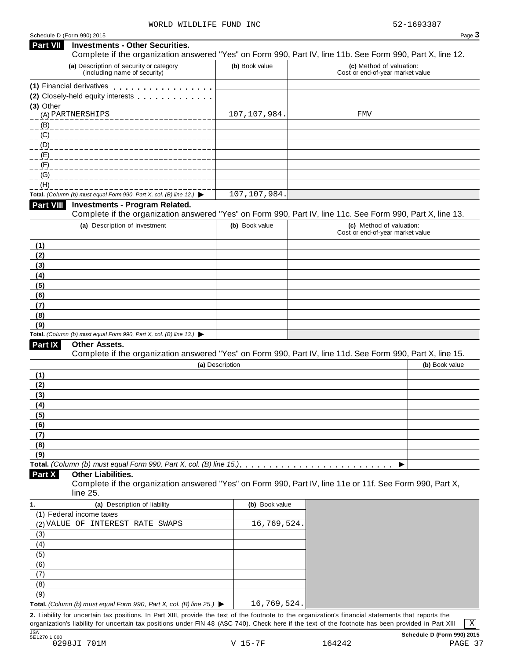| Schedule D (Form 990) 2015 |  |  |
|----------------------------|--|--|
|                            |  |  |

| Schedule D (Form 990) 2015<br><b>Part VII</b><br><b>Investments - Other Securities.</b>         |                 | Page 3                                                                                                     |
|-------------------------------------------------------------------------------------------------|-----------------|------------------------------------------------------------------------------------------------------------|
|                                                                                                 |                 | Complete if the organization answered "Yes" on Form 990, Part IV, line 11b. See Form 990, Part X, line 12. |
| (a) Description of security or category<br>(including name of security)                         | (b) Book value  | (c) Method of valuation:<br>Cost or end-of-year market value                                               |
| (1) Financial derivatives                                                                       |                 |                                                                                                            |
| (2) Closely-held equity interests                                                               |                 |                                                                                                            |
| $(3)$ Other                                                                                     |                 |                                                                                                            |
|                                                                                                 | 107, 107, 984.  | FMV                                                                                                        |
| (B)                                                                                             |                 |                                                                                                            |
| $\underline{(C)}$                                                                               |                 |                                                                                                            |
| (D)                                                                                             |                 |                                                                                                            |
| (E)<br>(E)                                                                                      |                 |                                                                                                            |
| (G)                                                                                             |                 |                                                                                                            |
| (H)                                                                                             |                 |                                                                                                            |
| Total. (Column (b) must equal Form 990, Part X, col. (B) line 12.) $\blacktriangleright$        | 107,107,984.    |                                                                                                            |
| Part VIII<br><b>Investments - Program Related.</b>                                              |                 |                                                                                                            |
|                                                                                                 |                 | Complete if the organization answered "Yes" on Form 990, Part IV, line 11c. See Form 990, Part X, line 13. |
| (a) Description of investment                                                                   | (b) Book value  | (c) Method of valuation:                                                                                   |
|                                                                                                 |                 | Cost or end-of-year market value                                                                           |
| (1)                                                                                             |                 |                                                                                                            |
| (2)                                                                                             |                 |                                                                                                            |
| (3)                                                                                             |                 |                                                                                                            |
| (4)                                                                                             |                 |                                                                                                            |
| (5)                                                                                             |                 |                                                                                                            |
| (6)                                                                                             |                 |                                                                                                            |
| (7)                                                                                             |                 |                                                                                                            |
| (8)                                                                                             |                 |                                                                                                            |
| (9)<br>Total. (Column (b) must equal Form 990, Part X, col. (B) line 13.) $\blacktriangleright$ |                 |                                                                                                            |
| Part IX<br>Other Assets.                                                                        |                 |                                                                                                            |
|                                                                                                 |                 | Complete if the organization answered "Yes" on Form 990, Part IV, line 11d. See Form 990, Part X, line 15. |
|                                                                                                 | (a) Description | (b) Book value                                                                                             |
| (1)                                                                                             |                 |                                                                                                            |
| (2)                                                                                             |                 |                                                                                                            |
| (3)                                                                                             |                 |                                                                                                            |
| (4)                                                                                             |                 |                                                                                                            |
| (5)                                                                                             |                 |                                                                                                            |
| (6)                                                                                             |                 |                                                                                                            |
| (7)                                                                                             |                 |                                                                                                            |
| (8)                                                                                             |                 |                                                                                                            |
| (9)                                                                                             |                 |                                                                                                            |
| <b>Other Liabilities.</b>                                                                       |                 | ▶                                                                                                          |
| Part X                                                                                          |                 | Complete if the organization answered "Yes" on Form 990, Part IV, line 11e or 11f. See Form 990, Part X,   |
| line 25.                                                                                        |                 |                                                                                                            |
| (a) Description of liability                                                                    | (b) Book value  |                                                                                                            |
| (1) Federal income taxes                                                                        |                 |                                                                                                            |
| (2) VALUE OF INTEREST RATE SWAPS                                                                | 16,769,524.     |                                                                                                            |
| (3)                                                                                             |                 |                                                                                                            |
| (4)                                                                                             |                 |                                                                                                            |
| (5)                                                                                             |                 |                                                                                                            |
| (6)                                                                                             |                 |                                                                                                            |
| (7)                                                                                             |                 |                                                                                                            |
| (8)                                                                                             |                 |                                                                                                            |
| (9)<br>Total. (Column (b) must equal Form 990, Part X, col. (B) line 25.) $\blacktriangleright$ | 16,769,524.     |                                                                                                            |
|                                                                                                 |                 |                                                                                                            |

organization's liability for uncertain tax positions under FIN 48 (ASC 740). Check here ifthe text of the footnote has been provided in Part XIII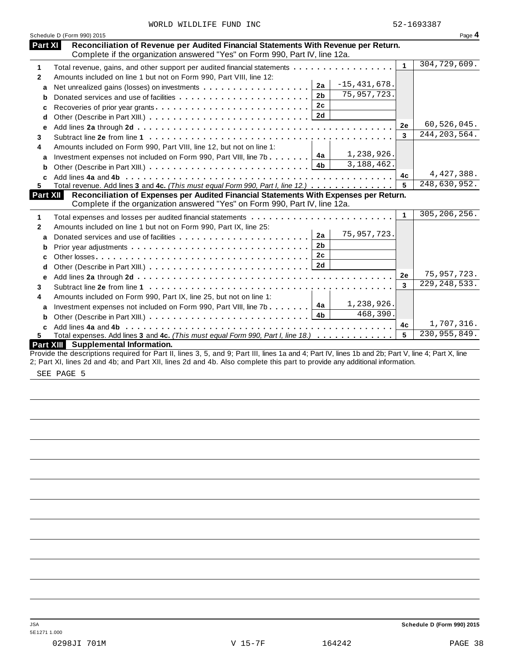| WORLD WILDLIFE FUND INC |  |  |  |  |
|-------------------------|--|--|--|--|
|-------------------------|--|--|--|--|

|              | Schedule D (Form 990) 2015                                                                                                                                         |                | Page 4         |
|--------------|--------------------------------------------------------------------------------------------------------------------------------------------------------------------|----------------|----------------|
| Part XI      | Reconciliation of Revenue per Audited Financial Statements With Revenue per Return.<br>Complete if the organization answered "Yes" on Form 990, Part IV, line 12a. |                |                |
|              |                                                                                                                                                                    | $\mathbf{1}$   | 304, 729, 609. |
| 1            | Total revenue, gains, and other support per audited financial statements                                                                                           |                |                |
| $\mathbf{2}$ | Amounts included on line 1 but not on Form 990, Part VIII, line 12:<br>$-15,431,678.$                                                                              |                |                |
| a            | 2a<br>Net unrealized gains (losses) on investments                                                                                                                 |                |                |
| b            | 75, 957, 723.<br>2 <sub>b</sub>                                                                                                                                    |                |                |
| c            | 2 <sub>c</sub>                                                                                                                                                     |                |                |
| d            | 2d                                                                                                                                                                 |                |                |
| е            |                                                                                                                                                                    | 2e             | 60,526,045.    |
| 3            |                                                                                                                                                                    | $\overline{3}$ | 244, 203, 564. |
| 4            | Amounts included on Form 990, Part VIII, line 12, but not on line 1:                                                                                               |                |                |
| a            | 1,238,926.<br>4a<br>Investment expenses not included on Form 990, Part VIII, line 7b                                                                               |                |                |
| b            | 3, 188, 462.<br>4 <sub>b</sub>                                                                                                                                     |                |                |
| C            |                                                                                                                                                                    | 4c             | 4,427,388.     |
| 5.           | Total revenue. Add lines 3 and 4c. (This must equal Form 990, Part I, line 12.)                                                                                    | 5              | 248,630,952.   |
|              | Reconciliation of Expenses per Audited Financial Statements With Expenses per Return.<br><b>Part XII</b>                                                           |                |                |
|              | Complete if the organization answered "Yes" on Form 990, Part IV, line 12a.                                                                                        |                |                |
| 1            |                                                                                                                                                                    | $\mathbf{1}$   | 305, 206, 256. |
| $\mathbf{2}$ | Amounts included on line 1 but not on Form 990, Part IX, line 25:                                                                                                  |                |                |
| a            | 75, 957, 723.<br>2a                                                                                                                                                |                |                |
| b            | 2 <sub>b</sub>                                                                                                                                                     |                |                |
| c            | 2c                                                                                                                                                                 |                |                |
| d            |                                                                                                                                                                    |                |                |
| e            |                                                                                                                                                                    | 2e             | 75, 957, 723.  |
| 3            |                                                                                                                                                                    | 3              | 229, 248, 533. |
| 4            | Amounts included on Form 990, Part IX, line 25, but not on line 1:                                                                                                 |                |                |
|              | 1,238,926.<br>4a<br>Investment expenses not included on Form 990, Part VIII, line 7b                                                                               |                |                |
| a            | 468,390.<br>4 <sub>b</sub>                                                                                                                                         |                |                |
| b            |                                                                                                                                                                    | 4c             | 1,707,316.     |
| C<br>5.      | Total expenses. Add lines 3 and 4c. (This must equal Form 990, Part I, line 18.)                                                                                   | 5              | 230, 955, 849. |
|              | Part XIII Supplemental Information.                                                                                                                                |                |                |
|              | Provide the descriptions required for Part II, lines 3, 5, and 9; Part III, lines 1a and 4; Part IV, lines 1b and 2b; Part V, line 4; Part X, line                 |                |                |
|              | 2; Part XI, lines 2d and 4b; and Part XII, lines 2d and 4b. Also complete this part to provide any additional information.                                         |                |                |

SEE PAGE 5

JSA **Schedule D (Form 990) 2015**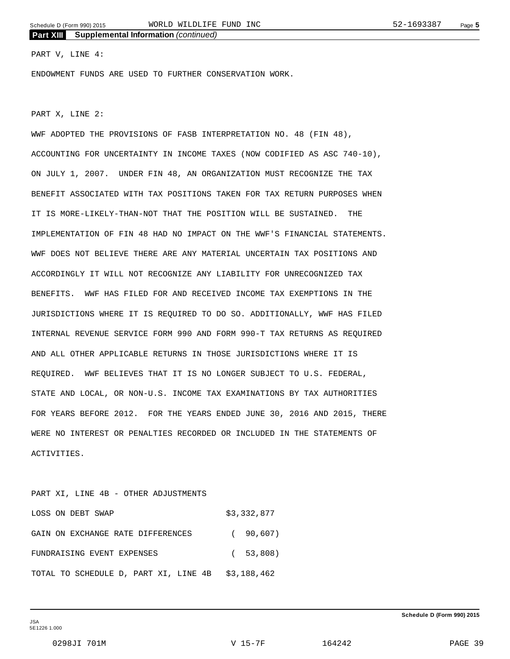### PART V, LINE 4:

ENDOWMENT FUNDS ARE USED TO FURTHER CONSERVATION WORK.

PART X, LINE 2:

WWF ADOPTED THE PROVISIONS OF FASB INTERPRETATION NO. 48 (FIN 48), ACCOUNTING FOR UNCERTAINTY IN INCOME TAXES (NOW CODIFIED AS ASC 740-10), ON JULY 1, 2007. UNDER FIN 48, AN ORGANIZATION MUST RECOGNIZE THE TAX BENEFIT ASSOCIATED WITH TAX POSITIONS TAKEN FOR TAX RETURN PURPOSES WHEN IT IS MORE-LIKELY-THAN-NOT THAT THE POSITION WILL BE SUSTAINED. THE IMPLEMENTATION OF FIN 48 HAD NO IMPACT ON THE WWF'S FINANCIAL STATEMENTS. WWF DOES NOT BELIEVE THERE ARE ANY MATERIAL UNCERTAIN TAX POSITIONS AND ACCORDINGLY IT WILL NOT RECOGNIZE ANY LIABILITY FOR UNRECOGNIZED TAX BENEFITS. WWF HAS FILED FOR AND RECEIVED INCOME TAX EXEMPTIONS IN THE JURISDICTIONS WHERE IT IS REQUIRED TO DO SO. ADDITIONALLY, WWF HAS FILED INTERNAL REVENUE SERVICE FORM 990 AND FORM 990-T TAX RETURNS AS REQUIRED AND ALL OTHER APPLICABLE RETURNS IN THOSE JURISDICTIONS WHERE IT IS REQUIRED. WWF BELIEVES THAT IT IS NO LONGER SUBJECT TO U.S. FEDERAL, STATE AND LOCAL, OR NON-U.S. INCOME TAX EXAMINATIONS BY TAX AUTHORITIES FOR YEARS BEFORE 2012. FOR THE YEARS ENDED JUNE 30, 2016 AND 2015, THERE WERE NO INTEREST OR PENALTIES RECORDED OR INCLUDED IN THE STATEMENTS OF ACTIVITIES.

### PART XI, LINE 4B - OTHER ADJUSTMENTS

| LOSS ON DEBT SWAP                                 | \$3,332,877 |
|---------------------------------------------------|-------------|
| GAIN ON EXCHANGE RATE DIFFERENCES                 | (90.607)    |
| FUNDRAISING EVENT EXPENSES                        | (53,808)    |
| TOTAL TO SCHEDULE D, PART XI, LINE 4B \$3,188,462 |             |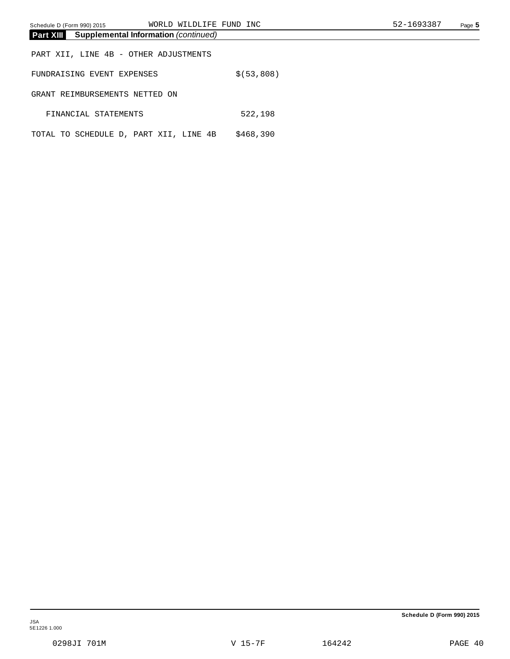| Schedule D (Form 990) 2015                                      | WORLD WILDLIFE FUND INC |              |  | 52-1693387 | Page 5 |
|-----------------------------------------------------------------|-------------------------|--------------|--|------------|--------|
| <b>Part XIII</b><br><b>Supplemental Information (continued)</b> |                         |              |  |            |        |
| PART XII, LINE 4B - OTHER ADJUSTMENTS                           |                         |              |  |            |        |
| FUNDRAISING EVENT EXPENSES                                      |                         | \$ (53, 808) |  |            |        |
| GRANT REIMBURSEMENTS NETTED ON                                  |                         |              |  |            |        |
| FINANCIAL STATEMENTS                                            |                         | 522,198      |  |            |        |
| TOTAL TO SCHEDULE D, PART XII, LINE 4B                          |                         | \$468,390    |  |            |        |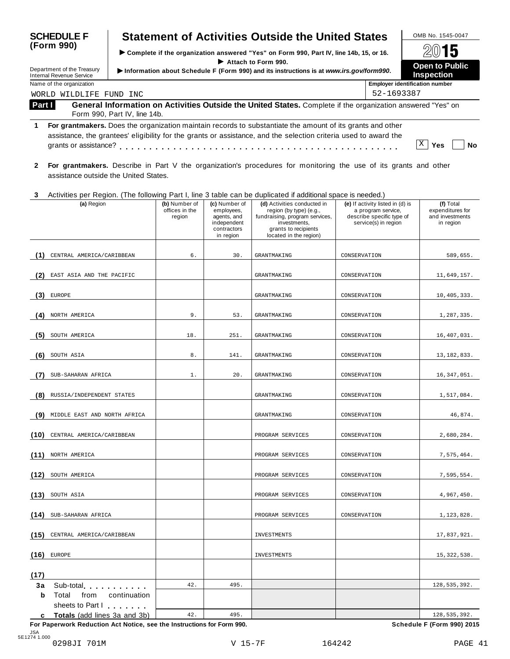| <b>SCHEDULE F</b><br>(Form 990) |                                                               |                              |                                           |                                                                                       | <b>Statement of Activities Outside the United States</b>                                                                                                                                                                       |              |                                                                                                             | OMB No. 1545-0047                                             |
|---------------------------------|---------------------------------------------------------------|------------------------------|-------------------------------------------|---------------------------------------------------------------------------------------|--------------------------------------------------------------------------------------------------------------------------------------------------------------------------------------------------------------------------------|--------------|-------------------------------------------------------------------------------------------------------------|---------------------------------------------------------------|
|                                 |                                                               |                              |                                           |                                                                                       | > Complete if the organization answered "Yes" on Form 990, Part IV, line 14b, 15, or 16.                                                                                                                                       |              |                                                                                                             | 15                                                            |
|                                 | Department of the Treasury<br><b>Internal Revenue Service</b> |                              |                                           |                                                                                       | Attach to Form 990.<br>Information about Schedule F (Form 990) and its instructions is at www.irs.gov/form990.                                                                                                                 |              |                                                                                                             | Open to Public<br><b>Inspection</b>                           |
|                                 | Name of the organization                                      |                              |                                           |                                                                                       |                                                                                                                                                                                                                                |              | <b>Employer identification number</b>                                                                       |                                                               |
|                                 | WORLD WILDLIFE FUND INC                                       |                              |                                           |                                                                                       |                                                                                                                                                                                                                                |              | 52-1693387                                                                                                  |                                                               |
| Part I                          |                                                               | Form 990, Part IV, line 14b. |                                           |                                                                                       | General Information on Activities Outside the United States. Complete if the organization answered "Yes" on                                                                                                                    |              |                                                                                                             |                                                               |
| 1                               |                                                               |                              |                                           |                                                                                       | For grantmakers. Does the organization maintain records to substantiate the amount of its grants and other<br>assistance, the grantees' eligibility for the grants or assistance, and the selection criteria used to award the |              |                                                                                                             | $X \mid$<br>Yes<br>No                                         |
| $\mathbf{2}$                    | assistance outside the United States.                         |                              |                                           |                                                                                       | For grantmakers. Describe in Part V the organization's procedures for monitoring the use of its grants and other                                                                                                               |              |                                                                                                             |                                                               |
| 3                               |                                                               |                              |                                           |                                                                                       | Activities per Region. (The following Part I, line 3 table can be duplicated if additional space is needed.)                                                                                                                   |              |                                                                                                             |                                                               |
|                                 | (a) Region                                                    |                              | (b) Number of<br>offices in the<br>region | (c) Number of<br>employees,<br>agents, and<br>independent<br>contractors<br>in region | (d) Activities conducted in<br>region (by type) (e.g.,<br>fundraising, program services,<br>investments,<br>grants to recipients<br>located in the region)                                                                     |              | (e) If activity listed in (d) is<br>a program service,<br>describe specific type of<br>service(s) in region | (f) Total<br>expenditures for<br>and investments<br>in region |
|                                 |                                                               |                              |                                           |                                                                                       |                                                                                                                                                                                                                                |              |                                                                                                             |                                                               |
| (1)                             | CENTRAL AMERICA/CARIBBEAN                                     |                              | б.                                        | 30.                                                                                   | GRANTMAKING                                                                                                                                                                                                                    | CONSERVATION |                                                                                                             | 589,655.                                                      |
| (2                              | EAST ASIA AND THE PACIFIC                                     |                              |                                           |                                                                                       | GRANTMAKING                                                                                                                                                                                                                    | CONSERVATION |                                                                                                             | 11,649,157.                                                   |
| (3)                             | <b>EUROPE</b>                                                 |                              |                                           |                                                                                       | GRANTMAKING                                                                                                                                                                                                                    | CONSERVATION |                                                                                                             | 10, 405, 333.                                                 |
| (4                              | NORTH AMERICA                                                 |                              | 9.                                        | 53.                                                                                   | GRANTMAKING                                                                                                                                                                                                                    | CONSERVATION |                                                                                                             | 1,287,335.                                                    |
| (5                              | SOUTH AMERICA                                                 |                              | 18.                                       | 251.                                                                                  | GRANTMAKING                                                                                                                                                                                                                    | CONSERVATION |                                                                                                             | 16,407,031.                                                   |
| (6                              | SOUTH ASIA                                                    |                              | $8$ .                                     | 141.                                                                                  | GRANTMAKING                                                                                                                                                                                                                    | CONSERVATION |                                                                                                             | 13, 182, 833.                                                 |
|                                 | SUB-SAHARAN AFRICA                                            |                              | 1.                                        | 20.                                                                                   | <b>GRANTMAKING</b>                                                                                                                                                                                                             | CONSERVATION |                                                                                                             | 16, 347, 051.                                                 |
| (8)                             | RUSSIA/INDEPENDENT STATES                                     |                              |                                           |                                                                                       | <b>GRANTMAKING</b>                                                                                                                                                                                                             | CONSERVATION |                                                                                                             | 1,517,084.                                                    |
| (9)                             | MIDDLE EAST AND NORTH AFRICA                                  |                              |                                           |                                                                                       | <b>GRANTMAKING</b>                                                                                                                                                                                                             | CONSERVATION |                                                                                                             | 46,874.                                                       |
| (10)                            | CENTRAL AMERICA/CARIBBEAN                                     |                              |                                           |                                                                                       | PROGRAM SERVICES                                                                                                                                                                                                               | CONSERVATION |                                                                                                             | 2,680,284.                                                    |
|                                 | (11) NORTH AMERICA                                            |                              |                                           |                                                                                       | PROGRAM SERVICES                                                                                                                                                                                                               | CONSERVATION |                                                                                                             | 7,575,464.                                                    |
| (12)                            | SOUTH AMERICA                                                 |                              |                                           |                                                                                       | PROGRAM SERVICES                                                                                                                                                                                                               | CONSERVATION |                                                                                                             | 7,595,554.                                                    |
| (13)                            | SOUTH ASIA                                                    |                              |                                           |                                                                                       | PROGRAM SERVICES                                                                                                                                                                                                               | CONSERVATION |                                                                                                             | 4,967,450.                                                    |
| (14)                            | SUB-SAHARAN AFRICA                                            |                              |                                           |                                                                                       | PROGRAM SERVICES                                                                                                                                                                                                               | CONSERVATION |                                                                                                             | 1,123,828.                                                    |
| (15)                            | CENTRAL AMERICA/CARIBBEAN                                     |                              |                                           |                                                                                       | INVESTMENTS                                                                                                                                                                                                                    |              |                                                                                                             | 17,837,921.                                                   |
| (16)                            | EUROPE                                                        |                              |                                           |                                                                                       | INVESTMENTS                                                                                                                                                                                                                    |              |                                                                                                             | 15,322,538.                                                   |
| (17)                            |                                                               |                              |                                           |                                                                                       |                                                                                                                                                                                                                                |              |                                                                                                             |                                                               |
| За                              | Sub-total extension and sub-                                  |                              | 42.                                       | 495.                                                                                  |                                                                                                                                                                                                                                |              |                                                                                                             | 128, 535, 392.                                                |
| b                               | Total from                                                    | continuation                 |                                           |                                                                                       |                                                                                                                                                                                                                                |              |                                                                                                             |                                                               |
|                                 | sheets to Part I                                              |                              |                                           |                                                                                       |                                                                                                                                                                                                                                |              |                                                                                                             |                                                               |
|                                 | c Totals (add lines 3a and 3b)                                |                              | 42.                                       | 495.                                                                                  |                                                                                                                                                                                                                                |              |                                                                                                             | 128,535,392.                                                  |

**For Paperwork Reduction Act Notice, see the Instructions for Form 990. Schedule F (Form 990) 2015**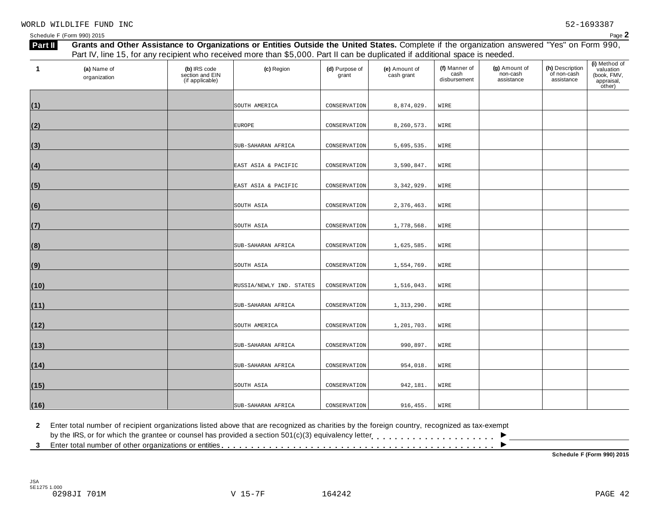| 1    | (a) Name of<br>organization | (b) IRS code<br>section and EIN<br>(if applicable) | (c) Region               | (d) Purpose of<br>grant | (e) Amount of<br>cash grant | (f) Manner of<br>cash<br>disbursement | (g) Amount of<br>non-cash<br>assistance | (h) Description<br>of non-cash<br>assistance | (i) Method of<br>valuation<br>(book, FMV,<br>appraisal,<br>other) |
|------|-----------------------------|----------------------------------------------------|--------------------------|-------------------------|-----------------------------|---------------------------------------|-----------------------------------------|----------------------------------------------|-------------------------------------------------------------------|
|      |                             |                                                    | SOUTH AMERICA            | CONSERVATION            | 8,874,029.                  | WIRE                                  |                                         |                                              |                                                                   |
| (1)  |                             |                                                    |                          |                         |                             |                                       |                                         |                                              |                                                                   |
| (2)  |                             |                                                    | <b>EUROPE</b>            | CONSERVATION            | 8,260,573.                  | WIRE                                  |                                         |                                              |                                                                   |
| (3)  |                             |                                                    | SUB-SAHARAN AFRICA       | CONSERVATION            | 5,695,535.                  | WIRE                                  |                                         |                                              |                                                                   |
| (4)  |                             |                                                    | EAST ASIA & PACIFIC      | CONSERVATION            | 3,590,847.                  | WIRE                                  |                                         |                                              |                                                                   |
| (5)  |                             |                                                    | EAST ASIA & PACIFIC      | CONSERVATION            | 3, 342, 929.                | WIRE                                  |                                         |                                              |                                                                   |
| (6)  |                             |                                                    | SOUTH ASIA               | CONSERVATION            | 2,376,463.                  | WIRE                                  |                                         |                                              |                                                                   |
| (7)  |                             |                                                    | SOUTH ASIA               | CONSERVATION            | 1,778,568.                  | WIRE                                  |                                         |                                              |                                                                   |
| (8)  |                             |                                                    | SUB-SAHARAN AFRICA       | CONSERVATION            | 1,625,585.                  | WIRE                                  |                                         |                                              |                                                                   |
| (9)  |                             |                                                    | SOUTH ASIA               | CONSERVATION            | 1,554,769.                  | WIRE                                  |                                         |                                              |                                                                   |
| (10) |                             |                                                    | RUSSIA/NEWLY IND. STATES | CONSERVATION            | 1,516,043.                  | WIRE                                  |                                         |                                              |                                                                   |
| (11) |                             |                                                    | SUB-SAHARAN AFRICA       | CONSERVATION            | 1,313,290.                  | WIRE                                  |                                         |                                              |                                                                   |
| (12) |                             |                                                    | SOUTH AMERICA            | CONSERVATION            | 1,201,703.                  | WIRE                                  |                                         |                                              |                                                                   |
| (13) |                             |                                                    | SUB-SAHARAN AFRICA       | CONSERVATION            | 990,897.                    | WIRE                                  |                                         |                                              |                                                                   |
| (14) |                             |                                                    | SUB-SAHARAN AFRICA       | CONSERVATION            | 954,018.                    | WIRE                                  |                                         |                                              |                                                                   |
| (15) |                             |                                                    | SOUTH ASIA               | CONSERVATION            | 942,181.                    | WIRE                                  |                                         |                                              |                                                                   |
| (16) |                             |                                                    | SUB-SAHARAN AFRICA       | CONSERVATION            | 916, 455.                   | WIRE                                  |                                         |                                              |                                                                   |

**2** Enter total number of recipient organizations listed above that are recognized as charities by the foreign country, recognized as tax-exempt

2 Enter total number of recipient organizations listed above that are recognized as charities by the foreign country, recognized as tax-exempt<br>by the IRS, or for which the grantee or counsel has provided a section 501(c)(

**Schedule F (Form 990) 2015**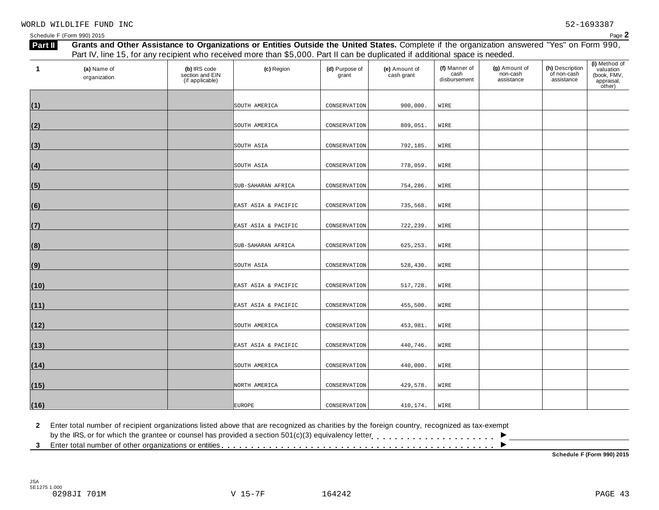| 1    | (a) Name of<br>organization | (b) IRS code<br>section and EIN<br>(if applicable) | (c) Region          | (d) Purpose of<br>grant | (e) Amount of<br>cash grant | (f) Manner of<br>cash<br>disbursement | (g) Amount of<br>non-cash<br>assistance | (h) Description<br>of non-cash<br>assistance | (i) Method of<br>valuation<br>(book, FMV,<br>appraisal,<br>other) |
|------|-----------------------------|----------------------------------------------------|---------------------|-------------------------|-----------------------------|---------------------------------------|-----------------------------------------|----------------------------------------------|-------------------------------------------------------------------|
| (1)  |                             |                                                    | SOUTH AMERICA       | CONSERVATION            | 900,000.                    | WIRE                                  |                                         |                                              |                                                                   |
| (2)  |                             |                                                    | SOUTH AMERICA       | CONSERVATION            | 809,051.                    | WIRE                                  |                                         |                                              |                                                                   |
| (3)  |                             |                                                    | SOUTH ASIA          | CONSERVATION            | 792,185.                    | WIRE                                  |                                         |                                              |                                                                   |
| (4)  |                             |                                                    | SOUTH ASIA          | CONSERVATION            | 778,059.                    | WIRE                                  |                                         |                                              |                                                                   |
| (5)  |                             |                                                    | SUB-SAHARAN AFRICA  | CONSERVATION            | 754,286.                    | WIRE                                  |                                         |                                              |                                                                   |
| (6)  |                             |                                                    | EAST ASIA & PACIFIC | CONSERVATION            | 735,568.                    | WIRE                                  |                                         |                                              |                                                                   |
| (7)  |                             |                                                    | EAST ASIA & PACIFIC | CONSERVATION            | 722,239.                    | WIRE                                  |                                         |                                              |                                                                   |
| (8)  |                             |                                                    | SUB-SAHARAN AFRICA  | CONSERVATION            | 625, 253.                   | WIRE                                  |                                         |                                              |                                                                   |
| (9)  |                             |                                                    | SOUTH ASIA          | CONSERVATION            | 528,430.                    | WIRE                                  |                                         |                                              |                                                                   |
| (10) |                             |                                                    | EAST ASIA & PACIFIC | CONSERVATION            | 517,728.                    | WIRE                                  |                                         |                                              |                                                                   |
| (11) |                             |                                                    | EAST ASIA & PACIFIC | CONSERVATION            | 455,500.                    | WIRE                                  |                                         |                                              |                                                                   |
| (12) |                             |                                                    | SOUTH AMERICA       | CONSERVATION            | 453,981.                    | WIRE                                  |                                         |                                              |                                                                   |
| (13) |                             |                                                    | EAST ASIA & PACIFIC | CONSERVATION            | 440,746.                    | WIRE                                  |                                         |                                              |                                                                   |
| (14) |                             |                                                    | SOUTH AMERICA       | CONSERVATION            | 440,000.                    | WIRE                                  |                                         |                                              |                                                                   |
| (15) |                             |                                                    | NORTH AMERICA       | CONSERVATION            | 429,578.                    | WIRE                                  |                                         |                                              |                                                                   |
| (16) |                             |                                                    | <b>EUROPE</b>       | CONSERVATION            | 410,174.                    | WIRE                                  |                                         |                                              |                                                                   |

**2** Enter total number of recipient organizations listed above that are recognized as charities by the foreign country, recognized as tax-exempt

2 Enter total number of recipient organizations listed above that are recognized as charities by the foreign country, recognized as tax-exempt<br>by the IRS, or for which the grantee or counsel has provided a section 501(c)(

**Schedule F (Form 990) 2015**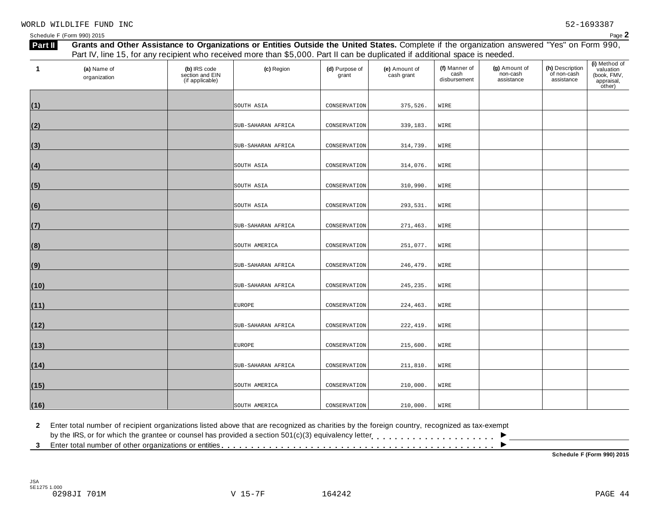| 1    | (a) Name of<br>organization | (b) IRS code<br>section and EIN<br>(if applicable) | (c) Region         | (d) Purpose of<br>grant | (e) Amount of<br>cash grant | (f) Manner of<br>cash<br>disbursement | (g) Amount of<br>non-cash<br>assistance | (h) Description<br>of non-cash<br>assistance | (i) Method of<br>valuation<br>(book, FMV,<br>appraisal,<br>other) |
|------|-----------------------------|----------------------------------------------------|--------------------|-------------------------|-----------------------------|---------------------------------------|-----------------------------------------|----------------------------------------------|-------------------------------------------------------------------|
|      |                             |                                                    |                    |                         |                             |                                       |                                         |                                              |                                                                   |
| (1)  |                             |                                                    | SOUTH ASIA         | CONSERVATION            | 375,526.                    | WIRE                                  |                                         |                                              |                                                                   |
| (2)  |                             |                                                    | SUB-SAHARAN AFRICA | CONSERVATION            | 339,183.                    | WIRE                                  |                                         |                                              |                                                                   |
| (3)  |                             |                                                    | SUB-SAHARAN AFRICA | CONSERVATION            | 314,739.                    | WIRE                                  |                                         |                                              |                                                                   |
| (4)  |                             |                                                    | SOUTH ASIA         | CONSERVATION            | 314,076.                    | WIRE                                  |                                         |                                              |                                                                   |
| (5)  |                             |                                                    | SOUTH ASIA         | CONSERVATION            | 310,990.                    | WIRE                                  |                                         |                                              |                                                                   |
| (6)  |                             |                                                    | SOUTH ASIA         | CONSERVATION            | 293,531.                    | WIRE                                  |                                         |                                              |                                                                   |
| (7)  |                             |                                                    | SUB-SAHARAN AFRICA | CONSERVATION            | 271,463.                    | WIRE                                  |                                         |                                              |                                                                   |
| (8)  |                             |                                                    | SOUTH AMERICA      | CONSERVATION            | 251,077.                    | WIRE                                  |                                         |                                              |                                                                   |
| (9)  |                             |                                                    | SUB-SAHARAN AFRICA | CONSERVATION            | 246,479.                    | WIRE                                  |                                         |                                              |                                                                   |
| (10) |                             |                                                    | SUB-SAHARAN AFRICA | CONSERVATION            | 245, 235.                   | WIRE                                  |                                         |                                              |                                                                   |
| (11) |                             |                                                    | <b>EUROPE</b>      | CONSERVATION            | 224, 463.                   | WIRE                                  |                                         |                                              |                                                                   |
| (12) |                             |                                                    | SUB-SAHARAN AFRICA | CONSERVATION            | 222, 419.                   | WIRE                                  |                                         |                                              |                                                                   |
| (13) |                             |                                                    | <b>EUROPE</b>      | CONSERVATION            | 215,600.                    | WIRE                                  |                                         |                                              |                                                                   |
| (14) |                             |                                                    | SUB-SAHARAN AFRICA | CONSERVATION            | 211,810.                    | WIRE                                  |                                         |                                              |                                                                   |
| (15) |                             |                                                    | SOUTH AMERICA      | CONSERVATION            | 210,000.                    | WIRE                                  |                                         |                                              |                                                                   |
| (16) |                             |                                                    | SOUTH AMERICA      | CONSERVATION            | 210,000.                    | WIRE                                  |                                         |                                              |                                                                   |

**2** Enter total number of recipient organizations listed above that are recognized as charities by the foreign country, recognized as tax-exempt

2 Enter total number of recipient organizations listed above that are recognized as charities by the foreign country, recognized as tax-exempt<br>by the IRS, or for which the grantee or counsel has provided a section 501(c)(

**Schedule F (Form 990) 2015**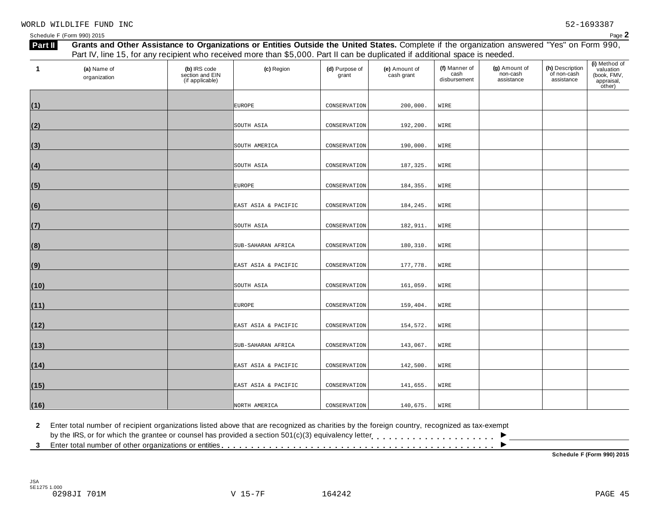| 1    | (a) Name of<br>organization | (b) IRS code<br>section and EIN<br>(if applicable) | (c) Region          | (d) Purpose of<br>grant | (e) Amount of<br>cash grant | (f) Manner of<br>cash<br>disbursement | (g) Amount of<br>non-cash<br>assistance | (h) Description<br>of non-cash<br>assistance | (i) Method of<br>valuation<br>(book, FMV,<br>appraisal,<br>other) |
|------|-----------------------------|----------------------------------------------------|---------------------|-------------------------|-----------------------------|---------------------------------------|-----------------------------------------|----------------------------------------------|-------------------------------------------------------------------|
|      |                             |                                                    |                     |                         |                             |                                       |                                         |                                              |                                                                   |
| (1)  |                             |                                                    | <b>EUROPE</b>       | CONSERVATION            | 200,000.                    | WIRE                                  |                                         |                                              |                                                                   |
| (2)  |                             |                                                    | SOUTH ASIA          | CONSERVATION            | 192,200.                    | WIRE                                  |                                         |                                              |                                                                   |
| (3)  |                             |                                                    | SOUTH AMERICA       | CONSERVATION            | 190,000.                    | WIRE                                  |                                         |                                              |                                                                   |
| (4)  |                             |                                                    | SOUTH ASIA          | CONSERVATION            | 187,325.                    | WIRE                                  |                                         |                                              |                                                                   |
| (5)  |                             |                                                    | <b>EUROPE</b>       | CONSERVATION            | 184,355.                    | WIRE                                  |                                         |                                              |                                                                   |
| (6)  |                             |                                                    | EAST ASIA & PACIFIC | CONSERVATION            | 184,245.                    | WIRE                                  |                                         |                                              |                                                                   |
| (7)  |                             |                                                    | SOUTH ASIA          | CONSERVATION            | 182,911.                    | WIRE                                  |                                         |                                              |                                                                   |
| (8)  |                             |                                                    | SUB-SAHARAN AFRICA  | CONSERVATION            | 180,310.                    | WIRE                                  |                                         |                                              |                                                                   |
| (9)  |                             |                                                    | EAST ASIA & PACIFIC | CONSERVATION            | 177,778.                    | WIRE                                  |                                         |                                              |                                                                   |
| (10) |                             |                                                    | SOUTH ASIA          | CONSERVATION            | 161,059.                    | WIRE                                  |                                         |                                              |                                                                   |
| (11) |                             |                                                    | <b>EUROPE</b>       | CONSERVATION            | 159,404.                    | WIRE                                  |                                         |                                              |                                                                   |
| (12) |                             |                                                    | EAST ASIA & PACIFIC | CONSERVATION            | 154,572.                    | WIRE                                  |                                         |                                              |                                                                   |
| (13) |                             |                                                    | SUB-SAHARAN AFRICA  | CONSERVATION            | 143,067.                    | WIRE                                  |                                         |                                              |                                                                   |
| (14) |                             |                                                    | EAST ASIA & PACIFIC | CONSERVATION            | 142,500.                    | WIRE                                  |                                         |                                              |                                                                   |
| (15) |                             |                                                    | EAST ASIA & PACIFIC | CONSERVATION            | 141,655.                    | WIRE                                  |                                         |                                              |                                                                   |
| (16) |                             |                                                    | NORTH AMERICA       | CONSERVATION            | 140,675.                    | WIRE                                  |                                         |                                              |                                                                   |

**2** Enter total number of recipient organizations listed above that are recognized as charities by the foreign country, recognized as tax-exempt

2 Enter total number of recipient organizations listed above that are recognized as charities by the foreign country, recognized as tax-exempt<br>by the IRS, or for which the grantee or counsel has provided a section 501(c)(

**Schedule F (Form 990) 2015**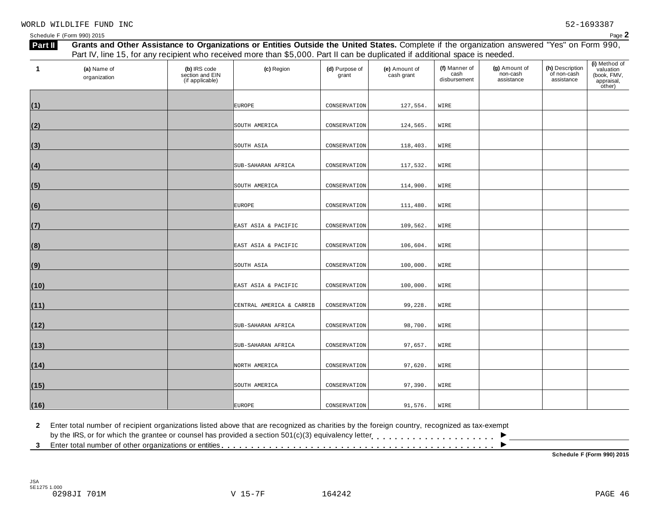| 1    | (a) Name of<br>organization | (b) IRS code<br>section and EIN<br>(if applicable) | (c) Region               | (d) Purpose of<br>grant | (e) Amount of<br>cash grant | (f) Manner of<br>cash<br>disbursement | (g) Amount of<br>non-cash<br>assistance | (h) Description<br>of non-cash<br>assistance | (i) Method of<br>valuation<br>(book, FMV,<br>appraisal,<br>other) |
|------|-----------------------------|----------------------------------------------------|--------------------------|-------------------------|-----------------------------|---------------------------------------|-----------------------------------------|----------------------------------------------|-------------------------------------------------------------------|
| (1)  |                             |                                                    | <b>EUROPE</b>            | CONSERVATION            | 127,554.                    | WIRE                                  |                                         |                                              |                                                                   |
| (2)  |                             |                                                    | SOUTH AMERICA            | CONSERVATION            | 124,565.                    | WIRE                                  |                                         |                                              |                                                                   |
| (3)  |                             |                                                    | SOUTH ASIA               | CONSERVATION            | 118,403.                    | WIRE                                  |                                         |                                              |                                                                   |
| (4)  |                             |                                                    | SUB-SAHARAN AFRICA       | CONSERVATION            | 117,532.                    | WIRE                                  |                                         |                                              |                                                                   |
| (5)  |                             |                                                    | SOUTH AMERICA            | CONSERVATION            | 114,900.                    | WIRE                                  |                                         |                                              |                                                                   |
| (6)  |                             |                                                    | <b>EUROPE</b>            | CONSERVATION            | 111,480.                    | WIRE                                  |                                         |                                              |                                                                   |
| (7)  |                             |                                                    | EAST ASIA & PACIFIC      | CONSERVATION            | 109,562.                    | WIRE                                  |                                         |                                              |                                                                   |
| (8)  |                             |                                                    | EAST ASIA & PACIFIC      | CONSERVATION            | 106,604.                    | WIRE                                  |                                         |                                              |                                                                   |
| (9)  |                             |                                                    | SOUTH ASIA               | CONSERVATION            | 100,000.                    | WIRE                                  |                                         |                                              |                                                                   |
| (10) |                             |                                                    | EAST ASIA & PACIFIC      | CONSERVATION            | 100,000.                    | WIRE                                  |                                         |                                              |                                                                   |
| (11) |                             |                                                    | CENTRAL AMERICA & CARRIB | CONSERVATION            | 99,228.                     | WIRE                                  |                                         |                                              |                                                                   |
| (12) |                             |                                                    | SUB-SAHARAN AFRICA       | CONSERVATION            | 98,700.                     | WIRE                                  |                                         |                                              |                                                                   |
| (13) |                             |                                                    | SUB-SAHARAN AFRICA       | CONSERVATION            | 97,657.                     | WIRE                                  |                                         |                                              |                                                                   |
| (14) |                             |                                                    | NORTH AMERICA            | CONSERVATION            | 97,620.                     | WIRE                                  |                                         |                                              |                                                                   |
| (15) |                             |                                                    | SOUTH AMERICA            | CONSERVATION            | 97,390.                     | WIRE                                  |                                         |                                              |                                                                   |
| (16) |                             |                                                    | <b>EUROPE</b>            | CONSERVATION            | 91,576.                     | WIRE                                  |                                         |                                              |                                                                   |

**2** Enter total number of recipient organizations listed above that are recognized as charities by the foreign country, recognized as tax-exempt

2 Enter total number of recipient organizations listed above that are recognized as charities by the foreign country, recognized as tax-exempt<br>by the IRS, or for which the grantee or counsel has provided a section 501(c)(

**Schedule F (Form 990) 2015**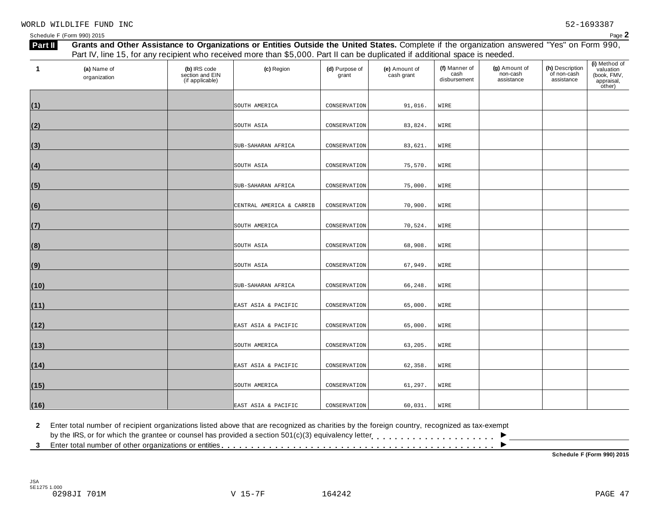| 1    | (a) Name of<br>organization | (b) IRS code<br>section and EIN<br>(if applicable) | (c) Region               | (d) Purpose of<br>grant | (e) Amount of<br>cash grant | (f) Manner of<br>cash<br>disbursement | (g) Amount of<br>non-cash<br>assistance | (h) Description<br>of non-cash<br>assistance | (i) Method of<br>valuation<br>(book, FMV,<br>appraisal,<br>other) |
|------|-----------------------------|----------------------------------------------------|--------------------------|-------------------------|-----------------------------|---------------------------------------|-----------------------------------------|----------------------------------------------|-------------------------------------------------------------------|
| (1)  |                             |                                                    | SOUTH AMERICA            | CONSERVATION            | 91,016.                     | WIRE                                  |                                         |                                              |                                                                   |
| (2)  |                             |                                                    | SOUTH ASIA               | CONSERVATION            | 83,824.                     | WIRE                                  |                                         |                                              |                                                                   |
| (3)  |                             |                                                    | SUB-SAHARAN AFRICA       | CONSERVATION            | 83,621.                     | WIRE                                  |                                         |                                              |                                                                   |
| (4)  |                             |                                                    | SOUTH ASIA               | CONSERVATION            | 75,570.                     | WIRE                                  |                                         |                                              |                                                                   |
| (5)  |                             |                                                    | SUB-SAHARAN AFRICA       | CONSERVATION            | 75,000.                     | WIRE                                  |                                         |                                              |                                                                   |
| (6)  |                             |                                                    | CENTRAL AMERICA & CARRIB | CONSERVATION            | 70,900.                     | WIRE                                  |                                         |                                              |                                                                   |
| (7)  |                             |                                                    | SOUTH AMERICA            | CONSERVATION            | 70,524.                     | WIRE                                  |                                         |                                              |                                                                   |
| (8)  |                             |                                                    | SOUTH ASIA               | CONSERVATION            | 68,908.                     | WIRE                                  |                                         |                                              |                                                                   |
| (9)  |                             |                                                    | SOUTH ASIA               | CONSERVATION            | 67,949.                     | WIRE                                  |                                         |                                              |                                                                   |
| (10) |                             |                                                    | SUB-SAHARAN AFRICA       | CONSERVATION            | 66,248.                     | WIRE                                  |                                         |                                              |                                                                   |
| (11) |                             |                                                    | EAST ASIA & PACIFIC      | CONSERVATION            | 65,000.                     | WIRE                                  |                                         |                                              |                                                                   |
| (12) |                             |                                                    | EAST ASIA & PACIFIC      | CONSERVATION            | 65,000.                     | WIRE                                  |                                         |                                              |                                                                   |
| (13) |                             |                                                    | SOUTH AMERICA            | CONSERVATION            | 63,205.                     | WIRE                                  |                                         |                                              |                                                                   |
| (14) |                             |                                                    | EAST ASIA & PACIFIC      | CONSERVATION            | 62,358.                     | WIRE                                  |                                         |                                              |                                                                   |
| (15) |                             |                                                    | SOUTH AMERICA            | CONSERVATION            | 61,297.                     | WIRE                                  |                                         |                                              |                                                                   |
| (16) |                             |                                                    | EAST ASIA & PACIFIC      | CONSERVATION            | 60,031.                     | WIRE                                  |                                         |                                              |                                                                   |

**2** Enter total number of recipient organizations listed above that are recognized as charities by the foreign country, recognized as tax-exempt

2 Enter total number of recipient organizations listed above that are recognized as charities by the foreign country, recognized as tax-exempt<br>by the IRS, or for which the grantee or counsel has provided a section 501(c)(

**Schedule F (Form 990) 2015**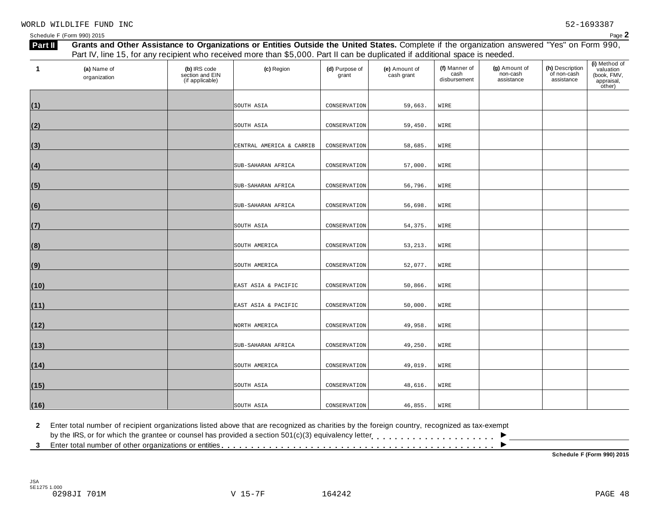| 1    | (a) Name of<br>organization | (b) IRS code<br>section and EIN<br>(if applicable) | (c) Region               | (d) Purpose of<br>grant | (e) Amount of<br>cash grant | (f) Manner of<br>cash<br>disbursement | (g) Amount of<br>non-cash<br>assistance | (h) Description<br>of non-cash<br>assistance | (i) Method of<br>valuation<br>(book, FMV,<br>appraisal,<br>other) |
|------|-----------------------------|----------------------------------------------------|--------------------------|-------------------------|-----------------------------|---------------------------------------|-----------------------------------------|----------------------------------------------|-------------------------------------------------------------------|
|      |                             |                                                    |                          |                         |                             |                                       |                                         |                                              |                                                                   |
| (1)  |                             |                                                    | SOUTH ASIA               | CONSERVATION            | 59,663.                     | WIRE                                  |                                         |                                              |                                                                   |
| (2)  |                             |                                                    | SOUTH ASIA               | CONSERVATION            | 59,450.                     | WIRE                                  |                                         |                                              |                                                                   |
| (3)  |                             |                                                    | CENTRAL AMERICA & CARRIB | CONSERVATION            | 58,685.                     | WIRE                                  |                                         |                                              |                                                                   |
| (4)  |                             |                                                    | SUB-SAHARAN AFRICA       | CONSERVATION            | 57,000.                     | WIRE                                  |                                         |                                              |                                                                   |
| (5)  |                             |                                                    | SUB-SAHARAN AFRICA       | CONSERVATION            | 56,796.                     | WIRE                                  |                                         |                                              |                                                                   |
| (6)  |                             |                                                    | SUB-SAHARAN AFRICA       | CONSERVATION            | 56,698.                     | WIRE                                  |                                         |                                              |                                                                   |
| (7)  |                             |                                                    | SOUTH ASIA               | CONSERVATION            | 54,375.                     | WIRE                                  |                                         |                                              |                                                                   |
| (8)  |                             |                                                    | SOUTH AMERICA            | CONSERVATION            | 53, 213.                    | WIRE                                  |                                         |                                              |                                                                   |
| (9)  |                             |                                                    | SOUTH AMERICA            | CONSERVATION            | 52,077.                     | WIRE                                  |                                         |                                              |                                                                   |
| (10) |                             |                                                    | EAST ASIA & PACIFIC      | CONSERVATION            | 50,866.                     | WIRE                                  |                                         |                                              |                                                                   |
| (11) |                             |                                                    | EAST ASIA & PACIFIC      | CONSERVATION            | 50,000.                     | WIRE                                  |                                         |                                              |                                                                   |
| (12) |                             |                                                    | NORTH AMERICA            | CONSERVATION            | 49,958.                     | WIRE                                  |                                         |                                              |                                                                   |
| (13) |                             |                                                    | SUB-SAHARAN AFRICA       | CONSERVATION            | 49,250.                     | WIRE                                  |                                         |                                              |                                                                   |
| (14) |                             |                                                    | SOUTH AMERICA            | CONSERVATION            | 49,019.                     | WIRE                                  |                                         |                                              |                                                                   |
| (15) |                             |                                                    | SOUTH ASIA               | CONSERVATION            | 48,616.                     | WIRE                                  |                                         |                                              |                                                                   |
| (16) |                             |                                                    | SOUTH ASIA               | CONSERVATION            | 46,855.                     | WIRE                                  |                                         |                                              |                                                                   |

**2** Enter total number of recipient organizations listed above that are recognized as charities by the foreign country, recognized as tax-exempt

2 Enter total number of recipient organizations listed above that are recognized as charities by the foreign country, recognized as tax-exempt<br>by the IRS, or for which the grantee or counsel has provided a section 501(c)(

**Schedule F (Form 990) 2015**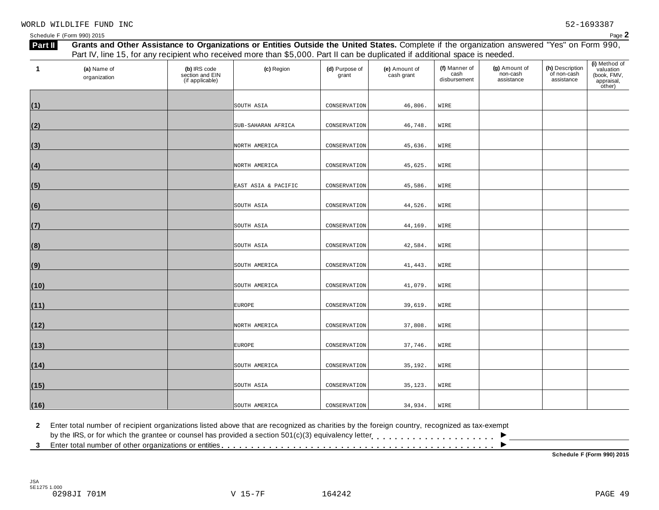| 1    | (a) Name of<br>organization | (b) IRS code<br>section and EIN<br>(if applicable) | (c) Region          | (d) Purpose of<br>grant | (e) Amount of<br>cash grant | (f) Manner of<br>cash<br>disbursement | (g) Amount of<br>non-cash<br>assistance | (h) Description<br>of non-cash<br>assistance | (i) Method of<br>valuation<br>(book, FMV,<br>appraisal, |
|------|-----------------------------|----------------------------------------------------|---------------------|-------------------------|-----------------------------|---------------------------------------|-----------------------------------------|----------------------------------------------|---------------------------------------------------------|
|      |                             |                                                    |                     |                         |                             |                                       |                                         |                                              | other)                                                  |
| (1)  |                             |                                                    | SOUTH ASIA          | CONSERVATION            | 46,806.                     | WIRE                                  |                                         |                                              |                                                         |
| (2)  |                             |                                                    | SUB-SAHARAN AFRICA  | CONSERVATION            | 46,748.                     | WIRE                                  |                                         |                                              |                                                         |
|      |                             |                                                    |                     |                         |                             |                                       |                                         |                                              |                                                         |
| (3)  |                             |                                                    | NORTH AMERICA       | CONSERVATION            | 45,636.                     | WIRE                                  |                                         |                                              |                                                         |
| (4)  |                             |                                                    | NORTH AMERICA       | CONSERVATION            | 45,625.                     | WIRE                                  |                                         |                                              |                                                         |
| (5)  |                             |                                                    | EAST ASIA & PACIFIC | CONSERVATION            | 45,586.                     | WIRE                                  |                                         |                                              |                                                         |
| (6)  |                             |                                                    | SOUTH ASIA          | CONSERVATION            | 44,526.                     | WIRE                                  |                                         |                                              |                                                         |
| (7)  |                             |                                                    | SOUTH ASIA          | CONSERVATION            | 44,169.                     | WIRE                                  |                                         |                                              |                                                         |
| (8)  |                             |                                                    | SOUTH ASIA          | CONSERVATION            | 42,584.                     | WIRE                                  |                                         |                                              |                                                         |
|      |                             |                                                    |                     |                         |                             |                                       |                                         |                                              |                                                         |
| (9)  |                             |                                                    | SOUTH AMERICA       | CONSERVATION            | 41, 443.                    | WIRE                                  |                                         |                                              |                                                         |
| (10) |                             |                                                    | SOUTH AMERICA       | CONSERVATION            | 41,079.                     | WIRE                                  |                                         |                                              |                                                         |
| (11) |                             |                                                    | <b>EUROPE</b>       | CONSERVATION            | 39,619.                     | WIRE                                  |                                         |                                              |                                                         |
| (12) |                             |                                                    | NORTH AMERICA       | CONSERVATION            | 37,808.                     | WIRE                                  |                                         |                                              |                                                         |
| (13) |                             |                                                    | <b>EUROPE</b>       | CONSERVATION            | 37,746.                     | WIRE                                  |                                         |                                              |                                                         |
|      |                             |                                                    |                     |                         |                             |                                       |                                         |                                              |                                                         |
| (14) |                             |                                                    | SOUTH AMERICA       | CONSERVATION            | 35,192.                     | WIRE                                  |                                         |                                              |                                                         |
| (15) |                             |                                                    | SOUTH ASIA          | CONSERVATION            | 35,123.                     | WIRE                                  |                                         |                                              |                                                         |
| (16) |                             |                                                    | SOUTH AMERICA       | CONSERVATION            | 34,934.                     | WIRE                                  |                                         |                                              |                                                         |

**2** Enter total number of recipient organizations listed above that are recognized as charities by the foreign country, recognized as tax-exempt

2 Enter total number of recipient organizations listed above that are recognized as charities by the foreign country, recognized as tax-exempt<br>by the IRS, or for which the grantee or counsel has provided a section 501(c)(

**Schedule F (Form 990) 2015**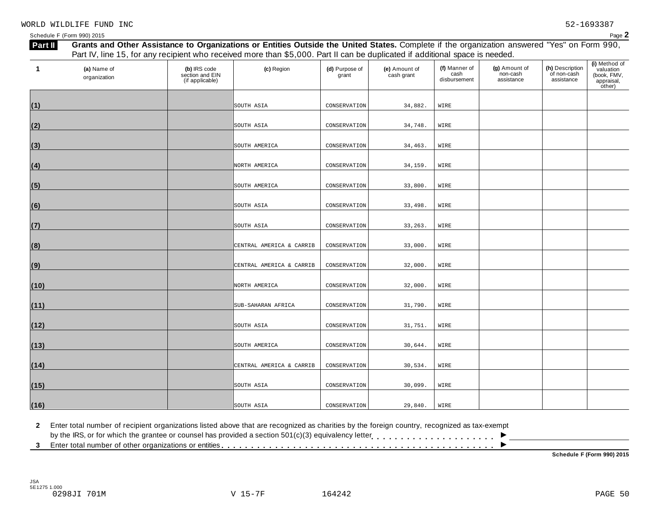| 1    | (a) Name of<br>organization | (b) IRS code<br>section and EIN<br>(if applicable) | (c) Region               | (d) Purpose of<br>grant | (e) Amount of<br>cash grant | (f) Manner of<br>cash<br>disbursement | (g) Amount of<br>non-cash<br>assistance | (h) Description<br>of non-cash<br>assistance | (i) Method of<br>valuation<br>(book, FMV,<br>appraisal,<br>other) |
|------|-----------------------------|----------------------------------------------------|--------------------------|-------------------------|-----------------------------|---------------------------------------|-----------------------------------------|----------------------------------------------|-------------------------------------------------------------------|
|      |                             |                                                    |                          |                         |                             |                                       |                                         |                                              |                                                                   |
| (1)  |                             |                                                    | SOUTH ASIA               | CONSERVATION            | 34,882.                     | WIRE                                  |                                         |                                              |                                                                   |
| (2)  |                             |                                                    | SOUTH ASIA               | CONSERVATION            | 34,748.                     | WIRE                                  |                                         |                                              |                                                                   |
| (3)  |                             |                                                    | SOUTH AMERICA            | CONSERVATION            | 34,463.                     | WIRE                                  |                                         |                                              |                                                                   |
| (4)  |                             |                                                    | NORTH AMERICA            | CONSERVATION            | 34,159.                     | WIRE                                  |                                         |                                              |                                                                   |
| (5)  |                             |                                                    | SOUTH AMERICA            | CONSERVATION            | 33,800.                     | WIRE                                  |                                         |                                              |                                                                   |
| (6)  |                             |                                                    | SOUTH ASIA               | CONSERVATION            | 33,498.                     | WIRE                                  |                                         |                                              |                                                                   |
| (7)  |                             |                                                    | SOUTH ASIA               | CONSERVATION            | 33, 263.                    | WIRE                                  |                                         |                                              |                                                                   |
| (8)  |                             |                                                    | CENTRAL AMERICA & CARRIB | CONSERVATION            | 33,000.                     | WIRE                                  |                                         |                                              |                                                                   |
| (9)  |                             |                                                    | CENTRAL AMERICA & CARRIB | CONSERVATION            | 32,000.                     | WIRE                                  |                                         |                                              |                                                                   |
| (10) |                             |                                                    | NORTH AMERICA            | CONSERVATION            | 32,000.                     | WIRE                                  |                                         |                                              |                                                                   |
| (11) |                             |                                                    | SUB-SAHARAN AFRICA       | CONSERVATION            | 31,790.                     | WIRE                                  |                                         |                                              |                                                                   |
| (12) |                             |                                                    | SOUTH ASIA               | CONSERVATION            | 31,751.                     | WIRE                                  |                                         |                                              |                                                                   |
| (13) |                             |                                                    | SOUTH AMERICA            | CONSERVATION            | 30,644.                     | WIRE                                  |                                         |                                              |                                                                   |
| (14) |                             |                                                    | CENTRAL AMERICA & CARRIB | CONSERVATION            | 30,534.                     | WIRE                                  |                                         |                                              |                                                                   |
| (15) |                             |                                                    | SOUTH ASIA               | CONSERVATION            | 30,099.                     | WIRE                                  |                                         |                                              |                                                                   |
| (16) |                             |                                                    | SOUTH ASIA               | CONSERVATION            | 29,840.                     | WIRE                                  |                                         |                                              |                                                                   |

**2** Enter total number of recipient organizations listed above that are recognized as charities by the foreign country, recognized as tax-exempt

2 Enter total number of recipient organizations listed above that are recognized as charities by the foreign country, recognized as tax-exempt<br>by the IRS, or for which the grantee or counsel has provided a section 501(c)(

**Schedule F (Form 990) 2015**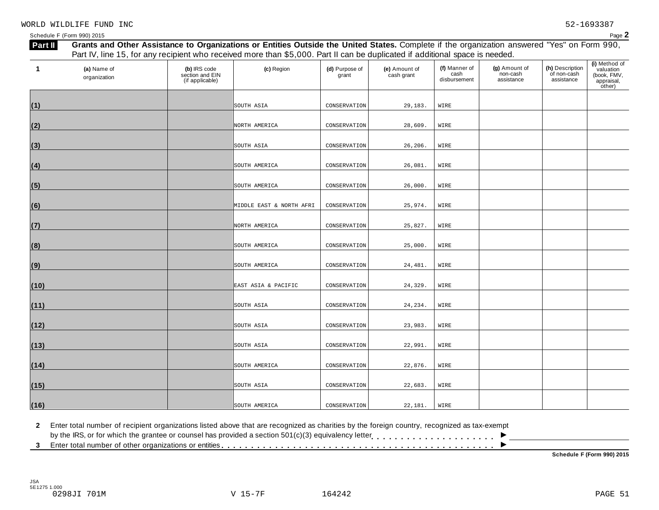| 1    | (a) Name of<br>organization | (b) IRS code<br>section and EIN<br>(if applicable) | (c) Region               | (d) Purpose of<br>grant | (e) Amount of<br>cash grant | (f) Manner of<br>cash<br>disbursement | (g) Amount of<br>non-cash<br>assistance | (h) Description<br>of non-cash<br>assistance | (i) Method of<br>valuation<br>(book, FMV,<br>appraisal,<br>other) |
|------|-----------------------------|----------------------------------------------------|--------------------------|-------------------------|-----------------------------|---------------------------------------|-----------------------------------------|----------------------------------------------|-------------------------------------------------------------------|
|      |                             |                                                    |                          |                         |                             |                                       |                                         |                                              |                                                                   |
| (1)  |                             |                                                    | SOUTH ASIA               | CONSERVATION            | 29,183.                     | WIRE                                  |                                         |                                              |                                                                   |
| (2)  |                             |                                                    | NORTH AMERICA            | CONSERVATION            | 28,609.                     | WIRE                                  |                                         |                                              |                                                                   |
| (3)  |                             |                                                    | SOUTH ASIA               | CONSERVATION            | 26,206.                     | WIRE                                  |                                         |                                              |                                                                   |
| (4)  |                             |                                                    | SOUTH AMERICA            | CONSERVATION            | 26,081.                     | WIRE                                  |                                         |                                              |                                                                   |
| (5)  |                             |                                                    | SOUTH AMERICA            | CONSERVATION            | 26,000.                     | WIRE                                  |                                         |                                              |                                                                   |
| (6)  |                             |                                                    | MIDDLE EAST & NORTH AFRI | CONSERVATION            | 25,974.                     | WIRE                                  |                                         |                                              |                                                                   |
| (7)  |                             |                                                    | NORTH AMERICA            | CONSERVATION            | 25,827.                     | WIRE                                  |                                         |                                              |                                                                   |
| (8)  |                             |                                                    | SOUTH AMERICA            | CONSERVATION            | 25,000.                     | WIRE                                  |                                         |                                              |                                                                   |
| (9)  |                             |                                                    | SOUTH AMERICA            | CONSERVATION            | 24,481.                     | WIRE                                  |                                         |                                              |                                                                   |
| (10) |                             |                                                    | EAST ASIA & PACIFIC      | CONSERVATION            | 24,329.                     | WIRE                                  |                                         |                                              |                                                                   |
| (11) |                             |                                                    | SOUTH ASIA               | CONSERVATION            | 24,234.                     | WIRE                                  |                                         |                                              |                                                                   |
| (12) |                             |                                                    | SOUTH ASIA               | CONSERVATION            | 23,983.                     | WIRE                                  |                                         |                                              |                                                                   |
| (13) |                             |                                                    | SOUTH ASIA               | CONSERVATION            | 22,991.                     | WIRE                                  |                                         |                                              |                                                                   |
| (14) |                             |                                                    | SOUTH AMERICA            | CONSERVATION            | 22,876.                     | WIRE                                  |                                         |                                              |                                                                   |
| (15) |                             |                                                    | SOUTH ASIA               | CONSERVATION            | 22,683.                     | WIRE                                  |                                         |                                              |                                                                   |
| (16) |                             |                                                    | SOUTH AMERICA            | CONSERVATION            | 22,181.                     | WIRE                                  |                                         |                                              |                                                                   |

**2** Enter total number of recipient organizations listed above that are recognized as charities by the foreign country, recognized as tax-exempt

2 Enter total number of recipient organizations listed above that are recognized as charities by the foreign country, recognized as tax-exempt<br>by the IRS, or for which the grantee or counsel has provided a section 501(c)(

**Schedule F (Form 990) 2015**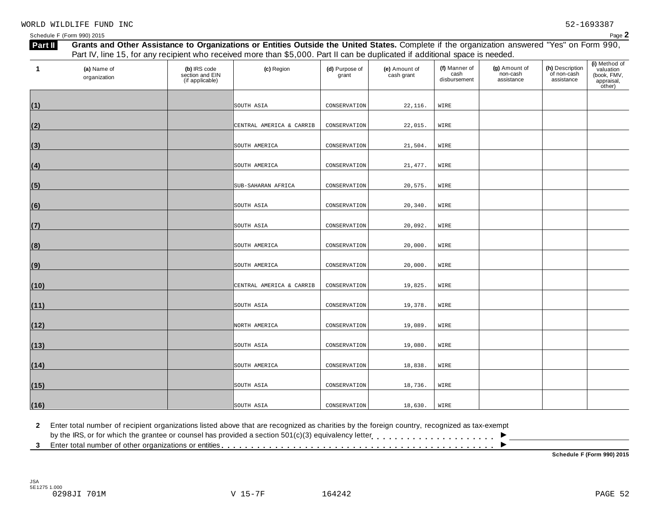| 1    | (a) Name of<br>organization | (b) IRS code<br>section and EIN<br>(if applicable) | (c) Region               | (d) Purpose of<br>grant | (e) Amount of<br>cash grant | (f) Manner of<br>cash<br>disbursement | (g) Amount of<br>non-cash<br>assistance | (h) Description<br>of non-cash<br>assistance | (i) Method of<br>valuation<br>(book, FMV,<br>appraisal,<br>other) |
|------|-----------------------------|----------------------------------------------------|--------------------------|-------------------------|-----------------------------|---------------------------------------|-----------------------------------------|----------------------------------------------|-------------------------------------------------------------------|
|      |                             |                                                    |                          |                         |                             |                                       |                                         |                                              |                                                                   |
| (1)  |                             |                                                    | SOUTH ASIA               | CONSERVATION            | 22,116.                     | WIRE                                  |                                         |                                              |                                                                   |
| (2)  |                             |                                                    | CENTRAL AMERICA & CARRIB | CONSERVATION            | 22,015.                     | WIRE                                  |                                         |                                              |                                                                   |
| (3)  |                             |                                                    | SOUTH AMERICA            | CONSERVATION            | 21,504.                     | WIRE                                  |                                         |                                              |                                                                   |
| (4)  |                             |                                                    | SOUTH AMERICA            | CONSERVATION            | 21, 477.                    | WIRE                                  |                                         |                                              |                                                                   |
| (5)  |                             |                                                    | SUB-SAHARAN AFRICA       | CONSERVATION            | 20,575.                     | WIRE                                  |                                         |                                              |                                                                   |
| (6)  |                             |                                                    | SOUTH ASIA               | CONSERVATION            | 20,340.                     | WIRE                                  |                                         |                                              |                                                                   |
| (7)  |                             |                                                    | SOUTH ASIA               | CONSERVATION            | 20,092.                     | WIRE                                  |                                         |                                              |                                                                   |
| (8)  |                             |                                                    | SOUTH AMERICA            | CONSERVATION            | 20,000.                     | WIRE                                  |                                         |                                              |                                                                   |
| (9)  |                             |                                                    | SOUTH AMERICA            | CONSERVATION            | 20,000.                     | WIRE                                  |                                         |                                              |                                                                   |
| (10) |                             |                                                    | CENTRAL AMERICA & CARRIB | CONSERVATION            | 19,825.                     | WIRE                                  |                                         |                                              |                                                                   |
| (11) |                             |                                                    | SOUTH ASIA               | CONSERVATION            | 19,378.                     | WIRE                                  |                                         |                                              |                                                                   |
| (12) |                             |                                                    | NORTH AMERICA            | CONSERVATION            | 19,089.                     | WIRE                                  |                                         |                                              |                                                                   |
| (13) |                             |                                                    | SOUTH ASIA               | CONSERVATION            | 19,080.                     | WIRE                                  |                                         |                                              |                                                                   |
| (14) |                             |                                                    | SOUTH AMERICA            | CONSERVATION            | 18,838.                     | WIRE                                  |                                         |                                              |                                                                   |
| (15) |                             |                                                    | SOUTH ASIA               | CONSERVATION            | 18,736.                     | WIRE                                  |                                         |                                              |                                                                   |
| (16) |                             |                                                    | SOUTH ASIA               | CONSERVATION            | 18,630.                     | WIRE                                  |                                         |                                              |                                                                   |

**2** Enter total number of recipient organizations listed above that are recognized as charities by the foreign country, recognized as tax-exempt

2 Enter total number of recipient organizations listed above that are recognized as charities by the foreign country, recognized as tax-exempt<br>by the IRS, or for which the grantee or counsel has provided a section 501(c)(

**Schedule F (Form 990) 2015**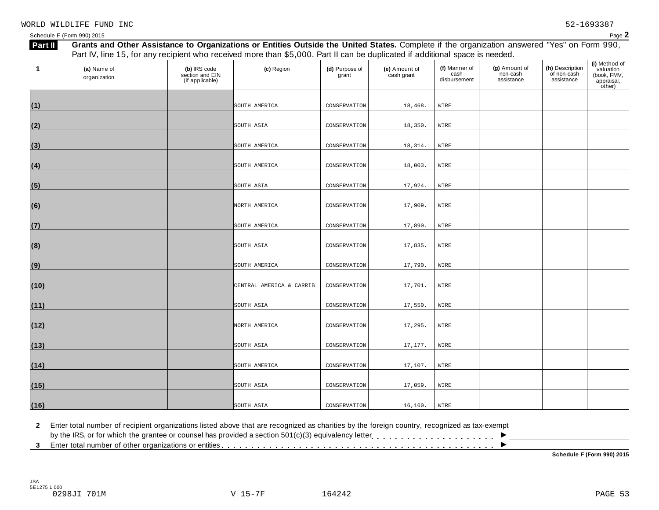| 1    | (a) Name of<br>organization | (b) IRS code<br>section and EIN<br>(if applicable) | (c) Region               | (d) Purpose of<br>grant | (e) Amount of<br>cash grant | (f) Manner of<br>cash<br>disbursement | (g) Amount of<br>non-cash<br>assistance | (h) Description<br>of non-cash<br>assistance | (i) Method of<br>valuation<br>(book, FMV,<br>appraisal,<br>other) |
|------|-----------------------------|----------------------------------------------------|--------------------------|-------------------------|-----------------------------|---------------------------------------|-----------------------------------------|----------------------------------------------|-------------------------------------------------------------------|
|      |                             |                                                    | SOUTH AMERICA            | CONSERVATION            | 18,468.                     | WIRE                                  |                                         |                                              |                                                                   |
| (1)  |                             |                                                    |                          |                         |                             |                                       |                                         |                                              |                                                                   |
| (2)  |                             |                                                    | SOUTH ASIA               | CONSERVATION            | 18,350.                     | WIRE                                  |                                         |                                              |                                                                   |
| (3)  |                             |                                                    | SOUTH AMERICA            | CONSERVATION            | 18,314.                     | WIRE                                  |                                         |                                              |                                                                   |
| (4)  |                             |                                                    | SOUTH AMERICA            | CONSERVATION            | 18,003.                     | WIRE                                  |                                         |                                              |                                                                   |
| (5)  |                             |                                                    | SOUTH ASIA               | CONSERVATION            | 17,924.                     | WIRE                                  |                                         |                                              |                                                                   |
| (6)  |                             |                                                    | NORTH AMERICA            | CONSERVATION            | 17,909.                     | WIRE                                  |                                         |                                              |                                                                   |
| (7)  |                             |                                                    | SOUTH AMERICA            | CONSERVATION            | 17,890.                     | WIRE                                  |                                         |                                              |                                                                   |
| (8)  |                             |                                                    | SOUTH ASIA               | CONSERVATION            | 17,835.                     | WIRE                                  |                                         |                                              |                                                                   |
| (9)  |                             |                                                    | SOUTH AMERICA            | CONSERVATION            | 17,790.                     | WIRE                                  |                                         |                                              |                                                                   |
| (10) |                             |                                                    | CENTRAL AMERICA & CARRIB | CONSERVATION            | 17,701.                     | WIRE                                  |                                         |                                              |                                                                   |
| (11) |                             |                                                    | SOUTH ASIA               | CONSERVATION            | 17,550.                     | WIRE                                  |                                         |                                              |                                                                   |
| (12) |                             |                                                    | NORTH AMERICA            | CONSERVATION            | 17,295.                     | WIRE                                  |                                         |                                              |                                                                   |
| (13) |                             |                                                    | SOUTH ASIA               | CONSERVATION            | 17,177.                     | WIRE                                  |                                         |                                              |                                                                   |
| (14) |                             |                                                    | SOUTH AMERICA            | CONSERVATION            | 17,107.                     | WIRE                                  |                                         |                                              |                                                                   |
| (15) |                             |                                                    | SOUTH ASIA               | CONSERVATION            | 17,059.                     | WIRE                                  |                                         |                                              |                                                                   |
| (16) |                             |                                                    | SOUTH ASIA               | CONSERVATION            | 16,160.                     | WIRE                                  |                                         |                                              |                                                                   |

**2** Enter total number of recipient organizations listed above that are recognized as charities by the foreign country, recognized as tax-exempt

2 Enter total number of recipient organizations listed above that are recognized as charities by the foreign country, recognized as tax-exempt<br>by the IRS, or for which the grantee or counsel has provided a section 501(c)(

**Schedule F (Form 990) 2015**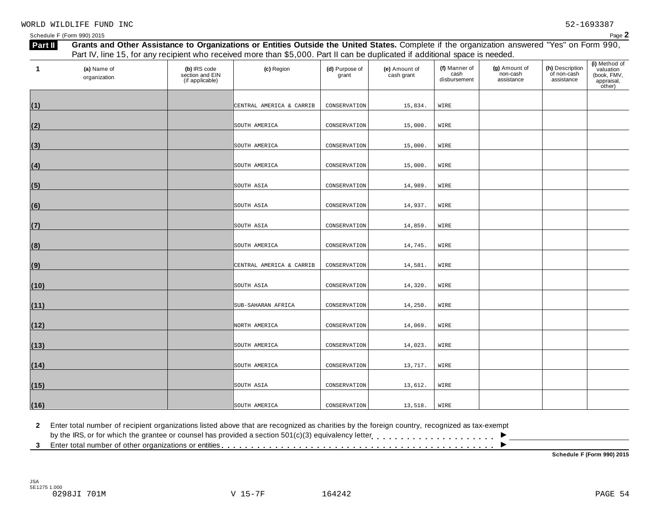| 1    | (a) Name of<br>organization | (b) IRS code<br>section and EIN<br>(if applicable) | (c) Region               | (d) Purpose of<br>grant | (e) Amount of<br>cash grant | (f) Manner of<br>cash<br>disbursement | (g) Amount of<br>non-cash<br>assistance | (h) Description<br>of non-cash<br>assistance | (i) Method of<br>valuation<br>(book, FMV,<br>appraisal,<br>other) |
|------|-----------------------------|----------------------------------------------------|--------------------------|-------------------------|-----------------------------|---------------------------------------|-----------------------------------------|----------------------------------------------|-------------------------------------------------------------------|
| (1)  |                             |                                                    | CENTRAL AMERICA & CARRIB | CONSERVATION            | 15,834.                     | WIRE                                  |                                         |                                              |                                                                   |
| (2)  |                             |                                                    | SOUTH AMERICA            | CONSERVATION            | 15,000.                     | WIRE                                  |                                         |                                              |                                                                   |
| (3)  |                             |                                                    | SOUTH AMERICA            | CONSERVATION            | 15,000.                     | WIRE                                  |                                         |                                              |                                                                   |
| (4)  |                             |                                                    | SOUTH AMERICA            | CONSERVATION            | 15,000.                     | WIRE                                  |                                         |                                              |                                                                   |
| (5)  |                             |                                                    | SOUTH ASIA               | CONSERVATION            | 14,989.                     | WIRE                                  |                                         |                                              |                                                                   |
| (6)  |                             |                                                    | SOUTH ASIA               | CONSERVATION            | 14,937.                     | WIRE                                  |                                         |                                              |                                                                   |
| (7)  |                             |                                                    | SOUTH ASIA               | CONSERVATION            | 14,859.                     | WIRE                                  |                                         |                                              |                                                                   |
| (8)  |                             |                                                    | SOUTH AMERICA            | CONSERVATION            | 14,745.                     | WIRE                                  |                                         |                                              |                                                                   |
| (9)  |                             |                                                    | CENTRAL AMERICA & CARRIB | CONSERVATION            | 14,581.                     | WIRE                                  |                                         |                                              |                                                                   |
| (10) |                             |                                                    | SOUTH ASIA               | CONSERVATION            | 14,320.                     | WIRE                                  |                                         |                                              |                                                                   |
| (11) |                             |                                                    | SUB-SAHARAN AFRICA       | CONSERVATION            | 14,250.                     | WIRE                                  |                                         |                                              |                                                                   |
| (12) |                             |                                                    | NORTH AMERICA            | CONSERVATION            | 14,069.                     | WIRE                                  |                                         |                                              |                                                                   |
| (13) |                             |                                                    | SOUTH AMERICA            | CONSERVATION            | 14,023.                     | WIRE                                  |                                         |                                              |                                                                   |
| (14) |                             |                                                    | SOUTH AMERICA            | CONSERVATION            | 13,717.                     | WIRE                                  |                                         |                                              |                                                                   |
| (15) |                             |                                                    | SOUTH ASIA               | CONSERVATION            | 13,612.                     | WIRE                                  |                                         |                                              |                                                                   |
| (16) |                             |                                                    | SOUTH AMERICA            | CONSERVATION            | 13,518.                     | WIRE                                  |                                         |                                              |                                                                   |

**2** Enter total number of recipient organizations listed above that are recognized as charities by the foreign country, recognized as tax-exempt

2 Enter total number of recipient organizations listed above that are recognized as charities by the foreign country, recognized as tax-exempt<br>by the IRS, or for which the grantee or counsel has provided a section 501(c)(

**Schedule F (Form 990) 2015**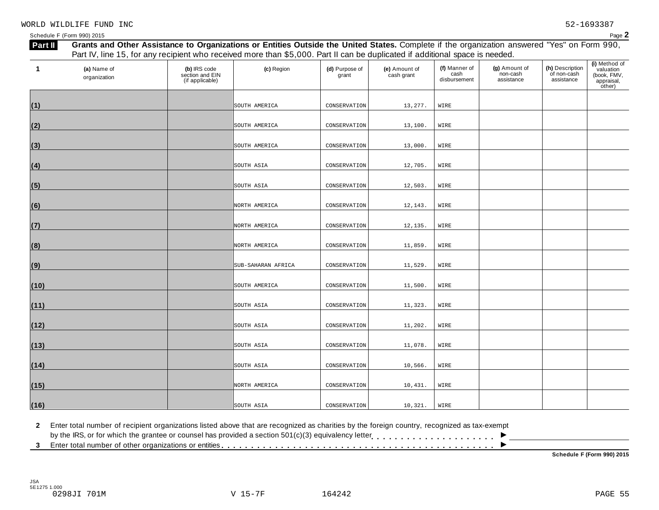| 1    | (a) Name of<br>organization | (b) IRS code<br>section and EIN<br>(if applicable) | (c) Region         | (d) Purpose of<br>grant | (e) Amount of<br>cash grant | (f) Manner of<br>cash<br>disbursement | (g) Amount of<br>non-cash<br>assistance | (h) Description<br>of non-cash<br>assistance | (i) Method of<br>valuation<br>(book, FMV,<br>appraisal,<br>other) |
|------|-----------------------------|----------------------------------------------------|--------------------|-------------------------|-----------------------------|---------------------------------------|-----------------------------------------|----------------------------------------------|-------------------------------------------------------------------|
|      |                             |                                                    |                    |                         |                             |                                       |                                         |                                              |                                                                   |
| (1)  |                             |                                                    | SOUTH AMERICA      | CONSERVATION            | 13,277.                     | WIRE                                  |                                         |                                              |                                                                   |
| (2)  |                             |                                                    | SOUTH AMERICA      | CONSERVATION            | 13,100.                     | WIRE                                  |                                         |                                              |                                                                   |
| (3)  |                             |                                                    | SOUTH AMERICA      | CONSERVATION            | 13,000.                     | WIRE                                  |                                         |                                              |                                                                   |
| (4)  |                             |                                                    | SOUTH ASIA         | CONSERVATION            | 12,705.                     | WIRE                                  |                                         |                                              |                                                                   |
| (5)  |                             |                                                    | SOUTH ASIA         | CONSERVATION            | 12,503.                     | WIRE                                  |                                         |                                              |                                                                   |
| (6)  |                             |                                                    | NORTH AMERICA      | CONSERVATION            | 12,143.                     | WIRE                                  |                                         |                                              |                                                                   |
| (7)  |                             |                                                    | NORTH AMERICA      | CONSERVATION            | 12,135.                     | WIRE                                  |                                         |                                              |                                                                   |
| (8)  |                             |                                                    | NORTH AMERICA      | CONSERVATION            | 11,859.                     | WIRE                                  |                                         |                                              |                                                                   |
| (9)  |                             |                                                    | SUB-SAHARAN AFRICA | CONSERVATION            | 11,529.                     | WIRE                                  |                                         |                                              |                                                                   |
| (10) |                             |                                                    | SOUTH AMERICA      | CONSERVATION            | 11,500.                     | WIRE                                  |                                         |                                              |                                                                   |
| (11) |                             |                                                    | SOUTH ASIA         | CONSERVATION            | 11,323.                     | WIRE                                  |                                         |                                              |                                                                   |
| (12) |                             |                                                    | SOUTH ASIA         | CONSERVATION            | 11,202.                     | WIRE                                  |                                         |                                              |                                                                   |
| (13) |                             |                                                    | SOUTH ASIA         | CONSERVATION            | 11,078.                     | WIRE                                  |                                         |                                              |                                                                   |
| (14) |                             |                                                    | SOUTH ASIA         | CONSERVATION            | 10,566.                     | WIRE                                  |                                         |                                              |                                                                   |
| (15) |                             |                                                    | NORTH AMERICA      | CONSERVATION            | 10,431.                     | WIRE                                  |                                         |                                              |                                                                   |
| (16) |                             |                                                    | SOUTH ASIA         | CONSERVATION            | 10,321.                     | WIRE                                  |                                         |                                              |                                                                   |

**2** Enter total number of recipient organizations listed above that are recognized as charities by the foreign country, recognized as tax-exempt

2 Enter total number of recipient organizations listed above that are recognized as charities by the foreign country, recognized as tax-exempt<br>by the IRS, or for which the grantee or counsel has provided a section 501(c)(

**Schedule F (Form 990) 2015**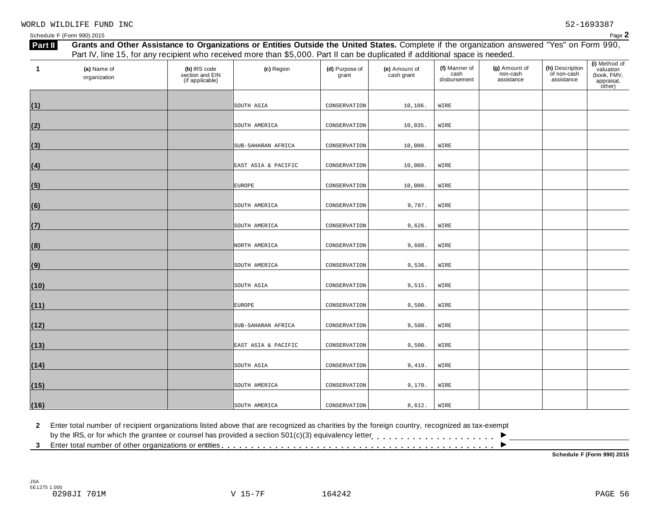| 1    | (a) Name of<br>organization | (b) IRS code<br>section and EIN<br>(if applicable) | (c) Region          | (d) Purpose of<br>grant | (e) Amount of<br>cash grant | (f) Manner of<br>cash<br>disbursement | (g) Amount of<br>non-cash<br>assistance | (h) Description<br>of non-cash<br>assistance | (i) Method of<br>valuation<br>(book, FMV,<br>appraisal, |
|------|-----------------------------|----------------------------------------------------|---------------------|-------------------------|-----------------------------|---------------------------------------|-----------------------------------------|----------------------------------------------|---------------------------------------------------------|
|      |                             |                                                    |                     |                         |                             |                                       |                                         |                                              | other)                                                  |
| (1)  |                             |                                                    | SOUTH ASIA          | CONSERVATION            | 10,106.                     | WIRE                                  |                                         |                                              |                                                         |
| (2)  |                             |                                                    | SOUTH AMERICA       | CONSERVATION            | 10,035.                     | WIRE                                  |                                         |                                              |                                                         |
| (3)  |                             |                                                    | SUB-SAHARAN AFRICA  | CONSERVATION            | 10,000.                     | WIRE                                  |                                         |                                              |                                                         |
| (4)  |                             |                                                    | EAST ASIA & PACIFIC | CONSERVATION            | 10,000.                     | WIRE                                  |                                         |                                              |                                                         |
| (5)  |                             |                                                    | <b>EUROPE</b>       | CONSERVATION            | 10,000.                     | WIRE                                  |                                         |                                              |                                                         |
| (6)  |                             |                                                    | SOUTH AMERICA       | CONSERVATION            | 9,787.                      | WIRE                                  |                                         |                                              |                                                         |
| (7)  |                             |                                                    | SOUTH AMERICA       | CONSERVATION            | 9,626.                      | WIRE                                  |                                         |                                              |                                                         |
| (8)  |                             |                                                    | NORTH AMERICA       | CONSERVATION            | 9,608.                      | WIRE                                  |                                         |                                              |                                                         |
| (9)  |                             |                                                    | SOUTH AMERICA       | CONSERVATION            | 9,536.                      | WIRE                                  |                                         |                                              |                                                         |
| (10) |                             |                                                    | SOUTH ASIA          | CONSERVATION            | 9,515.                      | WIRE                                  |                                         |                                              |                                                         |
| (11) |                             |                                                    | <b>EUROPE</b>       | CONSERVATION            | 9,500.                      | WIRE                                  |                                         |                                              |                                                         |
| (12) |                             |                                                    | SUB-SAHARAN AFRICA  | CONSERVATION            | 9,500.                      | WIRE                                  |                                         |                                              |                                                         |
| (13) |                             |                                                    | EAST ASIA & PACIFIC | CONSERVATION            | 9,500.                      | WIRE                                  |                                         |                                              |                                                         |
| (14) |                             |                                                    | SOUTH ASIA          | CONSERVATION            | 9,419.                      | WIRE                                  |                                         |                                              |                                                         |
| (15) |                             |                                                    | SOUTH AMERICA       | CONSERVATION            | 9,170.                      | WIRE                                  |                                         |                                              |                                                         |
| (16) |                             |                                                    | SOUTH AMERICA       | CONSERVATION            | 8,612.                      | WIRE                                  |                                         |                                              |                                                         |

**2** Enter total number of recipient organizations listed above that are recognized as charities by the foreign country, recognized as tax-exempt

2 Enter total number of recipient organizations listed above that are recognized as charities by the foreign country, recognized as tax-exempt<br>by the IRS, or for which the grantee or counsel has provided a section 501(c)(

**Schedule F (Form 990) 2015**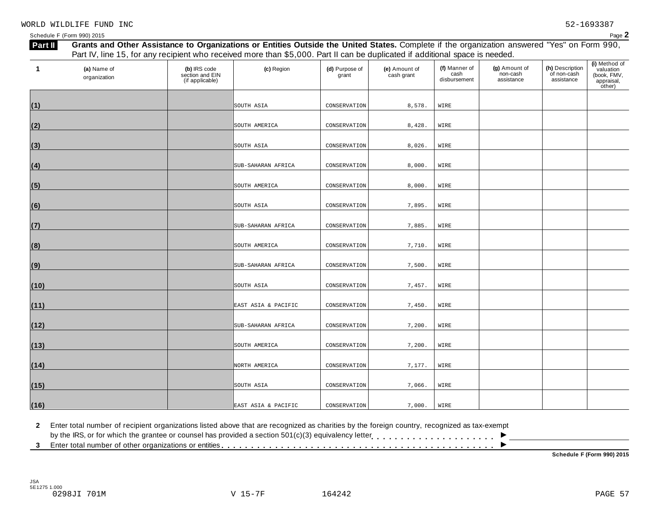| 1    | (a) Name of<br>organization | (b) IRS code<br>section and EIN<br>(if applicable) | (c) Region          | (d) Purpose of<br>grant | (e) Amount of<br>cash grant | (f) Manner of<br>cash<br>disbursement | (g) Amount of<br>non-cash<br>assistance | (h) Description<br>of non-cash<br>assistance | (i) Method of<br>valuation<br>(book, FMV,<br>appraisal,<br>other) |
|------|-----------------------------|----------------------------------------------------|---------------------|-------------------------|-----------------------------|---------------------------------------|-----------------------------------------|----------------------------------------------|-------------------------------------------------------------------|
|      |                             |                                                    |                     |                         |                             |                                       |                                         |                                              |                                                                   |
| (1)  |                             |                                                    | SOUTH ASIA          | CONSERVATION            | 8,578.                      | WIRE                                  |                                         |                                              |                                                                   |
| (2)  |                             |                                                    | SOUTH AMERICA       | CONSERVATION            | 8,428.                      | WIRE                                  |                                         |                                              |                                                                   |
| (3)  |                             |                                                    | SOUTH ASIA          | CONSERVATION            | 8,026.                      | WIRE                                  |                                         |                                              |                                                                   |
| (4)  |                             |                                                    | SUB-SAHARAN AFRICA  | CONSERVATION            | 8,000.                      | WIRE                                  |                                         |                                              |                                                                   |
| (5)  |                             |                                                    | SOUTH AMERICA       | CONSERVATION            | 8,000.                      | WIRE                                  |                                         |                                              |                                                                   |
| (6)  |                             |                                                    | SOUTH ASIA          | CONSERVATION            | 7,895.                      | WIRE                                  |                                         |                                              |                                                                   |
| (7)  |                             |                                                    | SUB-SAHARAN AFRICA  | CONSERVATION            | 7,885.                      | WIRE                                  |                                         |                                              |                                                                   |
| (8)  |                             |                                                    | SOUTH AMERICA       | CONSERVATION            | 7,710.                      | WIRE                                  |                                         |                                              |                                                                   |
| (9)  |                             |                                                    | SUB-SAHARAN AFRICA  | CONSERVATION            | 7,500.                      | WIRE                                  |                                         |                                              |                                                                   |
| (10) |                             |                                                    | SOUTH ASIA          | CONSERVATION            | 7,457.                      | WIRE                                  |                                         |                                              |                                                                   |
| (11) |                             |                                                    | EAST ASIA & PACIFIC | CONSERVATION            | 7,450.                      | WIRE                                  |                                         |                                              |                                                                   |
| (12) |                             |                                                    | SUB-SAHARAN AFRICA  | CONSERVATION            | 7,200.                      | WIRE                                  |                                         |                                              |                                                                   |
| (13) |                             |                                                    | SOUTH AMERICA       | CONSERVATION            | 7,200.                      | WIRE                                  |                                         |                                              |                                                                   |
| (14) |                             |                                                    | NORTH AMERICA       | CONSERVATION            | 7,177.                      | WIRE                                  |                                         |                                              |                                                                   |
| (15) |                             |                                                    | SOUTH ASIA          | CONSERVATION            | 7,066.                      | WIRE                                  |                                         |                                              |                                                                   |
| (16) |                             |                                                    | EAST ASIA & PACIFIC | CONSERVATION            | 7,000.                      | WIRE                                  |                                         |                                              |                                                                   |

**2** Enter total number of recipient organizations listed above that are recognized as charities by the foreign country, recognized as tax-exempt

2 Enter total number of recipient organizations listed above that are recognized as charities by the foreign country, recognized as tax-exempt<br>by the IRS, or for which the grantee or counsel has provided a section 501(c)(

**Schedule F (Form 990) 2015**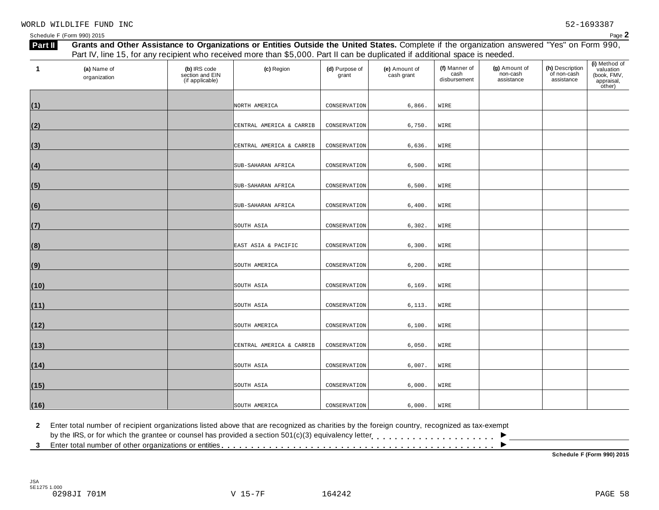| 1    | (a) Name of<br>organization | (b) IRS code<br>section and EIN<br>(if applicable) | (c) Region               | (d) Purpose of<br>grant | (e) Amount of<br>cash grant | (f) Manner of<br>cash<br>disbursement | (g) Amount of<br>non-cash<br>assistance | (h) Description<br>of non-cash<br>assistance | (i) Method of<br>valuation<br>(book, FMV,<br>appraisal,<br>other) |
|------|-----------------------------|----------------------------------------------------|--------------------------|-------------------------|-----------------------------|---------------------------------------|-----------------------------------------|----------------------------------------------|-------------------------------------------------------------------|
| (1)  |                             |                                                    | NORTH AMERICA            | CONSERVATION            | 6,866.                      | WIRE                                  |                                         |                                              |                                                                   |
| (2)  |                             |                                                    | CENTRAL AMERICA & CARRIB | CONSERVATION            | 6,750.                      | WIRE                                  |                                         |                                              |                                                                   |
| (3)  |                             |                                                    | CENTRAL AMERICA & CARRIB | CONSERVATION            | 6,636.                      | WIRE                                  |                                         |                                              |                                                                   |
| (4)  |                             |                                                    | SUB-SAHARAN AFRICA       | CONSERVATION            | 6,500.                      | WIRE                                  |                                         |                                              |                                                                   |
| (5)  |                             |                                                    | SUB-SAHARAN AFRICA       | CONSERVATION            | 6,500.                      | WIRE                                  |                                         |                                              |                                                                   |
| (6)  |                             |                                                    | SUB-SAHARAN AFRICA       | CONSERVATION            | 6,400.                      | WIRE                                  |                                         |                                              |                                                                   |
| (7)  |                             |                                                    | SOUTH ASIA               | CONSERVATION            | 6,302.                      | WIRE                                  |                                         |                                              |                                                                   |
| (8)  |                             |                                                    | EAST ASIA & PACIFIC      | CONSERVATION            | 6,300.                      | WIRE                                  |                                         |                                              |                                                                   |
| (9)  |                             |                                                    | SOUTH AMERICA            | CONSERVATION            | 6,200.                      | WIRE                                  |                                         |                                              |                                                                   |
| (10) |                             |                                                    | SOUTH ASIA               | CONSERVATION            | 6,169.                      | WIRE                                  |                                         |                                              |                                                                   |
| (11) |                             |                                                    | SOUTH ASIA               | CONSERVATION            | 6,113.                      | WIRE                                  |                                         |                                              |                                                                   |
| (12) |                             |                                                    | SOUTH AMERICA            | CONSERVATION            | 6,100.                      | WIRE                                  |                                         |                                              |                                                                   |
| (13) |                             |                                                    | CENTRAL AMERICA & CARRIB | CONSERVATION            | 6,050.                      | WIRE                                  |                                         |                                              |                                                                   |
| (14) |                             |                                                    | SOUTH ASIA               | CONSERVATION            | 6,007.                      | WIRE                                  |                                         |                                              |                                                                   |
| (15) |                             |                                                    | SOUTH ASIA               | CONSERVATION            | 6,000.                      | WIRE                                  |                                         |                                              |                                                                   |
| (16) |                             |                                                    | SOUTH AMERICA            | CONSERVATION            | 6,000.                      | WIRE                                  |                                         |                                              |                                                                   |

**2** Enter total number of recipient organizations listed above that are recognized as charities by the foreign country, recognized as tax-exempt

2 Enter total number of recipient organizations listed above that are recognized as charities by the foreign country, recognized as tax-exempt<br>by the IRS, or for which the grantee or counsel has provided a section 501(c)(

**Schedule F (Form 990) 2015**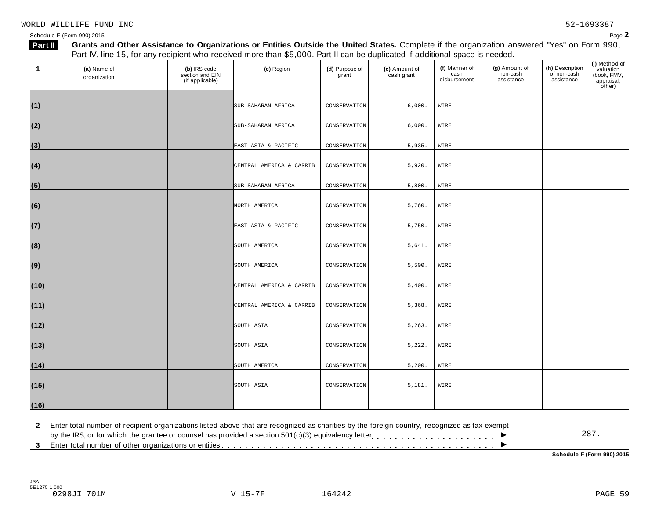| - המפ<br>-aue ∡ |
|-----------------|
|                 |

| <b>Part II</b> |                             |                                                    | Grants and Other Assistance to Organizations or Entities Outside the United States. Complete if the organization answered "Yes" on Form 990,<br>Part IV, line 15, for any recipient who received more than \$5,000. Part II can be duplicated if additional space is needed. |                         |                             |                                       |                                         |                                              |                                                                   |
|----------------|-----------------------------|----------------------------------------------------|------------------------------------------------------------------------------------------------------------------------------------------------------------------------------------------------------------------------------------------------------------------------------|-------------------------|-----------------------------|---------------------------------------|-----------------------------------------|----------------------------------------------|-------------------------------------------------------------------|
| 1              | (a) Name of<br>organization | (b) IRS code<br>section and EIN<br>(if applicable) | (c) Region                                                                                                                                                                                                                                                                   | (d) Purpose of<br>grant | (e) Amount of<br>cash grant | (f) Manner of<br>cash<br>disbursement | (g) Amount of<br>non-cash<br>assistance | (h) Description<br>of non-cash<br>assistance | (i) Method of<br>valuation<br>(book, FMV,<br>appraisal,<br>other) |
| (1)            |                             |                                                    | SUB-SAHARAN AFRICA                                                                                                                                                                                                                                                           | CONSERVATION            | 6,000.                      | WIRE                                  |                                         |                                              |                                                                   |
| (2)            |                             |                                                    | SUB-SAHARAN AFRICA                                                                                                                                                                                                                                                           | CONSERVATION            | 6,000.                      | WIRE                                  |                                         |                                              |                                                                   |
| (3)            |                             |                                                    | EAST ASIA & PACIFIC                                                                                                                                                                                                                                                          | CONSERVATION            | 5,935.                      | WIRE                                  |                                         |                                              |                                                                   |
| (4)            |                             |                                                    | CENTRAL AMERICA & CARRIB                                                                                                                                                                                                                                                     | CONSERVATION            | 5,920.                      | WIRE                                  |                                         |                                              |                                                                   |
| (5)            |                             |                                                    | SUB-SAHARAN AFRICA                                                                                                                                                                                                                                                           | CONSERVATION            | 5,800.                      | WIRE                                  |                                         |                                              |                                                                   |
| (6)            |                             |                                                    | NORTH AMERICA                                                                                                                                                                                                                                                                | CONSERVATION            | 5,760.                      | WIRE                                  |                                         |                                              |                                                                   |
| (7)            |                             |                                                    | EAST ASIA & PACIFIC                                                                                                                                                                                                                                                          | CONSERVATION            | 5,750.                      | WIRE                                  |                                         |                                              |                                                                   |
| (8)            |                             |                                                    | SOUTH AMERICA                                                                                                                                                                                                                                                                | CONSERVATION            | 5,641.                      | WIRE                                  |                                         |                                              |                                                                   |
| (9)            |                             |                                                    | SOUTH AMERICA                                                                                                                                                                                                                                                                | CONSERVATION            | 5,500.                      | WIRE                                  |                                         |                                              |                                                                   |
| (10)           |                             |                                                    | CENTRAL AMERICA & CARRIB                                                                                                                                                                                                                                                     | CONSERVATION            | 5,400.                      | WIRE                                  |                                         |                                              |                                                                   |
| (11)           |                             |                                                    | CENTRAL AMERICA & CARRIB                                                                                                                                                                                                                                                     | CONSERVATION            | 5,368.                      | WIRE                                  |                                         |                                              |                                                                   |
| (12)           |                             |                                                    | SOUTH ASIA                                                                                                                                                                                                                                                                   | CONSERVATION            | 5, 263.                     | WIRE                                  |                                         |                                              |                                                                   |
| (13)           |                             |                                                    | SOUTH ASIA                                                                                                                                                                                                                                                                   | CONSERVATION            | 5,222.                      | WIRE                                  |                                         |                                              |                                                                   |
| (14)           |                             |                                                    | SOUTH AMERICA                                                                                                                                                                                                                                                                | CONSERVATION            | 5,200.                      | WIRE                                  |                                         |                                              |                                                                   |
| (15)           |                             |                                                    | SOUTH ASIA                                                                                                                                                                                                                                                                   | CONSERVATION            | 5,181.                      | WIRE                                  |                                         |                                              |                                                                   |
| (16)           |                             |                                                    |                                                                                                                                                                                                                                                                              |                         |                             |                                       |                                         |                                              |                                                                   |

**2** Enter total number of recipient organizations listed above that are recognized as charities by the foreign country, recognized as tax-exempt 2 Enter total number of recipient organizations listed above that are recognized as charities by the foreign country, recognized as tax-exempt<br>by the IRS, or for which the grantee or counsel has provided a section 501(c)(  $\overline{\phantom{a}}$ 

287.

**Schedule F (Form 990) 2015**

JSA 5E1275 1.000 0298JI 701M V 15-7F 164242 PAGE 59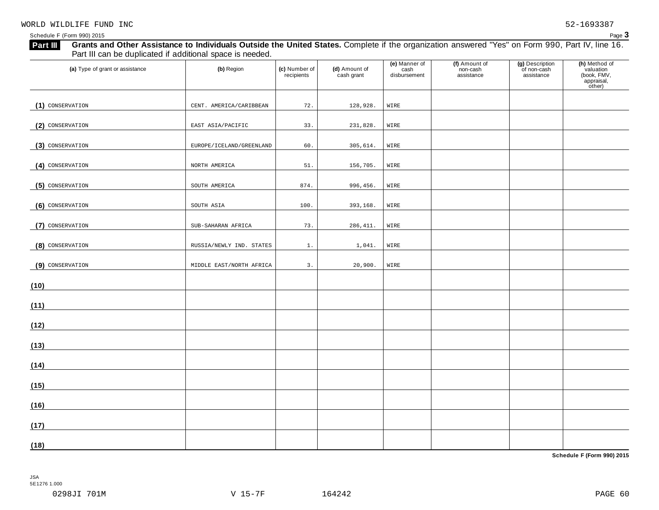| (a) Type of grant or assistance | (b) Region               | (c) Number of<br>recipients | (d) Amount of<br>cash grant | (e) Manner of<br>cash<br>disbursement | (f) Amount of<br>non-cash<br>assistance | (g) Description<br>of non-cash<br>assistance | (h) Method of<br>valuation<br>(book, FMV,<br>appraisal,<br>other) |
|---------------------------------|--------------------------|-----------------------------|-----------------------------|---------------------------------------|-----------------------------------------|----------------------------------------------|-------------------------------------------------------------------|
| (1) CONSERVATION                | CENT. AMERICA/CARIBBEAN  | 72.                         | 128,928.                    | WIRE                                  |                                         |                                              |                                                                   |
| (2) CONSERVATION                | EAST ASIA/PACIFIC        | 33.                         | 231,828.                    | WIRE                                  |                                         |                                              |                                                                   |
| (3) CONSERVATION                | EUROPE/ICELAND/GREENLAND | 60.                         | 305,614.                    | WIRE                                  |                                         |                                              |                                                                   |
| (4) CONSERVATION                | NORTH AMERICA            | 51.                         | 156,705.                    | WIRE                                  |                                         |                                              |                                                                   |
| (5) CONSERVATION                | SOUTH AMERICA            | 874.                        | 996,456.                    | WIRE                                  |                                         |                                              |                                                                   |
| (6) CONSERVATION                | SOUTH ASIA               | 100.                        | 393,168.                    | WIRE                                  |                                         |                                              |                                                                   |
| (7) CONSERVATION                | SUB-SAHARAN AFRICA       | 73.                         | 286, 411.                   | WIRE                                  |                                         |                                              |                                                                   |
| (8) CONSERVATION                | RUSSIA/NEWLY IND. STATES | $1$ .                       | 1,041.                      | WIRE                                  |                                         |                                              |                                                                   |
| (9) CONSERVATION                | MIDDLE EAST/NORTH AFRICA | $\mathsf 3$ .               | 20,900.                     | WIRE                                  |                                         |                                              |                                                                   |
| (10)                            |                          |                             |                             |                                       |                                         |                                              |                                                                   |
| (11)                            |                          |                             |                             |                                       |                                         |                                              |                                                                   |
| (12)                            |                          |                             |                             |                                       |                                         |                                              |                                                                   |
| (13)                            |                          |                             |                             |                                       |                                         |                                              |                                                                   |
| (14)                            |                          |                             |                             |                                       |                                         |                                              |                                                                   |
| (15)                            |                          |                             |                             |                                       |                                         |                                              |                                                                   |
| (16)                            |                          |                             |                             |                                       |                                         |                                              |                                                                   |
|                                 |                          |                             |                             |                                       |                                         |                                              |                                                                   |
| (17)<br>(18)                    |                          |                             |                             |                                       |                                         |                                              |                                                                   |

**Schedule F (Form 990) 2015**

JSA 5E1276 1.000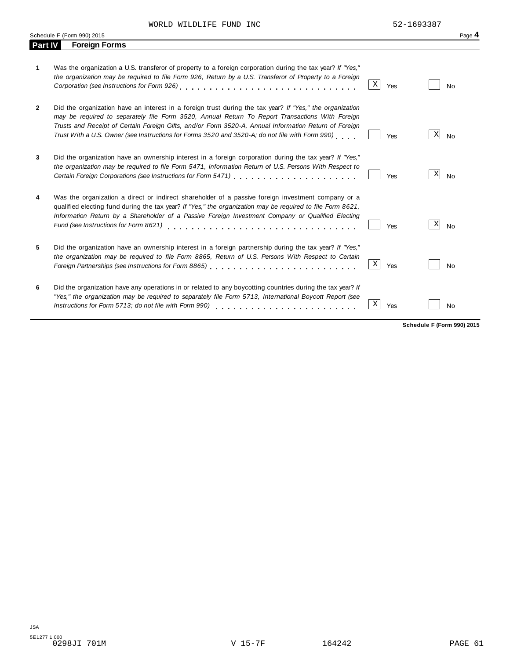WORLD WILDLIFE FUND INC 62-1693387

|                | Schedule F (Form 990) 2015                                                                                                                                                                                                                                                                                                                                                                                              |             |     |   | Page 4    |
|----------------|-------------------------------------------------------------------------------------------------------------------------------------------------------------------------------------------------------------------------------------------------------------------------------------------------------------------------------------------------------------------------------------------------------------------------|-------------|-----|---|-----------|
| <b>Part IV</b> | <b>Foreign Forms</b>                                                                                                                                                                                                                                                                                                                                                                                                    |             |     |   |           |
| 1.             | Was the organization a U.S. transferor of property to a foreign corporation during the tax year? If "Yes,"<br>the organization may be required to file Form 926, Return by a U.S. Transferor of Property to a Foreign                                                                                                                                                                                                   | $\mathbf X$ | Yes |   | No        |
| $\mathbf{2}$   | Did the organization have an interest in a foreign trust during the tax year? If "Yes," the organization<br>may be required to separately file Form 3520, Annual Return To Report Transactions With Foreign<br>Trusts and Receipt of Certain Foreign Gifts, and/or Form 3520-A, Annual Information Return of Foreign<br>Trust With a U.S. Owner (see Instructions for Forms 3520 and 3520-A; do not file with Form 990) |             | Yes | Χ | <b>No</b> |
| 3              | Did the organization have an ownership interest in a foreign corporation during the tax year? If "Yes,"<br>the organization may be required to file Form 5471, Information Return of U.S. Persons With Respect to<br>Certain Foreign Corporations (see Instructions for Form 5471) [10] [10] [10] Certain Foreign Corporations (see Instructions for Form 5471)                                                         |             | Yes | X | <b>No</b> |
| 4              | Was the organization a direct or indirect shareholder of a passive foreign investment company or a<br>qualified electing fund during the tax year? If "Yes," the organization may be required to file Form 8621,<br>Information Return by a Shareholder of a Passive Foreign Investment Company or Qualified Electing<br>Fund (see Instructions for Form 8621)                                                          |             | Yes | X | <b>No</b> |
| 5              | Did the organization have an ownership interest in a foreign partnership during the tax year? If "Yes,"<br>the organization may be required to file Form 8865, Return of U.S. Persons With Respect to Certain                                                                                                                                                                                                           | Χ           | Yes |   | No        |
| 6              | Did the organization have any operations in or related to any boycotting countries during the tax year? If<br>"Yes," the organization may be required to separately file Form 5713, International Boycott Report (see<br>Instructions for Form 5713; do not file with Form 990)                                                                                                                                         | Χ           | Yes |   | No        |

**Schedule F (Form 990) 2015**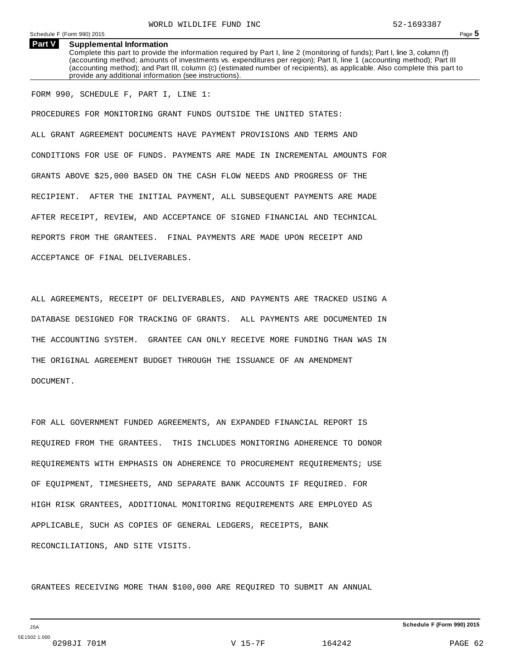#### **Supplemental Information Part V**

Complete this part to provide the information required by Part I, line 2 (monitoring of funds); Part I, line 3, column (f) (accounting method; amounts of investments vs. expenditures per region); Part II, line 1 (accounting method); Part III (accounting method); and Part III, column (c) (estimated number of recipients), as applicable. Also complete this part to provide any additional information (see instructions).

## FORM 990, SCHEDULE F, PART I, LINE 1:

PROCEDURES FOR MONITORING GRANT FUNDS OUTSIDE THE UNITED STATES: ALL GRANT AGREEMENT DOCUMENTS HAVE PAYMENT PROVISIONS AND TERMS AND CONDITIONS FOR USE OF FUNDS. PAYMENTS ARE MADE IN INCREMENTAL AMOUNTS FOR GRANTS ABOVE \$25,000 BASED ON THE CASH FLOW NEEDS AND PROGRESS OF THE RECIPIENT. AFTER THE INITIAL PAYMENT, ALL SUBSEQUENT PAYMENTS ARE MADE AFTER RECEIPT, REVIEW, AND ACCEPTANCE OF SIGNED FINANCIAL AND TECHNICAL REPORTS FROM THE GRANTEES. FINAL PAYMENTS ARE MADE UPON RECEIPT AND ACCEPTANCE OF FINAL DELIVERABLES.

ALL AGREEMENTS, RECEIPT OF DELIVERABLES, AND PAYMENTS ARE TRACKED USING A DATABASE DESIGNED FOR TRACKING OF GRANTS. ALL PAYMENTS ARE DOCUMENTED IN THE ACCOUNTING SYSTEM. GRANTEE CAN ONLY RECEIVE MORE FUNDING THAN WAS IN THE ORIGINAL AGREEMENT BUDGET THROUGH THE ISSUANCE OF AN AMENDMENT DOCUMENT.

FOR ALL GOVERNMENT FUNDED AGREEMENTS, AN EXPANDED FINANCIAL REPORT IS REQUIRED FROM THE GRANTEES. THIS INCLUDES MONITORING ADHERENCE TO DONOR REQUIREMENTS WITH EMPHASIS ON ADHERENCE TO PROCUREMENT REQUIREMENTS; USE OF EQUIPMENT, TIMESHEETS, AND SEPARATE BANK ACCOUNTS IF REQUIRED. FOR HIGH RISK GRANTEES, ADDITIONAL MONITORING REQUIREMENTS ARE EMPLOYED AS APPLICABLE, SUCH AS COPIES OF GENERAL LEDGERS, RECEIPTS, BANK RECONCILIATIONS, AND SITE VISITS.

GRANTEES RECEIVING MORE THAN \$100,000 ARE REQUIRED TO SUBMIT AN ANNUAL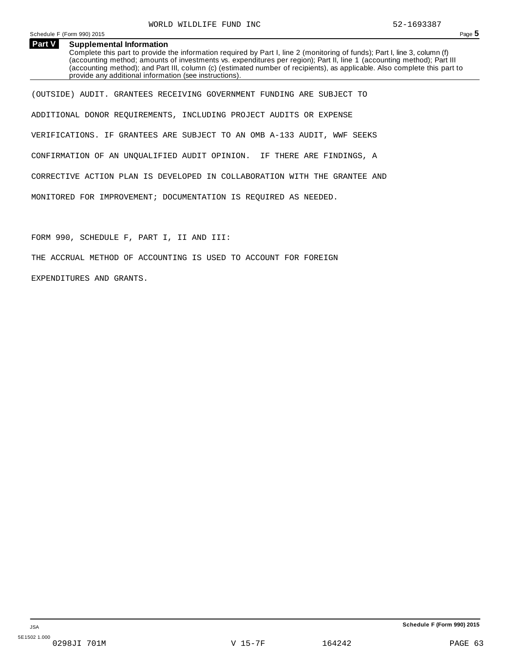#### **Supplemental Information Part V**

Complete this part to provide the information required by Part I, line 2 (monitoring of funds); Part I, line 3, column (f) (accounting method; amounts of investments vs. expenditures per region); Part II, line 1 (accounting method); Part III (accounting method); and Part III, column (c) (estimated number of recipients), as applicable. Also complete this part to provide any additional information (see instructions).

(OUTSIDE) AUDIT. GRANTEES RECEIVING GOVERNMENT FUNDING ARE SUBJECT TO ADDITIONAL DONOR REQUIREMENTS, INCLUDING PROJECT AUDITS OR EXPENSE VERIFICATIONS. IF GRANTEES ARE SUBJECT TO AN OMB A-133 AUDIT, WWF SEEKS CONFIRMATION OF AN UNQUALIFIED AUDIT OPINION. IF THERE ARE FINDINGS, A CORRECTIVE ACTION PLAN IS DEVELOPED IN COLLABORATION WITH THE GRANTEE AND MONITORED FOR IMPROVEMENT; DOCUMENTATION IS REQUIRED AS NEEDED.

FORM 990, SCHEDULE F, PART I, II AND III:

THE ACCRUAL METHOD OF ACCOUNTING IS USED TO ACCOUNT FOR FOREIGN

EXPENDITURES AND GRANTS.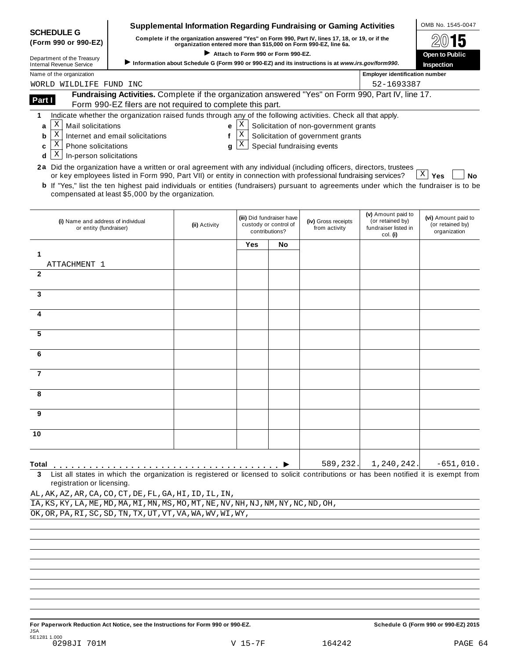|                                                                                                                                               |                                                                                                                                                                  | <b>Supplemental Information Regarding Fundraising or Gaming Activities</b>                        |                                    |                                                    |                                       |                                       | OMB No. 1545-0047                       |
|-----------------------------------------------------------------------------------------------------------------------------------------------|------------------------------------------------------------------------------------------------------------------------------------------------------------------|---------------------------------------------------------------------------------------------------|------------------------------------|----------------------------------------------------|---------------------------------------|---------------------------------------|-----------------------------------------|
| <b>SCHEDULE G</b><br>(Form 990 or 990-EZ)                                                                                                     | Complete if the organization answered "Yes" on Form 990, Part IV, lines 17, 18, or 19, or if the                                                                 |                                                                                                   |                                    |                                                    |                                       |                                       |                                         |
| Department of the Treasury                                                                                                                    |                                                                                                                                                                  | organization entered more than \$15,000 on Form 990-EZ, line 6a.                                  | Attach to Form 990 or Form 990-EZ. |                                                    |                                       |                                       | <b>Open to Public</b>                   |
| <b>Internal Revenue Service</b>                                                                                                               |                                                                                                                                                                  | Information about Schedule G (Form 990 or 990-EZ) and its instructions is at www.irs.gov/form990. |                                    |                                                    |                                       |                                       | Inspection                              |
| Name of the organization                                                                                                                      |                                                                                                                                                                  |                                                                                                   |                                    |                                                    |                                       | <b>Employer identification number</b> |                                         |
| WORLD WILDLIFE FUND INC                                                                                                                       |                                                                                                                                                                  |                                                                                                   |                                    |                                                    |                                       | 52-1693387                            |                                         |
| Part I                                                                                                                                        | Fundraising Activities. Complete if the organization answered "Yes" on Form 990, Part IV, line 17.<br>Form 990-EZ filers are not required to complete this part. |                                                                                                   |                                    |                                                    |                                       |                                       |                                         |
| 1                                                                                                                                             | Indicate whether the organization raised funds through any of the following activities. Check all that apply.                                                    |                                                                                                   |                                    |                                                    |                                       |                                       |                                         |
| Χ<br>Mail solicitations<br>a                                                                                                                  |                                                                                                                                                                  | e                                                                                                 | X                                  |                                                    | Solicitation of non-government grants |                                       |                                         |
| Χ<br>b                                                                                                                                        | Internet and email solicitations                                                                                                                                 | f                                                                                                 | $\mathbf X$                        |                                                    | Solicitation of government grants     |                                       |                                         |
| Χ<br>Phone solicitations<br>c                                                                                                                 |                                                                                                                                                                  | g                                                                                                 | X                                  |                                                    | Special fundraising events            |                                       |                                         |
| Χ<br>In-person solicitations<br>d                                                                                                             |                                                                                                                                                                  |                                                                                                   |                                    |                                                    |                                       |                                       |                                         |
| 2a Did the organization have a written or oral agreement with any individual (including officers, directors, trustees                         | or key employees listed in Form 990, Part VII) or entity in connection with professional fundraising services?                                                   |                                                                                                   |                                    |                                                    |                                       |                                       | $ X $ Yes<br><b>No</b>                  |
| <b>b</b> If "Yes," list the ten highest paid individuals or entities (fundraisers) pursuant to agreements under which the fundraiser is to be |                                                                                                                                                                  |                                                                                                   |                                    |                                                    |                                       |                                       |                                         |
|                                                                                                                                               | compensated at least \$5,000 by the organization.                                                                                                                |                                                                                                   |                                    |                                                    |                                       |                                       |                                         |
|                                                                                                                                               |                                                                                                                                                                  |                                                                                                   |                                    |                                                    |                                       | (v) Amount paid to                    |                                         |
| (i) Name and address of individual                                                                                                            |                                                                                                                                                                  | (ii) Activity                                                                                     |                                    | (iii) Did fundraiser have<br>custody or control of | (iv) Gross receipts                   | (or retained by)                      | (vi) Amount paid to<br>(or retained by) |
| or entity (fundraiser)                                                                                                                        |                                                                                                                                                                  |                                                                                                   |                                    | contributions?                                     | from activity                         | fundraiser listed in<br>col. (i)      | organization                            |
|                                                                                                                                               |                                                                                                                                                                  |                                                                                                   | Yes                                | No                                                 |                                       |                                       |                                         |
| 1                                                                                                                                             |                                                                                                                                                                  |                                                                                                   |                                    |                                                    |                                       |                                       |                                         |
| ATTACHMENT 1<br>$\mathbf{2}$                                                                                                                  |                                                                                                                                                                  |                                                                                                   |                                    |                                                    |                                       |                                       |                                         |
|                                                                                                                                               |                                                                                                                                                                  |                                                                                                   |                                    |                                                    |                                       |                                       |                                         |
| 3                                                                                                                                             |                                                                                                                                                                  |                                                                                                   |                                    |                                                    |                                       |                                       |                                         |
|                                                                                                                                               |                                                                                                                                                                  |                                                                                                   |                                    |                                                    |                                       |                                       |                                         |
| 4                                                                                                                                             |                                                                                                                                                                  |                                                                                                   |                                    |                                                    |                                       |                                       |                                         |
|                                                                                                                                               |                                                                                                                                                                  |                                                                                                   |                                    |                                                    |                                       |                                       |                                         |
| 5                                                                                                                                             |                                                                                                                                                                  |                                                                                                   |                                    |                                                    |                                       |                                       |                                         |
| 6                                                                                                                                             |                                                                                                                                                                  |                                                                                                   |                                    |                                                    |                                       |                                       |                                         |
|                                                                                                                                               |                                                                                                                                                                  |                                                                                                   |                                    |                                                    |                                       |                                       |                                         |
| 7                                                                                                                                             |                                                                                                                                                                  |                                                                                                   |                                    |                                                    |                                       |                                       |                                         |
|                                                                                                                                               |                                                                                                                                                                  |                                                                                                   |                                    |                                                    |                                       |                                       |                                         |
| 8                                                                                                                                             |                                                                                                                                                                  |                                                                                                   |                                    |                                                    |                                       |                                       |                                         |
| 9                                                                                                                                             |                                                                                                                                                                  |                                                                                                   |                                    |                                                    |                                       |                                       |                                         |
|                                                                                                                                               |                                                                                                                                                                  |                                                                                                   |                                    |                                                    |                                       |                                       |                                         |
| 10                                                                                                                                            |                                                                                                                                                                  |                                                                                                   |                                    |                                                    |                                       |                                       |                                         |
|                                                                                                                                               |                                                                                                                                                                  |                                                                                                   |                                    |                                                    |                                       |                                       |                                         |
|                                                                                                                                               |                                                                                                                                                                  |                                                                                                   |                                    |                                                    |                                       |                                       |                                         |
| Total                                                                                                                                         |                                                                                                                                                                  |                                                                                                   |                                    |                                                    | 589,232.                              | 1,240,242.                            | $-651,010.$                             |
| 3<br>registration or licensing.                                                                                                               | List all states in which the organization is registered or licensed to solicit contributions or has been notified it is exempt from                              |                                                                                                   |                                    |                                                    |                                       |                                       |                                         |
| AL, AK, AZ, AR, CA, CO, CT, DE, FL, GA, HI, ID, IL, IN,                                                                                       |                                                                                                                                                                  |                                                                                                   |                                    |                                                    |                                       |                                       |                                         |
| IA, KS, KY, LA, ME, MD, MA, MI, MN, MS, MO, MT, NE, NV, NH, NJ, NM, NY, NC, ND, OH,                                                           |                                                                                                                                                                  |                                                                                                   |                                    |                                                    |                                       |                                       |                                         |
| OK, OR, PA, RI, SC, SD, TN, TX, UT, VT, VA, WA, WV, WI, WY,                                                                                   |                                                                                                                                                                  |                                                                                                   |                                    |                                                    |                                       |                                       |                                         |
|                                                                                                                                               |                                                                                                                                                                  |                                                                                                   |                                    |                                                    |                                       |                                       |                                         |
|                                                                                                                                               |                                                                                                                                                                  |                                                                                                   |                                    |                                                    |                                       |                                       |                                         |
|                                                                                                                                               |                                                                                                                                                                  |                                                                                                   |                                    |                                                    |                                       |                                       |                                         |
|                                                                                                                                               |                                                                                                                                                                  |                                                                                                   |                                    |                                                    |                                       |                                       |                                         |
|                                                                                                                                               |                                                                                                                                                                  |                                                                                                   |                                    |                                                    |                                       |                                       |                                         |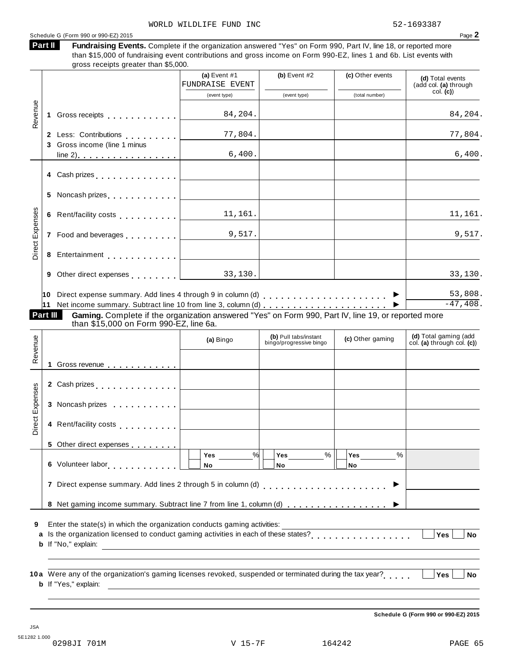# Schedule <sup>G</sup> (Form <sup>990</sup> or 990-EZ) <sup>2015</sup> Page **2**

Fundraising Events. Complete if the organization answered "Yes" on Form 990, Part IV, line 18, or reported more than \$15,000 of fundraising event contributions and gross income on Form 990-EZ, lines 1 and 6b. List events with **Part II**

|                 |    | gross receipts greater than \$5,000.                                                                                                                                                                                           |                                                                     |                                                  |                  |                                                      |
|-----------------|----|--------------------------------------------------------------------------------------------------------------------------------------------------------------------------------------------------------------------------------|---------------------------------------------------------------------|--------------------------------------------------|------------------|------------------------------------------------------|
|                 |    |                                                                                                                                                                                                                                | (a) Event $#1$<br><b>FUNDRAISE EVENT</b>                            | (b) Event $#2$                                   | (c) Other events | (d) Total events<br>(add col. (a) through            |
|                 |    |                                                                                                                                                                                                                                | (event type)                                                        | (event type)                                     | (total number)   | col. (c)                                             |
| Revenue         | 1. | Gross receipts <b>contained</b> and <b>contained</b> and <b>contained</b> and <b>contained</b> and <b>contained a</b>                                                                                                          | 84,204.                                                             |                                                  |                  | 84,204.                                              |
|                 |    | 2 Less: Contributions [1994]                                                                                                                                                                                                   | 77,804.                                                             |                                                  |                  | 77,804.                                              |
|                 | 3  | Gross income (line 1 minus                                                                                                                                                                                                     |                                                                     |                                                  |                  |                                                      |
|                 |    | $line 2)$ $\ldots$ $\ldots$ $\ldots$ $\ldots$ $\ldots$                                                                                                                                                                         | 6,400.                                                              |                                                  |                  | 6,400.                                               |
|                 |    | 4 Cash prizes <u>  _ _ _ _ _ _ _ _ _ _ _ _ _</u>                                                                                                                                                                               |                                                                     |                                                  |                  |                                                      |
|                 | 5  |                                                                                                                                                                                                                                |                                                                     |                                                  |                  |                                                      |
|                 | 6  | Rent/facility costs entertainment in the set of the set of the set of the set of the set of the set of the set of the set of the set of the set of the set of the set of the set of the set of the set of the set of the set o | 11,161.                                                             |                                                  |                  | 11,161.                                              |
| Direct Expenses |    |                                                                                                                                                                                                                                | 9,517.                                                              |                                                  |                  | 9,517.                                               |
|                 | 8  | Entertainment entertainment and the contract of the contract of the contract of the contract of the contract of                                                                                                                |                                                                     |                                                  |                  |                                                      |
|                 | 9  | Other direct expenses extending the state of the state of the state of the state of the state of the state of                                                                                                                  | 33,130.                                                             |                                                  |                  | 33,130.                                              |
|                 | 10 |                                                                                                                                                                                                                                |                                                                     |                                                  |                  | 53,808.                                              |
|                 | 11 |                                                                                                                                                                                                                                |                                                                     |                                                  |                  | $-47,408.$                                           |
| Part III        |    | Gaming. Complete if the organization answered "Yes" on Form 990, Part IV, line 19, or reported more<br>than \$15,000 on Form 990-EZ, line 6a.                                                                                  |                                                                     |                                                  |                  |                                                      |
|                 |    |                                                                                                                                                                                                                                | (a) Bingo                                                           | (b) Pull tabs/instant<br>bingo/progressive bingo | (c) Other gaming | (d) Total gaming (add<br>col. (a) through col. $(c)$ |
| Revenue         | 1  | Gross revenue <u></u>                                                                                                                                                                                                          |                                                                     |                                                  |                  |                                                      |
|                 |    |                                                                                                                                                                                                                                |                                                                     |                                                  |                  |                                                      |
|                 |    |                                                                                                                                                                                                                                |                                                                     |                                                  |                  |                                                      |
|                 |    | 3 Noncash prizes                                                                                                                                                                                                               |                                                                     |                                                  |                  |                                                      |
| Direct Expenses |    | 4 Rent/facility costs                                                                                                                                                                                                          |                                                                     |                                                  |                  |                                                      |
|                 |    | 5 Other direct expenses                                                                                                                                                                                                        |                                                                     |                                                  |                  |                                                      |
|                 |    | 6 Volunteer labor <b>6 Volunteer</b> labor                                                                                                                                                                                     | %<br>Yes<br><b>No</b>                                               | $\%$<br>Yes<br>No                                | %<br>Yes<br>No   |                                                      |
|                 |    |                                                                                                                                                                                                                                |                                                                     |                                                  | ▶                |                                                      |
|                 |    | 8 Net gaming income summary. Subtract line 7 from line 1, column (d)                                                                                                                                                           |                                                                     |                                                  |                  |                                                      |
| 9<br>a<br>b     |    | Enter the state(s) in which the organization conducts gaming activities:<br>If "No," explain:                                                                                                                                  | <u> 1980 - Andrea Station Barbara, amerikan personal (h. 1980).</u> |                                                  |                  | Yes<br><b>No</b>                                     |

**10** Were any of the organization's gaming licenses revoked, suspended or terminated during the tax year? **a** m m m m m **Yes No b** If "Yes," explain:

**Schedule G (Form 990 or 990-EZ) 2015**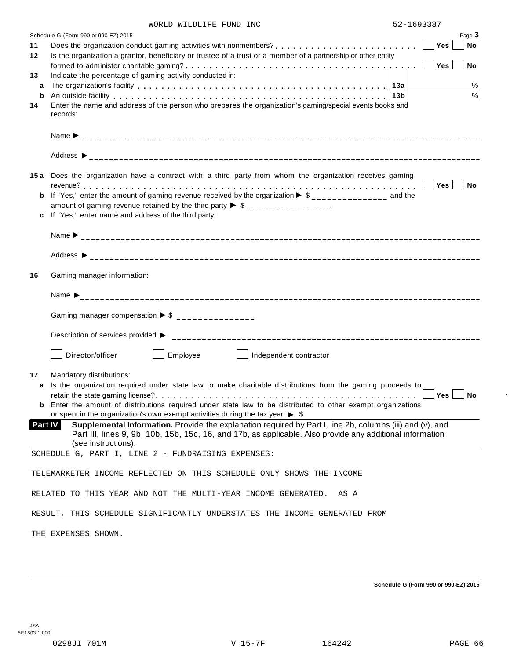|         | Schedule G (Form 990 or 990-EZ) 2015<br>Page 3                                                                                                                                                                              |
|---------|-----------------------------------------------------------------------------------------------------------------------------------------------------------------------------------------------------------------------------|
| 11      | Yes<br>  No                                                                                                                                                                                                                 |
| 12      | Is the organization a grantor, beneficiary or trustee of a trust or a member of a partnership or other entity                                                                                                               |
|         | Yes<br><b>No</b>                                                                                                                                                                                                            |
| 13      | Indicate the percentage of gaming activity conducted in:                                                                                                                                                                    |
| a<br>b  | $\%$<br>%                                                                                                                                                                                                                   |
| 14      | An outside facility enterpretation of the control of the control of the control of the control of the control o<br>Enter the name and address of the person who prepares the organization's gaming/special events books and |
|         | records:                                                                                                                                                                                                                    |
|         |                                                                                                                                                                                                                             |
|         |                                                                                                                                                                                                                             |
|         |                                                                                                                                                                                                                             |
|         |                                                                                                                                                                                                                             |
|         |                                                                                                                                                                                                                             |
|         | 15a Does the organization have a contract with a third party from whom the organization receives gaming<br>Yes No                                                                                                           |
| b       | If "Yes," enter the amount of gaming revenue received by the organization $\blacktriangleright$ \$______________ and the                                                                                                    |
|         | amount of gaming revenue retained by the third party $\triangleright$ \$ _______________.                                                                                                                                   |
|         | If "Yes," enter name and address of the third party:                                                                                                                                                                        |
|         |                                                                                                                                                                                                                             |
|         |                                                                                                                                                                                                                             |
|         |                                                                                                                                                                                                                             |
|         |                                                                                                                                                                                                                             |
| 16      | Gaming manager information:                                                                                                                                                                                                 |
|         |                                                                                                                                                                                                                             |
|         |                                                                                                                                                                                                                             |
|         |                                                                                                                                                                                                                             |
|         | Gaming manager compensation $\triangleright$ \$ _______________                                                                                                                                                             |
|         |                                                                                                                                                                                                                             |
|         |                                                                                                                                                                                                                             |
|         | Employee<br>Director/officer<br><b>Contract Contract State</b><br>Independent contractor                                                                                                                                    |
|         |                                                                                                                                                                                                                             |
| 17      | Mandatory distributions:                                                                                                                                                                                                    |
| a       | Is the organization required under state law to make charitable distributions from the gaming proceeds to                                                                                                                   |
|         | $Yes \mid \text{No}$                                                                                                                                                                                                        |
|         | <b>b</b> Enter the amount of distributions required under state law to be distributed to other exempt organizations<br>or spent in the organization's own exempt activities during the tax year $\triangleright$ \$         |
| Part IV | Supplemental Information. Provide the explanation required by Part I, line 2b, columns (iii) and (v), and                                                                                                                   |
|         | Part III, lines 9, 9b, 10b, 15b, 15c, 16, and 17b, as applicable. Also provide any additional information                                                                                                                   |
|         | (see instructions).                                                                                                                                                                                                         |
|         | SCHEDULE G, PART I, LINE 2 - FUNDRAISING EXPENSES:                                                                                                                                                                          |
|         |                                                                                                                                                                                                                             |
|         | TELEMARKETER INCOME REFLECTED ON THIS SCHEDULE ONLY SHOWS THE INCOME                                                                                                                                                        |
|         | RELATED TO THIS YEAR AND NOT THE MULTI-YEAR INCOME GENERATED. AS A                                                                                                                                                          |
|         |                                                                                                                                                                                                                             |
|         | RESULT, THIS SCHEDULE SIGNIFICANTLY UNDERSTATES THE INCOME GENERATED FROM                                                                                                                                                   |
|         |                                                                                                                                                                                                                             |
|         | THE EXPENSES SHOWN.                                                                                                                                                                                                         |

**Schedule G (Form 990 or 990-EZ) 2015**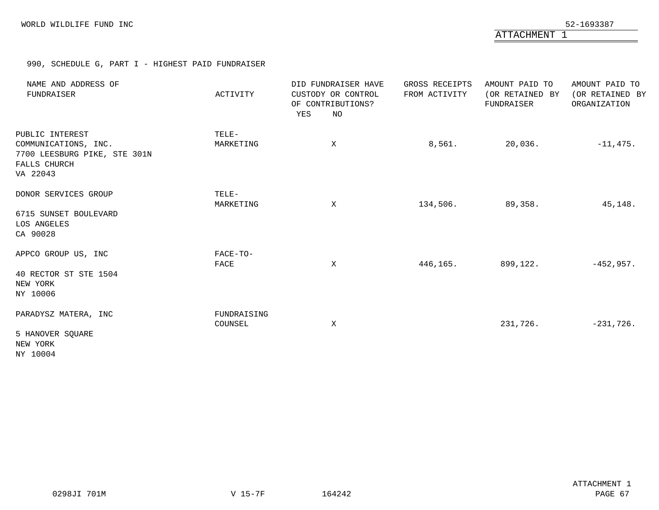ATTACHMENT 1

990, SCHEDULE G, PART I - HIGHEST PAID FUNDRAISER

| NAME AND ADDRESS OF<br>FUNDRAISER                                                                   | ACTIVITY               | DID FUNDRAISER HAVE<br>CUSTODY OR CONTROL<br>OF CONTRIBUTIONS?<br>YES<br>NO | GROSS RECEIPTS<br>FROM ACTIVITY | AMOUNT PAID TO<br>(OR RETAINED BY<br>FUNDRAISER | AMOUNT PAID TO<br>(OR RETAINED BY<br>ORGANIZATION |
|-----------------------------------------------------------------------------------------------------|------------------------|-----------------------------------------------------------------------------|---------------------------------|-------------------------------------------------|---------------------------------------------------|
| PUBLIC INTEREST<br>COMMUNICATIONS, INC.<br>7700 LEESBURG PIKE, STE 301N<br>FALLS CHURCH<br>VA 22043 | TELE-<br>MARKETING     | Χ                                                                           | 8,561.                          | 20,036.                                         | $-11,475.$                                        |
| DONOR SERVICES GROUP<br>6715 SUNSET BOULEVARD<br>LOS ANGELES<br>CA 90028                            | TELE-<br>MARKETING     | $\mathbf{X}$                                                                | 134,506.                        | 89,358.                                         | 45,148.                                           |
| APPCO GROUP US, INC<br>40 RECTOR ST STE 1504<br>NEW YORK<br>NY 10006                                | FACE-TO-<br>FACE       | X                                                                           | 446,165.                        | 899,122.                                        | $-452,957.$                                       |
| PARADYSZ MATERA, INC<br>5 HANOVER SQUARE<br>NEW YORK<br>NY 10004                                    | FUNDRAISING<br>COUNSEL | X                                                                           |                                 | 231,726.                                        | $-231,726$ .                                      |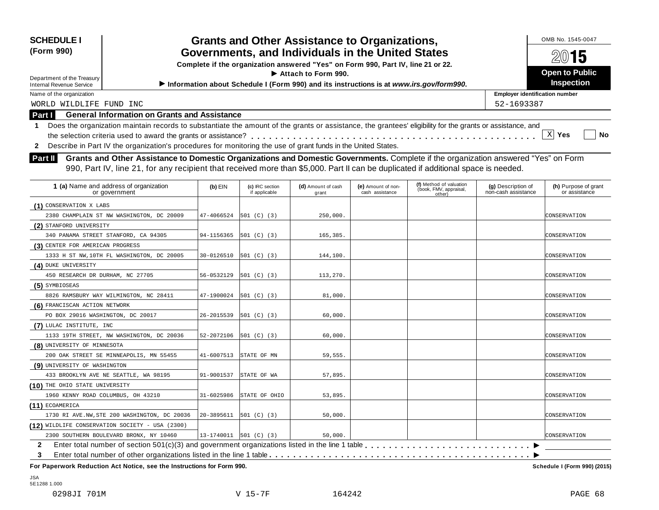### **SCHEDULE** OMB No. 1545-0047 **I Grants and Other Assistance to Organizations, (Form 990) Governments, and Individuals in the United States**<br>Complete if the organization answered "Yes" on Form 990, Part IV, line 21 or 22. I **Attach to Form 990. Open to Public** Department of the Treasury Internal Revenue Service I**Information about Schedule <sup>I</sup> (Form 990) and its instructions is at** *www.irs.gov/form990***. Inspection Employer identification number Part I General Information on Grants and Assistance** 1 Does the organization maintain records to substantiate the amount of the grants or assistance, the grantees' eligibility for the grants or assistance, and<br>the selection criteria used to award the grants or assistance? **2** Describe in Part IV the organization's procedures for monitoring the use of grant funds in the United States. the selection criteria used to award the grants or assistance? **Grants and Other Assistance to Domestic Organizations and Domestic Governments.** Complete if the organization answered "Yes" on Form **Part II** Grants and Other Assistance to Domestic Organizations and Domestic Governments. Complete if the organization answere is needed. 990, Part IV, line 21, for any recipient that received more than \$5,000. Part II can **(a)** Name and address of organization **1 (b)** EIN or government **(c)** IRC section if applicable **(d)** Amount of cash grant **(e)** Amount of non cash assistance **(g)** Description of non-cash assistance **(h)** Purpose of grant or assistance **(f)** Method of valuation (book, FMV, appraisal, other) **(1)** CONSERVATION X LABS **(2)** STANFORD UNIVERSITY **(3)** CENTER FOR AMERICAN PROGRESS **(4)** DUKE UNIVERSITY **(5)** SYMBIOSEAS **(6)** FRANCISCAN ACTION NETWORK **(7)** LULAC INSTITUTE, INC **(8)** UNIVERSITY OF MINNESOTA **(9)** UNIVERSITY OF WASHINGTON WORLD WILDLIFE FUND INC 52-1693387 X ∣Yes 2380 CHAMPLAIN ST NW WASHINGTON, DC 20009 47-4066524 501 (C) (3) 250,000. CONSERVATION 340 PANAMA STREET STANFORD, CA 94305 94-1156365 501 (C) (3)  $\vert$  165,385. 1333 H ST NW,10TH FL WASHINGTON, DC 20005 30-0126510 501 (C) (3)  $\vert$  144,100. 450 RESEARCH DR DURHAM, NC 27705 56-0532129 501 (C) (3) 113,270. 8826 RAMSBURY WAY WILMINGTON, NC 28411  $47-1900024$  501 (C) (3) 81,000. PO BOX 29016 WASHINGTON, DC 20017 26-2015539 501 (C) (3) 60,000. 1133 19TH STREET, NW WASHINGTON, DC 20036 52-2072106 501 (C) (3) 60,000. CONSERVATION 200 OAK STREET SE MINNEAPOLIS, MN 55455 41-6007513 STATE OF MN 59,555. 433 BROOKLYN AVE NE SEATTLE, WA 98195 91-9001537 STATE OF WA  $\vert$  57,895.  $\vert$  67.813 STATE OF WA 57,895. CONSERVATION

1960 KENNY ROAD COLUMBUS, OH 43210 31-6025986 STATE OF OHIO 53,895.

1730 RI AVE.NW,STE 200 WASHINGTON, DC 20036 20-3895611 501 (C) (3) 50,000.

**(12)** WILDLIFE CONSERVATION SOCIETY - USA (2300) **2 3** Enter total number of section  $501(c)(3)$  and government organizations listed in the line 1 table  $\dots$ ... Enter total number of other organizations listed in the line 1 table m m m m m m m m m m m m m m m m m m m m m m m m m m m m m m m m m m m m m m m m m m m m m m m m m m m m m m m m m m m m m m m m m m m m m m m m 2300 SOUTHERN BOULEVARD BRONX, NY 10460 13-1740011 501 (C) (3) 50,000.

**For Paperwork Reduction Act Notice, see the Instructions for Form 990. Schedule I (Form 990) (2015)**

JSA 5E1288 1.000

**(10)** THE OHIO STATE UNIVERSITY

**(11)** ECOAMERICA

 $\begin{array}{ccc} & & & \\ \hline \end{array}$  $\overline{\phantom{1}}$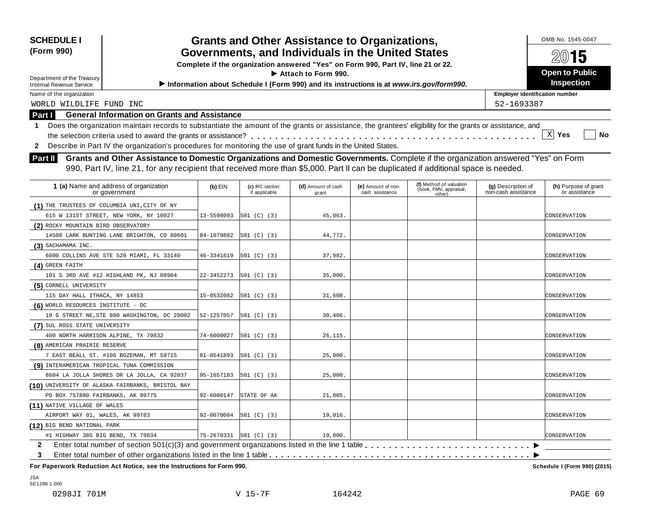| <b>SCHEDULE I</b><br>(Form 990)                                                                                                                                                                                                                                                             | <b>Grants and Other Assistance to Organizations,</b><br>Governments, and Individuals in the United States |                                  | OMB No. 1545-0047                                                                       |                                       |                                                             |                                           |                                       |  |
|---------------------------------------------------------------------------------------------------------------------------------------------------------------------------------------------------------------------------------------------------------------------------------------------|-----------------------------------------------------------------------------------------------------------|----------------------------------|-----------------------------------------------------------------------------------------|---------------------------------------|-------------------------------------------------------------|-------------------------------------------|---------------------------------------|--|
|                                                                                                                                                                                                                                                                                             |                                                                                                           |                                  | Complete if the organization answered "Yes" on Form 990, Part IV, line 21 or 22.        |                                       |                                                             | 2015                                      |                                       |  |
|                                                                                                                                                                                                                                                                                             |                                                                                                           |                                  | $\blacktriangleright$ Attach to Form 990.                                               |                                       |                                                             |                                           | <b>Open to Public</b>                 |  |
| Department of the Treasury<br><b>Internal Revenue Service</b>                                                                                                                                                                                                                               |                                                                                                           |                                  | Information about Schedule I (Form 990) and its instructions is at www.irs.gov/form990. |                                       |                                                             |                                           | Inspection                            |  |
| Name of the organization                                                                                                                                                                                                                                                                    |                                                                                                           |                                  |                                                                                         |                                       |                                                             | <b>Employer identification number</b>     |                                       |  |
| WORLD WILDLIFE FUND INC                                                                                                                                                                                                                                                                     |                                                                                                           |                                  |                                                                                         |                                       |                                                             | 52-1693387                                |                                       |  |
| <b>General Information on Grants and Assistance</b><br>Part I                                                                                                                                                                                                                               |                                                                                                           |                                  |                                                                                         |                                       |                                                             |                                           |                                       |  |
| Does the organization maintain records to substantiate the amount of the grants or assistance, the grantees' eligibility for the grants or assistance, and<br>1                                                                                                                             |                                                                                                           |                                  |                                                                                         |                                       |                                                             |                                           |                                       |  |
|                                                                                                                                                                                                                                                                                             |                                                                                                           |                                  |                                                                                         |                                       |                                                             |                                           | $X$ Yes<br>No                         |  |
| Describe in Part IV the organization's procedures for monitoring the use of grant funds in the United States.<br>$\mathbf{2}$                                                                                                                                                               |                                                                                                           |                                  |                                                                                         |                                       |                                                             |                                           |                                       |  |
| Grants and Other Assistance to Domestic Organizations and Domestic Governments. Complete if the organization answered "Yes" on Form<br><b>Part II</b><br>990, Part IV, line 21, for any recipient that received more than \$5,000. Part II can be duplicated if additional space is needed. |                                                                                                           |                                  |                                                                                         |                                       |                                                             |                                           |                                       |  |
| 1 (a) Name and address of organization<br>or government                                                                                                                                                                                                                                     | $(b)$ EIN                                                                                                 | (c) IRC section<br>if applicable | (d) Amount of cash<br>grant                                                             | (e) Amount of non-<br>cash assistance | (f) Method of valuation<br>(book, FMV, appraisal,<br>other) | (g) Description of<br>non-cash assistance | (h) Purpose of grant<br>or assistance |  |
| (1) THE TRUSTEES OF COLUMBIA UNI, CITY OF NY                                                                                                                                                                                                                                                |                                                                                                           |                                  |                                                                                         |                                       |                                                             |                                           |                                       |  |
| 615 W 131ST STREET, NEW YORK, NY 10027                                                                                                                                                                                                                                                      | 13-5598093                                                                                                | 501 (C) (3)                      | 45,063.                                                                                 |                                       |                                                             |                                           | CONSERVATION                          |  |
| (2) ROCKY MOUNTAIN BIRD OBSERVATORY                                                                                                                                                                                                                                                         |                                                                                                           |                                  |                                                                                         |                                       |                                                             |                                           |                                       |  |
| 14500 LARK BUNTING LANE BRIGHTON, CO 80601                                                                                                                                                                                                                                                  | 84-1079882                                                                                                | 501 (C) (3)                      | 44,772.                                                                                 |                                       |                                                             |                                           | CONSERVATION                          |  |
| (3) SACHAMAMA INC.                                                                                                                                                                                                                                                                          |                                                                                                           |                                  |                                                                                         |                                       |                                                             |                                           |                                       |  |
| 6000 COLLINS AVE STE 520 MIAMI, FL 33140                                                                                                                                                                                                                                                    | 46-3341619                                                                                                | 501 (C) (3)                      | 37,982.                                                                                 |                                       |                                                             |                                           | CONSERVATION                          |  |
| (4) GREEN FAITH                                                                                                                                                                                                                                                                             |                                                                                                           |                                  |                                                                                         |                                       |                                                             |                                           |                                       |  |
| 101 S 3RD AVE #12 HIGHLAND PK, NJ 08904                                                                                                                                                                                                                                                     | 22-3452273                                                                                                | 501 (C) (3)                      | 35,000.                                                                                 |                                       |                                                             |                                           | CONSERVATION                          |  |
| (5) CORNELL UNIVERSITY                                                                                                                                                                                                                                                                      |                                                                                                           |                                  |                                                                                         |                                       |                                                             |                                           |                                       |  |
| 115 DAY HALL ITHACA, NY 14853                                                                                                                                                                                                                                                               | 15-0532082                                                                                                | 501 (C) (3)                      | 31,608.                                                                                 |                                       |                                                             |                                           | CONSERVATION                          |  |
| (6) WORLD RESOURCES INSTITUTE - DC                                                                                                                                                                                                                                                          |                                                                                                           |                                  |                                                                                         |                                       |                                                             |                                           |                                       |  |
| 10 G STREET NE, STE 800 WASHINGTON, DC 20002                                                                                                                                                                                                                                                | 52-1257057                                                                                                | 501 (C) (3)                      | 30,406.                                                                                 |                                       |                                                             |                                           | CONSERVATION                          |  |
| (7) SUL ROSS STATE UNIVERSITY                                                                                                                                                                                                                                                               |                                                                                                           |                                  |                                                                                         |                                       |                                                             |                                           |                                       |  |
| 400 NORTH HARRISON ALPINE, TX 79832                                                                                                                                                                                                                                                         | 74-6000027                                                                                                | 501 (C) (3)                      | 26, 115.                                                                                |                                       |                                                             |                                           | CONSERVATION                          |  |
| (8) AMERICAN PRAIRIE RESERVE                                                                                                                                                                                                                                                                |                                                                                                           |                                  |                                                                                         |                                       |                                                             |                                           |                                       |  |
| 7 EAST BEALL ST. #100 BOZEMAN, MT 59715                                                                                                                                                                                                                                                     | 81-0541893                                                                                                | 501 (C) (3)                      | 25,000.                                                                                 |                                       |                                                             |                                           | CONSERVATION                          |  |
| (9) INTERAMERICAN TROPICAL TUNA COMMISSION                                                                                                                                                                                                                                                  |                                                                                                           |                                  |                                                                                         |                                       |                                                             |                                           |                                       |  |
| 8604 LA JOLLA SHORES DR LA JOLLA, CA 92037                                                                                                                                                                                                                                                  | 95-1657183                                                                                                | 501 (C) (3)                      | 25,000.                                                                                 |                                       |                                                             |                                           | CONSERVATION                          |  |
| (10) UNIVERSITY OF ALASKA FAIRBANKS, BRISTOL BAY                                                                                                                                                                                                                                            |                                                                                                           |                                  |                                                                                         |                                       |                                                             |                                           |                                       |  |
| PO BOX 757880 FAIRBANKS, AK 99775                                                                                                                                                                                                                                                           |                                                                                                           | 92-6000147 STATE OF AK           | 21,005.                                                                                 |                                       |                                                             |                                           | CONSERVATION                          |  |
| (11) NATIVE VILLAGE OF WALES                                                                                                                                                                                                                                                                |                                                                                                           |                                  |                                                                                         |                                       |                                                             |                                           |                                       |  |
| AIRPORT WAY 01, WALES, AK 99783                                                                                                                                                                                                                                                             |                                                                                                           | $92-0070084$ 501 (C) (3)         | 19,016.                                                                                 |                                       |                                                             |                                           | CONSERVATION                          |  |
| (12) BIG BEND NATIONAL PARK                                                                                                                                                                                                                                                                 |                                                                                                           |                                  |                                                                                         |                                       |                                                             |                                           |                                       |  |
| #1 HIGHWAY 385 BIG BEND, TX 79834                                                                                                                                                                                                                                                           |                                                                                                           | 75-2670331 501 (C) (3)           | 19,000.                                                                                 |                                       |                                                             |                                           | CONSERVATION                          |  |
| 2                                                                                                                                                                                                                                                                                           |                                                                                                           |                                  |                                                                                         |                                       |                                                             |                                           |                                       |  |
| 3                                                                                                                                                                                                                                                                                           |                                                                                                           |                                  |                                                                                         |                                       |                                                             |                                           |                                       |  |

JSA 5E1288 1.000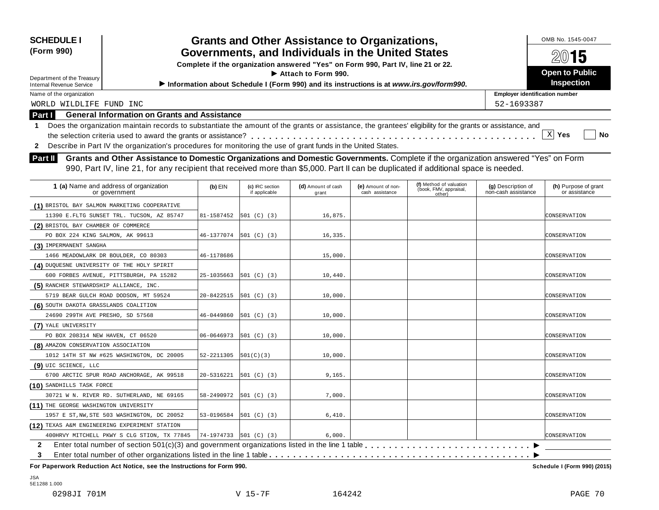| <b>SCHEDULE I</b><br>(Form 990)<br>Department of the Treasury<br><b>Internal Revenue Service</b><br>Name of the organization<br>WORLD WILDLIFE FUND INC<br>Part I<br>1 | <b>General Information on Grants and Assistance</b><br>Does the organization maintain records to substantiate the amount of the grants or assistance, the grantees' eligibility for the grants or assistance, and<br>2 Describe in Part IV the organization's procedures for monitoring the use of grant funds in the United States. | <b>Grants and Other Assistance to Organizations,</b><br>Governments, and Individuals in the United States<br>Complete if the organization answered "Yes" on Form 990, Part IV, line 21 or 22.<br>Information about Schedule I (Form 990) and its instructions is at www.irs.gov/form990. | 52-1693387                       | OMB No. 1545-0047<br>$20$ 15<br><b>Open to Public</b><br><b>Inspection</b><br><b>Employer identification number</b><br>X Yes<br>No |                                       |                                                             |                                           |                                       |
|------------------------------------------------------------------------------------------------------------------------------------------------------------------------|--------------------------------------------------------------------------------------------------------------------------------------------------------------------------------------------------------------------------------------------------------------------------------------------------------------------------------------|------------------------------------------------------------------------------------------------------------------------------------------------------------------------------------------------------------------------------------------------------------------------------------------|----------------------------------|------------------------------------------------------------------------------------------------------------------------------------|---------------------------------------|-------------------------------------------------------------|-------------------------------------------|---------------------------------------|
| Part II                                                                                                                                                                | Grants and Other Assistance to Domestic Organizations and Domestic Governments. Complete if the organization answered "Yes" on Form                                                                                                                                                                                                  |                                                                                                                                                                                                                                                                                          |                                  |                                                                                                                                    |                                       |                                                             |                                           |                                       |
|                                                                                                                                                                        | 990, Part IV, line 21, for any recipient that received more than \$5,000. Part II can be duplicated if additional space is needed.                                                                                                                                                                                                   |                                                                                                                                                                                                                                                                                          |                                  |                                                                                                                                    |                                       |                                                             |                                           |                                       |
| 1 (a) Name and address of organization                                                                                                                                 | or government                                                                                                                                                                                                                                                                                                                        | $(b)$ EIN                                                                                                                                                                                                                                                                                | (c) IRC section<br>if applicable | (d) Amount of cash<br>grant                                                                                                        | (e) Amount of non-<br>cash assistance | (f) Method of valuation<br>(book, FMV, appraisal,<br>other) | (g) Description of<br>non-cash assistance | (h) Purpose of grant<br>or assistance |
| (1) BRISTOL BAY SALMON MARKETING COOPERATIVE                                                                                                                           | 11390 E.FLTG SUNSET TRL. TUCSON, AZ 85747                                                                                                                                                                                                                                                                                            | 81-1587452                                                                                                                                                                                                                                                                               | 501 (C) (3)                      | 16,875.                                                                                                                            |                                       |                                                             |                                           | CONSERVATION                          |
| (2) BRISTOL BAY CHAMBER OF COMMERCE<br>PO BOX 224 KING SALMON, AK 99613                                                                                                |                                                                                                                                                                                                                                                                                                                                      | 46-1377074                                                                                                                                                                                                                                                                               | 501 (C) (3)                      | 16,335.                                                                                                                            |                                       |                                                             |                                           | CONSERVATION                          |
| (3) IMPERMANENT SANGHA<br>1466 MEADOWLARK DR BOULDER, CO 80303                                                                                                         |                                                                                                                                                                                                                                                                                                                                      | 46-1178686                                                                                                                                                                                                                                                                               |                                  | 15,000.                                                                                                                            |                                       |                                                             |                                           | CONSERVATION                          |
| (4) DUQUESNE UNIVERSITY OF THE HOLY SPIRIT<br>600 FORBES AVENUE, PITTSBURGH, PA 15282                                                                                  |                                                                                                                                                                                                                                                                                                                                      | 25-1035663                                                                                                                                                                                                                                                                               | 501 (C) (3)                      | 10,440.                                                                                                                            |                                       |                                                             |                                           | CONSERVATION                          |
| (5) RANCHER STEWARDSHIP ALLIANCE, INC.<br>5719 BEAR GULCH ROAD DODSON, MT 59524                                                                                        |                                                                                                                                                                                                                                                                                                                                      | 20-8422515                                                                                                                                                                                                                                                                               | 501 (C) (3)                      | 10,000.                                                                                                                            |                                       |                                                             |                                           | CONSERVATION                          |
| (6) SOUTH DAKOTA GRASSLANDS COALITION<br>24690 299TH AVE PRESHO, SD 57568                                                                                              |                                                                                                                                                                                                                                                                                                                                      | 46-0449860                                                                                                                                                                                                                                                                               | 501 (C) (3)                      | 10,000.                                                                                                                            |                                       |                                                             |                                           | CONSERVATION                          |
| (7) YALE UNIVERSITY<br>PO BOX 208314 NEW HAVEN, CT 06520                                                                                                               |                                                                                                                                                                                                                                                                                                                                      | 06-0646973                                                                                                                                                                                                                                                                               | 501 (C) (3)                      | 10,000.                                                                                                                            |                                       |                                                             |                                           | CONSERVATION                          |
| (8) AMAZON CONSERVATION ASSOCIATION                                                                                                                                    | 1012 14TH ST NW #625 WASHINGTON, DC 20005                                                                                                                                                                                                                                                                                            | 52-2211305                                                                                                                                                                                                                                                                               | 501(C)(3)                        | 10,000.                                                                                                                            |                                       |                                                             |                                           | CONSERVATION                          |
| (9) UIC SCIENCE, LLC                                                                                                                                                   | 6700 ARCTIC SPUR ROAD ANCHORAGE, AK 99518                                                                                                                                                                                                                                                                                            | 20-5316221                                                                                                                                                                                                                                                                               | 501 (C) (3)                      | 9,165.                                                                                                                             |                                       |                                                             |                                           | CONSERVATION                          |
| (10) SANDHILLS TASK FORCE                                                                                                                                              | 30721 W N. RIVER RD. SUTHERLAND, NE 69165                                                                                                                                                                                                                                                                                            | 58-2490972                                                                                                                                                                                                                                                                               | 501 (C) (3)                      | 7,000.                                                                                                                             |                                       |                                                             |                                           | CONSERVATION                          |
| (11) THE GEORGE WASHINGTON UNIVERSITY                                                                                                                                  | 1957 E ST, NW, STE 503 WASHINGTON, DC 20052                                                                                                                                                                                                                                                                                          |                                                                                                                                                                                                                                                                                          | 53-0196584 501 (C) (3)           | 6,410.                                                                                                                             |                                       |                                                             |                                           | CONSERVATION                          |
| (12) TEXAS A&M ENGINEERING EXPERIMENT STATION                                                                                                                          | 400HRVY MITCHELL PKWY S CLG STION, TX 77845                                                                                                                                                                                                                                                                                          |                                                                                                                                                                                                                                                                                          | 74-1974733 501 (C) (3)           | 6,000.                                                                                                                             |                                       |                                                             |                                           | CONSERVATION                          |
| 2<br>3                                                                                                                                                                 |                                                                                                                                                                                                                                                                                                                                      |                                                                                                                                                                                                                                                                                          |                                  |                                                                                                                                    |                                       |                                                             |                                           |                                       |

JSA 5E1288 1.000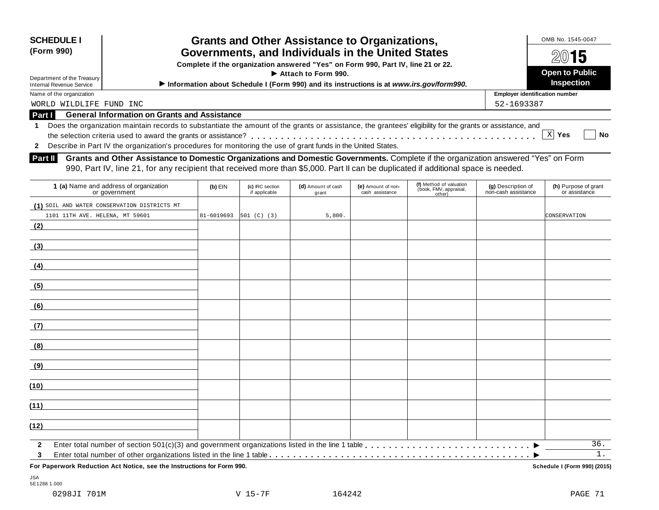| <b>SCHEDULE I</b><br>(Form 990)<br>Department of the Treasury<br><b>Internal Revenue Service</b> |                                                                                                                                                                                                                                                                                                                                                                                                                                                                                                                                                          | <b>Grants and Other Assistance to Organizations,</b><br>Governments, and Individuals in the United States<br>Complete if the organization answered "Yes" on Form 990, Part IV, line 21 or 22.<br>Information about Schedule I (Form 990) and its instructions is at www.irs.gov/form990. |                                  | OMB No. 1545-0047<br>$20$ 15<br><b>Open to Public</b><br><b>Inspection</b> |                                       |                                                             |                                           |                                       |
|--------------------------------------------------------------------------------------------------|----------------------------------------------------------------------------------------------------------------------------------------------------------------------------------------------------------------------------------------------------------------------------------------------------------------------------------------------------------------------------------------------------------------------------------------------------------------------------------------------------------------------------------------------------------|------------------------------------------------------------------------------------------------------------------------------------------------------------------------------------------------------------------------------------------------------------------------------------------|----------------------------------|----------------------------------------------------------------------------|---------------------------------------|-------------------------------------------------------------|-------------------------------------------|---------------------------------------|
| Name of the organization                                                                         |                                                                                                                                                                                                                                                                                                                                                                                                                                                                                                                                                          |                                                                                                                                                                                                                                                                                          |                                  |                                                                            |                                       |                                                             | <b>Employer identification number</b>     |                                       |
| WORLD WILDLIFE FUND INC<br>Part I                                                                | <b>General Information on Grants and Assistance</b>                                                                                                                                                                                                                                                                                                                                                                                                                                                                                                      |                                                                                                                                                                                                                                                                                          |                                  |                                                                            |                                       |                                                             | 52-1693387                                |                                       |
| -1<br>$\mathbf{2}$<br>Part II                                                                    | Does the organization maintain records to substantiate the amount of the grants or assistance, the grantees' eligibility for the grants or assistance, and<br>Describe in Part IV the organization's procedures for monitoring the use of grant funds in the United States.<br>Grants and Other Assistance to Domestic Organizations and Domestic Governments. Complete if the organization answered "Yes" on Form<br>990, Part IV, line 21, for any recipient that received more than \$5,000. Part II can be duplicated if additional space is needed. |                                                                                                                                                                                                                                                                                          |                                  |                                                                            |                                       |                                                             |                                           | X Yes<br>No                           |
|                                                                                                  | 1 (a) Name and address of organization<br>or government                                                                                                                                                                                                                                                                                                                                                                                                                                                                                                  | $(b)$ EIN                                                                                                                                                                                                                                                                                | (c) IRC section<br>if applicable | (d) Amount of cash<br>grant                                                | (e) Amount of non-<br>cash assistance | (f) Method of valuation<br>(book, FMV, appraisal,<br>other) | (g) Description of<br>non-cash assistance | (h) Purpose of grant<br>or assistance |
| 1101 11TH AVE. HELENA, MT 59601<br>(2)                                                           | (1) SOIL AND WATER CONSERVATION DISTRICTS MT                                                                                                                                                                                                                                                                                                                                                                                                                                                                                                             | 81-6019693                                                                                                                                                                                                                                                                               | 501 (C) (3)                      | 5,800.                                                                     |                                       |                                                             |                                           | CONSERVATION                          |
| (3)                                                                                              |                                                                                                                                                                                                                                                                                                                                                                                                                                                                                                                                                          |                                                                                                                                                                                                                                                                                          |                                  |                                                                            |                                       |                                                             |                                           |                                       |
| (4)                                                                                              |                                                                                                                                                                                                                                                                                                                                                                                                                                                                                                                                                          |                                                                                                                                                                                                                                                                                          |                                  |                                                                            |                                       |                                                             |                                           |                                       |
| (5)                                                                                              |                                                                                                                                                                                                                                                                                                                                                                                                                                                                                                                                                          |                                                                                                                                                                                                                                                                                          |                                  |                                                                            |                                       |                                                             |                                           |                                       |
| (6)                                                                                              |                                                                                                                                                                                                                                                                                                                                                                                                                                                                                                                                                          |                                                                                                                                                                                                                                                                                          |                                  |                                                                            |                                       |                                                             |                                           |                                       |
| (7)                                                                                              |                                                                                                                                                                                                                                                                                                                                                                                                                                                                                                                                                          |                                                                                                                                                                                                                                                                                          |                                  |                                                                            |                                       |                                                             |                                           |                                       |
| (8)                                                                                              |                                                                                                                                                                                                                                                                                                                                                                                                                                                                                                                                                          |                                                                                                                                                                                                                                                                                          |                                  |                                                                            |                                       |                                                             |                                           |                                       |
| (9)                                                                                              |                                                                                                                                                                                                                                                                                                                                                                                                                                                                                                                                                          |                                                                                                                                                                                                                                                                                          |                                  |                                                                            |                                       |                                                             |                                           |                                       |

| For Paperwork Reduction Act Notice, see the Instructions for Form 990.                                                                        | Schedule I (Form 990) (2015) |  |
|-----------------------------------------------------------------------------------------------------------------------------------------------|------------------------------|--|
| Enter total number of other organizations listed in the line 1 table entitled by entering respective to entering the $\blacktriangleright$    |                              |  |
| $\blacksquare$ Line rotal number of section $\mathfrak{O}(1/\mathbb{C})$ and government organizations insted in the line rable $\blacksquare$ | <u>.</u> ب                   |  |

JSA 5E1288 1.000

**(10)**

**(11)**

**(12)**

**2 3**

Enter total number of section 501(c)(3) and government organizations listed in the line 1 table  $\dots \dots \dots \dots \dots \dots \dots \dots \dots \dots \dots \dots \dots \dots \dots \longmapsto \_$ 

Enter total number of other organizations listed in the line 1 table m m m m m m m m m m m m m m m m m m m m m m m m m m m m m m m m m m m m m m m m m m m m

36. 1.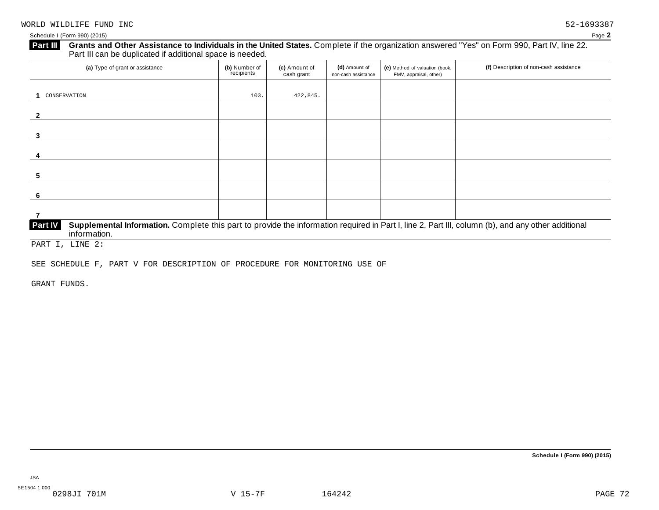# **Grants and Other Assistance to Individuals in the United States.** Complete ifthe organization answered "Yes" on Form 990, Part IV, line 22. **Part III** Grants and Other Assistance to Individuals in the Unit Part III can be duplicated if additional space is needed.

| (a) Type of grant or assistance                                                                                                                                                      | (b) Number of<br>recipients | (c) Amount of<br>cash grant | (d) Amount of<br>non-cash assistance | (e) Method of valuation (book,<br>FMV, appraisal, other) | (f) Description of non-cash assistance |
|--------------------------------------------------------------------------------------------------------------------------------------------------------------------------------------|-----------------------------|-----------------------------|--------------------------------------|----------------------------------------------------------|----------------------------------------|
| CONSERVATION                                                                                                                                                                         | 103.                        | 422,845.                    |                                      |                                                          |                                        |
| $\mathbf{z}$                                                                                                                                                                         |                             |                             |                                      |                                                          |                                        |
|                                                                                                                                                                                      |                             |                             |                                      |                                                          |                                        |
|                                                                                                                                                                                      |                             |                             |                                      |                                                          |                                        |
| 5                                                                                                                                                                                    |                             |                             |                                      |                                                          |                                        |
| - 6                                                                                                                                                                                  |                             |                             |                                      |                                                          |                                        |
|                                                                                                                                                                                      |                             |                             |                                      |                                                          |                                        |
| Supplemental Information. Complete this part to provide the information required in Part I, line 2, Part III, column (b), and any other additional<br><b>Part IV</b><br>information. |                             |                             |                                      |                                                          |                                        |

PART I, LINE 2:

SEE SCHEDULE F, PART V FOR DESCRIPTION OF PROCEDURE FOR MONITORING USE OF

GRANT FUNDS.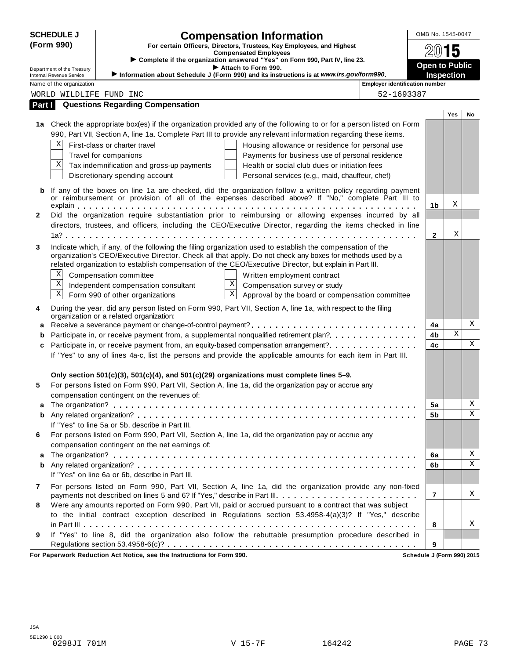|        | <b>SCHEDULE J</b>          | <b>Compensation Information</b>                                                                                                                                                      | OMB No. 1545-0047     |            |    |  |  |
|--------|----------------------------|--------------------------------------------------------------------------------------------------------------------------------------------------------------------------------------|-----------------------|------------|----|--|--|
|        | (Form 990)                 | For certain Officers, Directors, Trustees, Key Employees, and Highest                                                                                                                |                       |            |    |  |  |
|        |                            | <b>Compensated Employees</b><br>> Complete if the organization answered "Yes" on Form 990, Part IV, line 23.                                                                         |                       | 15         |    |  |  |
|        | Department of the Treasury | Attach to Form 990.                                                                                                                                                                  | <b>Open to Public</b> |            |    |  |  |
|        | Internal Revenue Service   | Information about Schedule J (Form 990) and its instructions is at www.irs.gov/form990.                                                                                              | <b>Inspection</b>     |            |    |  |  |
|        | Name of the organization   | <b>Employer identification number</b>                                                                                                                                                |                       |            |    |  |  |
|        |                            | 52-1693387<br>WORLD WILDLIFE FUND INC                                                                                                                                                |                       |            |    |  |  |
| Part I |                            | <b>Questions Regarding Compensation</b>                                                                                                                                              |                       |            |    |  |  |
|        |                            |                                                                                                                                                                                      |                       | <b>Yes</b> | No |  |  |
|        |                            | 1a Check the appropriate box(es) if the organization provided any of the following to or for a person listed on Form                                                                 |                       |            |    |  |  |
|        |                            | 990, Part VII, Section A, line 1a. Complete Part III to provide any relevant information regarding these items.                                                                      |                       |            |    |  |  |
|        | Χ                          | First-class or charter travel<br>Housing allowance or residence for personal use                                                                                                     |                       |            |    |  |  |
|        | X                          | Payments for business use of personal residence<br>Travel for companions                                                                                                             |                       |            |    |  |  |
|        |                            | Tax indemnification and gross-up payments<br>Health or social club dues or initiation fees                                                                                           |                       |            |    |  |  |
|        |                            | Discretionary spending account<br>Personal services (e.g., maid, chauffeur, chef)                                                                                                    |                       |            |    |  |  |
| b      |                            | If any of the boxes on line 1a are checked, did the organization follow a written policy regarding payment                                                                           |                       |            |    |  |  |
|        |                            | or reimbursement or provision of all of the expenses described above? If "No," complete Part III to                                                                                  | 1b                    | Χ          |    |  |  |
| 2      |                            | Did the organization require substantiation prior to reimbursing or allowing expenses incurred by all                                                                                |                       |            |    |  |  |
|        |                            | directors, trustees, and officers, including the CEO/Executive Director, regarding the items checked in line                                                                         |                       |            |    |  |  |
|        |                            |                                                                                                                                                                                      | $\mathbf{2}$          | Χ          |    |  |  |
| 3      |                            | Indicate which, if any, of the following the filing organization used to establish the compensation of the                                                                           |                       |            |    |  |  |
|        |                            | organization's CEO/Executive Director. Check all that apply. Do not check any boxes for methods used by a                                                                            |                       |            |    |  |  |
|        |                            | related organization to establish compensation of the CEO/Executive Director, but explain in Part III.                                                                               |                       |            |    |  |  |
|        | Χ                          | Compensation committee<br>Written employment contract                                                                                                                                |                       |            |    |  |  |
|        | X                          | $\mathbf X$<br>Independent compensation consultant<br>Compensation survey or study                                                                                                   |                       |            |    |  |  |
|        | X                          | $\overline{\mathbf{x}}$<br>Approval by the board or compensation committee<br>Form 990 of other organizations                                                                        |                       |            |    |  |  |
| 4      |                            | During the year, did any person listed on Form 990, Part VII, Section A, line 1a, with respect to the filing<br>organization or a related organization:                              |                       |            |    |  |  |
| a      |                            |                                                                                                                                                                                      | 4a                    |            | X  |  |  |
| b      |                            | Participate in, or receive payment from, a supplemental nonqualified retirement plan?                                                                                                | 4b                    | Χ          |    |  |  |
| c      |                            | Participate in, or receive payment from, an equity-based compensation arrangement?                                                                                                   | 4c                    |            | X  |  |  |
|        |                            | If "Yes" to any of lines 4a-c, list the persons and provide the applicable amounts for each item in Part III.                                                                        |                       |            |    |  |  |
|        |                            |                                                                                                                                                                                      |                       |            |    |  |  |
|        |                            | Only section $501(c)(3)$ , $501(c)(4)$ , and $501(c)(29)$ organizations must complete lines 5–9.                                                                                     |                       |            |    |  |  |
| 5      |                            | For persons listed on Form 990, Part VII, Section A, line 1a, did the organization pay or accrue any                                                                                 |                       |            |    |  |  |
|        |                            | compensation contingent on the revenues of:                                                                                                                                          |                       |            |    |  |  |
| а      |                            |                                                                                                                                                                                      | 5a                    |            | Χ  |  |  |
| b      |                            |                                                                                                                                                                                      | 5b                    |            | Χ  |  |  |
|        |                            | If "Yes" to line 5a or 5b, describe in Part III.                                                                                                                                     |                       |            |    |  |  |
| 6      |                            | For persons listed on Form 990, Part VII, Section A, line 1a, did the organization pay or accrue any                                                                                 |                       |            |    |  |  |
|        |                            | compensation contingent on the net earnings of:                                                                                                                                      |                       |            | Χ  |  |  |
| a      |                            |                                                                                                                                                                                      | 6a<br>6b              |            | Χ  |  |  |
| b      |                            | If "Yes" on line 6a or 6b, describe in Part III.                                                                                                                                     |                       |            |    |  |  |
|        |                            |                                                                                                                                                                                      |                       |            |    |  |  |
| 7      |                            | For persons listed on Form 990, Part VII, Section A, line 1a, did the organization provide any non-fixed<br>payments not described on lines 5 and 6? If "Yes," describe in Part III. | $\overline{7}$        |            | Χ  |  |  |
| 8      |                            | Were any amounts reported on Form 990, Part VII, paid or accrued pursuant to a contract that was subject                                                                             |                       |            |    |  |  |
|        |                            | to the initial contract exception described in Regulations section 53.4958-4(a)(3)? If "Yes," describe                                                                               |                       |            |    |  |  |
|        |                            |                                                                                                                                                                                      | 8                     |            | Χ  |  |  |
| 9      |                            | If "Yes" to line 8, did the organization also follow the rebuttable presumption procedure described in                                                                               |                       |            |    |  |  |
|        |                            |                                                                                                                                                                                      | 9                     |            |    |  |  |
|        |                            |                                                                                                                                                                                      |                       |            |    |  |  |

**For Paperwork Reduction Act Notice, see the Instructions for Form 990. Schedule J (Form 990) 2015**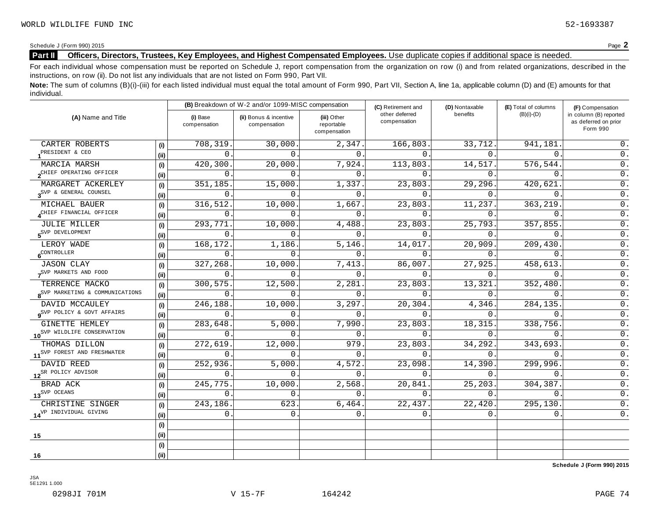# **Part II Officers, Directors, Trustees, Key Employees, and Highest Compensated Employees.** Use duplicate copies ifadditional space is needed.

For each individual whose compensation must be reported on Schedule J, report compensation from the organization on row (i) and from related organizations, described in the instructions, on row (ii). Do not list any individuals that are not listed on Form 990, Part VII.

Note: The sum of columns (B)(i)-(iii) for each listed individual must equal the total amount of Form 990, Part VII, Section A, line 1a, applicable column (D) and (E) amounts for that individual.

| (A) Name and Title                          |      |                          | (B) Breakdown of W-2 and/or 1099-MISC compensation |                                           | (C) Retirement and             | (D) Nontaxable | (E) Total of columns | (F) Compensation                                           |
|---------------------------------------------|------|--------------------------|----------------------------------------------------|-------------------------------------------|--------------------------------|----------------|----------------------|------------------------------------------------------------|
|                                             |      | (i) Base<br>compensation | (ii) Bonus & incentive<br>compensation             | (iii) Other<br>reportable<br>compensation | other deferred<br>compensation | benefits       | $(B)(i)-(D)$         | in column (B) reported<br>as deferred on prior<br>Form 990 |
| CARTER ROBERTS                              | (i)  | 708,319                  | 30,000.                                            | 2,347.                                    | 166,803.                       | 33,712.        | 941,181              | 0.                                                         |
| PRESIDENT & CEO                             | (ii) | $\Omega$                 | $\Omega$                                           | $\Omega$ .                                | $\Omega$                       | $\Omega$       | $\Omega$             | 0.                                                         |
| MARCIA MARSH                                | (i)  | 420,300                  | 20,000.                                            | $\overline{7}$ , 924.                     | 113,803.                       | 14,517.        | 576,544.             | 0.                                                         |
| OCHIEF OPERATING OFFICER                    | (ii) | $\Omega$                 | $\cap$                                             | $\Omega$ .                                | $\cap$                         | $\Omega$ .     | $\Omega$             | $\overline{0}$ .                                           |
| MARGARET ACKERLEY                           | (i)  | 351,185                  | 15,000.                                            | 1,337.                                    | 23,803.                        | 29,296.        | 420,621              | $0$ .                                                      |
| 3 <sup>SVP &amp;</sup> GENERAL COUNSEL      | (ii) | $\Omega$                 | $\Omega$                                           | $\Omega$                                  | $\Omega$ .                     | $\Omega$ .     | $\Omega$ .           | $0$ .                                                      |
| MICHAEL BAUER                               | (i)  | 316,512                  | 10,000.                                            | 1,667.                                    | 23,803                         | 11,237.        | 363,219              | $0$ .                                                      |
| CHIEF FINANCIAL OFFICER                     | (i)  | $\Omega$                 | $\Omega$ .                                         | $\mathbf 0$ .                             | $\Omega$ .                     | $0$ .          | $\mathbf{0}$ .       | $0$ .                                                      |
| <b>JULIE MILLER</b>                         | (i)  | 293,771                  | 10,000.                                            | 4,488.                                    | 23,803.                        | 25,793.        | 357,855              | 0.                                                         |
| 5 <sup>SVP</sup> DEVELOPMENT                | (ii) | 0                        | $\Omega$                                           | $\Omega$ .                                | $\Omega$ .                     | 0.             | $\mathbf{0}$ .       | 0.                                                         |
| LEROY WADE                                  | (i)  | 168,172.                 | 1,186.                                             | 5, 146.                                   | 14,017.                        | 20,909.        | 209,430.             | $0$ .                                                      |
| $6^{\text{CONTROLLER}}$                     | (ii) | $\mathbf{0}$ .           | $\Omega$                                           | $\mathbf 0$ .                             | $\Omega$ .                     | 0.             | $\overline{0}$ .     | $0$ .                                                      |
| <b>JASON CLAY</b>                           | (i)  | 327,268                  | 10,000.                                            | 7,413.                                    | 86,007.                        | 27,925.        | 458,613.             | $\mathsf 0$ .                                              |
| SVP MARKETS AND FOOD                        | (i)  | 0                        | $\Omega$                                           | $\Omega$                                  | $\Omega$ .                     | $0$ .          | $\mathbf{0}$ .       | $\overline{0}$ .                                           |
| TERRENCE MACKO                              | (i)  | 300, 575                 | 12,500.                                            | 2,281.                                    | 23,803.                        | 13,321.        | 352,480.             | $\overline{0}$ .                                           |
| 8 <sup>SVP</sup> MARKETING & COMMUNICATIONS | (i)  | 0                        | $\Omega$ .                                         | $\mathbf 0$ .                             | $\Omega$ .                     | $0$ .          | $\mathbf{0}$ .       | $0$ .                                                      |
| DAVID MCCAULEY                              | (i)  | 246,188                  | 10,000.                                            | 3,297.                                    | 20,304.                        | 4,346.         | 284,135.             | $\overline{0}$ .                                           |
| Q <sup>SVP</sup> POLICY & GOVT AFFAIRS      | (ii) | $\Omega$                 | $\Omega$                                           | $\Omega$ .                                | $\Omega$ .                     | $\Omega$ .     | $\Omega$ .           | $\overline{0}$ .                                           |
| GINETTE HEMLEY                              | (i)  | 283,648.                 | 5,000.                                             | 7,990.                                    | 23,803.                        | 18,315.        | 338,756.             | $\overline{0}$ .                                           |
| 10 <sup>SVP</sup> WILDLIFE CONSERVATION     | (ii) | 0                        | $\Omega$                                           | $\mathbf{0}$ .                            | $\Omega$ .                     | 0.             | $\mathsf{O}$ .       | $\mathsf 0$ .                                              |
| THOMAS DILLON                               | (i)  | 272,619                  | 12,000                                             | 979                                       | 23,803                         | 34, 292.       | 343,693              | $\overline{0}$ .                                           |
| 11 <sup>SVP</sup> FOREST AND FRESHWATER     | (i)  | $\Omega$ .               | $\Omega$ .                                         | $\Omega$ .                                | 0.                             | 0.             | $\Omega$ .           | $0$ .                                                      |
| DAVID REED                                  | (i)  | 252,936                  | 5,000.                                             | 4,572.                                    | 23,098.                        | 14,390.        | 299,996.             | $\overline{0}$ .                                           |
| 12 <sup>SR</sup> POLICY ADVISOR             | (i)  | $\Omega$ .               | $\cap$                                             | $\Omega$ .                                | $\Omega$ .                     | 0.             | $\Omega$ .           | 0.                                                         |
| BRAD ACK                                    | (i)  | 245,775                  | 10,000.                                            | 2,568.                                    | 20,841                         | 25,203.        | 304,387.             | $0$ .                                                      |
| 13 <sup>SVP</sup> OCEANS                    | (i)  | $\Omega$ .               | $\Omega$                                           | $\Omega$ .                                | 0.                             | 0.             | $\Omega$ .           | $0$ .                                                      |
| CHRISTINE SINGER                            | (i)  | 243,186                  | 623                                                | 6,464.                                    | 22,437.                        | 22,420.        | 295,130.             | $\overline{0}$ .                                           |
| 14 <sup>VP</sup> INDIVIDUAL GIVING          | (ii) | $0$ .                    | $\mathbf{0}$ .                                     | $\Omega$ .                                | 0.                             | 0.             | $\mathbf 0$ .        | $0$ .                                                      |
|                                             | (i)  |                          |                                                    |                                           |                                |                |                      |                                                            |
| 15                                          | (ii) |                          |                                                    |                                           |                                |                |                      |                                                            |
|                                             | (i)  |                          |                                                    |                                           |                                |                |                      |                                                            |
| 16                                          | (i)  |                          |                                                    |                                           |                                |                |                      |                                                            |

**Schedule J (Form 990) 2015**

0298JI 701M V 15-7F 164242 PAGE 74

5E1291 1.000

JSA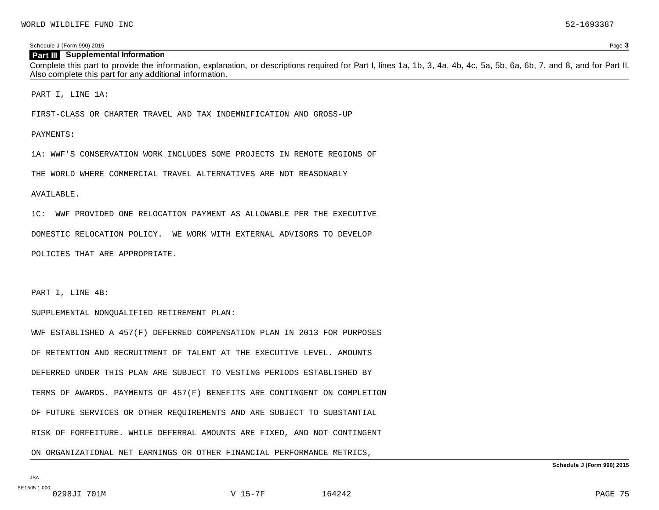### **Part III Supplemental Information**

Complete this part to provide the information, explanation, or descriptions required for Part I, lines 1a, 1b, 3, 4a, 4b, 4c, 5a, 5b, 6a, 6b, 7, and 8, and for Part II. Also complete this part for any additional information.

PART I, LINE 1A:

FIRST-CLASS OR CHARTER TRAVEL AND TAX INDEMNIFICATION AND GROSS-UP

### PAYMENTS:

1A: WWF'S CONSERVATION WORK INCLUDES SOME PROJECTS IN REMOTE REGIONS OF

THE WORLD WHERE COMMERCIAL TRAVEL ALTERNATIVES ARE NOT REASONABLY

#### AVAILABLE.

1C: WWF PROVIDED ONE RELOCATION PAYMENT AS ALLOWABLE PER THE EXECUTIVE

DOMESTIC RELOCATION POLICY. WE WORK WITH EXTERNAL ADVISORS TO DEVELOP

POLICIES THAT ARE APPROPRIATE.

PART I, LINE 4B:

#### SUPPLEMENTAL NONQUALIFIED RETIREMENT PLAN:

WWF ESTABLISHED A 457(F) DEFERRED COMPENSATION PLAN IN 2013 FOR PURPOSES OF RETENTION AND RECRUITMENT OF TALENT AT THE EXECUTIVE LEVEL. AMOUNTS DEFERRED UNDER THIS PLAN ARE SUBJECT TO VESTING PERIODS ESTABLISHED BY TERMS OF AWARDS. PAYMENTS OF 457(F) BENEFITS ARE CONTINGENT ON COMPLETION OF FUTURE SERVICES OR OTHER REQUIREMENTS AND ARE SUBJECT TO SUBSTANTIAL RISK OF FORFEITURE. WHILE DEFERRAL AMOUNTS ARE FIXED, AND NOT CONTINGENT ON ORGANIZATIONAL NET EARNINGS OR OTHER FINANCIAL PERFORMANCE METRICS,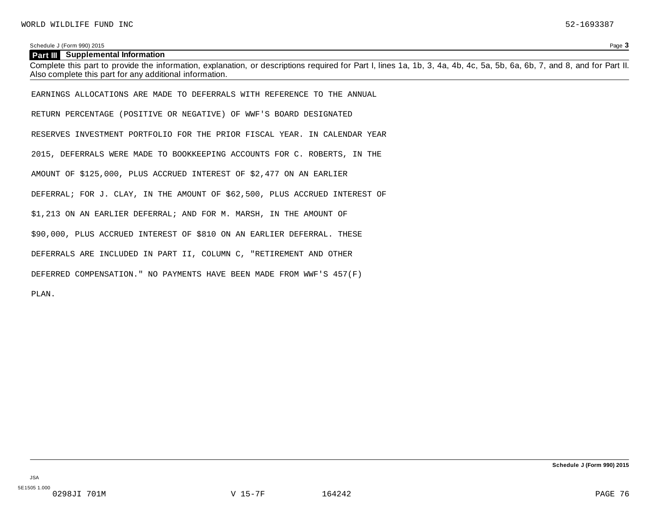| <b>Part III</b> Supplemental Information                                                                                                                                                                                            |
|-------------------------------------------------------------------------------------------------------------------------------------------------------------------------------------------------------------------------------------|
| Complete this part to provide the information, explanation, or descriptions required for Part I, lines 1a, 1b, 3, 4a, 4b, 4c, 5a, 5b, 6a, 6b, 7, and 8, and for Part II.<br>Also complete this part for any additional information. |
|                                                                                                                                                                                                                                     |
| EARNINGS ALLOCATIONS ARE MADE TO DEFERRALS WITH REFERENCE TO THE ANNUAL                                                                                                                                                             |
| RETURN PERCENTAGE (POSITIVE OR NEGATIVE) OF WWF'S BOARD DESIGNATED                                                                                                                                                                  |
| RESERVES INVESTMENT PORTFOLIO FOR THE PRIOR FISCAL YEAR. IN CALENDAR YEAR                                                                                                                                                           |
| 2015, DEFERRALS WERE MADE TO BOOKKEEPING ACCOUNTS FOR C. ROBERTS, IN THE                                                                                                                                                            |
| AMOUNT OF \$125,000, PLUS ACCRUED INTEREST OF \$2,477 ON AN EARLIER                                                                                                                                                                 |
| DEFERRAL; FOR J. CLAY, IN THE AMOUNT OF \$62,500, PLUS ACCRUED INTEREST OF                                                                                                                                                          |
| \$1,213 ON AN EARLIER DEFERRAL; AND FOR M. MARSH, IN THE AMOUNT OF                                                                                                                                                                  |
| \$90,000, PLUS ACCRUED INTEREST OF \$810 ON AN EARLIER DEFERRAL. THESE                                                                                                                                                              |
| DEFERRALS ARE INCLUDED IN PART II, COLUMN C, "RETIREMENT AND OTHER                                                                                                                                                                  |
| DEFERRED COMPENSATION." NO PAYMENTS HAVE BEEN MADE FROM WWF'S 457(F)                                                                                                                                                                |
| PLAN.                                                                                                                                                                                                                               |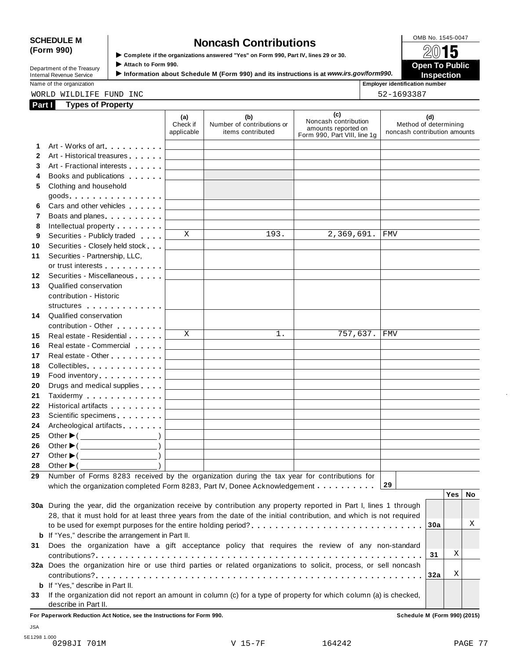# SCHEDULE M
<br> **SCHEDULE** M
<br> **SCOMB No. 1545-0047**<br> **SCOMB No. 1545-0047**<br> **SCOMB No. 1545-0047**<br> **SCOMB No. 1545-0047**<br> **SCOMB No. 1545-0047**<br> **SCOMB No. 1545-0047**<br> **SCOMB No. 1545-0047**

**(Form 990)** I **Complete if the organizations answered "Yes" on Form 990, Part IV, lines <sup>29</sup> or 30.** À¾µ¹ I ► Complete if the organizations answered "Yes" on Form 990, Part IV, lines 29 or 30.<br>Department of the Treasury Attach to Form 990.<br>Department of the Treasury **Department of the Treasury Property of the Complete of the** 

| Internal Revenue Service   | Information about Schedule M (Form 990) and its instructions is at www.irs.gov/form990. | <b>Inspection</b>     |
|----------------------------|-----------------------------------------------------------------------------------------|-----------------------|
| Department of the Treasury | ` Attach to Form 990.                                                                   | <b>Open To Public</b> |

Name of the organization **intervalse of the organization intervalse of the organization intervalse of the organization intervalse of the organization intervalse of the organization intervalse of the organization** 

| oyer identification nur |
|-------------------------|
| $F^{\wedge}$ 1600000    |

WORLD WILDLIFE FUND INC 52-1693387

| Part I | <b>Types of Property</b>                                                                                                                                                                                                      |                                   |                                                                                           |                                                                                    |                                                              |
|--------|-------------------------------------------------------------------------------------------------------------------------------------------------------------------------------------------------------------------------------|-----------------------------------|-------------------------------------------------------------------------------------------|------------------------------------------------------------------------------------|--------------------------------------------------------------|
|        |                                                                                                                                                                                                                               | (a)<br>Check if<br>applicable     | (b)<br>Number of contributions or<br>items contributed                                    | (c)<br>Noncash contribution<br>amounts reported on<br>Form 990, Part VIII, line 1g | (d)<br>Method of determining<br>noncash contribution amounts |
| 1      | Art - Works of art experience that the set of the set of the set of the set of the set of the set of the set of the set of the set of the set of the set of the set of the set of the set of the set of the set of the set of |                                   |                                                                                           |                                                                                    |                                                              |
| 2      | Art - Historical treasures                                                                                                                                                                                                    |                                   |                                                                                           |                                                                                    |                                                              |
| 3      | Art - Fractional interests                                                                                                                                                                                                    |                                   |                                                                                           |                                                                                    |                                                              |
| 4      | Books and publications <b>Exercises</b>                                                                                                                                                                                       |                                   |                                                                                           |                                                                                    |                                                              |
| 5      | Clothing and household                                                                                                                                                                                                        |                                   |                                                                                           |                                                                                    |                                                              |
|        |                                                                                                                                                                                                                               |                                   |                                                                                           |                                                                                    |                                                              |
| 6      | Cars and other vehicles <b>Cars</b>                                                                                                                                                                                           | <b>Contract Contract</b>          |                                                                                           |                                                                                    |                                                              |
| 7      | Boats and planes                                                                                                                                                                                                              |                                   |                                                                                           |                                                                                    |                                                              |
| 8      | Intellectual property <b>Algebra</b>                                                                                                                                                                                          |                                   |                                                                                           |                                                                                    |                                                              |
| 9      | Securities - Publicly traded                                                                                                                                                                                                  | X                                 | 193.                                                                                      | 2,369,691.                                                                         | <b>FMV</b>                                                   |
| 10     | Securities - Closely held stock                                                                                                                                                                                               |                                   |                                                                                           |                                                                                    |                                                              |
| 11     | Securities - Partnership, LLC,                                                                                                                                                                                                |                                   |                                                                                           |                                                                                    |                                                              |
|        | or trust interests                                                                                                                                                                                                            |                                   |                                                                                           |                                                                                    |                                                              |
| 12     | Securities - Miscellaneous                                                                                                                                                                                                    |                                   |                                                                                           |                                                                                    |                                                              |
| 13     | Qualified conservation                                                                                                                                                                                                        |                                   |                                                                                           |                                                                                    |                                                              |
|        | contribution - Historic                                                                                                                                                                                                       |                                   |                                                                                           |                                                                                    |                                                              |
|        | structures experiences                                                                                                                                                                                                        |                                   |                                                                                           |                                                                                    |                                                              |
| 14     | Qualified conservation                                                                                                                                                                                                        |                                   |                                                                                           |                                                                                    |                                                              |
|        | contribution - Other <b>Contribution</b>                                                                                                                                                                                      |                                   |                                                                                           |                                                                                    |                                                              |
| 15     | Real estate - Residential                                                                                                                                                                                                     | X                                 | 1.                                                                                        | 757,637.                                                                           | <b>FMV</b>                                                   |
| 16     | Real estate - Commercial                                                                                                                                                                                                      |                                   |                                                                                           |                                                                                    |                                                              |
| 17     |                                                                                                                                                                                                                               | <b>Contract Contract</b>          | <u> 1989 - Johann Barn, amerikansk politiker (</u>                                        |                                                                                    |                                                              |
| 18     | Collectibles                                                                                                                                                                                                                  | <b>Contract Contract</b>          | the control of the control of the control of the control of the control of                |                                                                                    |                                                              |
| 19     | Food inventory                                                                                                                                                                                                                | <b>Contract Contract</b>          | the control of the control of the control of the control of the control of                |                                                                                    |                                                              |
| 20     | Drugs and medical supplies                                                                                                                                                                                                    | <b>Contract Contract Contract</b> | the control of the control of the control of the control of the control of the control of |                                                                                    |                                                              |
| 21     | Taxidermy                                                                                                                                                                                                                     | <b>Contract Contract Contract</b> | the control of the control of the control of the control of the control of                |                                                                                    |                                                              |
| 22     | Historical artifacts <b>All Accords</b>                                                                                                                                                                                       | <b>Contract Contract Contract</b> | the control of the control of the control of the control of the control of                |                                                                                    |                                                              |
| 23     | Scientific specimens <b>Scientific specimens</b>                                                                                                                                                                              | <u>and the state of the state</u> | the control of the control of the control of the control of the control of                |                                                                                    |                                                              |
| 24     | Archeological artifacts                                                                                                                                                                                                       |                                   |                                                                                           |                                                                                    |                                                              |
| 25     | Other $\blacktriangleright$ ( $\_\_\_\_\_\_\_\_$ )                                                                                                                                                                            |                                   |                                                                                           |                                                                                    |                                                              |
| 26     | Other $\blacktriangleright$ ( $\_\_\_\_\_\_\_\_$ )                                                                                                                                                                            |                                   |                                                                                           |                                                                                    |                                                              |
| 27     | Other $\blacktriangleright$ ( $\_\_\_\_\_\_\_\_$ )                                                                                                                                                                            |                                   |                                                                                           |                                                                                    |                                                              |
| 28     | Other $\blacktriangleright$ (                                                                                                                                                                                                 |                                   |                                                                                           |                                                                                    |                                                              |
| 29     | Number of Forms 8283 received by the organization during the tax year for contributions for                                                                                                                                   |                                   |                                                                                           |                                                                                    |                                                              |
|        | which the organization completed Form 8283, Part IV, Donee Acknowledgement                                                                                                                                                    |                                   |                                                                                           |                                                                                    | 29                                                           |
|        |                                                                                                                                                                                                                               |                                   |                                                                                           |                                                                                    | <b>Yes</b><br><b>No</b>                                      |
|        | 30a During the year, did the organization receive by contribution any property reported in Part I, lines 1 through                                                                                                            |                                   |                                                                                           |                                                                                    |                                                              |
|        | 28, that it must hold for at least three years from the date of the initial contribution, and which is not required                                                                                                           |                                   |                                                                                           |                                                                                    |                                                              |
|        |                                                                                                                                                                                                                               |                                   |                                                                                           |                                                                                    | Χ<br>30a                                                     |
|        | <b>b</b> If "Yes," describe the arrangement in Part II.                                                                                                                                                                       |                                   |                                                                                           |                                                                                    |                                                              |
| 31     | Does the organization have a gift acceptance policy that requires the review of any non-standard                                                                                                                              |                                   |                                                                                           |                                                                                    |                                                              |
|        |                                                                                                                                                                                                                               |                                   |                                                                                           |                                                                                    | Χ<br>31                                                      |
|        | 32a Does the organization hire or use third parties or related organizations to solicit, process, or sell noncash                                                                                                             |                                   |                                                                                           |                                                                                    |                                                              |
|        |                                                                                                                                                                                                                               |                                   |                                                                                           |                                                                                    | Χ<br>32a                                                     |
|        | <b>b</b> If "Yes," describe in Part II.                                                                                                                                                                                       |                                   |                                                                                           |                                                                                    |                                                              |
| 33     | If the organization did not report an amount in column (c) for a type of property for which column (a) is checked,                                                                                                            |                                   |                                                                                           |                                                                                    |                                                              |
|        | describe in Part II.                                                                                                                                                                                                          |                                   |                                                                                           |                                                                                    |                                                              |
|        | For Paperwork Reduction Act Notice, see the Instructions for Form 990.                                                                                                                                                        |                                   |                                                                                           |                                                                                    | Schedule M (Form 990) (2015)                                 |

JSA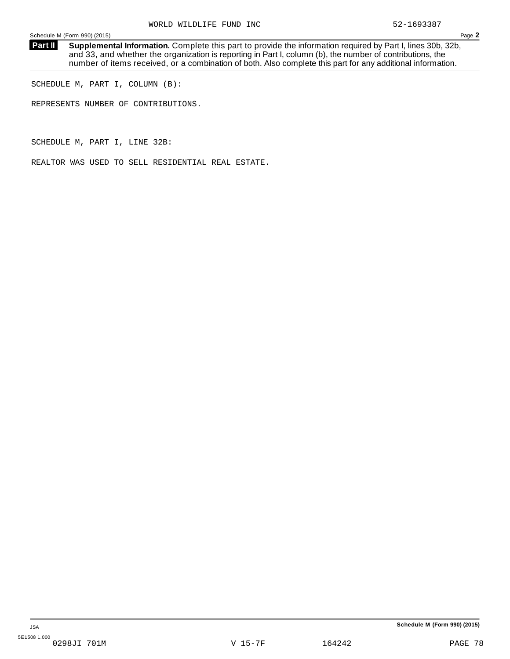**Supplemental Information.** Complete this part to provide the information required by Part I, lines 30b, 32b, and 33, and whether the organization is reporting in Part I, column (b), the number of contributions, the number of items received, or a combination of both. Also complete this part for any additional information. **Part II**

SCHEDULE M, PART I, COLUMN (B):

REPRESENTS NUMBER OF CONTRIBUTIONS.

SCHEDULE M, PART I, LINE 32B:

REALTOR WAS USED TO SELL RESIDENTIAL REAL ESTATE.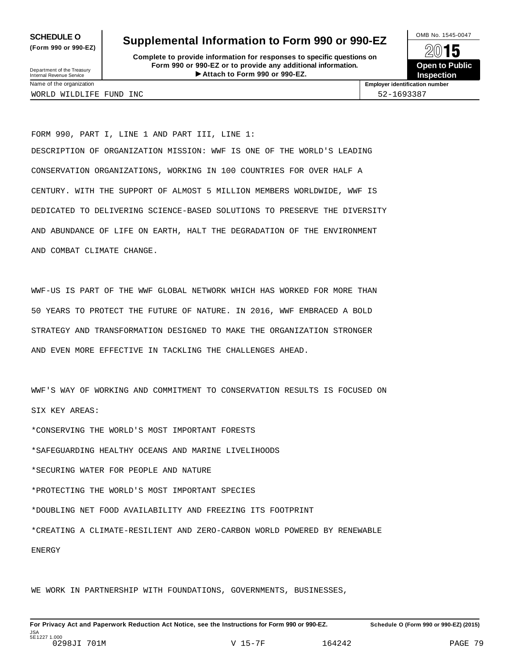**(Form 990 or 990-EZ)**

## **SCHEDULE O** Supplemental Information to Form 990 or 990-EZ  $\frac{100\text{dB No. }1545-0047}{\text{O}}$

**Complete to provide information for responses to specific questions on Form 990 or 990-EZ or to provide any additional information.** Fristen **Attach to Form 1990** or 990-EZ.<br>
Attach to Form 990 or 990-EZ.<br>
Attach to Form 990 or 990-EZ.<br> **Attach to Form 990 or 990-EZ.** Department of the Treasury Internal Revenue Service I



Name of the organization **Employer identification number**

WORLD WILDLIFE FUND INC 52-1693387

FORM 990, PART I, LINE 1 AND PART III, LINE 1: DESCRIPTION OF ORGANIZATION MISSION: WWF IS ONE OF THE WORLD'S LEADING CONSERVATION ORGANIZATIONS, WORKING IN 100 COUNTRIES FOR OVER HALF A CENTURY. WITH THE SUPPORT OF ALMOST 5 MILLION MEMBERS WORLDWIDE, WWF IS DEDICATED TO DELIVERING SCIENCE-BASED SOLUTIONS TO PRESERVE THE DIVERSITY AND ABUNDANCE OF LIFE ON EARTH, HALT THE DEGRADATION OF THE ENVIRONMENT AND COMBAT CLIMATE CHANGE.

WWF-US IS PART OF THE WWF GLOBAL NETWORK WHICH HAS WORKED FOR MORE THAN 50 YEARS TO PROTECT THE FUTURE OF NATURE. IN 2016, WWF EMBRACED A BOLD STRATEGY AND TRANSFORMATION DESIGNED TO MAKE THE ORGANIZATION STRONGER AND EVEN MORE EFFECTIVE IN TACKLING THE CHALLENGES AHEAD.

WWF'S WAY OF WORKING AND COMMITMENT TO CONSERVATION RESULTS IS FOCUSED ON SIX KEY AREAS:

\*CONSERVING THE WORLD'S MOST IMPORTANT FORESTS

\*SAFEGUARDING HEALTHY OCEANS AND MARINE LIVELIHOODS

\*SECURING WATER FOR PEOPLE AND NATURE

\*PROTECTING THE WORLD'S MOST IMPORTANT SPECIES

\*DOUBLING NET FOOD AVAILABILITY AND FREEZING ITS FOOTPRINT

\*CREATING A CLIMATE-RESILIENT AND ZERO-CARBON WORLD POWERED BY RENEWABLE

**ENERGY** 

WE WORK IN PARTNERSHIP WITH FOUNDATIONS, GOVERNMENTS, BUSINESSES,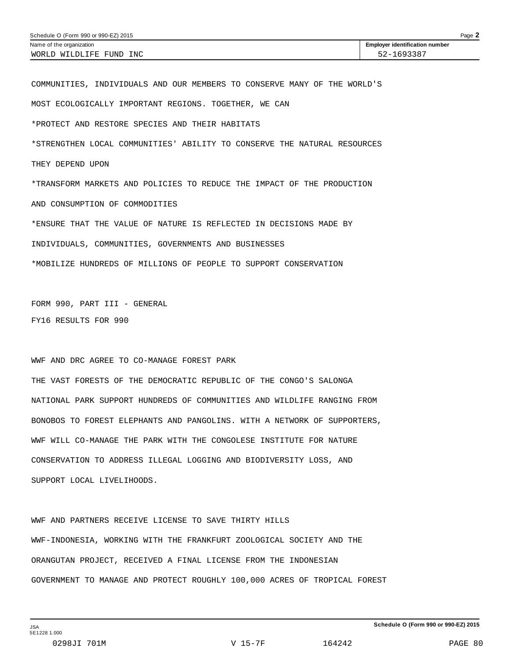| Schedule O (Form 990 or 990-EZ) 2015<br>$P$ age $\blacktriangle$ |                                       |  |  |
|------------------------------------------------------------------|---------------------------------------|--|--|
| Name of the organization                                         | <b>Employer identification number</b> |  |  |
| WORLD WILDLIFE FUND INC                                          | 52-1693387                            |  |  |

COMMUNITIES, INDIVIDUALS AND OUR MEMBERS TO CONSERVE MANY OF THE WORLD'S MOST ECOLOGICALLY IMPORTANT REGIONS. TOGETHER, WE CAN \*PROTECT AND RESTORE SPECIES AND THEIR HABITATS \*STRENGTHEN LOCAL COMMUNITIES' ABILITY TO CONSERVE THE NATURAL RESOURCES THEY DEPEND UPON \*TRANSFORM MARKETS AND POLICIES TO REDUCE THE IMPACT OF THE PRODUCTION AND CONSUMPTION OF COMMODITIES \*ENSURE THAT THE VALUE OF NATURE IS REFLECTED IN DECISIONS MADE BY INDIVIDUALS, COMMUNITIES, GOVERNMENTS AND BUSINESSES \*MOBILIZE HUNDREDS OF MILLIONS OF PEOPLE TO SUPPORT CONSERVATION

FORM 990, PART III - GENERAL FY16 RESULTS FOR 990

WWF AND DRC AGREE TO CO-MANAGE FOREST PARK

THE VAST FORESTS OF THE DEMOCRATIC REPUBLIC OF THE CONGO'S SALONGA NATIONAL PARK SUPPORT HUNDREDS OF COMMUNITIES AND WILDLIFE RANGING FROM BONOBOS TO FOREST ELEPHANTS AND PANGOLINS. WITH A NETWORK OF SUPPORTERS, WWF WILL CO-MANAGE THE PARK WITH THE CONGOLESE INSTITUTE FOR NATURE CONSERVATION TO ADDRESS ILLEGAL LOGGING AND BIODIVERSITY LOSS, AND SUPPORT LOCAL LIVELIHOODS.

WWF AND PARTNERS RECEIVE LICENSE TO SAVE THIRTY HILLS WWF-INDONESIA, WORKING WITH THE FRANKFURT ZOOLOGICAL SOCIETY AND THE ORANGUTAN PROJECT, RECEIVED A FINAL LICENSE FROM THE INDONESIAN GOVERNMENT TO MANAGE AND PROTECT ROUGHLY 100,000 ACRES OF TROPICAL FOREST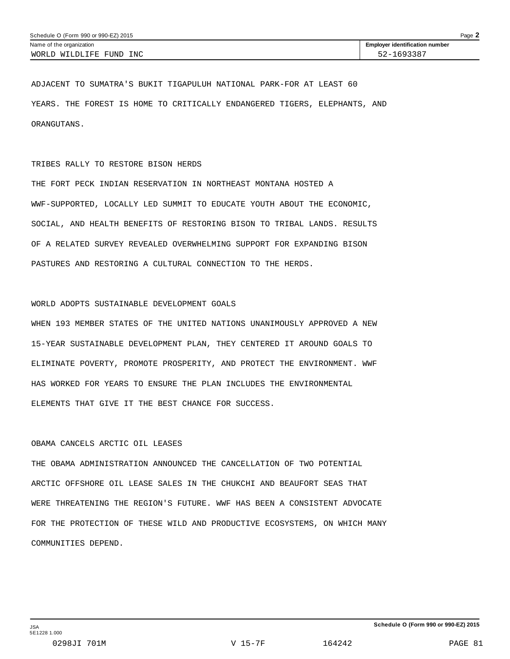ADJACENT TO SUMATRA'S BUKIT TIGAPULUH NATIONAL PARK-FOR AT LEAST 60 YEARS. THE FOREST IS HOME TO CRITICALLY ENDANGERED TIGERS, ELEPHANTS, AND ORANGUTANS.

#### TRIBES RALLY TO RESTORE BISON HERDS

THE FORT PECK INDIAN RESERVATION IN NORTHEAST MONTANA HOSTED A WWF-SUPPORTED, LOCALLY LED SUMMIT TO EDUCATE YOUTH ABOUT THE ECONOMIC, SOCIAL, AND HEALTH BENEFITS OF RESTORING BISON TO TRIBAL LANDS. RESULTS OF A RELATED SURVEY REVEALED OVERWHELMING SUPPORT FOR EXPANDING BISON PASTURES AND RESTORING A CULTURAL CONNECTION TO THE HERDS.

#### WORLD ADOPTS SUSTAINABLE DEVELOPMENT GOALS

WHEN 193 MEMBER STATES OF THE UNITED NATIONS UNANIMOUSLY APPROVED A NEW 15-YEAR SUSTAINABLE DEVELOPMENT PLAN, THEY CENTERED IT AROUND GOALS TO ELIMINATE POVERTY, PROMOTE PROSPERITY, AND PROTECT THE ENVIRONMENT. WWF HAS WORKED FOR YEARS TO ENSURE THE PLAN INCLUDES THE ENVIRONMENTAL ELEMENTS THAT GIVE IT THE BEST CHANCE FOR SUCCESS.

#### OBAMA CANCELS ARCTIC OIL LEASES

THE OBAMA ADMINISTRATION ANNOUNCED THE CANCELLATION OF TWO POTENTIAL ARCTIC OFFSHORE OIL LEASE SALES IN THE CHUKCHI AND BEAUFORT SEAS THAT WERE THREATENING THE REGION'S FUTURE. WWF HAS BEEN A CONSISTENT ADVOCATE FOR THE PROTECTION OF THESE WILD AND PRODUCTIVE ECOSYSTEMS, ON WHICH MANY COMMUNITIES DEPEND.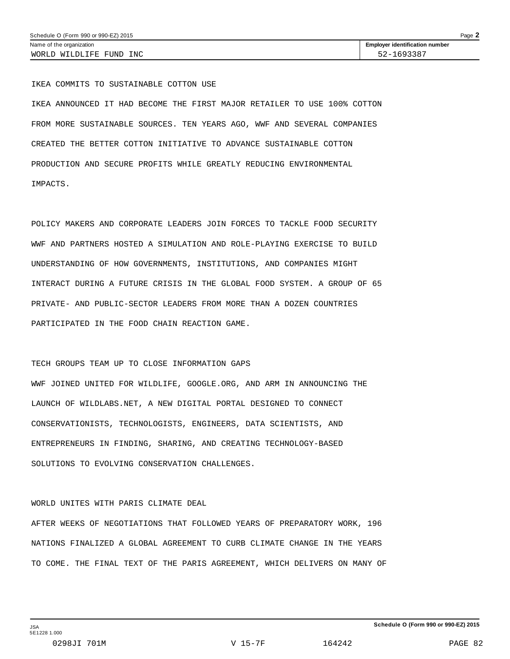IKEA COMMITS TO SUSTAINABLE COTTON USE

IKEA ANNOUNCED IT HAD BECOME THE FIRST MAJOR RETAILER TO USE 100% COTTON FROM MORE SUSTAINABLE SOURCES. TEN YEARS AGO, WWF AND SEVERAL COMPANIES CREATED THE BETTER COTTON INITIATIVE TO ADVANCE SUSTAINABLE COTTON PRODUCTION AND SECURE PROFITS WHILE GREATLY REDUCING ENVIRONMENTAL IMPACTS.

POLICY MAKERS AND CORPORATE LEADERS JOIN FORCES TO TACKLE FOOD SECURITY WWF AND PARTNERS HOSTED A SIMULATION AND ROLE-PLAYING EXERCISE TO BUILD UNDERSTANDING OF HOW GOVERNMENTS, INSTITUTIONS, AND COMPANIES MIGHT INTERACT DURING A FUTURE CRISIS IN THE GLOBAL FOOD SYSTEM. A GROUP OF 65 PRIVATE- AND PUBLIC-SECTOR LEADERS FROM MORE THAN A DOZEN COUNTRIES PARTICIPATED IN THE FOOD CHAIN REACTION GAME.

#### TECH GROUPS TEAM UP TO CLOSE INFORMATION GAPS

WWF JOINED UNITED FOR WILDLIFE, GOOGLE.ORG, AND ARM IN ANNOUNCING THE LAUNCH OF WILDLABS.NET, A NEW DIGITAL PORTAL DESIGNED TO CONNECT CONSERVATIONISTS, TECHNOLOGISTS, ENGINEERS, DATA SCIENTISTS, AND ENTREPRENEURS IN FINDING, SHARING, AND CREATING TECHNOLOGY-BASED SOLUTIONS TO EVOLVING CONSERVATION CHALLENGES.

#### WORLD UNITES WITH PARIS CLIMATE DEAL

AFTER WEEKS OF NEGOTIATIONS THAT FOLLOWED YEARS OF PREPARATORY WORK, 196 NATIONS FINALIZED A GLOBAL AGREEMENT TO CURB CLIMATE CHANGE IN THE YEARS TO COME. THE FINAL TEXT OF THE PARIS AGREEMENT, WHICH DELIVERS ON MANY OF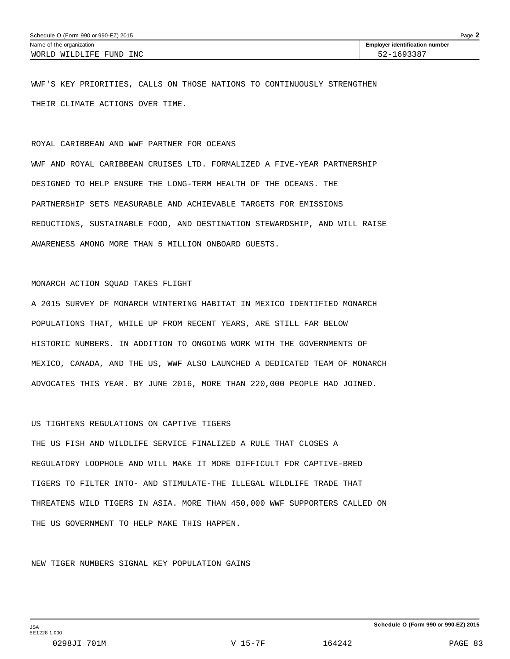WWF'S KEY PRIORITIES, CALLS ON THOSE NATIONS TO CONTINUOUSLY STRENGTHEN THEIR CLIMATE ACTIONS OVER TIME.

#### ROYAL CARIBBEAN AND WWF PARTNER FOR OCEANS

WWF AND ROYAL CARIBBEAN CRUISES LTD. FORMALIZED A FIVE-YEAR PARTNERSHIP DESIGNED TO HELP ENSURE THE LONG-TERM HEALTH OF THE OCEANS. THE PARTNERSHIP SETS MEASURABLE AND ACHIEVABLE TARGETS FOR EMISSIONS REDUCTIONS, SUSTAINABLE FOOD, AND DESTINATION STEWARDSHIP, AND WILL RAISE AWARENESS AMONG MORE THAN 5 MILLION ONBOARD GUESTS.

#### MONARCH ACTION SQUAD TAKES FLIGHT

A 2015 SURVEY OF MONARCH WINTERING HABITAT IN MEXICO IDENTIFIED MONARCH POPULATIONS THAT, WHILE UP FROM RECENT YEARS, ARE STILL FAR BELOW HISTORIC NUMBERS. IN ADDITION TO ONGOING WORK WITH THE GOVERNMENTS OF MEXICO, CANADA, AND THE US, WWF ALSO LAUNCHED A DEDICATED TEAM OF MONARCH ADVOCATES THIS YEAR. BY JUNE 2016, MORE THAN 220,000 PEOPLE HAD JOINED.

#### US TIGHTENS REGULATIONS ON CAPTIVE TIGERS

THE US FISH AND WILDLIFE SERVICE FINALIZED A RULE THAT CLOSES A REGULATORY LOOPHOLE AND WILL MAKE IT MORE DIFFICULT FOR CAPTIVE-BRED TIGERS TO FILTER INTO- AND STIMULATE-THE ILLEGAL WILDLIFE TRADE THAT THREATENS WILD TIGERS IN ASIA. MORE THAN 450,000 WWF SUPPORTERS CALLED ON THE US GOVERNMENT TO HELP MAKE THIS HAPPEN.

NEW TIGER NUMBERS SIGNAL KEY POPULATION GAINS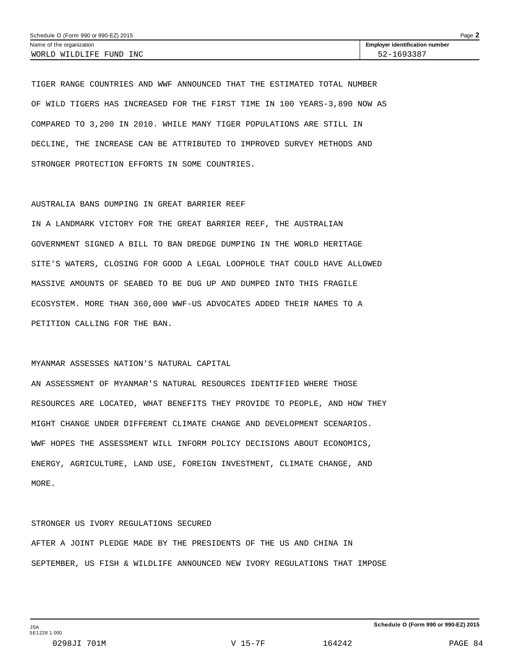TIGER RANGE COUNTRIES AND WWF ANNOUNCED THAT THE ESTIMATED TOTAL NUMBER OF WILD TIGERS HAS INCREASED FOR THE FIRST TIME IN 100 YEARS-3,890 NOW AS COMPARED TO 3,200 IN 2010. WHILE MANY TIGER POPULATIONS ARE STILL IN DECLINE, THE INCREASE CAN BE ATTRIBUTED TO IMPROVED SURVEY METHODS AND STRONGER PROTECTION EFFORTS IN SOME COUNTRIES.

#### AUSTRALIA BANS DUMPING IN GREAT BARRIER REEF

IN A LANDMARK VICTORY FOR THE GREAT BARRIER REEF, THE AUSTRALIAN GOVERNMENT SIGNED A BILL TO BAN DREDGE DUMPING IN THE WORLD HERITAGE SITE'S WATERS, CLOSING FOR GOOD A LEGAL LOOPHOLE THAT COULD HAVE ALLOWED MASSIVE AMOUNTS OF SEABED TO BE DUG UP AND DUMPED INTO THIS FRAGILE ECOSYSTEM. MORE THAN 360,000 WWF-US ADVOCATES ADDED THEIR NAMES TO A PETITION CALLING FOR THE BAN.

#### MYANMAR ASSESSES NATION'S NATURAL CAPITAL

AN ASSESSMENT OF MYANMAR'S NATURAL RESOURCES IDENTIFIED WHERE THOSE RESOURCES ARE LOCATED, WHAT BENEFITS THEY PROVIDE TO PEOPLE, AND HOW THEY MIGHT CHANGE UNDER DIFFERENT CLIMATE CHANGE AND DEVELOPMENT SCENARIOS. WWF HOPES THE ASSESSMENT WILL INFORM POLICY DECISIONS ABOUT ECONOMICS, ENERGY, AGRICULTURE, LAND USE, FOREIGN INVESTMENT, CLIMATE CHANGE, AND MORE.

#### STRONGER US IVORY REGULATIONS SECURED

AFTER A JOINT PLEDGE MADE BY THE PRESIDENTS OF THE US AND CHINA IN SEPTEMBER, US FISH & WILDLIFE ANNOUNCED NEW IVORY REGULATIONS THAT IMPOSE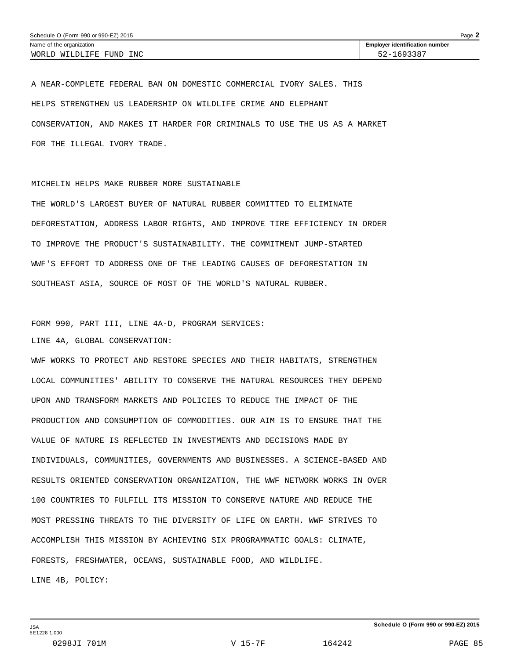A NEAR-COMPLETE FEDERAL BAN ON DOMESTIC COMMERCIAL IVORY SALES. THIS HELPS STRENGTHEN US LEADERSHIP ON WILDLIFE CRIME AND ELEPHANT CONSERVATION, AND MAKES IT HARDER FOR CRIMINALS TO USE THE US AS A MARKET FOR THE ILLEGAL IVORY TRADE.

MICHELIN HELPS MAKE RUBBER MORE SUSTAINABLE

THE WORLD'S LARGEST BUYER OF NATURAL RUBBER COMMITTED TO ELIMINATE DEFORESTATION, ADDRESS LABOR RIGHTS, AND IMPROVE TIRE EFFICIENCY IN ORDER TO IMPROVE THE PRODUCT'S SUSTAINABILITY. THE COMMITMENT JUMP-STARTED WWF'S EFFORT TO ADDRESS ONE OF THE LEADING CAUSES OF DEFORESTATION IN SOUTHEAST ASIA, SOURCE OF MOST OF THE WORLD'S NATURAL RUBBER.

FORM 990, PART III, LINE 4A-D, PROGRAM SERVICES:

LINE 4A, GLOBAL CONSERVATION:

WWF WORKS TO PROTECT AND RESTORE SPECIES AND THEIR HABITATS, STRENGTHEN LOCAL COMMUNITIES' ABILITY TO CONSERVE THE NATURAL RESOURCES THEY DEPEND UPON AND TRANSFORM MARKETS AND POLICIES TO REDUCE THE IMPACT OF THE PRODUCTION AND CONSUMPTION OF COMMODITIES. OUR AIM IS TO ENSURE THAT THE VALUE OF NATURE IS REFLECTED IN INVESTMENTS AND DECISIONS MADE BY INDIVIDUALS, COMMUNITIES, GOVERNMENTS AND BUSINESSES. A SCIENCE-BASED AND RESULTS ORIENTED CONSERVATION ORGANIZATION, THE WWF NETWORK WORKS IN OVER 100 COUNTRIES TO FULFILL ITS MISSION TO CONSERVE NATURE AND REDUCE THE MOST PRESSING THREATS TO THE DIVERSITY OF LIFE ON EARTH. WWF STRIVES TO ACCOMPLISH THIS MISSION BY ACHIEVING SIX PROGRAMMATIC GOALS: CLIMATE, FORESTS, FRESHWATER, OCEANS, SUSTAINABLE FOOD, AND WILDLIFE. LINE 4B, POLICY:

**Schedule O (Form 990 or 990-EZ) 2015**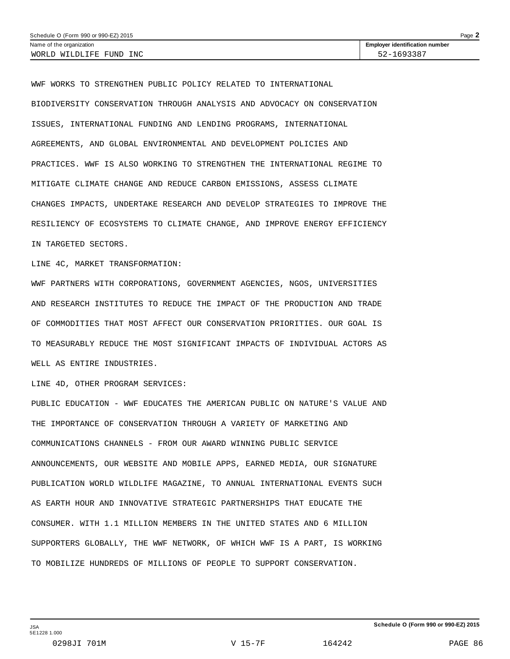| Schedule O (Form 990 or 990-EZ) 2015 |                                       |  |  |
|--------------------------------------|---------------------------------------|--|--|
| Name of the organization             | <b>Employer identification number</b> |  |  |
| WORLD WILDLIFE FUND INC              | 52-1693387                            |  |  |

WWF WORKS TO STRENGTHEN PUBLIC POLICY RELATED TO INTERNATIONAL BIODIVERSITY CONSERVATION THROUGH ANALYSIS AND ADVOCACY ON CONSERVATION ISSUES, INTERNATIONAL FUNDING AND LENDING PROGRAMS, INTERNATIONAL AGREEMENTS, AND GLOBAL ENVIRONMENTAL AND DEVELOPMENT POLICIES AND PRACTICES. WWF IS ALSO WORKING TO STRENGTHEN THE INTERNATIONAL REGIME TO MITIGATE CLIMATE CHANGE AND REDUCE CARBON EMISSIONS, ASSESS CLIMATE CHANGES IMPACTS, UNDERTAKE RESEARCH AND DEVELOP STRATEGIES TO IMPROVE THE RESILIENCY OF ECOSYSTEMS TO CLIMATE CHANGE, AND IMPROVE ENERGY EFFICIENCY IN TARGETED SECTORS.

LINE 4C, MARKET TRANSFORMATION:

WWF PARTNERS WITH CORPORATIONS, GOVERNMENT AGENCIES, NGOS, UNIVERSITIES AND RESEARCH INSTITUTES TO REDUCE THE IMPACT OF THE PRODUCTION AND TRADE OF COMMODITIES THAT MOST AFFECT OUR CONSERVATION PRIORITIES. OUR GOAL IS TO MEASURABLY REDUCE THE MOST SIGNIFICANT IMPACTS OF INDIVIDUAL ACTORS AS WELL AS ENTIRE INDUSTRIES.

LINE 4D, OTHER PROGRAM SERVICES:

PUBLIC EDUCATION - WWF EDUCATES THE AMERICAN PUBLIC ON NATURE'S VALUE AND THE IMPORTANCE OF CONSERVATION THROUGH A VARIETY OF MARKETING AND COMMUNICATIONS CHANNELS - FROM OUR AWARD WINNING PUBLIC SERVICE ANNOUNCEMENTS, OUR WEBSITE AND MOBILE APPS, EARNED MEDIA, OUR SIGNATURE PUBLICATION WORLD WILDLIFE MAGAZINE, TO ANNUAL INTERNATIONAL EVENTS SUCH AS EARTH HOUR AND INNOVATIVE STRATEGIC PARTNERSHIPS THAT EDUCATE THE CONSUMER. WITH 1.1 MILLION MEMBERS IN THE UNITED STATES AND 6 MILLION SUPPORTERS GLOBALLY, THE WWF NETWORK, OF WHICH WWF IS A PART, IS WORKING TO MOBILIZE HUNDREDS OF MILLIONS OF PEOPLE TO SUPPORT CONSERVATION.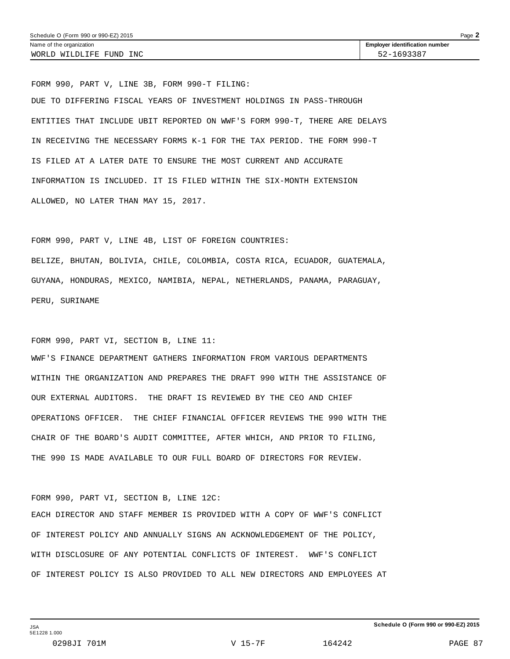FORM 990, PART V, LINE 3B, FORM 990-T FILING: DUE TO DIFFERING FISCAL YEARS OF INVESTMENT HOLDINGS IN PASS-THROUGH ENTITIES THAT INCLUDE UBIT REPORTED ON WWF'S FORM 990-T, THERE ARE DELAYS IN RECEIVING THE NECESSARY FORMS K-1 FOR THE TAX PERIOD. THE FORM 990-T IS FILED AT A LATER DATE TO ENSURE THE MOST CURRENT AND ACCURATE INFORMATION IS INCLUDED. IT IS FILED WITHIN THE SIX-MONTH EXTENSION ALLOWED, NO LATER THAN MAY 15, 2017.

FORM 990, PART V, LINE 4B, LIST OF FOREIGN COUNTRIES: BELIZE, BHUTAN, BOLIVIA, CHILE, COLOMBIA, COSTA RICA, ECUADOR, GUATEMALA, GUYANA, HONDURAS, MEXICO, NAMIBIA, NEPAL, NETHERLANDS, PANAMA, PARAGUAY, PERU, SURINAME

FORM 990, PART VI, SECTION B, LINE 11:

WWF'S FINANCE DEPARTMENT GATHERS INFORMATION FROM VARIOUS DEPARTMENTS WITHIN THE ORGANIZATION AND PREPARES THE DRAFT 990 WITH THE ASSISTANCE OF OUR EXTERNAL AUDITORS. THE DRAFT IS REVIEWED BY THE CEO AND CHIEF OPERATIONS OFFICER. THE CHIEF FINANCIAL OFFICER REVIEWS THE 990 WITH THE CHAIR OF THE BOARD'S AUDIT COMMITTEE, AFTER WHICH, AND PRIOR TO FILING, THE 990 IS MADE AVAILABLE TO OUR FULL BOARD OF DIRECTORS FOR REVIEW.

FORM 990, PART VI, SECTION B, LINE 12C:

EACH DIRECTOR AND STAFF MEMBER IS PROVIDED WITH A COPY OF WWF'S CONFLICT OF INTEREST POLICY AND ANNUALLY SIGNS AN ACKNOWLEDGEMENT OF THE POLICY, WITH DISCLOSURE OF ANY POTENTIAL CONFLICTS OF INTEREST. WWF'S CONFLICT OF INTEREST POLICY IS ALSO PROVIDED TO ALL NEW DIRECTORS AND EMPLOYEES AT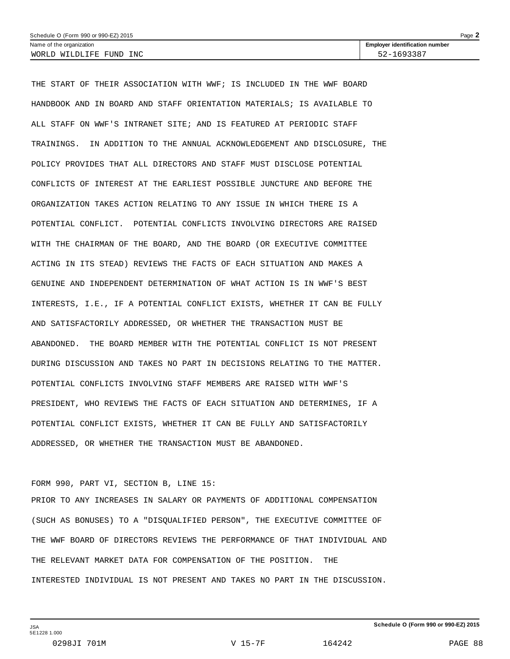| Page $\blacktriangle$<br>Schedule O (Form 990 or 990-EZ) 2015 |                                       |  |  |
|---------------------------------------------------------------|---------------------------------------|--|--|
| Name of the organization                                      | <b>Employer identification number</b> |  |  |
| WORLD WILDLIFE FUND INC                                       | 52-1693387                            |  |  |

THE START OF THEIR ASSOCIATION WITH WWF; IS INCLUDED IN THE WWF BOARD HANDBOOK AND IN BOARD AND STAFF ORIENTATION MATERIALS; IS AVAILABLE TO ALL STAFF ON WWF'S INTRANET SITE; AND IS FEATURED AT PERIODIC STAFF TRAININGS. IN ADDITION TO THE ANNUAL ACKNOWLEDGEMENT AND DISCLOSURE, THE POLICY PROVIDES THAT ALL DIRECTORS AND STAFF MUST DISCLOSE POTENTIAL CONFLICTS OF INTEREST AT THE EARLIEST POSSIBLE JUNCTURE AND BEFORE THE ORGANIZATION TAKES ACTION RELATING TO ANY ISSUE IN WHICH THERE IS A POTENTIAL CONFLICT. POTENTIAL CONFLICTS INVOLVING DIRECTORS ARE RAISED WITH THE CHAIRMAN OF THE BOARD, AND THE BOARD (OR EXECUTIVE COMMITTEE ACTING IN ITS STEAD) REVIEWS THE FACTS OF EACH SITUATION AND MAKES A GENUINE AND INDEPENDENT DETERMINATION OF WHAT ACTION IS IN WWF'S BEST INTERESTS, I.E., IF A POTENTIAL CONFLICT EXISTS, WHETHER IT CAN BE FULLY AND SATISFACTORILY ADDRESSED, OR WHETHER THE TRANSACTION MUST BE ABANDONED. THE BOARD MEMBER WITH THE POTENTIAL CONFLICT IS NOT PRESENT DURING DISCUSSION AND TAKES NO PART IN DECISIONS RELATING TO THE MATTER. POTENTIAL CONFLICTS INVOLVING STAFF MEMBERS ARE RAISED WITH WWF'S PRESIDENT, WHO REVIEWS THE FACTS OF EACH SITUATION AND DETERMINES, IF A POTENTIAL CONFLICT EXISTS, WHETHER IT CAN BE FULLY AND SATISFACTORILY ADDRESSED, OR WHETHER THE TRANSACTION MUST BE ABANDONED.

#### FORM 990, PART VI, SECTION B, LINE 15:

PRIOR TO ANY INCREASES IN SALARY OR PAYMENTS OF ADDITIONAL COMPENSATION (SUCH AS BONUSES) TO A "DISQUALIFIED PERSON", THE EXECUTIVE COMMITTEE OF THE WWF BOARD OF DIRECTORS REVIEWS THE PERFORMANCE OF THAT INDIVIDUAL AND THE RELEVANT MARKET DATA FOR COMPENSATION OF THE POSITION. THE INTERESTED INDIVIDUAL IS NOT PRESENT AND TAKES NO PART IN THE DISCUSSION.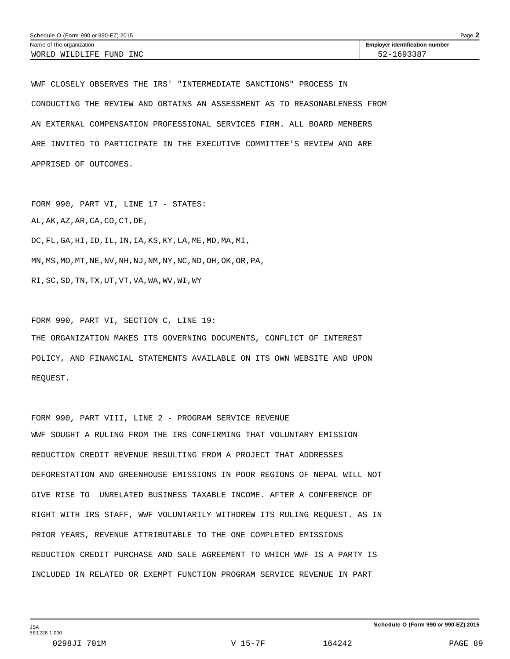WWF CLOSELY OBSERVES THE IRS' "INTERMEDIATE SANCTIONS" PROCESS IN CONDUCTING THE REVIEW AND OBTAINS AN ASSESSMENT AS TO REASONABLENESS FROM AN EXTERNAL COMPENSATION PROFESSIONAL SERVICES FIRM. ALL BOARD MEMBERS ARE INVITED TO PARTICIPATE IN THE EXECUTIVE COMMITTEE'S REVIEW AND ARE APPRISED OF OUTCOMES.

FORM 990, PART VI, LINE 17 - STATES: AL,AK,AZ,AR,CA,CO,CT,DE, DC,FL,GA,HI,ID,IL,IN,IA,KS,KY,LA,ME,MD,MA,MI, MN,MS,MO,MT,NE,NV,NH,NJ,NM,NY,NC,ND,OH,OK,OR,PA, RI,SC,SD,TN,TX,UT,VT,VA,WA,WV,WI,WY

FORM 990, PART VI, SECTION C, LINE 19: THE ORGANIZATION MAKES ITS GOVERNING DOCUMENTS, CONFLICT OF INTEREST POLICY, AND FINANCIAL STATEMENTS AVAILABLE ON ITS OWN WEBSITE AND UPON REQUEST.

FORM 990, PART VIII, LINE 2 - PROGRAM SERVICE REVENUE WWF SOUGHT A RULING FROM THE IRS CONFIRMING THAT VOLUNTARY EMISSION REDUCTION CREDIT REVENUE RESULTING FROM A PROJECT THAT ADDRESSES DEFORESTATION AND GREENHOUSE EMISSIONS IN POOR REGIONS OF NEPAL WILL NOT GIVE RISE TO UNRELATED BUSINESS TAXABLE INCOME. AFTER A CONFERENCE OF RIGHT WITH IRS STAFF, WWF VOLUNTARILY WITHDREW ITS RULING REQUEST. AS IN PRIOR YEARS, REVENUE ATTRIBUTABLE TO THE ONE COMPLETED EMISSIONS REDUCTION CREDIT PURCHASE AND SALE AGREEMENT TO WHICH WWF IS A PARTY IS INCLUDED IN RELATED OR EXEMPT FUNCTION PROGRAM SERVICE REVENUE IN PART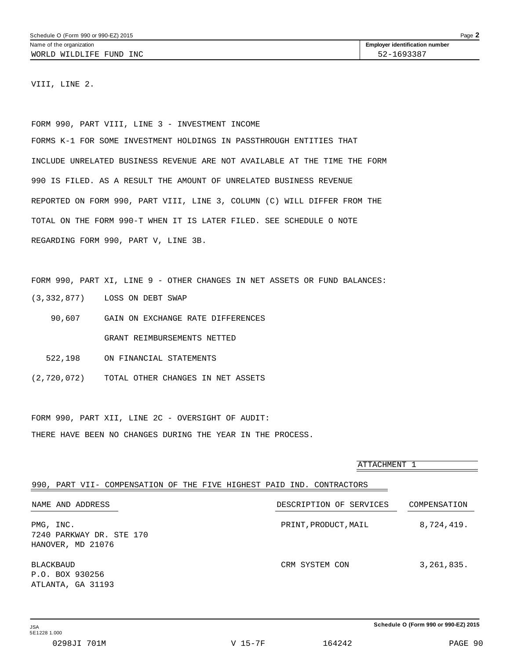VIII, LINE 2.

FORM 990, PART VIII, LINE 3 - INVESTMENT INCOME FORMS K-1 FOR SOME INVESTMENT HOLDINGS IN PASSTHROUGH ENTITIES THAT INCLUDE UNRELATED BUSINESS REVENUE ARE NOT AVAILABLE AT THE TIME THE FORM 990 IS FILED. AS A RESULT THE AMOUNT OF UNRELATED BUSINESS REVENUE REPORTED ON FORM 990, PART VIII, LINE 3, COLUMN (C) WILL DIFFER FROM THE TOTAL ON THE FORM 990-T WHEN IT IS LATER FILED. SEE SCHEDULE O NOTE REGARDING FORM 990, PART V, LINE 3B.

FORM 990, PART XI, LINE 9 - OTHER CHANGES IN NET ASSETS OR FUND BALANCES: (3,332,877) LOSS ON DEBT SWAP

- 90,607 GAIN ON EXCHANGE RATE DIFFERENCES GRANT REIMBURSEMENTS NETTED
- 522,198 ON FINANCIAL STATEMENTS
- (2,720,072) TOTAL OTHER CHANGES IN NET ASSETS

FORM 990, PART XII, LINE 2C - OVERSIGHT OF AUDIT: THERE HAVE BEEN NO CHANGES DURING THE YEAR IN THE PROCESS.

|                                                                       | ATTACHMENT 1            |              |
|-----------------------------------------------------------------------|-------------------------|--------------|
| 990, PART VII- COMPENSATION OF THE FIVE HIGHEST PAID IND. CONTRACTORS |                         |              |
| NAME AND ADDRESS                                                      | DESCRIPTION OF SERVICES | COMPENSATION |
| PMG, INC.<br>7240 PARKWAY DR. STE 170<br>HANOVER, MD 21076            | PRINT, PRODUCT, MAIL    | 8,724,419.   |
| <b>BLACKBAUD</b><br>P.O. BOX 930256<br>ATLANTA, GA 31193              | CRM SYSTEM CON          | 3, 261, 835. |